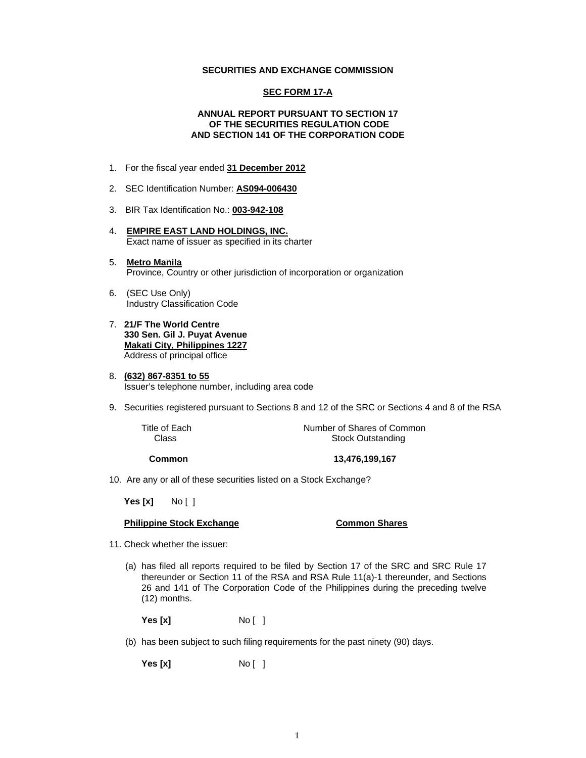#### **SECURITIES AND EXCHANGE COMMISSION**

#### **SEC FORM 17-A**

#### **ANNUAL REPORT PURSUANT TO SECTION 17 OF THE SECURITIES REGULATION CODE AND SECTION 141 OF THE CORPORATION CODE**

- 1. For the fiscal year ended **31 December 2012**
- 2. SEC Identification Number: **AS094-006430**
- 3. BIR Tax Identification No.: **003-942-108**
- 4. **EMPIRE EAST LAND HOLDINGS, INC.** Exact name of issuer as specified in its charter
- 5. **Metro Manila** Province, Country or other jurisdiction of incorporation or organization
- 6. (SEC Use Only) Industry Classification Code
- 7. **21/F The World Centre 330 Sen. Gil J. Puyat Avenue Makati City, Philippines 1227** Address of principal office
- 8. **(632) 867-8351 to 55** Issuer's telephone number, including area code
- 9. Securities registered pursuant to Sections 8 and 12 of the SRC or Sections 4 and 8 of the RSA

Title of Each **Number of Shares of Common**<br>Class **Class** Stock Outstanding **Stock Outstanding** 

**Common 13,476,199,167** 

10. Are any or all of these securities listed on a Stock Exchange?

 **Yes [x]** No [ ]

#### **Philippine Stock Exchange Common Shares**

- 11. Check whether the issuer:
	- (a) has filed all reports required to be filed by Section 17 of the SRC and SRC Rule 17 thereunder or Section 11 of the RSA and RSA Rule 11(a)-1 thereunder, and Sections 26 and 141 of The Corporation Code of the Philippines during the preceding twelve (12) months.

**Yes [x]** No [ ]

(b) has been subject to such filing requirements for the past ninety (90) days.

**Yes [x]** No [ ]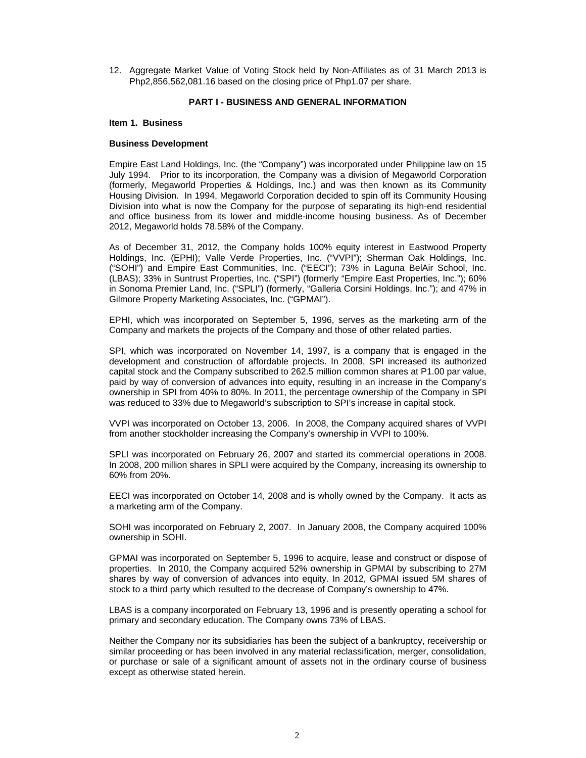12. Aggregate Market Value of Voting Stock held by Non-Affiliates as of 31 March 2013 is Php2,856,562,081.16 based on the closing price of Php1.07 per share.

#### **PART I - BUSINESS AND GENERAL INFORMATION**

#### **Item 1. Business**

#### **Business Development**

Empire East Land Holdings, Inc. (the "Company") was incorporated under Philippine law on 15 July 1994. Prior to its incorporation, the Company was a division of Megaworld Corporation (formerly, Megaworld Properties & Holdings, Inc.) and was then known as its Community Housing Division. In 1994, Megaworld Corporation decided to spin off its Community Housing Division into what is now the Company for the purpose of separating its high-end residential and office business from its lower and middle-income housing business. As of December 2012, Megaworld holds 78.58% of the Company.

As of December 31, 2012, the Company holds 100% equity interest in Eastwood Property Holdings, Inc. (EPHI); Valle Verde Properties, Inc. ("VVPI"); Sherman Oak Holdings, Inc. ("SOHI") and Empire East Communities, Inc. ("EECI"); 73% in Laguna BelAir School, Inc. (LBAS); 33% in Suntrust Properties, Inc. ("SPI") (formerly "Empire East Properties, Inc."); 60% in Sonoma Premier Land, Inc. ("SPLI") (formerly, "Galleria Corsini Holdings, Inc."); and 47% in Gilmore Property Marketing Associates, Inc. ("GPMAI").

EPHI, which was incorporated on September 5, 1996, serves as the marketing arm of the Company and markets the projects of the Company and those of other related parties.

SPI, which was incorporated on November 14, 1997, is a company that is engaged in the development and construction of affordable projects. In 2008, SPI increased its authorized capital stock and the Company subscribed to 262.5 million common shares at P1.00 par value, paid by way of conversion of advances into equity, resulting in an increase in the Company's ownership in SPI from 40% to 80%. In 2011, the percentage ownership of the Company in SPI was reduced to 33% due to Megaworld's subscription to SPI's increase in capital stock.

VVPI was incorporated on October 13, 2006. In 2008, the Company acquired shares of VVPI from another stockholder increasing the Company's ownership in VVPI to 100%.

SPLI was incorporated on February 26, 2007 and started its commercial operations in 2008. In 2008, 200 million shares in SPLI were acquired by the Company, increasing its ownership to 60% from 20%.

EECI was incorporated on October 14, 2008 and is wholly owned by the Company. It acts as a marketing arm of the Company.

SOHI was incorporated on February 2, 2007. In January 2008, the Company acquired 100% ownership in SOHI.

GPMAI was incorporated on September 5, 1996 to acquire, lease and construct or dispose of properties. In 2010, the Company acquired 52% ownership in GPMAI by subscribing to 27M shares by way of conversion of advances into equity. In 2012, GPMAI issued 5M shares of stock to a third party which resulted to the decrease of Company's ownership to 47%.

LBAS is a company incorporated on February 13, 1996 and is presently operating a school for primary and secondary education. The Company owns 73% of LBAS.

Neither the Company nor its subsidiaries has been the subject of a bankruptcy, receivership or similar proceeding or has been involved in any material reclassification, merger, consolidation, or purchase or sale of a significant amount of assets not in the ordinary course of business except as otherwise stated herein.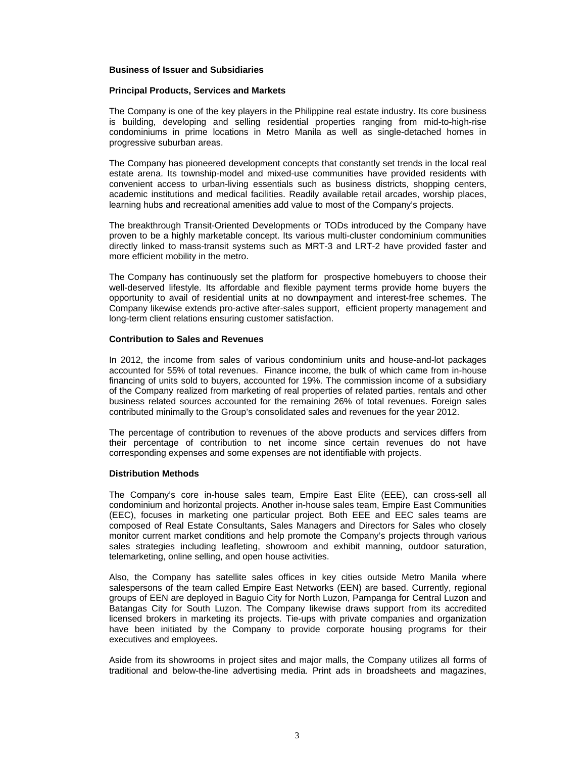#### **Business of Issuer and Subsidiaries**

#### **Principal Products, Services and Markets**

The Company is one of the key players in the Philippine real estate industry. Its core business is building, developing and selling residential properties ranging from mid-to-high-rise condominiums in prime locations in Metro Manila as well as single-detached homes in progressive suburban areas.

The Company has pioneered development concepts that constantly set trends in the local real estate arena. Its township-model and mixed-use communities have provided residents with convenient access to urban-living essentials such as business districts, shopping centers, academic institutions and medical facilities. Readily available retail arcades, worship places, learning hubs and recreational amenities add value to most of the Company's projects.

The breakthrough Transit-Oriented Developments or TODs introduced by the Company have proven to be a highly marketable concept. Its various multi-cluster condominium communities directly linked to mass-transit systems such as MRT-3 and LRT-2 have provided faster and more efficient mobility in the metro.

The Company has continuously set the platform for prospective homebuyers to choose their well-deserved lifestyle. Its affordable and flexible payment terms provide home buyers the opportunity to avail of residential units at no downpayment and interest-free schemes. The Company likewise extends pro-active after-sales support, efficient property management and long-term client relations ensuring customer satisfaction.

#### **Contribution to Sales and Revenues**

In 2012, the income from sales of various condominium units and house-and-lot packages accounted for 55% of total revenues. Finance income, the bulk of which came from in-house financing of units sold to buyers, accounted for 19%. The commission income of a subsidiary of the Company realized from marketing of real properties of related parties, rentals and other business related sources accounted for the remaining 26% of total revenues. Foreign sales contributed minimally to the Group's consolidated sales and revenues for the year 2012.

The percentage of contribution to revenues of the above products and services differs from their percentage of contribution to net income since certain revenues do not have corresponding expenses and some expenses are not identifiable with projects.

#### **Distribution Methods**

The Company's core in-house sales team, Empire East Elite (EEE), can cross-sell all condominium and horizontal projects. Another in-house sales team, Empire East Communities (EEC), focuses in marketing one particular project. Both EEE and EEC sales teams are composed of Real Estate Consultants, Sales Managers and Directors for Sales who closely monitor current market conditions and help promote the Company's projects through various sales strategies including leafleting, showroom and exhibit manning, outdoor saturation, telemarketing, online selling, and open house activities.

Also, the Company has satellite sales offices in key cities outside Metro Manila where salespersons of the team called Empire East Networks (EEN) are based. Currently, regional groups of EEN are deployed in Baguio City for North Luzon, Pampanga for Central Luzon and Batangas City for South Luzon. The Company likewise draws support from its accredited licensed brokers in marketing its projects. Tie-ups with private companies and organization have been initiated by the Company to provide corporate housing programs for their executives and employees.

Aside from its showrooms in project sites and major malls, the Company utilizes all forms of traditional and below-the-line advertising media. Print ads in broadsheets and magazines,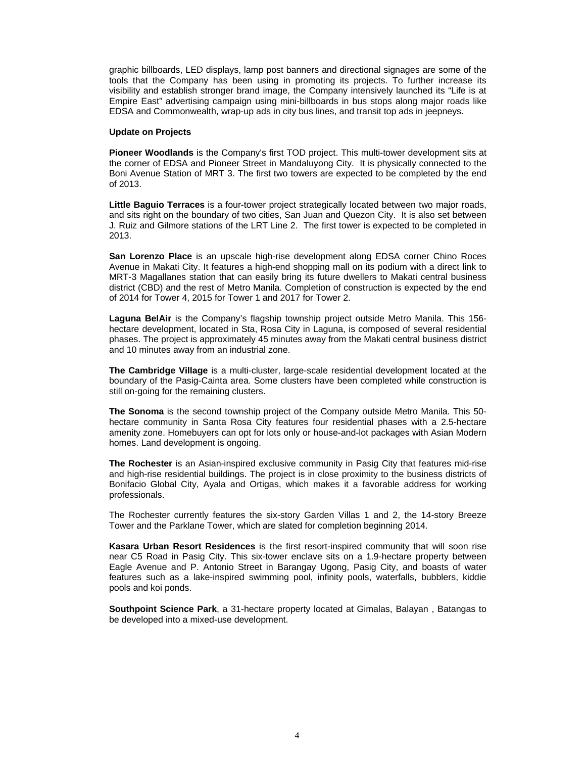graphic billboards, LED displays, lamp post banners and directional signages are some of the tools that the Company has been using in promoting its projects. To further increase its visibility and establish stronger brand image, the Company intensively launched its "Life is at Empire East" advertising campaign using mini-billboards in bus stops along major roads like EDSA and Commonwealth, wrap-up ads in city bus lines, and transit top ads in jeepneys.

#### **Update on Projects**

**Pioneer Woodlands** is the Company's first TOD project. This multi-tower development sits at the corner of EDSA and Pioneer Street in Mandaluyong City. It is physically connected to the Boni Avenue Station of MRT 3. The first two towers are expected to be completed by the end of 2013.

**Little Baguio Terraces** is a four-tower project strategically located between two major roads, and sits right on the boundary of two cities, San Juan and Quezon City. It is also set between J. Ruiz and Gilmore stations of the LRT Line 2. The first tower is expected to be completed in 2013.

**San Lorenzo Place** is an upscale high-rise development along EDSA corner Chino Roces Avenue in Makati City. It features a high-end shopping mall on its podium with a direct link to MRT-3 Magallanes station that can easily bring its future dwellers to Makati central business district (CBD) and the rest of Metro Manila. Completion of construction is expected by the end of 2014 for Tower 4, 2015 for Tower 1 and 2017 for Tower 2.

**Laguna BelAir** is the Company's flagship township project outside Metro Manila. This 156 hectare development, located in Sta, Rosa City in Laguna, is composed of several residential phases. The project is approximately 45 minutes away from the Makati central business district and 10 minutes away from an industrial zone.

**The Cambridge Village** is a multi-cluster, large-scale residential development located at the boundary of the Pasig-Cainta area. Some clusters have been completed while construction is still on-going for the remaining clusters.

**The Sonoma** is the second township project of the Company outside Metro Manila. This 50 hectare community in Santa Rosa City features four residential phases with a 2.5-hectare amenity zone. Homebuyers can opt for lots only or house-and-lot packages with Asian Modern homes. Land development is ongoing.

**The Rochester** is an Asian-inspired exclusive community in Pasig City that features mid-rise and high-rise residential buildings. The project is in close proximity to the business districts of Bonifacio Global City, Ayala and Ortigas, which makes it a favorable address for working professionals.

The Rochester currently features the six-story Garden Villas 1 and 2, the 14-story Breeze Tower and the Parklane Tower, which are slated for completion beginning 2014.

**Kasara Urban Resort Residences** is the first resort-inspired community that will soon rise near C5 Road in Pasig City. This six-tower enclave sits on a 1.9-hectare property between Eagle Avenue and P. Antonio Street in Barangay Ugong, Pasig City, and boasts of water features such as a lake-inspired swimming pool, infinity pools, waterfalls, bubblers, kiddie pools and koi ponds.

**Southpoint Science Park**, a 31-hectare property located at Gimalas, Balayan , Batangas to be developed into a mixed-use development.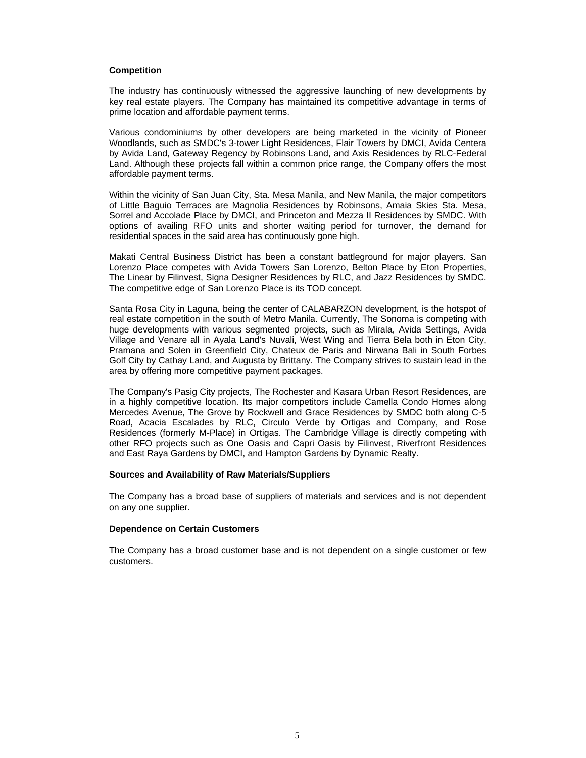#### **Competition**

The industry has continuously witnessed the aggressive launching of new developments by key real estate players. The Company has maintained its competitive advantage in terms of prime location and affordable payment terms.

Various condominiums by other developers are being marketed in the vicinity of Pioneer Woodlands, such as SMDC's 3-tower Light Residences, Flair Towers by DMCI, Avida Centera by Avida Land, Gateway Regency by Robinsons Land, and Axis Residences by RLC-Federal Land. Although these projects fall within a common price range, the Company offers the most affordable payment terms.

Within the vicinity of San Juan City, Sta. Mesa Manila, and New Manila, the major competitors of Little Baguio Terraces are Magnolia Residences by Robinsons, Amaia Skies Sta. Mesa, Sorrel and Accolade Place by DMCI, and Princeton and Mezza II Residences by SMDC. With options of availing RFO units and shorter waiting period for turnover, the demand for residential spaces in the said area has continuously gone high.

Makati Central Business District has been a constant battleground for major players. San Lorenzo Place competes with Avida Towers San Lorenzo, Belton Place by Eton Properties, The Linear by Filinvest, Signa Designer Residences by RLC, and Jazz Residences by SMDC. The competitive edge of San Lorenzo Place is its TOD concept.

Santa Rosa City in Laguna, being the center of CALABARZON development, is the hotspot of real estate competition in the south of Metro Manila. Currently, The Sonoma is competing with huge developments with various segmented projects, such as Mirala, Avida Settings, Avida Village and Venare all in Ayala Land's Nuvali, West Wing and Tierra Bela both in Eton City, Pramana and Solen in Greenfield City, Chateux de Paris and Nirwana Bali in South Forbes Golf City by Cathay Land, and Augusta by Brittany. The Company strives to sustain lead in the area by offering more competitive payment packages.

The Company's Pasig City projects, The Rochester and Kasara Urban Resort Residences, are in a highly competitive location. Its major competitors include Camella Condo Homes along Mercedes Avenue, The Grove by Rockwell and Grace Residences by SMDC both along C-5 Road, Acacia Escalades by RLC, Circulo Verde by Ortigas and Company, and Rose Residences (formerly M-Place) in Ortigas. The Cambridge Village is directly competing with other RFO projects such as One Oasis and Capri Oasis by Filinvest, Riverfront Residences and East Raya Gardens by DMCI, and Hampton Gardens by Dynamic Realty.

#### **Sources and Availability of Raw Materials/Suppliers**

The Company has a broad base of suppliers of materials and services and is not dependent on any one supplier.

#### **Dependence on Certain Customers**

The Company has a broad customer base and is not dependent on a single customer or few customers.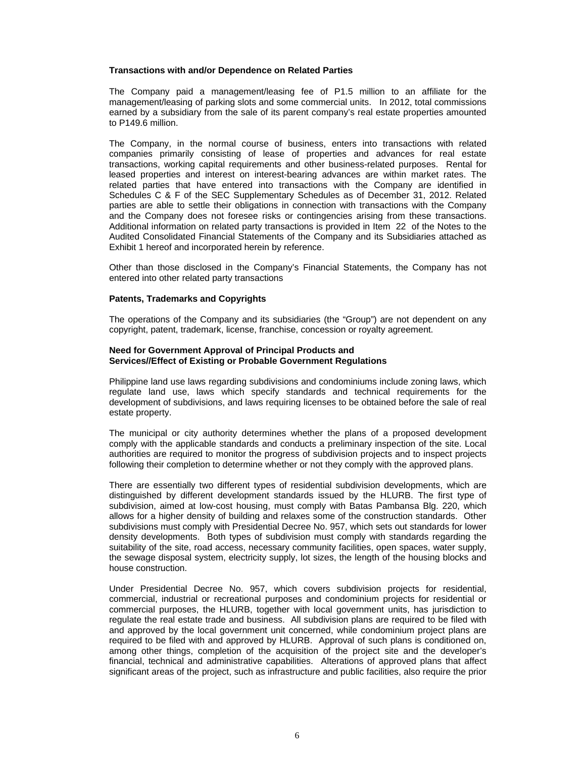#### **Transactions with and/or Dependence on Related Parties**

The Company paid a management/leasing fee of P1.5 million to an affiliate for the management/leasing of parking slots and some commercial units. In 2012, total commissions earned by a subsidiary from the sale of its parent company's real estate properties amounted to P149.6 million.

The Company, in the normal course of business, enters into transactions with related companies primarily consisting of lease of properties and advances for real estate transactions, working capital requirements and other business-related purposes. Rental for leased properties and interest on interest-bearing advances are within market rates. The related parties that have entered into transactions with the Company are identified in Schedules C & F of the SEC Supplementary Schedules as of December 31, 2012. Related parties are able to settle their obligations in connection with transactions with the Company and the Company does not foresee risks or contingencies arising from these transactions. Additional information on related party transactions is provided in Item 22 of the Notes to the Audited Consolidated Financial Statements of the Company and its Subsidiaries attached as Exhibit 1 hereof and incorporated herein by reference.

Other than those disclosed in the Company's Financial Statements, the Company has not entered into other related party transactions

#### **Patents, Trademarks and Copyrights**

The operations of the Company and its subsidiaries (the "Group") are not dependent on any copyright, patent, trademark, license, franchise, concession or royalty agreement.

#### **Need for Government Approval of Principal Products and Services//Effect of Existing or Probable Government Regulations**

Philippine land use laws regarding subdivisions and condominiums include zoning laws, which regulate land use, laws which specify standards and technical requirements for the development of subdivisions, and laws requiring licenses to be obtained before the sale of real estate property.

The municipal or city authority determines whether the plans of a proposed development comply with the applicable standards and conducts a preliminary inspection of the site. Local authorities are required to monitor the progress of subdivision projects and to inspect projects following their completion to determine whether or not they comply with the approved plans.

There are essentially two different types of residential subdivision developments, which are distinguished by different development standards issued by the HLURB. The first type of subdivision, aimed at low-cost housing, must comply with Batas Pambansa Blg. 220, which allows for a higher density of building and relaxes some of the construction standards. Other subdivisions must comply with Presidential Decree No. 957, which sets out standards for lower density developments. Both types of subdivision must comply with standards regarding the suitability of the site, road access, necessary community facilities, open spaces, water supply, the sewage disposal system, electricity supply, lot sizes, the length of the housing blocks and house construction.

Under Presidential Decree No. 957, which covers subdivision projects for residential, commercial, industrial or recreational purposes and condominium projects for residential or commercial purposes, the HLURB, together with local government units, has jurisdiction to regulate the real estate trade and business. All subdivision plans are required to be filed with and approved by the local government unit concerned, while condominium project plans are required to be filed with and approved by HLURB. Approval of such plans is conditioned on, among other things, completion of the acquisition of the project site and the developer's financial, technical and administrative capabilities. Alterations of approved plans that affect significant areas of the project, such as infrastructure and public facilities, also require the prior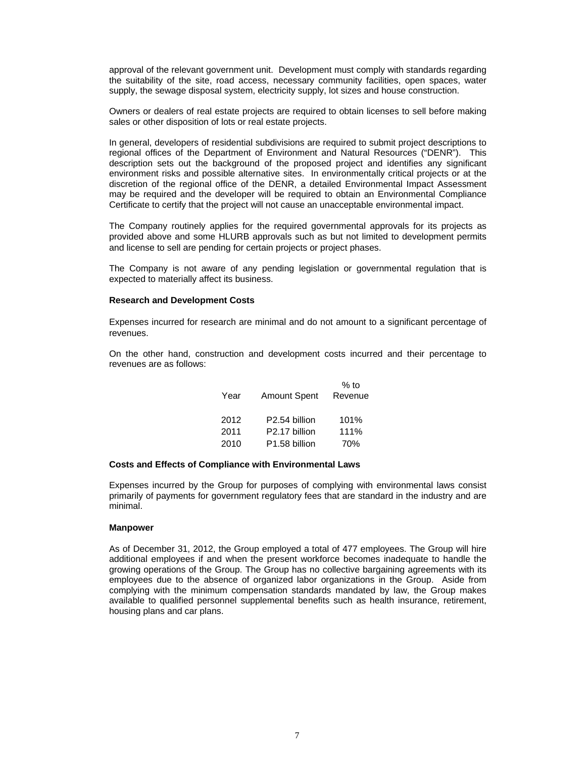approval of the relevant government unit. Development must comply with standards regarding the suitability of the site, road access, necessary community facilities, open spaces, water supply, the sewage disposal system, electricity supply, lot sizes and house construction.

Owners or dealers of real estate projects are required to obtain licenses to sell before making sales or other disposition of lots or real estate projects.

In general, developers of residential subdivisions are required to submit project descriptions to regional offices of the Department of Environment and Natural Resources ("DENR"). This description sets out the background of the proposed project and identifies any significant environment risks and possible alternative sites. In environmentally critical projects or at the discretion of the regional office of the DENR, a detailed Environmental Impact Assessment may be required and the developer will be required to obtain an Environmental Compliance Certificate to certify that the project will not cause an unacceptable environmental impact.

The Company routinely applies for the required governmental approvals for its projects as provided above and some HLURB approvals such as but not limited to development permits and license to sell are pending for certain projects or project phases.

The Company is not aware of any pending legislation or governmental regulation that is expected to materially affect its business.

#### **Research and Development Costs**

Expenses incurred for research are minimal and do not amount to a significant percentage of revenues.

On the other hand, construction and development costs incurred and their percentage to revenues are as follows:

| Year | <b>Amount Spent</b>       | $%$ to<br>Revenue |
|------|---------------------------|-------------------|
| 2012 | P <sub>2.54</sub> billion | 101%              |
| 2011 | P <sub>2.17</sub> billion | 111%              |
| 2010 | P <sub>1.58</sub> billion | 70%               |

#### **Costs and Effects of Compliance with Environmental Laws**

Expenses incurred by the Group for purposes of complying with environmental laws consist primarily of payments for government regulatory fees that are standard in the industry and are minimal.

#### **Manpower**

As of December 31, 2012, the Group employed a total of 477 employees. The Group will hire additional employees if and when the present workforce becomes inadequate to handle the growing operations of the Group. The Group has no collective bargaining agreements with its employees due to the absence of organized labor organizations in the Group. Aside from complying with the minimum compensation standards mandated by law, the Group makes available to qualified personnel supplemental benefits such as health insurance, retirement, housing plans and car plans.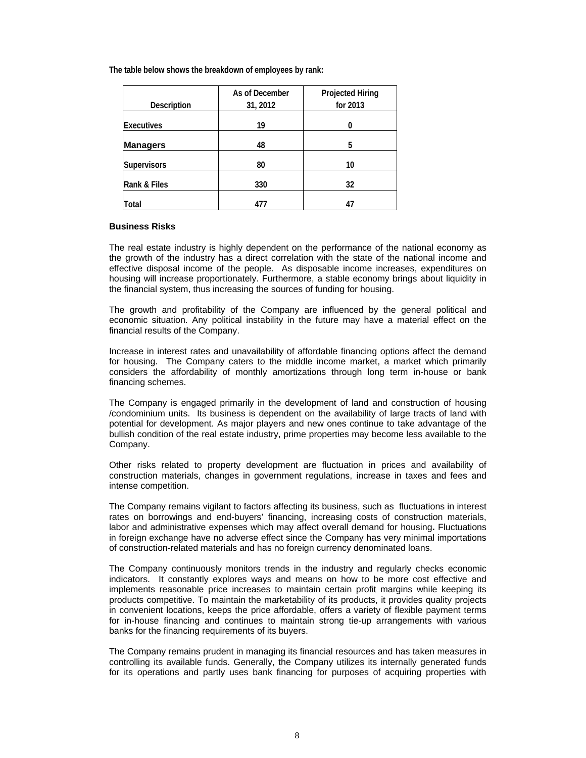**The table below shows the breakdown of employees by rank:** 

|                    | As of December | <b>Projected Hiring</b> |
|--------------------|----------------|-------------------------|
| <b>Description</b> | 31, 2012       | for 2013                |
| <b>Executives</b>  | 19             |                         |
| <b>Managers</b>    | 48             | 5                       |
| <b>Supervisors</b> | 80             | 10                      |
| Rank & Files       | 330            | 32                      |
| <b>Total</b>       | 477            |                         |

#### **Business Risks**

The real estate industry is highly dependent on the performance of the national economy as the growth of the industry has a direct correlation with the state of the national income and effective disposal income of the people. As disposable income increases, expenditures on housing will increase proportionately. Furthermore, a stable economy brings about liquidity in the financial system, thus increasing the sources of funding for housing.

The growth and profitability of the Company are influenced by the general political and economic situation. Any political instability in the future may have a material effect on the financial results of the Company.

Increase in interest rates and unavailability of affordable financing options affect the demand for housing. The Company caters to the middle income market, a market which primarily considers the affordability of monthly amortizations through long term in-house or bank financing schemes.

The Company is engaged primarily in the development of land and construction of housing /condominium units. Its business is dependent on the availability of large tracts of land with potential for development. As major players and new ones continue to take advantage of the bullish condition of the real estate industry, prime properties may become less available to the Company.

Other risks related to property development are fluctuation in prices and availability of construction materials, changes in government regulations, increase in taxes and fees and intense competition.

The Company remains vigilant to factors affecting its business, such as fluctuations in interest rates on borrowings and end-buyers' financing, increasing costs of construction materials, labor and administrative expenses which may affect overall demand for housing**.** Fluctuations in foreign exchange have no adverse effect since the Company has very minimal importations of construction-related materials and has no foreign currency denominated loans.

The Company continuously monitors trends in the industry and regularly checks economic indicators. It constantly explores ways and means on how to be more cost effective and implements reasonable price increases to maintain certain profit margins while keeping its products competitive. To maintain the marketability of its products, it provides quality projects in convenient locations, keeps the price affordable, offers a variety of flexible payment terms for in-house financing and continues to maintain strong tie-up arrangements with various banks for the financing requirements of its buyers.

The Company remains prudent in managing its financial resources and has taken measures in controlling its available funds. Generally, the Company utilizes its internally generated funds for its operations and partly uses bank financing for purposes of acquiring properties with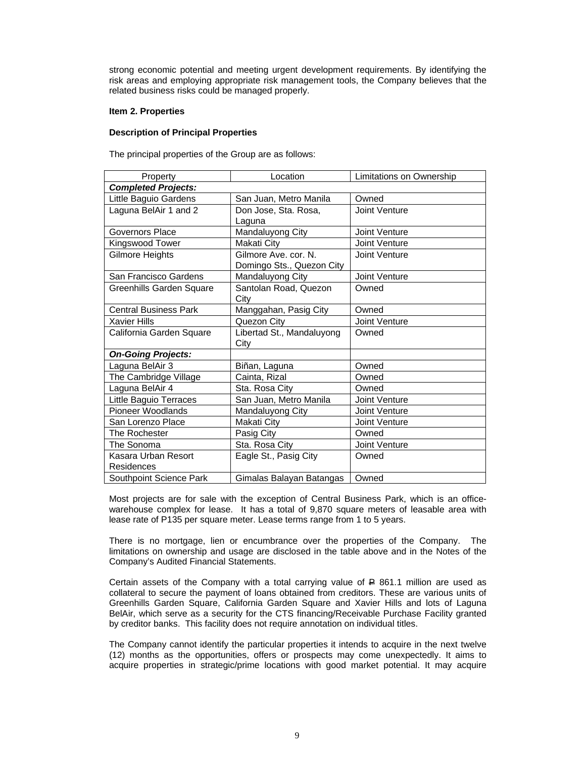strong economic potential and meeting urgent development requirements. By identifying the risk areas and employing appropriate risk management tools, the Company believes that the related business risks could be managed properly.

#### **Item 2. Properties**

#### **Description of Principal Properties**

The principal properties of the Group are as follows:

| Property                     | Location                  | Limitations on Ownership |  |  |  |  |
|------------------------------|---------------------------|--------------------------|--|--|--|--|
| <b>Completed Projects:</b>   |                           |                          |  |  |  |  |
| Little Baguio Gardens        | San Juan, Metro Manila    | Owned                    |  |  |  |  |
| Laguna BelAir 1 and 2        | Don Jose, Sta. Rosa,      | Joint Venture            |  |  |  |  |
|                              | Laguna                    |                          |  |  |  |  |
| Governors Place              | Mandaluyong City          | Joint Venture            |  |  |  |  |
| Kingswood Tower              | Makati City               | Joint Venture            |  |  |  |  |
| Gilmore Heights              | Gilmore Ave. cor. N.      | Joint Venture            |  |  |  |  |
|                              | Domingo Sts., Quezon City |                          |  |  |  |  |
| San Francisco Gardens        | Mandaluyong City          | Joint Venture            |  |  |  |  |
| Greenhills Garden Square     | Santolan Road, Quezon     | Owned                    |  |  |  |  |
|                              | City                      |                          |  |  |  |  |
| <b>Central Business Park</b> | Manggahan, Pasig City     | Owned                    |  |  |  |  |
| <b>Xavier Hills</b>          | Quezon City               | Joint Venture            |  |  |  |  |
| California Garden Square     | Libertad St., Mandaluyong | Owned                    |  |  |  |  |
|                              | City                      |                          |  |  |  |  |
| <b>On-Going Projects:</b>    |                           |                          |  |  |  |  |
| Laguna BelAir 3              | Biñan, Laguna             | Owned                    |  |  |  |  |
| The Cambridge Village        | Cainta, Rizal             | Owned                    |  |  |  |  |
| Laguna BelAir 4              | Sta. Rosa City            | Owned                    |  |  |  |  |
| Little Baguio Terraces       | San Juan, Metro Manila    | Joint Venture            |  |  |  |  |
| Pioneer Woodlands            | Mandaluyong City          | Joint Venture            |  |  |  |  |
| San Lorenzo Place            | Makati City               | Joint Venture            |  |  |  |  |
| The Rochester                | Pasig City                | Owned                    |  |  |  |  |
| The Sonoma                   | Sta. Rosa City            | Joint Venture            |  |  |  |  |
| Kasara Urban Resort          | Eagle St., Pasig City     | Owned                    |  |  |  |  |
| Residences                   |                           |                          |  |  |  |  |
| Southpoint Science Park      | Gimalas Balayan Batangas  | Owned                    |  |  |  |  |

Most projects are for sale with the exception of Central Business Park, which is an officewarehouse complex for lease. It has a total of 9,870 square meters of leasable area with lease rate of P135 per square meter. Lease terms range from 1 to 5 years.

There is no mortgage, lien or encumbrance over the properties of the Company. The limitations on ownership and usage are disclosed in the table above and in the Notes of the Company's Audited Financial Statements.

Certain assets of the Company with a total carrying value of  $\triangle$  861.1 million are used as collateral to secure the payment of loans obtained from creditors. These are various units of Greenhills Garden Square, California Garden Square and Xavier Hills and lots of Laguna BelAir, which serve as a security for the CTS financing/Receivable Purchase Facility granted by creditor banks. This facility does not require annotation on individual titles.

The Company cannot identify the particular properties it intends to acquire in the next twelve (12) months as the opportunities, offers or prospects may come unexpectedly. It aims to acquire properties in strategic/prime locations with good market potential. It may acquire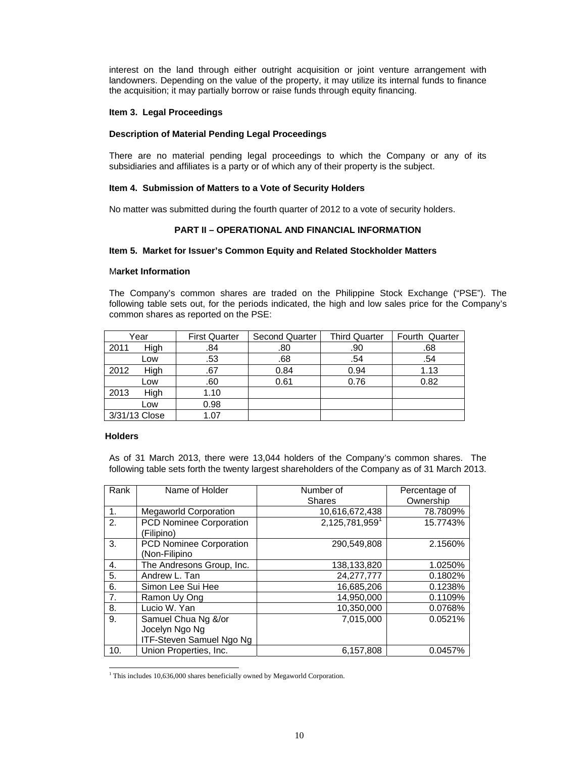interest on the land through either outright acquisition or joint venture arrangement with landowners. Depending on the value of the property, it may utilize its internal funds to finance the acquisition; it may partially borrow or raise funds through equity financing.

#### **Item 3. Legal Proceedings**

#### **Description of Material Pending Legal Proceedings**

There are no material pending legal proceedings to which the Company or any of its subsidiaries and affiliates is a party or of which any of their property is the subject.

#### **Item 4. Submission of Matters to a Vote of Security Holders**

No matter was submitted during the fourth quarter of 2012 to a vote of security holders.

#### **PART II – OPERATIONAL AND FINANCIAL INFORMATION**

#### **Item 5. Market for Issuer's Common Equity and Related Stockholder Matters**

#### M**arket Information**

The Company's common shares are traded on the Philippine Stock Exchange ("PSE"). The following table sets out, for the periods indicated, the high and low sales price for the Company's common shares as reported on the PSE:

|      | Year          | <b>First Quarter</b> | <b>Second Quarter</b> | <b>Third Quarter</b> | Fourth Quarter |
|------|---------------|----------------------|-----------------------|----------------------|----------------|
| 2011 | High          | .84                  | .80                   | .90                  | .68            |
|      | Low           | .53                  | .68                   | .54                  | .54            |
| 2012 | High          | .67                  | 0.84                  | 0.94                 | 1.13           |
|      | Low           | .60                  | 0.61                  | 0.76                 | 0.82           |
| 2013 | High          | 1.10                 |                       |                      |                |
|      | Low           | 0.98                 |                       |                      |                |
|      | 3/31/13 Close | 1.07                 |                       |                      |                |

#### **Holders**

As of 31 March 2013, there were 13,044 holders of the Company's common shares. The following table sets forth the twenty largest shareholders of the Company as of 31 March 2013.

| Rank           | Name of Holder                                                    | Number of<br>Shares | Percentage of<br>Ownership |
|----------------|-------------------------------------------------------------------|---------------------|----------------------------|
| $\mathbf{1}$ . | <b>Megaworld Corporation</b>                                      | 10,616,672,438      | 78.7809%                   |
| 2.             | PCD Nominee Corporation<br>(Filipino)                             | 2,125,781,959       | 15.7743%                   |
| 3.             | PCD Nominee Corporation<br>(Non-Filipino                          | 290,549,808         | 2.1560%                    |
| 4.             | The Andresons Group, Inc.                                         | 138.133.820         | 1.0250%                    |
| 5.             | Andrew L. Tan                                                     | 24, 277, 777        | 0.1802%                    |
| 6.             | Simon Lee Sui Hee                                                 | 16.685.206          | 0.1238%                    |
| 7.             | Ramon Uy Ong                                                      | 14.950.000          | 0.1109%                    |
| 8.             | Lucio W. Yan                                                      | 10,350,000          | 0.0768%                    |
| 9.             | Samuel Chua Ng &/or<br>Jocelyn Ngo Ng<br>ITF-Steven Samuel Ngo Ng | 7,015,000           | 0.0521%                    |
| 10.            | Union Properties, Inc.                                            | 6.157.808           | 0.0457%                    |

<sup>&</sup>lt;sup>1</sup> This includes 10,636,000 shares beneficially owned by Megaworld Corporation.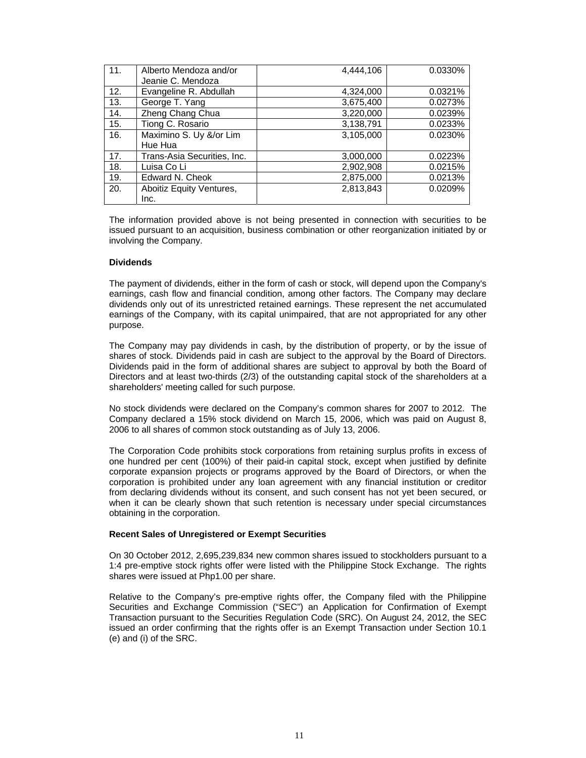| 11. | Alberto Mendoza and/or<br>Jeanie C. Mendoza | 4,444,106 | 0.0330% |
|-----|---------------------------------------------|-----------|---------|
| 12. | Evangeline R. Abdullah                      | 4,324,000 | 0.0321% |
| 13. | George T. Yang                              | 3,675,400 | 0.0273% |
| 14. | Zheng Chang Chua                            | 3,220,000 | 0.0239% |
| 15. | Tiong C. Rosario                            | 3,138,791 | 0.0233% |
| 16. | Maximino S. Uy &/or Lim                     | 3,105,000 | 0.0230% |
|     | Hue Hua                                     |           |         |
| 17. | Trans-Asia Securities, Inc.                 | 3,000,000 | 0.0223% |
| 18. | Luisa Co Li                                 | 2,902,908 | 0.0215% |
| 19. | Edward N. Cheok                             | 2,875,000 | 0.0213% |
| 20. | Aboitiz Equity Ventures,                    | 2,813,843 | 0.0209% |
|     | Inc.                                        |           |         |

The information provided above is not being presented in connection with securities to be issued pursuant to an acquisition, business combination or other reorganization initiated by or involving the Company.

#### **Dividends**

The payment of dividends, either in the form of cash or stock, will depend upon the Company's earnings, cash flow and financial condition, among other factors. The Company may declare dividends only out of its unrestricted retained earnings. These represent the net accumulated earnings of the Company, with its capital unimpaired, that are not appropriated for any other purpose.

The Company may pay dividends in cash, by the distribution of property, or by the issue of shares of stock. Dividends paid in cash are subject to the approval by the Board of Directors. Dividends paid in the form of additional shares are subject to approval by both the Board of Directors and at least two-thirds (2/3) of the outstanding capital stock of the shareholders at a shareholders' meeting called for such purpose.

No stock dividends were declared on the Company's common shares for 2007 to 2012. The Company declared a 15% stock dividend on March 15, 2006, which was paid on August 8, 2006 to all shares of common stock outstanding as of July 13, 2006.

The Corporation Code prohibits stock corporations from retaining surplus profits in excess of one hundred per cent (100%) of their paid-in capital stock, except when justified by definite corporate expansion projects or programs approved by the Board of Directors, or when the corporation is prohibited under any loan agreement with any financial institution or creditor from declaring dividends without its consent, and such consent has not yet been secured, or when it can be clearly shown that such retention is necessary under special circumstances obtaining in the corporation.

#### **Recent Sales of Unregistered or Exempt Securities**

On 30 October 2012, 2,695,239,834 new common shares issued to stockholders pursuant to a 1:4 pre-emptive stock rights offer were listed with the Philippine Stock Exchange. The rights shares were issued at Php1.00 per share.

Relative to the Company's pre-emptive rights offer, the Company filed with the Philippine Securities and Exchange Commission ("SEC") an Application for Confirmation of Exempt Transaction pursuant to the Securities Regulation Code (SRC). On August 24, 2012, the SEC issued an order confirming that the rights offer is an Exempt Transaction under Section 10.1 (e) and (i) of the SRC.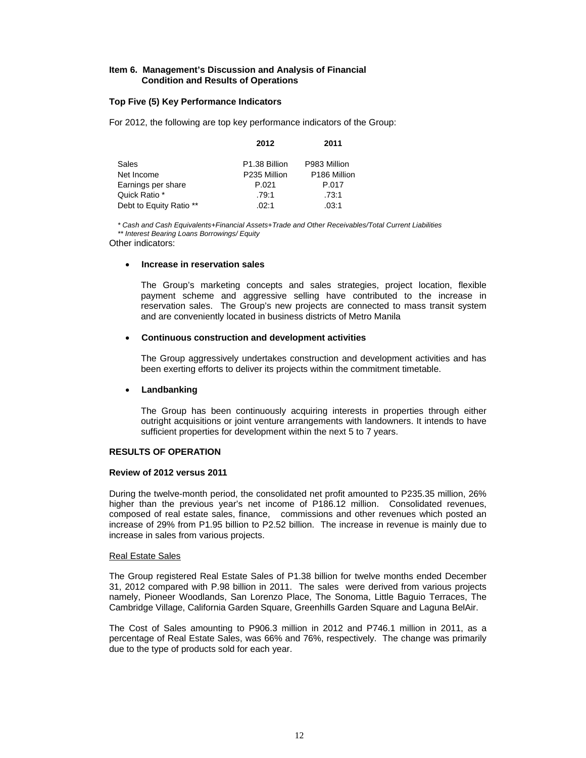#### **Item 6. Management's Discussion and Analysis of Financial Condition and Results of Operations**

#### **Top Five (5) Key Performance Indicators**

For 2012, the following are top key performance indicators of the Group:

|                         | 2012                      | 2011                     |
|-------------------------|---------------------------|--------------------------|
| Sales                   | P <sub>1.38</sub> Billion | P983 Million             |
| Net Income              | P235 Million              | P <sub>186</sub> Million |
| Earnings per share      | P.021                     | P.017                    |
| Quick Ratio *           | .79:1                     | .73:1                    |
| Debt to Equity Ratio ** | .02:1                     | .03:1                    |

*\* Cash and Cash Equivalents+Financial Assets+Trade and Other Receivables/Total Current Liabilities \*\* Interest Bearing Loans Borrowings/ Equity* 

Other indicators:

#### **Increase in reservation sales**

The Group's marketing concepts and sales strategies, project location, flexible payment scheme and aggressive selling have contributed to the increase in reservation sales. The Group's new projects are connected to mass transit system and are conveniently located in business districts of Metro Manila

#### **Continuous construction and development activities**

The Group aggressively undertakes construction and development activities and has been exerting efforts to deliver its projects within the commitment timetable.

#### **Landbanking**

The Group has been continuously acquiring interests in properties through either outright acquisitions or joint venture arrangements with landowners. It intends to have sufficient properties for development within the next 5 to 7 years.

#### **RESULTS OF OPERATION**

#### **Review of 2012 versus 2011**

During the twelve-month period, the consolidated net profit amounted to P235.35 million, 26% higher than the previous year's net income of P186.12 million. Consolidated revenues, composed of real estate sales, finance, commissions and other revenues which posted an increase of 29% from P1.95 billion to P2.52 billion. The increase in revenue is mainly due to increase in sales from various projects.

#### Real Estate Sales

The Group registered Real Estate Sales of P1.38 billion for twelve months ended December 31, 2012 compared with P.98 billion in 2011. The sales were derived from various projects namely, Pioneer Woodlands, San Lorenzo Place, The Sonoma, Little Baguio Terraces, The Cambridge Village, California Garden Square, Greenhills Garden Square and Laguna BelAir.

The Cost of Sales amounting to P906.3 million in 2012 and P746.1 million in 2011, as a percentage of Real Estate Sales, was 66% and 76%, respectively. The change was primarily due to the type of products sold for each year.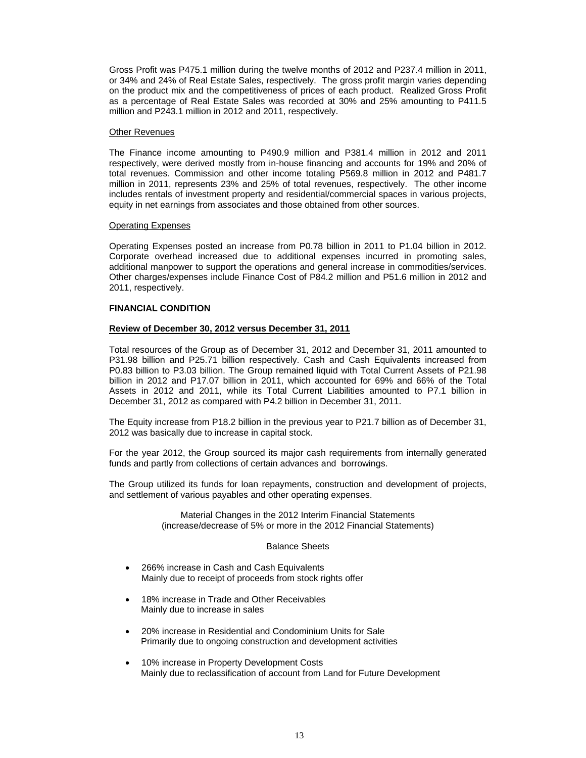Gross Profit was P475.1 million during the twelve months of 2012 and P237.4 million in 2011, or 34% and 24% of Real Estate Sales, respectively. The gross profit margin varies depending on the product mix and the competitiveness of prices of each product. Realized Gross Profit as a percentage of Real Estate Sales was recorded at 30% and 25% amounting to P411.5 million and P243.1 million in 2012 and 2011, respectively.

#### Other Revenues

The Finance income amounting to P490.9 million and P381.4 million in 2012 and 2011 respectively, were derived mostly from in-house financing and accounts for 19% and 20% of total revenues. Commission and other income totaling P569.8 million in 2012 and P481.7 million in 2011, represents 23% and 25% of total revenues, respectively. The other income includes rentals of investment property and residential/commercial spaces in various projects, equity in net earnings from associates and those obtained from other sources.

#### Operating Expenses

Operating Expenses posted an increase from P0.78 billion in 2011 to P1.04 billion in 2012. Corporate overhead increased due to additional expenses incurred in promoting sales, additional manpower to support the operations and general increase in commodities/services. Other charges/expenses include Finance Cost of P84.2 million and P51.6 million in 2012 and 2011, respectively.

#### **FINANCIAL CONDITION**

#### **Review of December 30, 2012 versus December 31, 2011**

Total resources of the Group as of December 31, 2012 and December 31, 2011 amounted to P31.98 billion and P25.71 billion respectively. Cash and Cash Equivalents increased from P0.83 billion to P3.03 billion. The Group remained liquid with Total Current Assets of P21.98 billion in 2012 and P17.07 billion in 2011, which accounted for 69% and 66% of the Total Assets in 2012 and 2011, while its Total Current Liabilities amounted to P7.1 billion in December 31, 2012 as compared with P4.2 billion in December 31, 2011.

The Equity increase from P18.2 billion in the previous year to P21.7 billion as of December 31, 2012 was basically due to increase in capital stock.

For the year 2012, the Group sourced its major cash requirements from internally generated funds and partly from collections of certain advances and borrowings.

The Group utilized its funds for loan repayments, construction and development of projects, and settlement of various payables and other operating expenses.

> Material Changes in the 2012 Interim Financial Statements (increase/decrease of 5% or more in the 2012 Financial Statements)

#### Balance Sheets

- 266% increase in Cash and Cash Equivalents Mainly due to receipt of proceeds from stock rights offer
- 18% increase in Trade and Other Receivables Mainly due to increase in sales
- 20% increase in Residential and Condominium Units for Sale Primarily due to ongoing construction and development activities
- 10% increase in Property Development Costs Mainly due to reclassification of account from Land for Future Development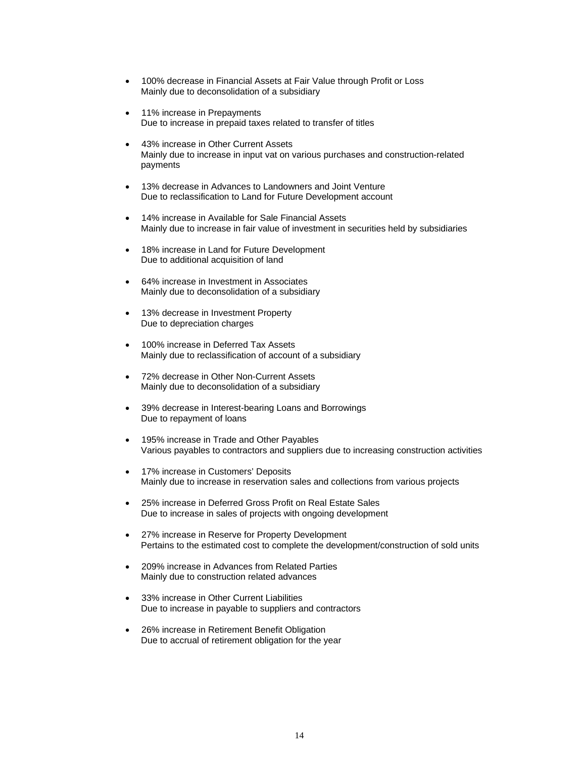- 100% decrease in Financial Assets at Fair Value through Profit or Loss Mainly due to deconsolidation of a subsidiary
- 11% increase in Prepayments Due to increase in prepaid taxes related to transfer of titles
- 43% increase in Other Current Assets Mainly due to increase in input vat on various purchases and construction-related payments
- 13% decrease in Advances to Landowners and Joint Venture Due to reclassification to Land for Future Development account
- 14% increase in Available for Sale Financial Assets Mainly due to increase in fair value of investment in securities held by subsidiaries
- 18% increase in Land for Future Development Due to additional acquisition of land
- 64% increase in Investment in Associates Mainly due to deconsolidation of a subsidiary
- 13% decrease in Investment Property Due to depreciation charges
- 100% increase in Deferred Tax Assets Mainly due to reclassification of account of a subsidiary
- 72% decrease in Other Non-Current Assets Mainly due to deconsolidation of a subsidiary
- 39% decrease in Interest-bearing Loans and Borrowings Due to repayment of loans
- 195% increase in Trade and Other Payables Various payables to contractors and suppliers due to increasing construction activities
- 17% increase in Customers' Deposits Mainly due to increase in reservation sales and collections from various projects
- 25% increase in Deferred Gross Profit on Real Estate Sales Due to increase in sales of projects with ongoing development
- 27% increase in Reserve for Property Development Pertains to the estimated cost to complete the development/construction of sold units
- 209% increase in Advances from Related Parties Mainly due to construction related advances
- 33% increase in Other Current Liabilities Due to increase in payable to suppliers and contractors
- 26% increase in Retirement Benefit Obligation Due to accrual of retirement obligation for the year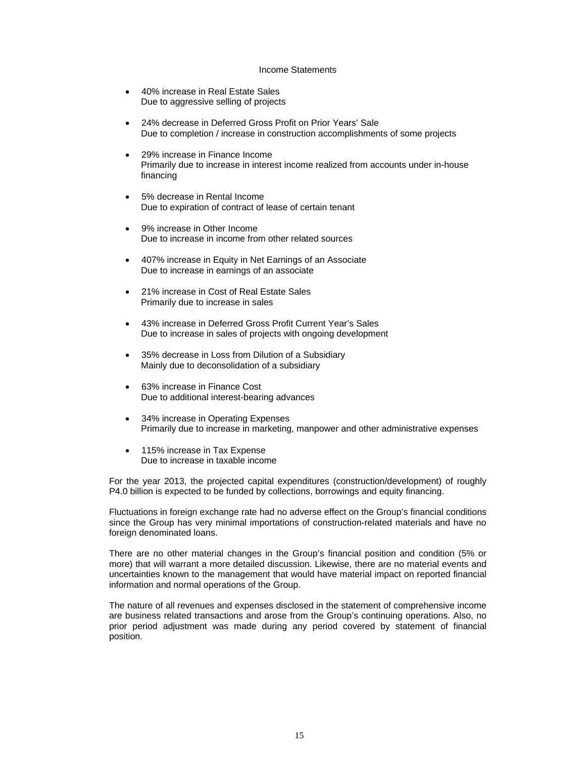#### Income Statements

- 40% increase in Real Estate Sales Due to aggressive selling of projects
- 24% decrease in Deferred Gross Profit on Prior Years' Sale Due to completion / increase in construction accomplishments of some projects
- 29% increase in Finance Income Primarily due to increase in interest income realized from accounts under in-house financing
- 5% decrease in Rental Income Due to expiration of contract of lease of certain tenant
- 9% increase in Other Income Due to increase in income from other related sources
- 407% increase in Equity in Net Earnings of an Associate Due to increase in earnings of an associate
- 21% increase in Cost of Real Estate Sales Primarily due to increase in sales
- 43% increase in Deferred Gross Profit Current Year's Sales Due to increase in sales of projects with ongoing development
- 35% decrease in Loss from Dilution of a Subsidiary Mainly due to deconsolidation of a subsidiary
- 63% increase in Finance Cost Due to additional interest-bearing advances
- 34% increase in Operating Expenses Primarily due to increase in marketing, manpower and other administrative expenses
- 115% increase in Tax Expense Due to increase in taxable income

For the year 2013, the projected capital expenditures (construction/development) of roughly P4.0 billion is expected to be funded by collections, borrowings and equity financing.

Fluctuations in foreign exchange rate had no adverse effect on the Group's financial conditions since the Group has very minimal importations of construction-related materials and have no foreign denominated loans.

There are no other material changes in the Group's financial position and condition (5% or more) that will warrant a more detailed discussion. Likewise, there are no material events and uncertainties known to the management that would have material impact on reported financial information and normal operations of the Group.

The nature of all revenues and expenses disclosed in the statement of comprehensive income are business related transactions and arose from the Group's continuing operations. Also, no prior period adjustment was made during any period covered by statement of financial position.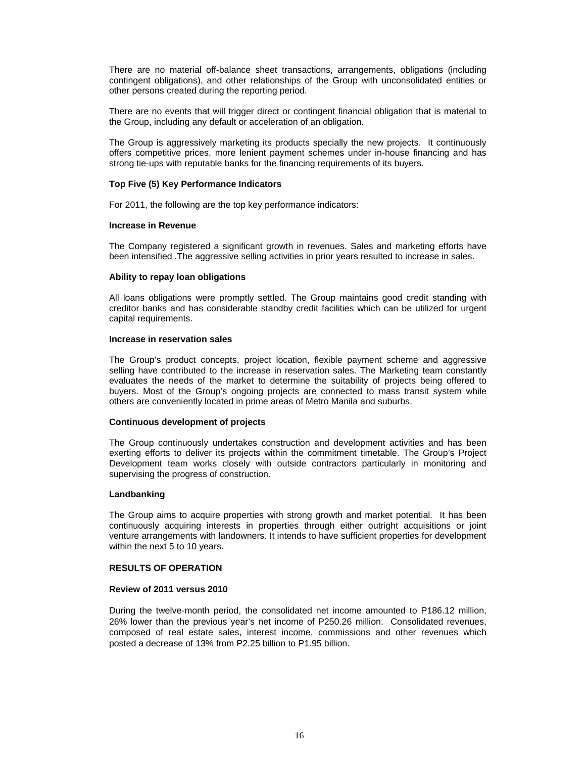There are no material off-balance sheet transactions, arrangements, obligations (including contingent obligations), and other relationships of the Group with unconsolidated entities or other persons created during the reporting period.

There are no events that will trigger direct or contingent financial obligation that is material to the Group, including any default or acceleration of an obligation.

The Group is aggressively marketing its products specially the new projects. It continuously offers competitive prices, more lenient payment schemes under in-house financing and has strong tie-ups with reputable banks for the financing requirements of its buyers.

#### **Top Five (5) Key Performance Indicators**

For 2011, the following are the top key performance indicators:

#### **Increase in Revenue**

The Company registered a significant growth in revenues. Sales and marketing efforts have been intensified .The aggressive selling activities in prior years resulted to increase in sales.

#### **Ability to repay loan obligations**

All loans obligations were promptly settled. The Group maintains good credit standing with creditor banks and has considerable standby credit facilities which can be utilized for urgent capital requirements.

#### **Increase in reservation sales**

The Group's product concepts, project location, flexible payment scheme and aggressive selling have contributed to the increase in reservation sales. The Marketing team constantly evaluates the needs of the market to determine the suitability of projects being offered to buyers. Most of the Group's ongoing projects are connected to mass transit system while others are conveniently located in prime areas of Metro Manila and suburbs.

#### **Continuous development of projects**

The Group continuously undertakes construction and development activities and has been exerting efforts to deliver its projects within the commitment timetable. The Group's Project Development team works closely with outside contractors particularly in monitoring and supervising the progress of construction.

#### **Landbanking**

The Group aims to acquire properties with strong growth and market potential. It has been continuously acquiring interests in properties through either outright acquisitions or joint venture arrangements with landowners. It intends to have sufficient properties for development within the next 5 to 10 years.

#### **RESULTS OF OPERATION**

#### **Review of 2011 versus 2010**

During the twelve-month period, the consolidated net income amounted to P186.12 million, 26% lower than the previous year's net income of P250.26 million. Consolidated revenues, composed of real estate sales, interest income, commissions and other revenues which posted a decrease of 13% from P2.25 billion to P1.95 billion.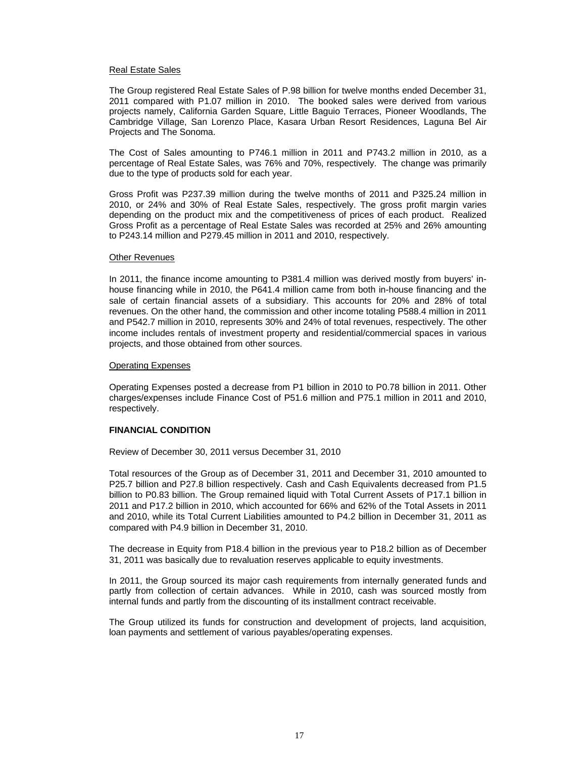#### Real Estate Sales

The Group registered Real Estate Sales of P.98 billion for twelve months ended December 31, 2011 compared with P1.07 million in 2010. The booked sales were derived from various projects namely, California Garden Square, Little Baguio Terraces, Pioneer Woodlands, The Cambridge Village, San Lorenzo Place, Kasara Urban Resort Residences, Laguna Bel Air Projects and The Sonoma.

The Cost of Sales amounting to P746.1 million in 2011 and P743.2 million in 2010, as a percentage of Real Estate Sales, was 76% and 70%, respectively. The change was primarily due to the type of products sold for each year.

Gross Profit was P237.39 million during the twelve months of 2011 and P325.24 million in 2010, or 24% and 30% of Real Estate Sales, respectively. The gross profit margin varies depending on the product mix and the competitiveness of prices of each product. Realized Gross Profit as a percentage of Real Estate Sales was recorded at 25% and 26% amounting to P243.14 million and P279.45 million in 2011 and 2010, respectively.

#### Other Revenues

In 2011, the finance income amounting to P381.4 million was derived mostly from buyers' inhouse financing while in 2010, the P641.4 million came from both in-house financing and the sale of certain financial assets of a subsidiary. This accounts for 20% and 28% of total revenues. On the other hand, the commission and other income totaling P588.4 million in 2011 and P542.7 million in 2010, represents 30% and 24% of total revenues, respectively. The other income includes rentals of investment property and residential/commercial spaces in various projects, and those obtained from other sources.

#### Operating Expenses

Operating Expenses posted a decrease from P1 billion in 2010 to P0.78 billion in 2011. Other charges/expenses include Finance Cost of P51.6 million and P75.1 million in 2011 and 2010, respectively.

#### **FINANCIAL CONDITION**

Review of December 30, 2011 versus December 31, 2010

Total resources of the Group as of December 31, 2011 and December 31, 2010 amounted to P25.7 billion and P27.8 billion respectively. Cash and Cash Equivalents decreased from P1.5 billion to P0.83 billion. The Group remained liquid with Total Current Assets of P17.1 billion in 2011 and P17.2 billion in 2010, which accounted for 66% and 62% of the Total Assets in 2011 and 2010, while its Total Current Liabilities amounted to P4.2 billion in December 31, 2011 as compared with P4.9 billion in December 31, 2010.

The decrease in Equity from P18.4 billion in the previous year to P18.2 billion as of December 31, 2011 was basically due to revaluation reserves applicable to equity investments.

In 2011, the Group sourced its major cash requirements from internally generated funds and partly from collection of certain advances. While in 2010, cash was sourced mostly from internal funds and partly from the discounting of its installment contract receivable.

The Group utilized its funds for construction and development of projects, land acquisition, loan payments and settlement of various payables/operating expenses.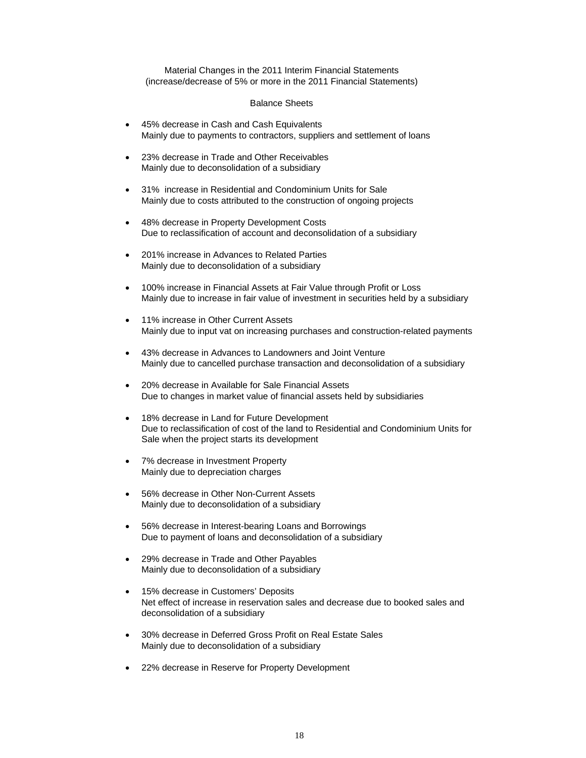Material Changes in the 2011 Interim Financial Statements (increase/decrease of 5% or more in the 2011 Financial Statements)

#### Balance Sheets

- 45% decrease in Cash and Cash Equivalents Mainly due to payments to contractors, suppliers and settlement of loans
- 23% decrease in Trade and Other Receivables Mainly due to deconsolidation of a subsidiary
- 31% increase in Residential and Condominium Units for Sale Mainly due to costs attributed to the construction of ongoing projects
- 48% decrease in Property Development Costs Due to reclassification of account and deconsolidation of a subsidiary
- 201% increase in Advances to Related Parties Mainly due to deconsolidation of a subsidiary
- 100% increase in Financial Assets at Fair Value through Profit or Loss Mainly due to increase in fair value of investment in securities held by a subsidiary
- 11% increase in Other Current Assets Mainly due to input vat on increasing purchases and construction-related payments
- 43% decrease in Advances to Landowners and Joint Venture Mainly due to cancelled purchase transaction and deconsolidation of a subsidiary
- 20% decrease in Available for Sale Financial Assets Due to changes in market value of financial assets held by subsidiaries
- 18% decrease in Land for Future Development Due to reclassification of cost of the land to Residential and Condominium Units for Sale when the project starts its development
- 7% decrease in Investment Property Mainly due to depreciation charges
- 56% decrease in Other Non-Current Assets Mainly due to deconsolidation of a subsidiary
- 56% decrease in Interest-bearing Loans and Borrowings Due to payment of loans and deconsolidation of a subsidiary
- 29% decrease in Trade and Other Payables Mainly due to deconsolidation of a subsidiary
- 15% decrease in Customers' Deposits Net effect of increase in reservation sales and decrease due to booked sales and deconsolidation of a subsidiary
- 30% decrease in Deferred Gross Profit on Real Estate Sales Mainly due to deconsolidation of a subsidiary
- 22% decrease in Reserve for Property Development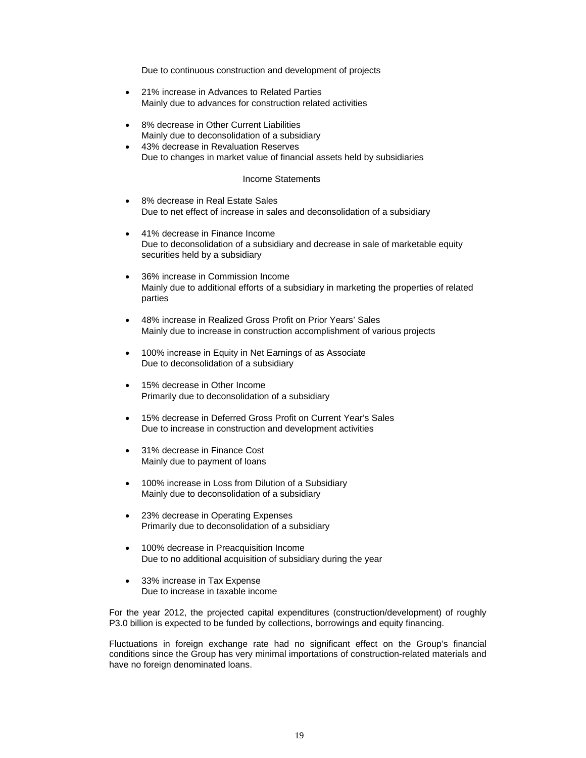Due to continuous construction and development of projects

- 21% increase in Advances to Related Parties Mainly due to advances for construction related activities
- 8% decrease in Other Current Liabilities Mainly due to deconsolidation of a subsidiary
- 43% decrease in Revaluation Reserves Due to changes in market value of financial assets held by subsidiaries

#### Income Statements

- 8% decrease in Real Estate Sales Due to net effect of increase in sales and deconsolidation of a subsidiary
- 41% decrease in Finance Income Due to deconsolidation of a subsidiary and decrease in sale of marketable equity securities held by a subsidiary
- 36% increase in Commission Income Mainly due to additional efforts of a subsidiary in marketing the properties of related parties
- 48% increase in Realized Gross Profit on Prior Years' Sales Mainly due to increase in construction accomplishment of various projects
- 100% increase in Equity in Net Earnings of as Associate Due to deconsolidation of a subsidiary
- 15% decrease in Other Income Primarily due to deconsolidation of a subsidiary
- 15% decrease in Deferred Gross Profit on Current Year's Sales Due to increase in construction and development activities
- 31% decrease in Finance Cost Mainly due to payment of loans
- 100% increase in Loss from Dilution of a Subsidiary Mainly due to deconsolidation of a subsidiary
- 23% decrease in Operating Expenses Primarily due to deconsolidation of a subsidiary
- 100% decrease in Preacquisition Income Due to no additional acquisition of subsidiary during the year
- 33% increase in Tax Expense Due to increase in taxable income

For the year 2012, the projected capital expenditures (construction/development) of roughly P3.0 billion is expected to be funded by collections, borrowings and equity financing.

Fluctuations in foreign exchange rate had no significant effect on the Group's financial conditions since the Group has very minimal importations of construction-related materials and have no foreign denominated loans.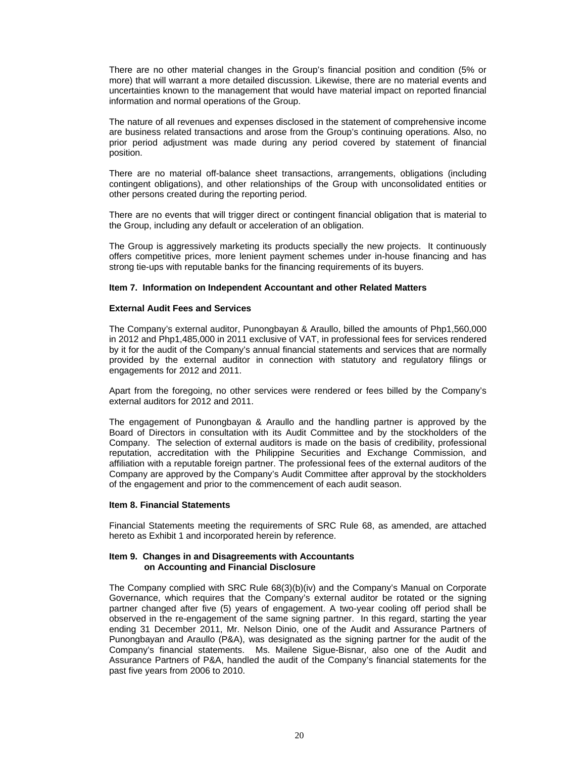There are no other material changes in the Group's financial position and condition (5% or more) that will warrant a more detailed discussion. Likewise, there are no material events and uncertainties known to the management that would have material impact on reported financial information and normal operations of the Group.

The nature of all revenues and expenses disclosed in the statement of comprehensive income are business related transactions and arose from the Group's continuing operations. Also, no prior period adjustment was made during any period covered by statement of financial position.

There are no material off-balance sheet transactions, arrangements, obligations (including contingent obligations), and other relationships of the Group with unconsolidated entities or other persons created during the reporting period.

There are no events that will trigger direct or contingent financial obligation that is material to the Group, including any default or acceleration of an obligation.

The Group is aggressively marketing its products specially the new projects. It continuously offers competitive prices, more lenient payment schemes under in-house financing and has strong tie-ups with reputable banks for the financing requirements of its buyers.

#### **Item 7. Information on Independent Accountant and other Related Matters**

#### **External Audit Fees and Services**

The Company's external auditor, Punongbayan & Araullo, billed the amounts of Php1,560,000 in 2012 and Php1,485,000 in 2011 exclusive of VAT, in professional fees for services rendered by it for the audit of the Company's annual financial statements and services that are normally provided by the external auditor in connection with statutory and regulatory filings or engagements for 2012 and 2011.

Apart from the foregoing, no other services were rendered or fees billed by the Company's external auditors for 2012 and 2011.

The engagement of Punongbayan & Araullo and the handling partner is approved by the Board of Directors in consultation with its Audit Committee and by the stockholders of the Company. The selection of external auditors is made on the basis of credibility, professional reputation, accreditation with the Philippine Securities and Exchange Commission, and affiliation with a reputable foreign partner. The professional fees of the external auditors of the Company are approved by the Company's Audit Committee after approval by the stockholders of the engagement and prior to the commencement of each audit season.

#### **Item 8. Financial Statements**

Financial Statements meeting the requirements of SRC Rule 68, as amended, are attached hereto as Exhibit 1 and incorporated herein by reference.

#### **Item 9. Changes in and Disagreements with Accountants on Accounting and Financial Disclosure**

The Company complied with SRC Rule 68(3)(b)(iv) and the Company's Manual on Corporate Governance, which requires that the Company's external auditor be rotated or the signing partner changed after five (5) years of engagement. A two-year cooling off period shall be observed in the re-engagement of the same signing partner. In this regard, starting the year ending 31 December 2011, Mr. Nelson Dinio, one of the Audit and Assurance Partners of Punongbayan and Araullo (P&A), was designated as the signing partner for the audit of the Company's financial statements. Ms. Mailene Sigue-Bisnar, also one of the Audit and Assurance Partners of P&A, handled the audit of the Company's financial statements for the past five years from 2006 to 2010.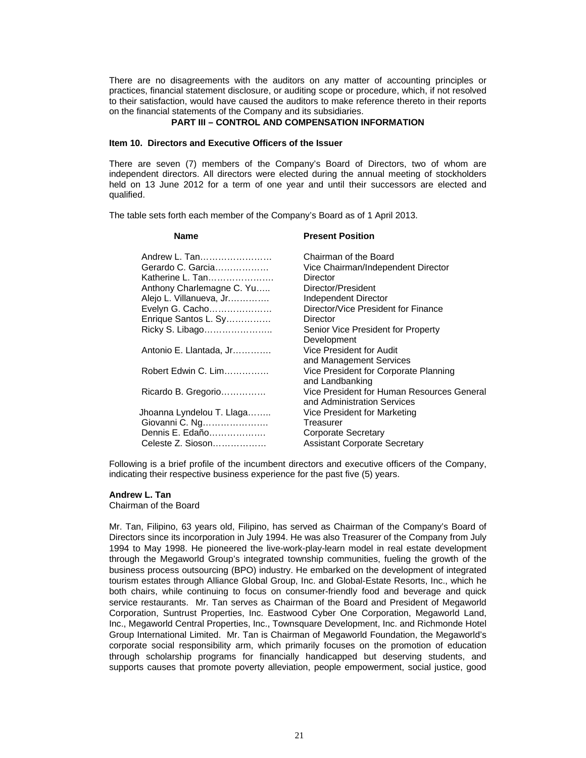There are no disagreements with the auditors on any matter of accounting principles or practices, financial statement disclosure, or auditing scope or procedure, which, if not resolved to their satisfaction, would have caused the auditors to make reference thereto in their reports on the financial statements of the Company and its subsidiaries.

#### **PART III – CONTROL AND COMPENSATION INFORMATION**

#### **Item 10. Directors and Executive Officers of the Issuer**

There are seven (7) members of the Company's Board of Directors, two of whom are independent directors. All directors were elected during the annual meeting of stockholders held on 13 June 2012 for a term of one year and until their successors are elected and qualified.

The table sets forth each member of the Company's Board as of 1 April 2013.

#### **Name Present Position**

| Andrew L. Tan<br>Gerardo C. Garcia<br>Katherine L. Tan<br>Anthony Charlemagne C. Yu<br>Alejo L. Villanueva, Jr<br>Evelyn G. Cacho<br>Enrique Santos L. Sy<br>Ricky S. Libago<br>Antonio E. Llantada, Jr<br>Robert Edwin C. Lim<br>Ricardo B. Gregorio<br>Jhoanna Lyndelou T. Llaga<br>Giovanni C. Ng<br>Dennis E. Edaño | Chairman of the Board<br>Vice Chairman/Independent Director<br>Director<br>Director/President<br>Independent Director<br>Director/Vice President for Finance<br>Director<br>Senior Vice President for Property<br>Development<br>Vice President for Audit<br>and Management Services<br>Vice President for Corporate Planning<br>and Landbanking<br>Vice President for Human Resources General<br>and Administration Services<br>Vice President for Marketing<br>Treasurer<br>Corporate Secretary |
|-------------------------------------------------------------------------------------------------------------------------------------------------------------------------------------------------------------------------------------------------------------------------------------------------------------------------|---------------------------------------------------------------------------------------------------------------------------------------------------------------------------------------------------------------------------------------------------------------------------------------------------------------------------------------------------------------------------------------------------------------------------------------------------------------------------------------------------|
| Celeste Z. Sioson                                                                                                                                                                                                                                                                                                       | <b>Assistant Corporate Secretary</b>                                                                                                                                                                                                                                                                                                                                                                                                                                                              |

Following is a brief profile of the incumbent directors and executive officers of the Company, indicating their respective business experience for the past five (5) years.

### **Andrew L. Tan**

Chairman of the Board

Mr. Tan, Filipino, 63 years old, Filipino, has served as Chairman of the Company's Board of Directors since its incorporation in July 1994. He was also Treasurer of the Company from July 1994 to May 1998. He pioneered the live-work-play-learn model in real estate development through the Megaworld Group's integrated township communities, fueling the growth of the business process outsourcing (BPO) industry. He embarked on the development of integrated tourism estates through Alliance Global Group, Inc. and Global-Estate Resorts, Inc., which he both chairs, while continuing to focus on consumer-friendly food and beverage and quick service restaurants. Mr. Tan serves as Chairman of the Board and President of Megaworld Corporation, Suntrust Properties, Inc. Eastwood Cyber One Corporation, Megaworld Land, Inc., Megaworld Central Properties, Inc., Townsquare Development, Inc. and Richmonde Hotel Group International Limited. Mr. Tan is Chairman of Megaworld Foundation, the Megaworld's corporate social responsibility arm, which primarily focuses on the promotion of education through scholarship programs for financially handicapped but deserving students, and supports causes that promote poverty alleviation, people empowerment, social justice, good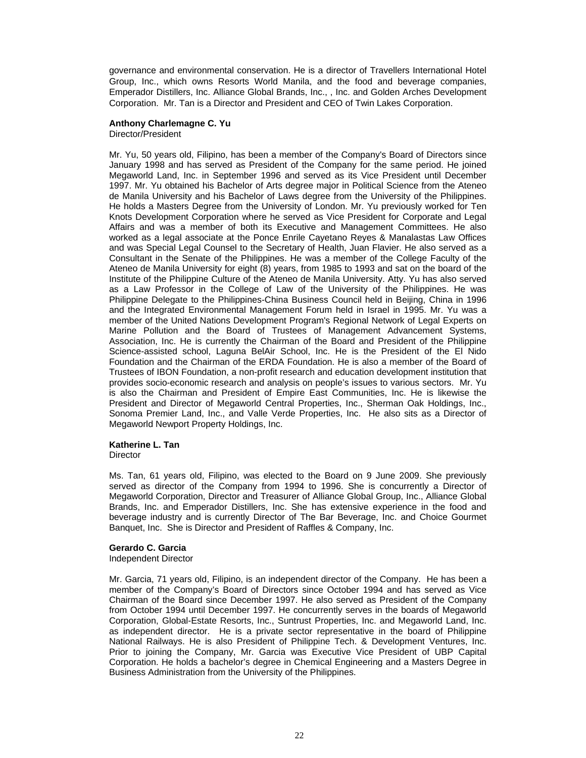governance and environmental conservation. He is a director of Travellers International Hotel Group, Inc., which owns Resorts World Manila, and the food and beverage companies, Emperador Distillers, Inc. Alliance Global Brands, Inc., , Inc. and Golden Arches Development Corporation. Mr. Tan is a Director and President and CEO of Twin Lakes Corporation.

#### **Anthony Charlemagne C. Yu**  Director/President

Mr. Yu, 50 years old, Filipino, has been a member of the Company's Board of Directors since January 1998 and has served as President of the Company for the same period. He joined Megaworld Land, Inc. in September 1996 and served as its Vice President until December 1997. Mr. Yu obtained his Bachelor of Arts degree major in Political Science from the Ateneo de Manila University and his Bachelor of Laws degree from the University of the Philippines. He holds a Masters Degree from the University of London. Mr. Yu previously worked for Ten Knots Development Corporation where he served as Vice President for Corporate and Legal Affairs and was a member of both its Executive and Management Committees. He also worked as a legal associate at the Ponce Enrile Cayetano Reyes & Manalastas Law Offices and was Special Legal Counsel to the Secretary of Health, Juan Flavier. He also served as a Consultant in the Senate of the Philippines. He was a member of the College Faculty of the Ateneo de Manila University for eight (8) years, from 1985 to 1993 and sat on the board of the Institute of the Philippine Culture of the Ateneo de Manila University. Atty. Yu has also served as a Law Professor in the College of Law of the University of the Philippines. He was Philippine Delegate to the Philippines-China Business Council held in Beijing, China in 1996 and the Integrated Environmental Management Forum held in Israel in 1995. Mr. Yu was a member of the United Nations Development Program's Regional Network of Legal Experts on Marine Pollution and the Board of Trustees of Management Advancement Systems, Association, Inc. He is currently the Chairman of the Board and President of the Philippine Science-assisted school, Laguna BelAir School, Inc. He is the President of the El Nido Foundation and the Chairman of the ERDA Foundation. He is also a member of the Board of Trustees of IBON Foundation, a non-profit research and education development institution that provides socio-economic research and analysis on people's issues to various sectors. Mr. Yu is also the Chairman and President of Empire East Communities, Inc. He is likewise the President and Director of Megaworld Central Properties, Inc., Sherman Oak Holdings, Inc., Sonoma Premier Land, Inc., and Valle Verde Properties, Inc. He also sits as a Director of Megaworld Newport Property Holdings, Inc.

# **Katherine L. Tan**

**Director** 

Ms. Tan, 61 years old, Filipino, was elected to the Board on 9 June 2009. She previously served as director of the Company from 1994 to 1996. She is concurrently a Director of Megaworld Corporation, Director and Treasurer of Alliance Global Group, Inc., Alliance Global Brands, Inc. and Emperador Distillers, Inc. She has extensive experience in the food and beverage industry and is currently Director of The Bar Beverage, Inc. and Choice Gourmet Banquet, Inc. She is Director and President of Raffles & Company, Inc.

#### **Gerardo C. Garcia**

Independent Director

Mr. Garcia, 71 years old, Filipino, is an independent director of the Company. He has been a member of the Company's Board of Directors since October 1994 and has served as Vice Chairman of the Board since December 1997. He also served as President of the Company from October 1994 until December 1997. He concurrently serves in the boards of Megaworld Corporation, Global-Estate Resorts, Inc., Suntrust Properties, Inc. and Megaworld Land, Inc. as independent director. He is a private sector representative in the board of Philippine National Railways. He is also President of Philippine Tech. & Development Ventures, Inc. Prior to joining the Company, Mr. Garcia was Executive Vice President of UBP Capital Corporation. He holds a bachelor's degree in Chemical Engineering and a Masters Degree in Business Administration from the University of the Philippines.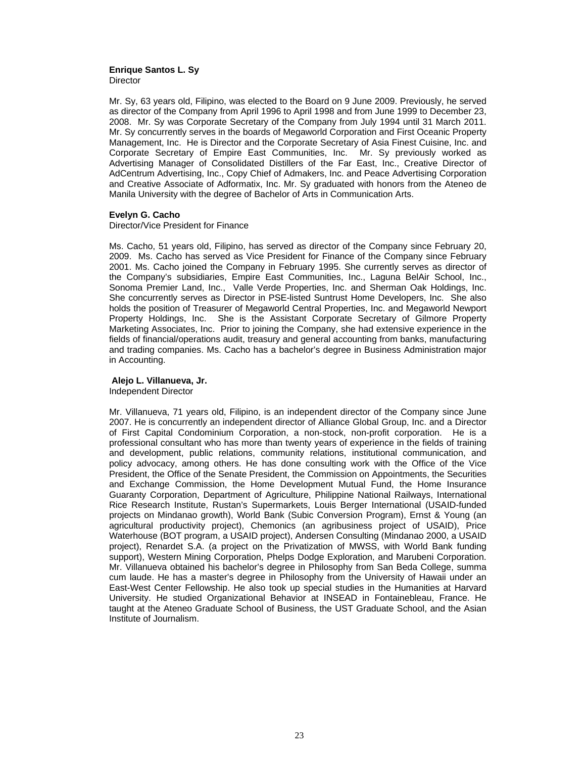#### **Enrique Santos L. Sy Director**

Mr. Sy, 63 years old, Filipino, was elected to the Board on 9 June 2009. Previously, he served as director of the Company from April 1996 to April 1998 and from June 1999 to December 23, 2008. Mr. Sy was Corporate Secretary of the Company from July 1994 until 31 March 2011. Mr. Sy concurrently serves in the boards of Megaworld Corporation and First Oceanic Property Management, Inc. He is Director and the Corporate Secretary of Asia Finest Cuisine, Inc. and Corporate Secretary of Empire East Communities, Inc. Mr. Sy previously worked as Advertising Manager of Consolidated Distillers of the Far East, Inc., Creative Director of AdCentrum Advertising, Inc., Copy Chief of Admakers, Inc. and Peace Advertising Corporation and Creative Associate of Adformatix, Inc. Mr. Sy graduated with honors from the Ateneo de Manila University with the degree of Bachelor of Arts in Communication Arts.

#### **Evelyn G. Cacho**

Director/Vice President for Finance

Ms. Cacho, 51 years old, Filipino, has served as director of the Company since February 20, 2009. Ms. Cacho has served as Vice President for Finance of the Company since February 2001. Ms. Cacho joined the Company in February 1995. She currently serves as director of the Company's subsidiaries, Empire East Communities, Inc., Laguna BelAir School, Inc., Sonoma Premier Land, Inc., Valle Verde Properties, Inc. and Sherman Oak Holdings, Inc. She concurrently serves as Director in PSE-listed Suntrust Home Developers, Inc. She also holds the position of Treasurer of Megaworld Central Properties, Inc. and Megaworld Newport Property Holdings, Inc. She is the Assistant Corporate Secretary of Gilmore Property Marketing Associates, Inc. Prior to joining the Company, she had extensive experience in the fields of financial/operations audit, treasury and general accounting from banks, manufacturing and trading companies. Ms. Cacho has a bachelor's degree in Business Administration major in Accounting.

#### **Alejo L. Villanueva, Jr.**

Independent Director

Mr. Villanueva, 71 years old, Filipino, is an independent director of the Company since June 2007. He is concurrently an independent director of Alliance Global Group, Inc. and a Director of First Capital Condominium Corporation, a non-stock, non-profit corporation. He is a professional consultant who has more than twenty years of experience in the fields of training and development, public relations, community relations, institutional communication, and policy advocacy, among others. He has done consulting work with the Office of the Vice President, the Office of the Senate President, the Commission on Appointments, the Securities and Exchange Commission, the Home Development Mutual Fund, the Home Insurance Guaranty Corporation, Department of Agriculture, Philippine National Railways, International Rice Research Institute, Rustan's Supermarkets, Louis Berger International (USAID-funded projects on Mindanao growth), World Bank (Subic Conversion Program), Ernst & Young (an agricultural productivity project), Chemonics (an agribusiness project of USAID), Price Waterhouse (BOT program, a USAID project), Andersen Consulting (Mindanao 2000, a USAID project), Renardet S.A. (a project on the Privatization of MWSS, with World Bank funding support), Western Mining Corporation, Phelps Dodge Exploration, and Marubeni Corporation. Mr. Villanueva obtained his bachelor's degree in Philosophy from San Beda College, summa cum laude. He has a master's degree in Philosophy from the University of Hawaii under an East-West Center Fellowship. He also took up special studies in the Humanities at Harvard University. He studied Organizational Behavior at INSEAD in Fontainebleau, France. He taught at the Ateneo Graduate School of Business, the UST Graduate School, and the Asian Institute of Journalism.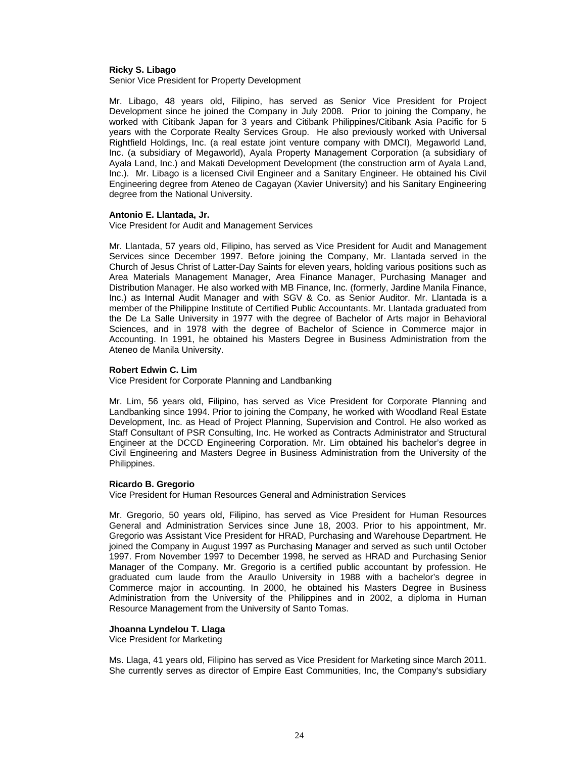#### **Ricky S. Libago**

Senior Vice President for Property Development

Mr. Libago, 48 years old, Filipino, has served as Senior Vice President for Project Development since he joined the Company in July 2008. Prior to joining the Company, he worked with Citibank Japan for 3 years and Citibank Philippines/Citibank Asia Pacific for 5 years with the Corporate Realty Services Group. He also previously worked with Universal Rightfield Holdings, Inc. (a real estate joint venture company with DMCI), Megaworld Land, Inc. (a subsidiary of Megaworld), Ayala Property Management Corporation (a subsidiary of Ayala Land, Inc.) and Makati Development Development (the construction arm of Ayala Land, Inc.). Mr. Libago is a licensed Civil Engineer and a Sanitary Engineer. He obtained his Civil Engineering degree from Ateneo de Cagayan (Xavier University) and his Sanitary Engineering degree from the National University.

#### **Antonio E. Llantada, Jr.**

Vice President for Audit and Management Services

Mr. Llantada, 57 years old, Filipino, has served as Vice President for Audit and Management Services since December 1997. Before joining the Company, Mr. Llantada served in the Church of Jesus Christ of Latter-Day Saints for eleven years, holding various positions such as Area Materials Management Manager, Area Finance Manager, Purchasing Manager and Distribution Manager. He also worked with MB Finance, Inc. (formerly, Jardine Manila Finance, Inc.) as Internal Audit Manager and with SGV & Co. as Senior Auditor. Mr. Llantada is a member of the Philippine Institute of Certified Public Accountants. Mr. Llantada graduated from the De La Salle University in 1977 with the degree of Bachelor of Arts major in Behavioral Sciences, and in 1978 with the degree of Bachelor of Science in Commerce major in Accounting. In 1991, he obtained his Masters Degree in Business Administration from the Ateneo de Manila University.

#### **Robert Edwin C. Lim**

Vice President for Corporate Planning and Landbanking

Mr. Lim, 56 years old, Filipino, has served as Vice President for Corporate Planning and Landbanking since 1994. Prior to joining the Company, he worked with Woodland Real Estate Development, Inc. as Head of Project Planning, Supervision and Control. He also worked as Staff Consultant of PSR Consulting, Inc. He worked as Contracts Administrator and Structural Engineer at the DCCD Engineering Corporation. Mr. Lim obtained his bachelor's degree in Civil Engineering and Masters Degree in Business Administration from the University of the Philippines.

#### **Ricardo B. Gregorio**

Vice President for Human Resources General and Administration Services

Mr. Gregorio, 50 years old, Filipino, has served as Vice President for Human Resources General and Administration Services since June 18, 2003. Prior to his appointment, Mr. Gregorio was Assistant Vice President for HRAD, Purchasing and Warehouse Department. He joined the Company in August 1997 as Purchasing Manager and served as such until October 1997. From November 1997 to December 1998, he served as HRAD and Purchasing Senior Manager of the Company. Mr. Gregorio is a certified public accountant by profession. He graduated cum laude from the Araullo University in 1988 with a bachelor's degree in Commerce major in accounting. In 2000, he obtained his Masters Degree in Business Administration from the University of the Philippines and in 2002, a diploma in Human Resource Management from the University of Santo Tomas.

#### **Jhoanna Lyndelou T. Llaga**

Vice President for Marketing

Ms. Llaga, 41 years old, Filipino has served as Vice President for Marketing since March 2011. She currently serves as director of Empire East Communities, Inc, the Company's subsidiary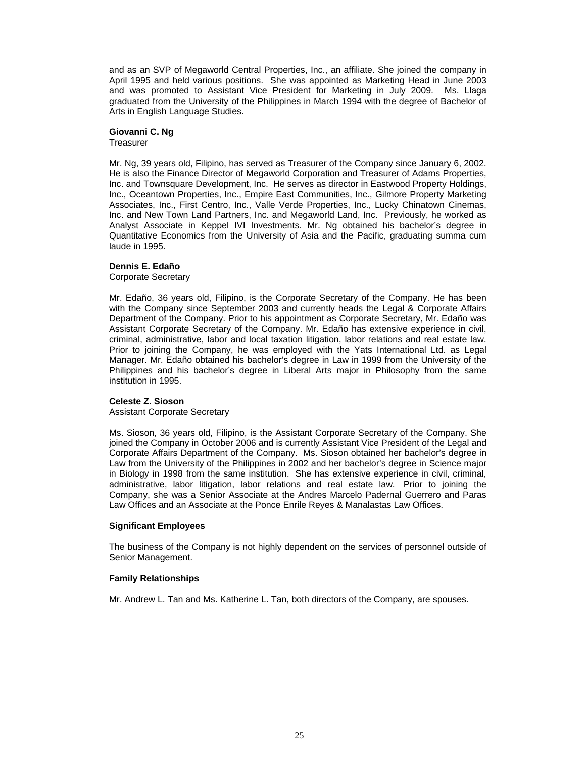and as an SVP of Megaworld Central Properties, Inc., an affiliate. She joined the company in April 1995 and held various positions. She was appointed as Marketing Head in June 2003 and was promoted to Assistant Vice President for Marketing in July 2009. Ms. Llaga graduated from the University of the Philippines in March 1994 with the degree of Bachelor of Arts in English Language Studies.

#### **Giovanni C. Ng**

**Treasurer** 

Mr. Ng, 39 years old, Filipino, has served as Treasurer of the Company since January 6, 2002. He is also the Finance Director of Megaworld Corporation and Treasurer of Adams Properties, Inc. and Townsquare Development, Inc. He serves as director in Eastwood Property Holdings, Inc., Oceantown Properties, Inc., Empire East Communities, Inc., Gilmore Property Marketing Associates, Inc., First Centro, Inc., Valle Verde Properties, Inc., Lucky Chinatown Cinemas, Inc. and New Town Land Partners, Inc. and Megaworld Land, Inc. Previously, he worked as Analyst Associate in Keppel IVI Investments. Mr. Ng obtained his bachelor's degree in Quantitative Economics from the University of Asia and the Pacific, graduating summa cum laude in 1995.

#### **Dennis E. Edaño**

Corporate Secretary

Mr. Edaño, 36 years old, Filipino, is the Corporate Secretary of the Company. He has been with the Company since September 2003 and currently heads the Legal & Corporate Affairs Department of the Company. Prior to his appointment as Corporate Secretary, Mr. Edaño was Assistant Corporate Secretary of the Company. Mr. Edaño has extensive experience in civil, criminal, administrative, labor and local taxation litigation, labor relations and real estate law. Prior to joining the Company, he was employed with the Yats International Ltd. as Legal Manager. Mr. Edaño obtained his bachelor's degree in Law in 1999 from the University of the Philippines and his bachelor's degree in Liberal Arts major in Philosophy from the same institution in 1995.

#### **Celeste Z. Sioson**

#### Assistant Corporate Secretary

Ms. Sioson, 36 years old, Filipino, is the Assistant Corporate Secretary of the Company. She joined the Company in October 2006 and is currently Assistant Vice President of the Legal and Corporate Affairs Department of the Company. Ms. Sioson obtained her bachelor's degree in Law from the University of the Philippines in 2002 and her bachelor's degree in Science major in Biology in 1998 from the same institution. She has extensive experience in civil, criminal, administrative, labor litigation, labor relations and real estate law. Prior to joining the Company, she was a Senior Associate at the Andres Marcelo Padernal Guerrero and Paras Law Offices and an Associate at the Ponce Enrile Reyes & Manalastas Law Offices.

#### **Significant Employees**

The business of the Company is not highly dependent on the services of personnel outside of Senior Management.

#### **Family Relationships**

Mr. Andrew L. Tan and Ms. Katherine L. Tan, both directors of the Company, are spouses.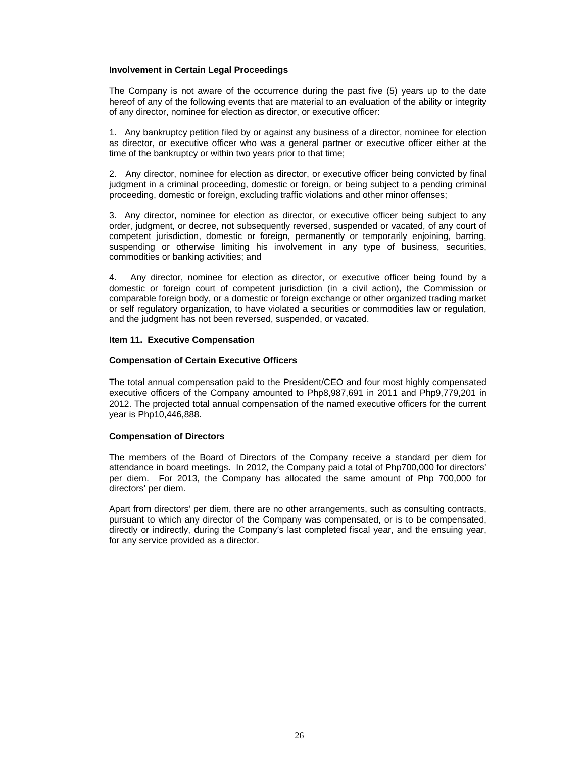#### **Involvement in Certain Legal Proceedings**

The Company is not aware of the occurrence during the past five (5) years up to the date hereof of any of the following events that are material to an evaluation of the ability or integrity of any director, nominee for election as director, or executive officer:

1. Any bankruptcy petition filed by or against any business of a director, nominee for election as director, or executive officer who was a general partner or executive officer either at the time of the bankruptcy or within two years prior to that time;

2. Any director, nominee for election as director, or executive officer being convicted by final judgment in a criminal proceeding, domestic or foreign, or being subject to a pending criminal proceeding, domestic or foreign, excluding traffic violations and other minor offenses;

3. Any director, nominee for election as director, or executive officer being subject to any order, judgment, or decree, not subsequently reversed, suspended or vacated, of any court of competent jurisdiction, domestic or foreign, permanently or temporarily enjoining, barring, suspending or otherwise limiting his involvement in any type of business, securities, commodities or banking activities; and

4. Any director, nominee for election as director, or executive officer being found by a domestic or foreign court of competent jurisdiction (in a civil action), the Commission or comparable foreign body, or a domestic or foreign exchange or other organized trading market or self regulatory organization, to have violated a securities or commodities law or regulation, and the judgment has not been reversed, suspended, or vacated.

#### **Item 11. Executive Compensation**

#### **Compensation of Certain Executive Officers**

The total annual compensation paid to the President/CEO and four most highly compensated executive officers of the Company amounted to Php8,987,691 in 2011 and Php9,779,201 in 2012. The projected total annual compensation of the named executive officers for the current year is Php10,446,888.

#### **Compensation of Directors**

The members of the Board of Directors of the Company receive a standard per diem for attendance in board meetings. In 2012, the Company paid a total of Php700,000 for directors' per diem. For 2013, the Company has allocated the same amount of Php 700,000 for directors' per diem.

Apart from directors' per diem, there are no other arrangements, such as consulting contracts, pursuant to which any director of the Company was compensated, or is to be compensated, directly or indirectly, during the Company's last completed fiscal year, and the ensuing year, for any service provided as a director.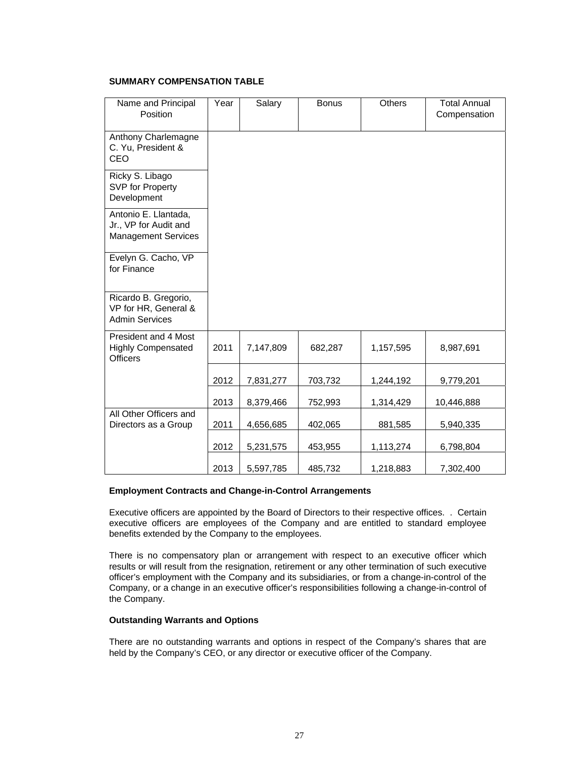#### **SUMMARY COMPENSATION TABLE**

| Name and Principal<br>Position                                              | Year | Salary    | <b>Bonus</b> | Others    | <b>Total Annual</b><br>Compensation |
|-----------------------------------------------------------------------------|------|-----------|--------------|-----------|-------------------------------------|
| Anthony Charlemagne<br>C. Yu, President &<br>CEO                            |      |           |              |           |                                     |
| Ricky S. Libago<br>SVP for Property<br>Development                          |      |           |              |           |                                     |
| Antonio E. Llantada,<br>Jr., VP for Audit and<br><b>Management Services</b> |      |           |              |           |                                     |
| Evelyn G. Cacho, VP<br>for Finance                                          |      |           |              |           |                                     |
| Ricardo B. Gregorio,<br>VP for HR, General &<br><b>Admin Services</b>       |      |           |              |           |                                     |
| President and 4 Most<br><b>Highly Compensated</b><br><b>Officers</b>        | 2011 | 7,147,809 | 682,287      | 1,157,595 | 8,987,691                           |
|                                                                             | 2012 | 7,831,277 | 703,732      | 1,244,192 | 9,779,201                           |
|                                                                             | 2013 | 8,379,466 | 752,993      | 1,314,429 | 10,446,888                          |
| All Other Officers and<br>Directors as a Group                              | 2011 | 4,656,685 | 402,065      | 881,585   | 5,940,335                           |
|                                                                             | 2012 | 5,231,575 | 453,955      | 1,113,274 | 6,798,804                           |
|                                                                             | 2013 | 5,597,785 | 485,732      | 1,218,883 | 7,302,400                           |

#### **Employment Contracts and Change-in-Control Arrangements**

Executive officers are appointed by the Board of Directors to their respective offices. . Certain executive officers are employees of the Company and are entitled to standard employee benefits extended by the Company to the employees.

There is no compensatory plan or arrangement with respect to an executive officer which results or will result from the resignation, retirement or any other termination of such executive officer's employment with the Company and its subsidiaries, or from a change-in-control of the Company, or a change in an executive officer's responsibilities following a change-in-control of the Company.

#### **Outstanding Warrants and Options**

There are no outstanding warrants and options in respect of the Company's shares that are held by the Company's CEO, or any director or executive officer of the Company.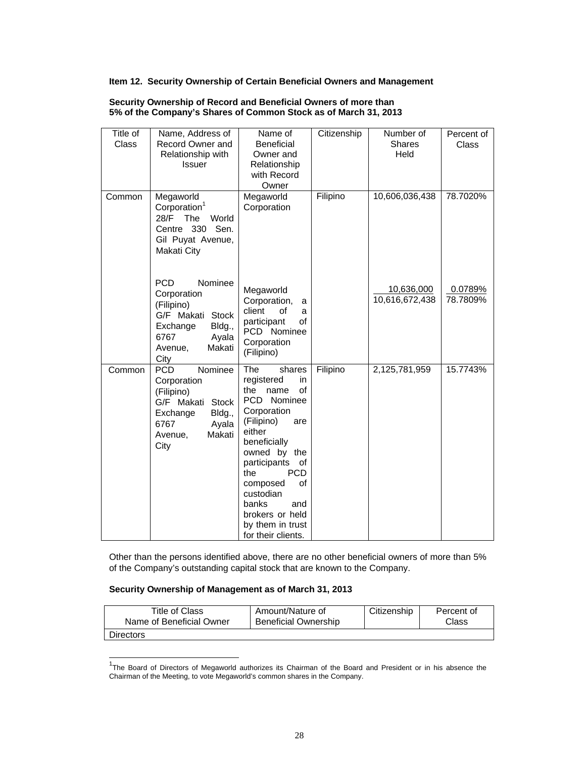#### **Item 12. Security Ownership of Certain Beneficial Owners and Management**

| Title of<br><b>Class</b><br>Common | Name, Address of<br>Record Owner and<br>Relationship with<br><b>Issuer</b><br>Megaworld                                                    | Name of<br><b>Beneficial</b><br>Owner and<br>Relationship<br>with Record<br>Owner<br>Megaworld                                                                                                                                                                                                                           | Citizenship<br>Filipino | Number of<br>Shares<br>Held<br>10,606,036,438 | Percent of<br>Class<br>78.7020% |
|------------------------------------|--------------------------------------------------------------------------------------------------------------------------------------------|--------------------------------------------------------------------------------------------------------------------------------------------------------------------------------------------------------------------------------------------------------------------------------------------------------------------------|-------------------------|-----------------------------------------------|---------------------------------|
|                                    | Corporation <sup>1</sup><br>28/F<br>The<br>World<br>Centre 330 Sen.<br>Gil Puyat Avenue,<br>Makati City                                    | Corporation                                                                                                                                                                                                                                                                                                              |                         |                                               |                                 |
|                                    | <b>PCD</b><br>Nominee<br>Corporation<br>(Filipino)<br>G/F Makati Stock<br>Bldg.,<br>Exchange<br>6767<br>Ayala<br>Makati<br>Avenue,<br>City | Megaworld<br>Corporation,<br>a<br>client<br>οf<br>a<br>participant<br>of<br>PCD Nominee<br>Corporation<br>(Filipino)                                                                                                                                                                                                     |                         | 10,636,000<br>10,616,672,438                  | 0.0789%<br>78.7809%             |
| Common                             | Nominee<br><b>PCD</b><br>Corporation<br>(Filipino)<br>G/F Makati Stock<br>Bldg.,<br>Exchange<br>6767<br>Ayala<br>Makati<br>Avenue,<br>City | The<br>shares<br>registered<br>in<br>the<br>name<br><b>of</b><br><b>PCD</b> Nominee<br>Corporation<br>(Filipino)<br>are<br>either<br>beneficially<br>owned by the<br>participants<br>of<br>the<br><b>PCD</b><br>composed<br>of<br>custodian<br>banks<br>and<br>brokers or held<br>by them in trust<br>for their clients. | Filipino                | 2,125,781,959                                 | 15.7743%                        |

#### **Security Ownership of Record and Beneficial Owners of more than 5% of the Company's Shares of Common Stock as of March 31, 2013**

Other than the persons identified above, there are no other beneficial owners of more than 5% of the Company's outstanding capital stock that are known to the Company.

#### **Security Ownership of Management as of March 31, 2013**

| Title of Class           | Amount/Nature of            | Citizenship | Percent of |
|--------------------------|-----------------------------|-------------|------------|
| Name of Beneficial Owner | <b>Beneficial Ownership</b> |             | Class      |
| <b>Directors</b>         |                             |             |            |

 1 The Board of Directors of Megaworld authorizes its Chairman of the Board and President or in his absence the Chairman of the Meeting, to vote Megaworld's common shares in the Company.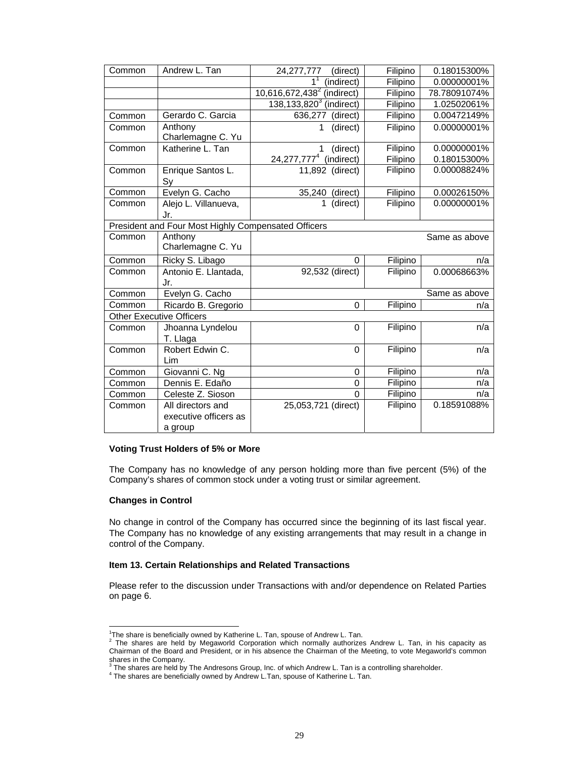| Common | Andrew L. Tan                                         | 24,277,777<br>(direct)                              | Filipino             | 0.18015300%                |
|--------|-------------------------------------------------------|-----------------------------------------------------|----------------------|----------------------------|
|        |                                                       | (indirect)<br>1                                     | Filipino             | 0.00000001%                |
|        |                                                       | $10,616,672,438^2$<br>(indirect)                    | Filipino             | 78.78091074%               |
|        |                                                       | $138, 133, 8203$ (indirect)                         | Filipino             | 1.02502061%                |
| Common | Gerardo C. Garcia                                     | 636,277<br>(direct)                                 | Filipino             | 0.00472149%                |
| Common | Anthony<br>Charlemagne C. Yu                          | (direct)<br>1                                       | Filipino             | 0.00000001%                |
| Common | Katherine L. Tan                                      | (direct)<br>24, 277, 777 <sup>4</sup><br>(indirect) | Filipino<br>Filipino | 0.00000001%<br>0.18015300% |
| Common | Enrique Santos L.<br>Sy                               | 11,892 (direct)                                     | Filipino             | 0.00008824%                |
| Common | Evelyn G. Cacho                                       | 35,240 (direct)                                     | Filipino             | 0.00026150%                |
| Common | Alejo L. Villanueva,<br>Jr.                           | (direct)<br>1                                       | Filipino             | 0.00000001%                |
|        | President and Four Most Highly Compensated Officers   |                                                     |                      |                            |
| Common | Anthony<br>Charlemagne C. Yu                          |                                                     |                      | Same as above              |
| Common | Ricky S. Libago                                       | $\Omega$                                            | Filipino             | n/a                        |
| Common | Antonio E. Llantada,<br>Jr.                           | 92,532 (direct)                                     | Filipino             | 0.00068663%                |
| Common | Evelyn G. Cacho                                       |                                                     |                      | Same as above              |
| Common | Ricardo B. Gregorio                                   | $\Omega$                                            | Filipino             | n/a                        |
|        | <b>Other Executive Officers</b>                       |                                                     |                      |                            |
| Common | Jhoanna Lyndelou<br>T. Llaga                          | $\Omega$                                            | Filipino             | n/a                        |
| Common | Robert Edwin C.<br>Lim                                | $\Omega$                                            | Filipino             | n/a                        |
| Common | Giovanni C. Ng                                        | 0                                                   | Filipino             | n/a                        |
| Common | Dennis E. Edaño                                       | $\mathbf 0$                                         | Filipino             | n/a                        |
| Common | Celeste Z. Sioson                                     | $\mathbf{0}$                                        | Filipino             | n/a                        |
| Common | All directors and<br>executive officers as<br>a group | 25,053,721 (direct)                                 | Filipino             | 0.18591088%                |

#### **Voting Trust Holders of 5% or More**

The Company has no knowledge of any person holding more than five percent (5%) of the Company's shares of common stock under a voting trust or similar agreement.

#### **Changes in Control**

No change in control of the Company has occurred since the beginning of its last fiscal year. The Company has no knowledge of any existing arrangements that may result in a change in control of the Company.

#### **Item 13. Certain Relationships and Related Transactions**

Please refer to the discussion under Transactions with and/or dependence on Related Parties on page 6.

 1 The share is beneficially owned by Katherine L. Tan, spouse of Andrew L. Tan. 2 The shares are held by Megaworld Corporation which normally authorizes Andrew L. Tan, in his capacity as Chairman of the Board and President, or in his absence the Chairman of the Meeting, to vote Megaworld's common shares in the Company.<br><sup>3</sup> The shares are held by The Andresons Group, Inc. of which Andrew L. Tan is a controlling shareholder.

<sup>&</sup>lt;sup>4</sup> The shares are beneficially owned by Andrew L.Tan, spouse of Katherine L. Tan.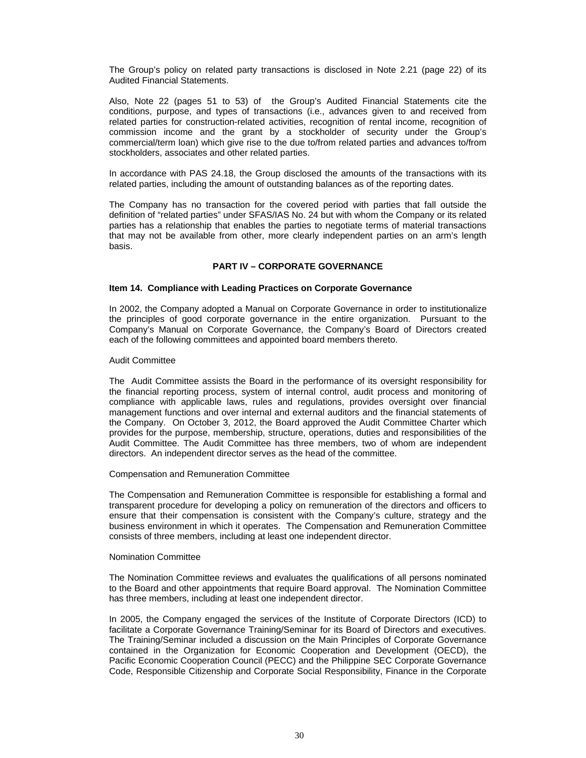The Group's policy on related party transactions is disclosed in Note 2.21 (page 22) of its Audited Financial Statements.

Also, Note 22 (pages 51 to 53) of the Group's Audited Financial Statements cite the conditions, purpose, and types of transactions (i.e., advances given to and received from related parties for construction-related activities, recognition of rental income, recognition of commission income and the grant by a stockholder of security under the Group's commercial/term loan) which give rise to the due to/from related parties and advances to/from stockholders, associates and other related parties.

In accordance with PAS 24.18, the Group disclosed the amounts of the transactions with its related parties, including the amount of outstanding balances as of the reporting dates.

The Company has no transaction for the covered period with parties that fall outside the definition of "related parties" under SFAS/IAS No. 24 but with whom the Company or its related parties has a relationship that enables the parties to negotiate terms of material transactions that may not be available from other, more clearly independent parties on an arm's length basis.

#### **PART IV – CORPORATE GOVERNANCE**

#### **Item 14. Compliance with Leading Practices on Corporate Governance**

In 2002, the Company adopted a Manual on Corporate Governance in order to institutionalize the principles of good corporate governance in the entire organization. Pursuant to the Company's Manual on Corporate Governance, the Company's Board of Directors created each of the following committees and appointed board members thereto.

#### Audit Committee

The Audit Committee assists the Board in the performance of its oversight responsibility for the financial reporting process, system of internal control, audit process and monitoring of compliance with applicable laws, rules and regulations, provides oversight over financial management functions and over internal and external auditors and the financial statements of the Company. On October 3, 2012, the Board approved the Audit Committee Charter which provides for the purpose, membership, structure, operations, duties and responsibilities of the Audit Committee. The Audit Committee has three members, two of whom are independent directors. An independent director serves as the head of the committee.

#### Compensation and Remuneration Committee

The Compensation and Remuneration Committee is responsible for establishing a formal and transparent procedure for developing a policy on remuneration of the directors and officers to ensure that their compensation is consistent with the Company's culture, strategy and the business environment in which it operates. The Compensation and Remuneration Committee consists of three members, including at least one independent director.

#### Nomination Committee

The Nomination Committee reviews and evaluates the qualifications of all persons nominated to the Board and other appointments that require Board approval. The Nomination Committee has three members, including at least one independent director.

In 2005, the Company engaged the services of the Institute of Corporate Directors (ICD) to facilitate a Corporate Governance Training/Seminar for its Board of Directors and executives. The Training/Seminar included a discussion on the Main Principles of Corporate Governance contained in the Organization for Economic Cooperation and Development (OECD), the Pacific Economic Cooperation Council (PECC) and the Philippine SEC Corporate Governance Code, Responsible Citizenship and Corporate Social Responsibility, Finance in the Corporate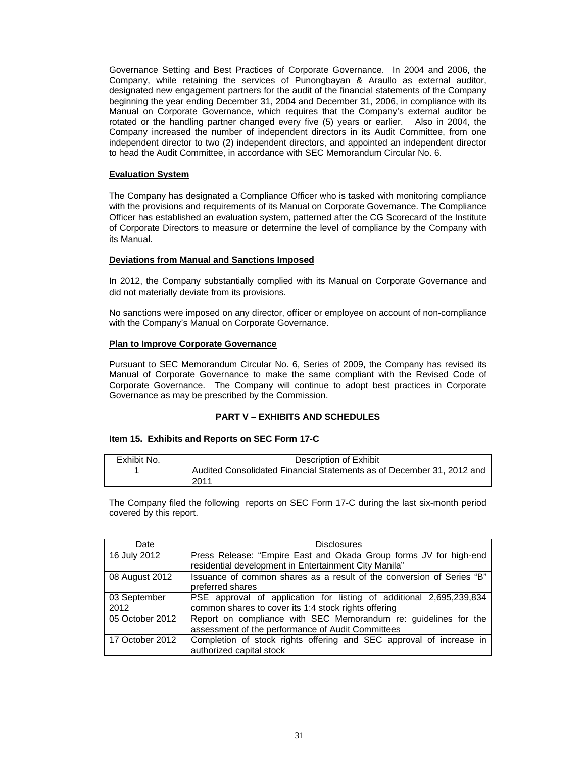Governance Setting and Best Practices of Corporate Governance. In 2004 and 2006, the Company, while retaining the services of Punongbayan & Araullo as external auditor, designated new engagement partners for the audit of the financial statements of the Company beginning the year ending December 31, 2004 and December 31, 2006, in compliance with its Manual on Corporate Governance, which requires that the Company's external auditor be rotated or the handling partner changed every five (5) years or earlier. Also in 2004, the Company increased the number of independent directors in its Audit Committee, from one independent director to two (2) independent directors, and appointed an independent director to head the Audit Committee, in accordance with SEC Memorandum Circular No. 6.

#### **Evaluation System**

The Company has designated a Compliance Officer who is tasked with monitoring compliance with the provisions and requirements of its Manual on Corporate Governance. The Compliance Officer has established an evaluation system, patterned after the CG Scorecard of the Institute of Corporate Directors to measure or determine the level of compliance by the Company with its Manual.

#### **Deviations from Manual and Sanctions Imposed**

In 2012, the Company substantially complied with its Manual on Corporate Governance and did not materially deviate from its provisions.

No sanctions were imposed on any director, officer or employee on account of non-compliance with the Company's Manual on Corporate Governance.

#### **Plan to Improve Corporate Governance**

Pursuant to SEC Memorandum Circular No. 6, Series of 2009, the Company has revised its Manual of Corporate Governance to make the same compliant with the Revised Code of Corporate Governance. The Company will continue to adopt best practices in Corporate Governance as may be prescribed by the Commission.

#### **PART V – EXHIBITS AND SCHEDULES**

#### **Item 15. Exhibits and Reports on SEC Form 17-C**

| Exhibit No. | Description of Exhibit                                                |
|-------------|-----------------------------------------------------------------------|
|             | Audited Consolidated Financial Statements as of December 31, 2012 and |
|             | 2011                                                                  |

The Company filed the following reports on SEC Form 17-C during the last six-month period covered by this report.

| Date            | <b>Disclosures</b>                                                    |
|-----------------|-----------------------------------------------------------------------|
| 16 July 2012    | Press Release: "Empire East and Okada Group forms JV for high-end     |
|                 | residential development in Entertainment City Manila"                 |
| 08 August 2012  | Issuance of common shares as a result of the conversion of Series "B" |
|                 | preferred shares                                                      |
| 03 September    | PSE approval of application for listing of additional 2,695,239,834   |
| 2012            | common shares to cover its 1:4 stock rights offering                  |
| 05 October 2012 | Report on compliance with SEC Memorandum re: guidelines for the       |
|                 | assessment of the performance of Audit Committees                     |
| 17 October 2012 | Completion of stock rights offering and SEC approval of increase in   |
|                 | authorized capital stock                                              |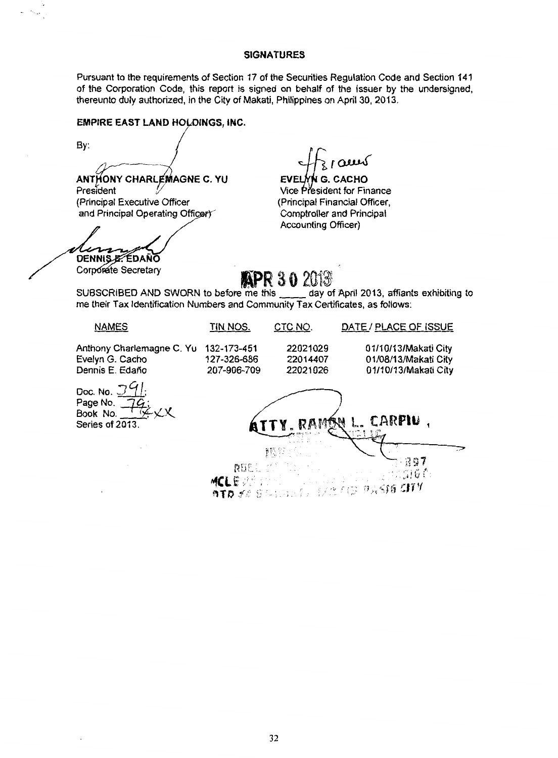#### SIGNATURES

Pursuant to the requirements of Section 17 of the Securities Regulation Code and Section 141 of the Corporation Code, this report is signed on behalf of the Issuer by the undersigned, thereunto duly authorized, in the City of Makati, Philippines on April 30, 2013.

#### EMPIRE EAST LAND HOLDINGS, INC.

By:

**ANTHONY CHARLEMAGNE C. YU** President (Principal Executive Officer and Principal Operating Officer)

DENNIS E. EDAÑO

H<sub>3</sub> | **aux**<br>EVELYN G. CACHO<br>Vice President for Finance (Principal Financial Officer, Comptroller and Principal Accounting Officer)

Corporate Secretary<br>IPR 30 2013<br>SUBSCRIBED AND SWORN to before me this day of April 2013, affiants exhibiting to me their Tax Identification Numbers and Community Tax Certificates, as follows:

NAMES TIN NOS. CTC NO. DATE / PLACE OF ISSUE Anthony Charlemagne C. Yu 132-173-451 22021029 01/10/13/Makati City<br>Evelyn G. Cacho 127-326-686 22014407 01/08/13/Makati City Evelyn G. Cacho 127-326-686 22014407 0 1/08/13/Makati City 01/10/13/Makati City Doc. No. Page No. Book No. ARPIU . Series of 2013 ĮË, REEL & PORT (1997) "fClE :>· ::~! G (. *•;r ("* ,,,, :·;,, *r,J* ~1 ~:n <sup>v</sup> 0 T D 52 S (-)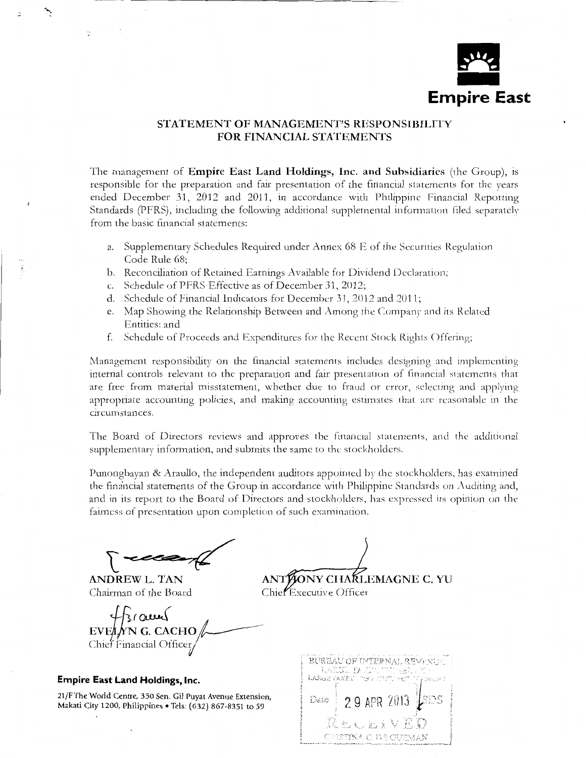

## STATEMENT OF MANAGEMENT'S RESPONSIBILITY FOR FINANCIAL STATEMENTS

The management of **Empire East Land Holdings, Inc. and Subsidiaries** (the Group), is responsible for the preparation and fair presentation of the financial statements for the years ended December 31, 2012 and 2011, in accotdance with Philippine Financial Reporting Standards (PFRS), including the following additional supplemental information filed separately from the basic financial statements:

- a. Supplementary Schedules Required under Annex 68 E of the Securities Regulation Code Rule 68;
- b. Reconciliation of Retained Earnings Available for Dividend Declaration;
- c. Schedule of PFRS Effective as of December 31, 2012;
- d. Schedule of Financial Indicators for December 31, 2012 and 2011;
- e. Map Showing the Relationship Between and Among the Company and its Related Entities; and
- f. Schedule of Proceeds and Expenditures for the Recent Stock Rights Offering;

Management responsibility on the financial statements includes designing and implementing internal controls relevant to the preparation and fair presentation of financial statements that are free from material misstatement, whether due to fraud or error, selecting and applying appropriate accounting policies, and making accounting estirnates that arc reasonable in the circumstances.

The Board of Directors reviews and approves the financial statements, and the additional supplementary information, and submits the same to the stockholders.

Punongbayan & Araullo, the independent auditors appointed by the stockholders, has examined the financial statements of the Group in accordance with Philippine Standards on Auditing and, and in its report to the Board of Directors and stockholders, has expressed its opinion on the fairness of presentation upon completion of such examination.

 $\overline{\phantom{a}}$ 

ANDREW L. TAN Chairman of the Board

÷.

ANTHONY CHARLEMAGNE C. YU

Chiel Executive Officer

 $\frac{1}{2}$   $\frac{1}{2}$ :  $\frac{1}{2}$   $\frac{1}{2}$   $\frac{1}{2}$   $\frac{1}{2}$   $\frac{1}{2}$   $\frac{1}{2}$   $\frac{1}{2}$   $\frac{1}{2}$   $\frac{1}{2}$   $\frac{1}{2}$   $\frac{1}{2}$   $\frac{1}{2}$   $\frac{1}{2}$   $\frac{1}{2}$   $\frac{1}{2}$   $\frac{1}{2}$   $\frac{1}{2}$   $\frac{1}{2}$   $\frac{1}{2}$   $\frac{1}{2}$  Chief Financial Officer

#### **Empire East Land Holdings, Inc.**

21/F The World Centre, 330 Sen. Gil Puyat Avenue Extension, Makati City 1200, Philippines • Tels: (632) 867-8351 to 59

BUREAU OF INTEPNAL REVENUE LARGE CANPIL 29 APR 2013 Date KUURIYEB CYETTINA O DE GUZMAN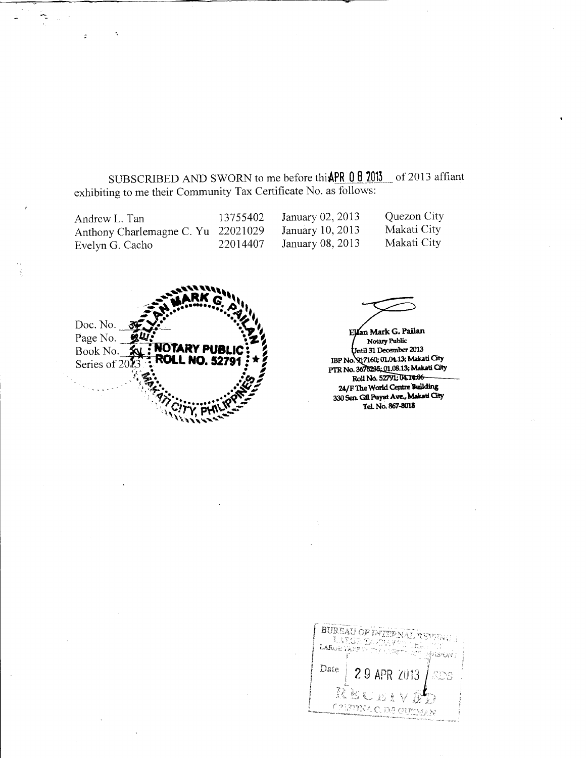SUBSCRIBED AND SWORN to me before thi **APR 0 8 2013** of 2013 affiant exhibiting to me their Community Tax Certificate No. as follows:

| Andrew L. Tan                      | 13755402 | January 02, $2013$ | Quezon City |
|------------------------------------|----------|--------------------|-------------|
| Anthony Charlemagne C. Yu 22021029 |          | January 10, 2013   | Makati City |
| Evelyn G. Cacho                    | 22014407 | January 08, 2013   | Makati City |

............... ,,,,,\ **---.....** ~RKg '' -----.:!... ..... - •••. **A.'••** - <sup>~</sup>•• •• -.t.t • **444 ARK G ALL AND CONSULATER STATER AND STATER STATER STATER STATER STATER STATER STATER STATER STATER STATER S** Book No. *f.***g.: NOTARY PUBLIC**<br>Series of 2013 **ROLL NO. 52791** Series of 2013 **ROLL NO. 52791** *<b>: \* ?*<br>Series of 2013 **...** <sup>~</sup>. - ' ,.\_ • • *Lf!'!* II' - <sup>~</sup>''.J **·::.t \_\_ ••** •• ~,. '. r1,• •• ~,., ... ' 'J'j"· .. .. • R~~-... . ~ ', *C.l ••*•••••• '1. *'§I* -- )' .)'Y. ~ ... \_ ....  $\frac{C}{2}$ 

 $\tilde{\mathcal{L}}$ 

 $\ddot{\mathbf{z}}$ 

Ellan Mark G. Pailan Notary Public Volume 1913<br>Until 31 December 2013<br>IBP No. 917160; 01.04.13; Makati City PTR No. 3676235; 01.08.13; Makati City Roll No. 52791; 04.14.06 24/F The World Centre Building 330 Sen. Gil Puyat Ave., Makatl City Tel. No. 867-8018

BUREAU OF DYTEP NAL Lating  $\mathcal{V}$ LARGE TANE WISHON. Date 7013 SDS CRETTINA de cuthaar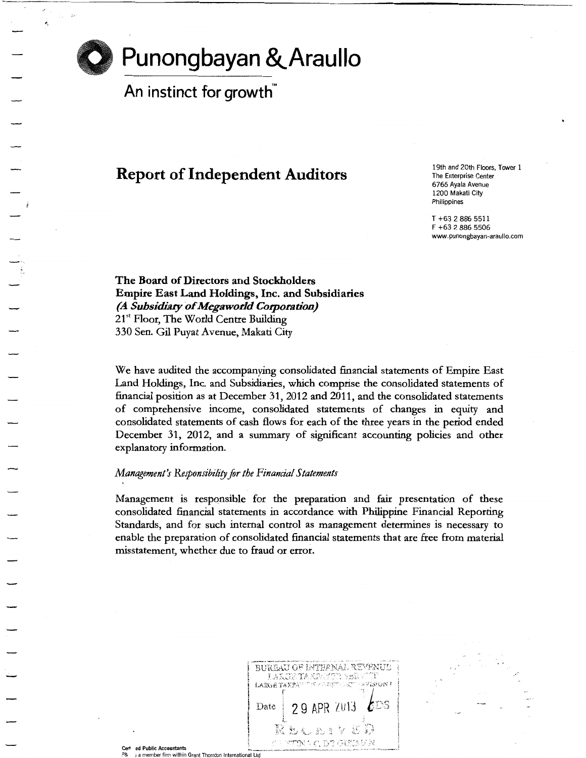

# **Punongbayan &.Araullo**

An instinct for growth $\tilde{M}$ 

# Report of Independent Auditors

19th and 20th Floors, Tower 1 **The Enterprise Center** 6766 Ayala Avenue 1200 Makati City Philippines

T +63 2 886 5511 F +63 2 886 5506 www.punongbayan-araullo.com

The Board of Directors and Stockholders Empire East Land Holdings, Inc. and Subsidiaries *(A Subsidiary* of *Megaworld Corporation)*  21<sup>st</sup> Floor, The World Centre Building 330 Sen. Gil Puyat A venue, Makati City

We have audited the accompanying consolidated financial statements of Empire East Land Holdings, Inc. and Subsidiaries, which comprise the consolidated statements of financial position as at December 31, 2012 and 2011, and the consolidated statements of comprehensive income, consolidated statements of changes in equity and consolidated statements of cash flows for each of the three years in the period ended December 31, 2012, and a summary of significant accounting policies and other explanatory information.

#### *Management's Responsibility for the Financial Statements*

Management is responsible for the preparation and fair presentation of these consolidated financial statements in accordance with Philippine Financial Reporting Standards, and for such internal control as management determines is necessary to enable the preparation of consolidated financial statements that are free from material misstatement, whether due to fraud or error.

|                                 | BUREAU OF INTERNAL REVENUE<br>LAKIER TAKPAYER SERVITE<br>LARGE TAXPANDER FRAKTEL (CW FRYERON F<br>29 APR 2013 $60s$<br>Date<br>RECEIVED<br>A FRINT CLERATING |  |
|---------------------------------|--------------------------------------------------------------------------------------------------------------------------------------------------------------|--|
| ed Public Accountants<br>Cert - |                                                                                                                                                              |  |

a member firm within Grant Thornton International Ltd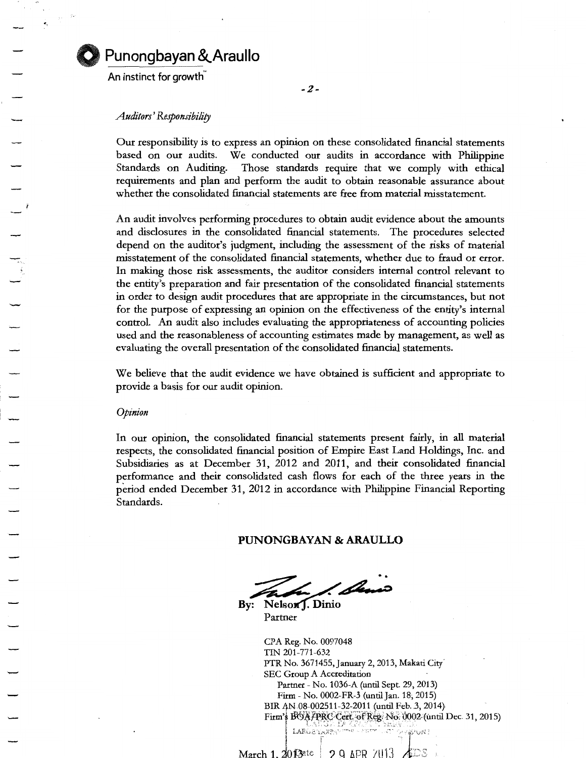

## **Punongbayan &..Araullo**

An instinct for growth

#### *Auditors' Responsibility*

Our responsibility is to express an opinion on these consolidated financial statements based on our audits. We conducted our audits in accordance with Philippine Standards on Auditing. Those standards require that we comply with ethical requirements and plan and perform the audit to obtain reasonable assurance about whether the consolidated financial statements are free from material misstatement.

An audit involves performing procedures to obtain audit evidence about the amounts and disclosures in the consolidated financial statements. The procedures selected depend on the auditor's judgment, including the assessment of the risks of material misstatement of the consolidated financial statements, whether due to fraud or error. In making those risk assessments, the auditor considers internal control relevant to the entity's preparation and fair presentation of the consolidated financial statements in order to design audit procedures that are appropriate in the circumstances, but not for the purpose of expressing an opinion on the effectiveness of the entity's internal control. An audit also includes evaluating the appropriateness of accounting policies used and the reasonableness of accounting estimates made by management, as well as evaluating the overall presentation of the consolidated financial statements.

We believe that the audit evidence we have obtained is sufficient and appropriate to provide a basis for our audit opinion.

*Opinion* 

In our opinion, the consolidated financial statements present fairly, in all material respects, the consolidated financial position of Empire East Land Holdings, Inc. and Subsidiaries as at December 31, 2012 and 2011, and their consolidated financial performance and their consolidated cash flows for each of the three years in the period ended December 31, 2012 in accordance with Philippine Financial Reporting Standards.

#### **PUNONGBAYAN & ARAULLO**

! Semo

By: Nelson J. Dinio Partner

CPA Reg. No. 0097048 TIN 201-771-632 PTR No. 3671455, January 2, 2013, Makati City<sup>7</sup> SEC Group A Accreditation Partner- No. 1036-A (until Sept. 29, 2013) Firm- No. 0002-FR-3 (until jan. 18; 2015) BIR AN 08-002511-32-2011 (until Feb. 3, 2014). Firm's BOA/PRC·Cert: of Reg. No. 0002 (until Dec. 31, 2015) <br>- r.A.H. ...  $M$ arch 1. 2013 $^{20}$  References  $\sim$   $^{20}$  APR  $\sim$   $^{20}$  APR  $\sim$   $^{20}$  ADS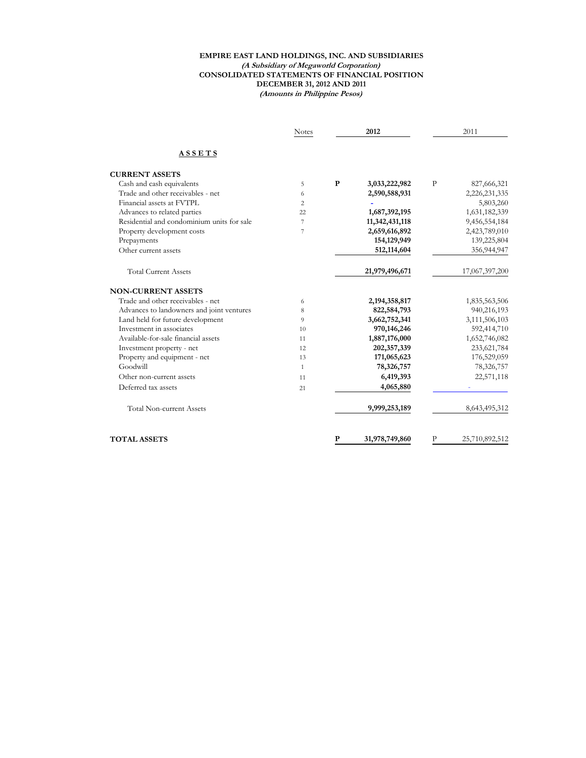#### **EMPIRE EAST LAND HOLDINGS, INC. AND SUBSIDIARIES (A Subsidiary of Megaworld Corporation) CONSOLIDATED STATEMENTS OF FINANCIAL POSITION DECEMBER 31, 2012 AND 2011 (Amounts in Philippine Pesos)**

|                                            | <b>Notes</b> | 2012 |                  |   | 2011           |
|--------------------------------------------|--------------|------|------------------|---|----------------|
| ASSETS                                     |              |      |                  |   |                |
| <b>CURRENT ASSETS</b>                      |              |      |                  |   |                |
| Cash and cash equivalents                  | 5            | P    | 3,033,222,982    | P | 827,666,321    |
| Trade and other receivables - net          | 6            |      | 2,590,588,931    |   | 2,226,231,335  |
| Financial assets at FVTPL                  | 2            |      |                  |   | 5,803,260      |
| Advances to related parties                | 22           |      | 1,687,392,195    |   | 1,631,182,339  |
| Residential and condominium units for sale | 7            |      | 11,342,431,118   |   | 9,456,554,184  |
| Property development costs                 | 7            |      | 2,659,616,892    |   | 2,423,789,010  |
| Prepayments                                |              |      | 154,129,949      |   | 139,225,804    |
| Other current assets                       |              |      | 512,114,604      |   | 356,944,947    |
| <b>Total Current Assets</b>                |              |      | 21,979,496,671   |   | 17,067,397,200 |
| <b>NON-CURRENT ASSETS</b>                  |              |      |                  |   |                |
| Trade and other receivables - net          | 6            |      | 2, 194, 358, 817 |   | 1,835,563,506  |
| Advances to landowners and joint ventures  | 8            |      | 822,584,793      |   | 940,216,193    |
| Land held for future development           | 9            |      | 3,662,752,341    |   | 3,111,506,103  |
| Investment in associates                   | 10           |      | 970,146,246      |   | 592,414,710    |
| Available-for-sale financial assets        | 11           |      | 1,887,176,000    |   | 1,652,746,082  |
| Investment property - net                  | 12           |      | 202,357,339      |   | 233,621,784    |
| Property and equipment - net               | 13           |      | 171,065,623      |   | 176,529,059    |
| Goodwill                                   | $\mathbf{1}$ |      | 78,326,757       |   | 78,326,757     |
| Other non-current assets                   | 11           |      | 6,419,393        |   | 22,571,118     |
| Deferred tax assets                        | 21           |      | 4,065,880        |   |                |
| <b>Total Non-current Assets</b>            |              |      | 9,999,253,189    |   | 8,643,495,312  |
| <b>TOTAL ASSETS</b>                        |              | P    | 31,978,749,860   | P | 25,710,892,512 |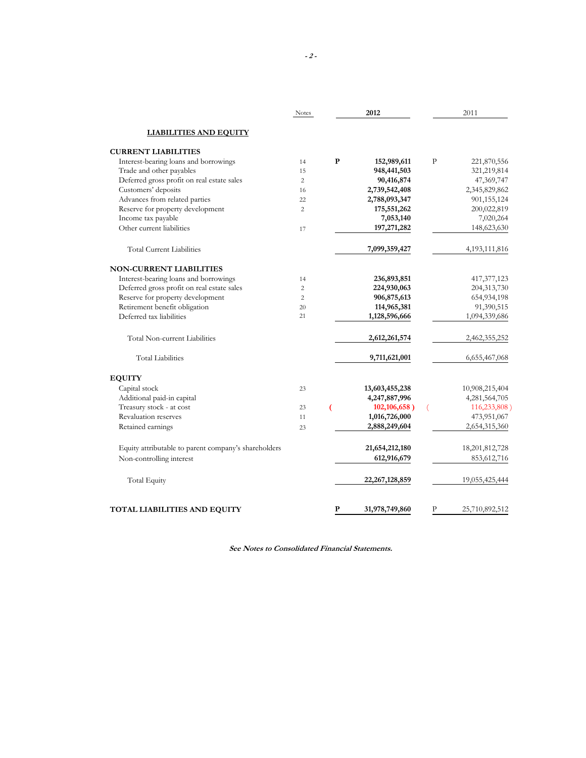|                                                      | <b>Notes</b>   |   | 2012              |              | 2011             |
|------------------------------------------------------|----------------|---|-------------------|--------------|------------------|
| <b>LIABILITIES AND EQUITY</b>                        |                |   |                   |              |                  |
| <b>CURRENT LIABILITIES</b>                           |                |   |                   |              |                  |
| Interest-bearing loans and borrowings                | 14             | P | 152,989,611       | $\mathbf{P}$ | 221,870,556      |
| Trade and other payables                             | 15             |   | 948,441,503       |              | 321,219,814      |
| Deferred gross profit on real estate sales           | $\overline{2}$ |   | 90,416,874        |              | 47,369,747       |
| Customers' deposits                                  | 16             |   | 2,739,542,408     |              | 2,345,829,862    |
| Advances from related parties                        | 22             |   | 2,788,093,347     |              | 901,155,124      |
| Reserve for property development                     | $\overline{c}$ |   | 175,551,262       |              | 200,022,819      |
| Income tax payable                                   |                |   | 7,053,140         |              | 7,020,264        |
| Other current liabilities                            | 17             |   | 197,271,282       |              | 148,623,630      |
| <b>Total Current Liabilities</b>                     |                |   | 7,099,359,427     |              | 4, 193, 111, 816 |
| <b>NON-CURRENT LIABILITIES</b>                       |                |   |                   |              |                  |
| Interest-bearing loans and borrowings                | 14             |   | 236,893,851       |              | 417, 377, 123    |
| Deferred gross profit on real estate sales           | $\overline{c}$ |   | 224,930,063       |              | 204,313,730      |
| Reserve for property development                     | $\overline{2}$ |   | 906,875,613       |              | 654,934,198      |
| Retirement benefit obligation                        | 20             |   | 114,965,381       |              | 91,390,515       |
| Deferred tax liabilities                             | 21             |   | 1,128,596,666     |              | 1,094,339,686    |
| Total Non-current Liabilities                        |                |   | 2,612,261,574     |              | 2,462,355,252    |
| <b>Total Liabilities</b>                             |                |   | 9,711,621,001     |              | 6,655,467,068    |
| <b>EQUITY</b>                                        |                |   |                   |              |                  |
| Capital stock                                        | 23             |   | 13,603,455,238    |              | 10,908,215,404   |
| Additional paid-in capital                           |                |   | 4,247,887,996     |              | 4,281,564,705    |
| Treasury stock - at cost                             | 23             | ( | 102,106,658)      | 0            | 116,233,808)     |
| Revaluation reserves                                 | 11             |   | 1,016,726,000     |              | 473,951,067      |
| Retained earnings                                    | 23             |   | 2,888,249,604     |              | 2,654,315,360    |
| Equity attributable to parent company's shareholders |                |   | 21,654,212,180    |              | 18,201,812,728   |
| Non-controlling interest                             |                |   | 612,916,679       |              | 853, 612, 716    |
| <b>Total Equity</b>                                  |                |   | 22, 267, 128, 859 |              | 19,055,425,444   |
| TOTAL LIABILITIES AND EQUITY                         |                | P | 31,978,749,860    | P            | 25,710,892,512   |

**See Notes to Consolidated Financial Statements.**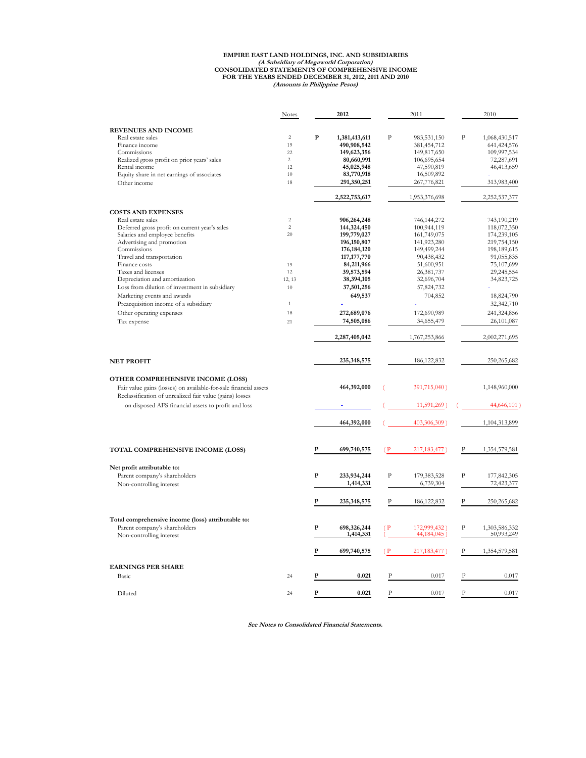# **(Amounts in Philippine Pesos) EMPIRE EAST LAND HOLDINGS, INC. AND SUBSIDIARIES (A Subsidiary of Megaworld Corporation) CONSOLIDATED STATEMENTS OF COMPREHENSIVE INCOME FOR THE YEARS ENDED DECEMBER 31, 2012, 2011 AND 2010**

|                                                                                                                              | <b>Notes</b>   |              | 2012                     |                | 2011                         |                | 2010                        |
|------------------------------------------------------------------------------------------------------------------------------|----------------|--------------|--------------------------|----------------|------------------------------|----------------|-----------------------------|
|                                                                                                                              |                |              |                          |                |                              |                |                             |
| <b>REVENUES AND INCOME</b>                                                                                                   |                |              |                          |                |                              |                |                             |
| Real estate sales                                                                                                            | $\overline{c}$ | P            | 1,381,413,611            | $\overline{P}$ | 983,531,150                  | $\mathbf{P}$   | 1,068,430,517               |
| Finance income                                                                                                               | 19             |              | 490,908,542              |                | 381,454,712                  |                | 641, 424, 576               |
| Commissions                                                                                                                  | 22             |              | 149,623,356              |                | 149,817,650                  |                | 109,997,534                 |
| Realized gross profit on prior years' sales                                                                                  | $\overline{c}$ |              | 80,660,991               |                | 106,695,654                  |                | 72,287,691                  |
| Rental income                                                                                                                | 12             |              | 45,025,948               |                | 47,590,819                   |                | 46,413,659                  |
| Equity share in net earnings of associates                                                                                   | 10             |              | 83,770,918               |                | 16,509,892                   |                |                             |
| Other income                                                                                                                 | 18             |              | 291,350,251              |                | 267,776,821                  |                | 313,983,400                 |
|                                                                                                                              |                |              | 2,522,753,617            |                | 1,953,376,698                |                | 2,252,537,377               |
| <b>COSTS AND EXPENSES</b>                                                                                                    |                |              |                          |                |                              |                |                             |
| Real estate sales                                                                                                            | $\overline{c}$ |              | 906,264,248              |                | 746,144,272                  |                | 743,190,219                 |
| Deferred gross profit on current year's sales                                                                                | $\overline{c}$ |              | 144,324,450              |                | 100,944,119                  |                | 118,072,350                 |
| Salaries and employee benefits                                                                                               | 20             |              | 199,779,027              |                | 161,749,075                  |                | 174,239,105                 |
| Advertising and promotion                                                                                                    |                |              | 196, 150, 807            |                | 141,923,280                  |                | 219,754,150                 |
| Commissions                                                                                                                  |                |              | 176, 184, 120            |                | 149,499,244                  |                | 198,189,615                 |
| Travel and transportation                                                                                                    |                |              | 117, 177, 770            |                | 90,438,432                   |                | 91,055,835                  |
| Finance costs                                                                                                                | 19             |              | 84,211,966               |                | 51,600,951                   |                | 75,107,699                  |
|                                                                                                                              | 12             |              |                          |                |                              |                |                             |
| Taxes and licenses                                                                                                           |                |              | 39,573,594               |                | 26,381,737                   |                | 29,245,554                  |
| Depreciation and amortization                                                                                                | 12, 13         |              | 38,394,105               |                | 32,696,704                   |                | 34,823,725                  |
| Loss from dilution of investment in subsidiary                                                                               | 10             |              | 37,501,256               |                | 57,824,732                   |                |                             |
| Marketing events and awards                                                                                                  |                |              | 649,537                  |                | 704,852                      |                | 18,824,790                  |
| Preacquisition income of a subsidiary                                                                                        | $\,1\,$        |              |                          |                |                              |                | 32,342,710                  |
| Other operating expenses                                                                                                     | 18             |              | 272,689,076              |                | 172,690,989                  |                | 241,324,856                 |
| Tax expense                                                                                                                  | 21             |              | 74,505,086               |                | 34,655,479                   |                | 26,101,087                  |
|                                                                                                                              |                |              | 2,287,405,042            |                | 1,767,253,866                |                | 2,002,271,695               |
| <b>NET PROFIT</b>                                                                                                            |                |              | 235,348,575              |                | 186, 122, 832                |                | 250,265,682                 |
| OTHER COMPREHENSIVE INCOME (LOSS)                                                                                            |                |              |                          |                |                              |                |                             |
| Fair value gains (losses) on available-for-sale financial assets<br>Reclassification of unrealized fair value (gains) losses |                |              | 464,392,000              |                | 391,715,040)                 |                | 1,148,960,000               |
| on disposed AFS financial assets to profit and loss                                                                          |                |              |                          |                | 11,591,269)                  |                | 44,646,101)                 |
|                                                                                                                              |                |              | 464,392,000              |                | 403,306,309)                 |                | 1,104,313,899               |
|                                                                                                                              |                |              |                          |                |                              |                |                             |
| TOTAL COMPREHENSIVE INCOME (LOSS)                                                                                            |                | P            | 699,740,575              | (P             | 217, 183, 477)               | P              | 1,354,579,581               |
| Net profit attributable to:                                                                                                  |                |              |                          |                |                              |                |                             |
|                                                                                                                              |                | $\mathbf{P}$ |                          | $\mathbf{P}$   |                              | $\mathbf{P}$   |                             |
| Parent company's shareholders                                                                                                |                |              | 233,934,244              |                | 179,383,528                  |                | 177,842,305                 |
| Non-controlling interest                                                                                                     |                |              | 1,414,331                |                | 6,739,304                    |                | 72,423,377                  |
|                                                                                                                              |                | P            | 235,348,575              | P              | 186, 122, 832                | P              | 250,265,682                 |
| Total comprehensive income (loss) attributable to:                                                                           |                |              |                          |                |                              |                |                             |
|                                                                                                                              |                |              |                          |                |                              |                |                             |
| Parent company's shareholders<br>Non-controlling interest                                                                    |                | P            | 698,326,244<br>1,414,331 |                | 172,999,432)<br>44, 184, 045 | P              | 1,303,586,332<br>50,993,249 |
|                                                                                                                              |                | P            | 699,740,575              | (P)            | 217, 183, 477                | P              | 1,354,579,581               |
| <b>EARNINGS PER SHARE</b>                                                                                                    |                |              |                          |                |                              |                |                             |
| Basic                                                                                                                        | 24             | P            | 0.021                    | $\mathbf P$    | 0.017                        | P              | 0.017                       |
| Diluted                                                                                                                      | 24             | P            | 0.021                    | $\mathbf{P}$   | 0.017                        | $\overline{P}$ | 0.017                       |
|                                                                                                                              |                |              |                          |                |                              |                |                             |

**See Notes to Consolidated Financial Statements.**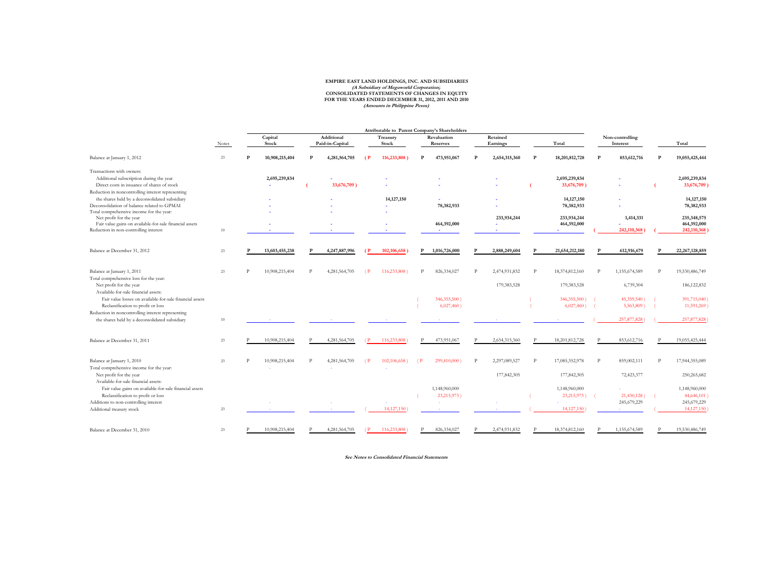#### **EMPIRE EAST LAND HOLDINGS, INC. AND SUBSIDIARIES FOR THE YEARS ENDED DECEMBER 31, 2012, 2011 AND 2010 (Amounts in Philippine Pesos) CONSOLIDATED STATEMENTS OF CHANGES IN EQUITY (A Subsidiary of Megaworld Corporation)**

|                                                                                                                                                                          |              |   |                  |              |                               |                |                   |                    | Attributable to Parent Company's Shareholders |              |                              |              |                               |              |                             |   |                                           |
|--------------------------------------------------------------------------------------------------------------------------------------------------------------------------|--------------|---|------------------|--------------|-------------------------------|----------------|-------------------|--------------------|-----------------------------------------------|--------------|------------------------------|--------------|-------------------------------|--------------|-----------------------------|---|-------------------------------------------|
|                                                                                                                                                                          | <b>Notes</b> |   | Capital<br>Stock |              | Additional<br>Paid-in-Capital |                | Treasury<br>Stock |                    | Revaluation<br><b>Reserves</b>                |              | Retained<br>Earnings         |              | Total                         |              | Non-controlling<br>Interest |   | Total                                     |
| Balance at January 1, 2012                                                                                                                                               | $23\,$       | P | 10,908,215,404   | P            | 4,281,564,705                 | $\overline{P}$ | 116,233,808       |                    | 473,951,067                                   |              | 2,654,315,360                | P            | 18,201,812,728                | P            | 853,612,716                 | P | 19,055,425,444                            |
| Transactions with owners:<br>Additional subscription during the year<br>Direct costs in issuance of shares of stock<br>Reduction in noncontrolling interest representing |              |   | 2,695,239,834    |              | 33,676,709)                   |                |                   |                    |                                               |              |                              |              | 2,695,239,834<br>33,676,709   |              |                             |   | 2,695,239,834<br>33,676,709)              |
| the shares held by a deconsolidated subsidiary<br>Deconsolidation of balance related to GPMAI<br>Total comprehensive income for the year:                                |              |   |                  |              |                               |                | 14, 127, 150      |                    | 78,382,933                                    |              |                              |              | 14, 127, 150<br>78,382,933    |              |                             |   | 14, 127, 150<br>78,382,933                |
| Net profit for the year<br>Fair value gains on available-for-sale financial assets<br>Reduction in non-controlling interest                                              | 10           |   |                  |              |                               |                |                   |                    | 464,392,000                                   |              | 233,934,244                  |              | 233,934,244<br>464,392,000    |              | 1,414,331<br>242,110,368    |   | 235,348,575<br>464,392,000<br>242,110,368 |
| Balance at December 31, 2012                                                                                                                                             | 23           |   | 13,603,455,238   |              | 4,247,887,996                 | $\epsilon$     | 102,106,658       | P                  | 1,016,726,000                                 |              | 2,888,249,604                |              | 21,654,212,180                |              | 612,916,679                 |   | 22, 267, 128, 859                         |
| Balance at January 1, 2011<br>Total comprehensive loss for the year:<br>Net profit for the year<br>Available-for-sale financial assets:                                  | 23           |   | 10,908,215,404   | <sup>p</sup> | 4,281,564,705                 | (P)            | 116,233,808)      | P                  | 826, 334, 027                                 | $\mathbf{p}$ | 2,474,931,832<br>179,383,528 | P            | 18,374,812,160<br>179,383,528 | P            | 1,155,674,589<br>6,739,304  | P | 19,530,486,749<br>186, 122, 832           |
| Fair value losses on available-for-sale financial assets<br>Reclassification to profit or loss<br>Reduction in noncontrolling interest representing                      |              |   |                  |              |                               |                |                   |                    | 346,355,500)<br>$6,027,460$ )                 |              |                              |              | 346,355,500)<br>$6,027,460$ ) |              | 45,359,540)<br>5,563,809)   |   | 391,715,040)<br>11,591,269)               |
| the shares held by a deconsolidated subsidiary                                                                                                                           | 10           |   |                  |              |                               |                |                   |                    |                                               |              |                              |              |                               |              | 257,877,828                 |   | 257,877,828                               |
| Balance at December 31, 2011                                                                                                                                             | 23           |   | 10,908,215,404   |              | 4,281,564,705                 | €P.            | 116,233,808       |                    | 473,951,067                                   |              | 2,654,315,360                |              | 18,201,812,728                | $\mathbf{p}$ | 853,612,716                 |   | 19,055,425,444                            |
| Balance at January 1, 2010<br>Total comprehensive income for the year:<br>Net profit for the year                                                                        | 23           |   | 10,908,215,404   | P            | 4,281,564,705                 | (P)            | 102,106,658)      | $\left( P \right)$ | 299,410,000)                                  | P            | 2,297,089,527<br>177,842,305 | $\mathbf{p}$ | 17,085,352,978<br>177,842,305 | P            | 859,002,111<br>72,423,377   | P | 17,944,355,089<br>250,265,682             |
| Available-for-sale financial assets:<br>Fair value gains on available-for-sale financial assets<br>Reclassification to profit or loss                                    |              |   |                  |              |                               |                |                   |                    | 1,148,960,000<br>23,215,973)                  |              |                              |              | 1,148,960,000<br>23,215,973)  |              | 21,430,128)                 |   | 1,148,960,000<br>44,646,101               |
| Additions to non-controlling interest<br>Additional treasury stock                                                                                                       | 23           |   |                  |              |                               |                | 14,127,150        |                    |                                               |              |                              |              | 14, 127, 150                  |              | 245,679,229<br>$\sim$       |   | 245,679,229<br>14,127,150                 |
| Balance at December 31, 2010                                                                                                                                             | 23           |   | 10,908,215,404   |              | 4,281,564,705                 | (P)            | 116,233,808       |                    | 826, 334, 027                                 |              | 2,474,931,832                |              | 18,374,812,160                |              | 1,155,674,589               |   | 19,530,486,749                            |

**See Notes to Consolidated Financial Statements**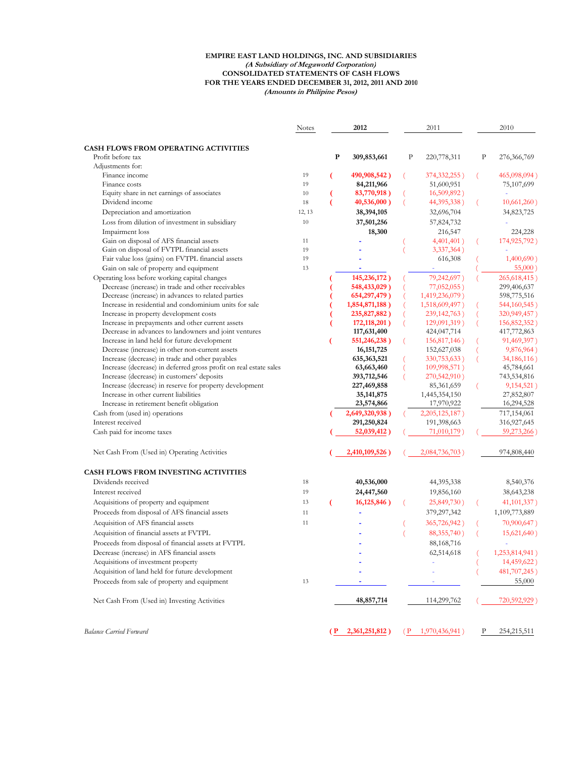#### **EMPIRE EAST LAND HOLDINGS, INC. AND SUBSIDIARIES (A Subsidiary of Megaworld Corporation) CONSOLIDATED STATEMENTS OF CASH FLOWS FOR THE YEARS ENDED DECEMBER 31, 2012, 2011 AND 2010 (Amounts in Philipine Pesos)**

|                                                                   | <b>Notes</b> | 2012 |                |         | 2011           |             | 2010           |
|-------------------------------------------------------------------|--------------|------|----------------|---------|----------------|-------------|----------------|
|                                                                   |              |      |                |         |                |             |                |
| <b>CASH FLOWS FROM OPERATING ACTIVITIES</b>                       |              |      |                |         |                |             |                |
| Profit before tax                                                 |              | P    | 309,853,661    | $\rm P$ | 220,778,311    | $\mathbf p$ | 276,366,769    |
| Adjustments for:<br>Finance income                                | 19           |      | 490,908,542)   |         | 374,332,255)   |             | 465,098,094)   |
| Finance costs                                                     | 19           |      | 84,211,966     |         | 51,600,951     |             | 75,107,699     |
| Equity share in net earnings of associates                        | 10           |      | 83,770,918)    |         | 16,509,892)    |             |                |
| Dividend income                                                   | 18           |      | 40,536,000)    |         | 44, 395, 338)  |             | 10,661,260)    |
| Depreciation and amortization                                     | 12, 13       |      | 38,394,105     |         | 32,696,704     |             | 34,823,725     |
| Loss from dilution of investment in subsidiary                    | 10           |      | 37,501,256     |         | 57,824,732     |             |                |
| Impairment loss                                                   |              |      | 18,300         |         | 216,547        |             | 224,228        |
| Gain on disposal of AFS financial assets                          | 11           |      |                |         | 4,401,401)     |             | 174,925,792)   |
| Gain on disposal of FVTPL financial assets                        | 19           |      |                |         | 3,337,364)     |             |                |
| Fair value loss (gains) on FVTPL financial assets                 | 19           |      |                |         | 616,308        |             | 1,400,690)     |
| Gain on sale of property and equipment                            | 13           |      |                |         |                |             | 55,000)        |
| Operating loss before working capital changes                     |              |      | 145,236,172)   |         | 79,242,697)    |             | 265,618,415)   |
| Decrease (increase) in trade and other receivables                |              |      | 548,433,029)   |         | $77,052,055$ ) |             | 299,406,637    |
| Decrease (increase) in advances to related parties                |              |      | 654, 297, 479) |         | 1,419,236,079) |             | 598,775,516    |
| Increase in residential and condominium units for sale            |              |      | 1,854,871,188) |         | 1,518,609,497) |             | 544,160,545)   |
| Increase in property development costs                            |              |      | 235,827,882)   |         | 239, 142, 763) |             | 320,949,457)   |
| Increase in prepayments and other current assets                  |              |      | 172, 118, 201) |         | 129,091,319)   |             | 156,852,352)   |
| Decrease in advances to landowners and joint ventures             |              |      | 117,631,400    |         | 424,047,714    |             | 417,772,863    |
| Increase in land held for future development                      |              |      | 551,246,238)   |         | 156,817,146)   |             | 91,469,397)    |
| Decrease (increase) in other non-current assets                   |              |      | 16, 151, 725   |         | 152,627,038    |             | 9,876,964)     |
| Increase (decrease) in trade and other payables                   |              |      | 635, 363, 521  |         | 330,753,633)   |             | 34, 186, 116)  |
| Increase (decrease) in deferred gross profit on real estate sales |              |      | 63,663,460     |         | 109,998,571)   |             | 45,784,661     |
| Increase (decrease) in customers' deposits                        |              |      | 393,712,546    |         | 270,542,910)   |             | 743,534,816    |
| Increase (decrease) in reserve for property development           |              |      | 227,469,858    |         | 85,361,659     |             | 9, 154, 521)   |
| Increase in other current liabilities                             |              |      | 35, 141, 875   |         | 1,445,354,150  |             | 27,852,807     |
| Increase in retirement benefit obligation                         |              |      | 23,574,866     |         | 17,970,922     |             | 16,294,528     |
| Cash from (used in) operations                                    |              |      | 2,649,320,938) |         | 2,205,125,187) |             | 717,154,061    |
| Interest received                                                 |              |      | 291,250,824    |         | 191,398,663    |             | 316,927,645    |
| Cash paid for income taxes                                        |              |      | 52,039,412)    |         | 71,010,179)    |             | 59,273,266)    |
| Net Cash From (Used in) Operating Activities                      |              |      | 2,410,109,526) |         | 2,084,736,703) |             | 974,808,440    |
| CASH FLOWS FROM INVESTING ACTIVITIES                              |              |      |                |         |                |             |                |
| Dividends received                                                | 18           |      | 40,536,000     |         | 44,395,338     |             | 8,540,376      |
| Interest received                                                 | 19           |      | 24,447,560     |         | 19,856,160     |             | 38,643,238     |
| Acquisitions of property and equipment                            | 13           | (    | 16,125,846)    |         | 25,849,730)    |             | 41, 101, 337)  |
| Proceeds from disposal of AFS financial assets                    | 11           |      |                |         | 379,297,342    |             | 1,109,773,889  |
| Acquisition of AFS financial assets                               | 11           |      |                |         | 365,726,942)   |             | 70,900,647)    |
| Acquisition of financial assets at FVTPL                          |              |      |                |         | 88, 355, 740)  |             | 15,621,640)    |
| Proceeds from disposal of financial assets at FVTPL               |              |      |                |         | 88,168,716     |             |                |
| Decrease (increase) in AFS financial assets                       |              |      |                |         | 62,514,618     |             | 1,253,814,941) |
| Acquisitions of investment property                               |              |      |                |         |                |             | 14,459,622)    |
| Acquisition of land held for future development                   |              |      |                |         |                |             | 481,707,245)   |
| Proceeds from sale of property and equipment                      | 13           |      |                |         |                |             | 55,000         |
| Net Cash From (Used in) Investing Activities                      |              |      | 48,857,714     |         | 114,299,762    |             | 720,592,929)   |
| <b>Balance Carried Forward</b>                                    |              | ( P  | 2,361,251,812) | ( P     | 1,970,436,941) | Р           | 254,215,511    |
|                                                                   |              |      |                |         |                |             |                |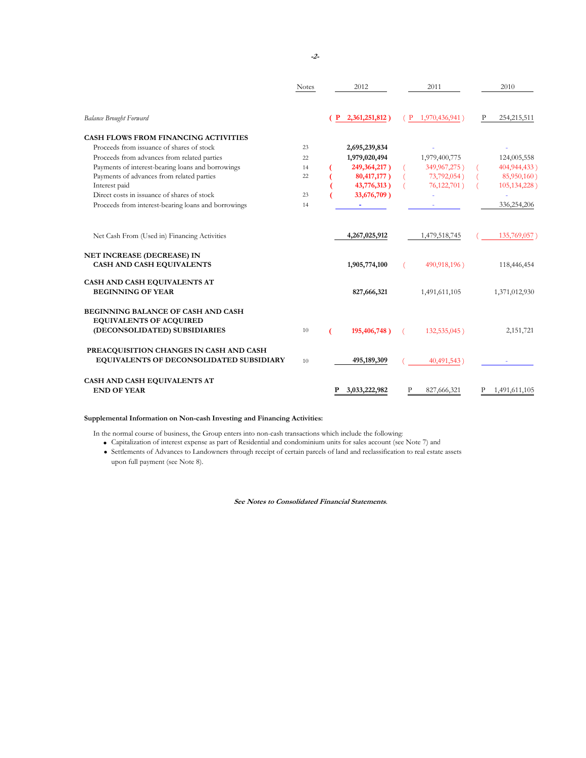|                                                                                     | <b>Notes</b> |              | 2012           |              | 2011           |   | 2010          |
|-------------------------------------------------------------------------------------|--------------|--------------|----------------|--------------|----------------|---|---------------|
| <b>Balance Brought Forward</b>                                                      |              | $\mathbf{P}$ | 2,361,251,812) | $\mathbf{P}$ | 1,970,436,941) | P | 254, 215, 511 |
| <b>CASH FLOWS FROM FINANCING ACTIVITIES</b>                                         |              |              |                |              |                |   |               |
| Proceeds from issuance of shares of stock                                           | 23           |              | 2,695,239,834  |              |                |   |               |
| Proceeds from advances from related parties                                         | 22           |              | 1,979,020,494  |              | 1,979,400,775  |   | 124,005,558   |
| Payments of interest-bearing loans and borrowings                                   | 14           |              | 249,364,217)   |              | 349,967,275)   |   | 404,944,433)  |
| Payments of advances from related parties                                           | 22           |              | 80,417,177)    |              | 73,792,054)    |   | 85,950,160)   |
| Interest paid                                                                       |              |              | 43,776,313)    |              | 76,122,701)    |   | 105,134,228)  |
| Direct costs in issuance of shares of stock                                         | 23           |              | 33,676,709)    |              |                |   |               |
| Proceeds from interest-bearing loans and borrowings                                 | 14           |              |                |              |                |   | 336,254,206   |
| Net Cash From (Used in) Financing Activities                                        |              |              | 4,267,025,912  |              | 1,479,518,745  |   | 135,769,057   |
| NET INCREASE (DECREASE) IN<br><b>CASH AND CASH EQUIVALENTS</b>                      |              |              | 1,905,774,100  |              | 490,918,196)   |   | 118,446,454   |
| CASH AND CASH EQUIVALENTS AT                                                        |              |              |                |              |                |   |               |
| <b>BEGINNING OF YEAR</b>                                                            |              |              | 827,666,321    |              | 1,491,611,105  |   | 1,371,012,930 |
| BEGINNING BALANCE OF CASH AND CASH<br><b>EQUIVALENTS OF ACQUIRED</b>                |              |              |                |              |                |   |               |
| (DECONSOLIDATED) SUBSIDIARIES                                                       | 10           |              | 195,406,748)   |              | 132,535,045)   |   | 2,151,721     |
| PREACQUISITION CHANGES IN CASH AND CASH<br>EQUIVALENTS OF DECONSOLIDATED SUBSIDIARY | 10           |              | 495,189,309    |              | 40,491,543)    |   |               |
| CASH AND CASH EQUIVALENTS AT<br><b>END OF YEAR</b>                                  |              |              | 3,033,222,982  |              | 827,666,321    |   | 1,491,611,105 |

#### **Supplemental Information on Non-cash Investing and Financing Activities:**

In the normal course of business, the Group enters into non-cash transactions which include the following:

the normal course of business, the Group enters into non-cash transactions which include the following<br>● Capitalization of interest expense as part of Residential and condominium units for sales account (see Note 7) and

• Capitalization of interest expense as part of Residential and condominium units for sales account (see Note 7) and<br>• Settlements of Advances to Landowners through receipt of certain parcels of land and reclassification t upon full payment (see Note 8). **.**

**See Notes to Consolidated Financial Statements.**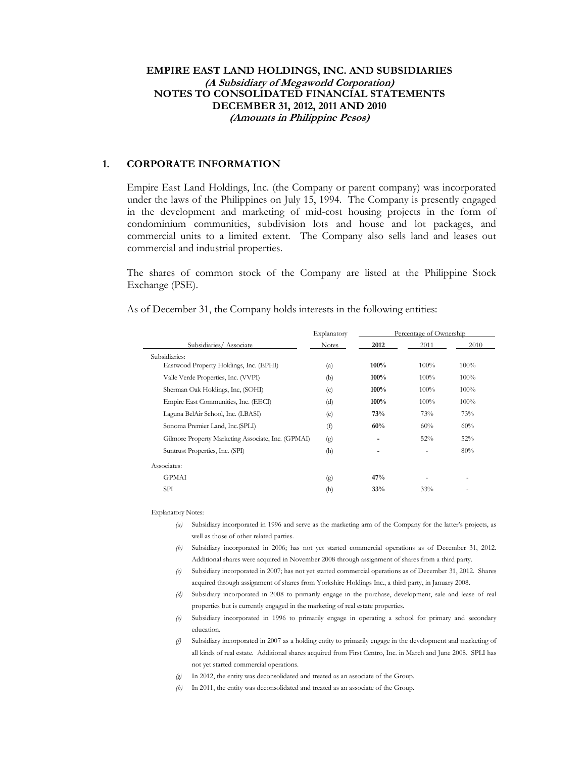## **EMPIRE EAST LAND HOLDINGS, INC. AND SUBSIDIARIES (A Subsidiary of Megaworld Corporation) NOTES TO CONSOLIDATED FINANCIAL STATEMENTS DECEMBER 31, 2012, 2011 AND 2010 (Amounts in Philippine Pesos)**

## **1. CORPORATE INFORMATION**

 Empire East Land Holdings, Inc. (the Company or parent company) was incorporated under the laws of the Philippines on July 15, 1994. The Company is presently engaged in the development and marketing of mid-cost housing projects in the form of condominium communities, subdivision lots and house and lot packages, and commercial units to a limited extent. The Company also sells land and leases out commercial and industrial properties.

 The shares of common stock of the Company are listed at the Philippine Stock Exchange (PSE).

As of December 31, the Company holds interests in the following entities:

|                                                    | Explanatory  |                          | Percentage of Ownership  |        |  |  |  |
|----------------------------------------------------|--------------|--------------------------|--------------------------|--------|--|--|--|
| Subsidiaries/Associate                             | <b>Notes</b> | 2012                     | 2011                     | 2010   |  |  |  |
| Subsidiaries:                                      |              |                          |                          |        |  |  |  |
| Eastwood Property Holdings, Inc. (EPHI)            | (a)          | 100%                     | 100%                     | 100%   |  |  |  |
| Valle Verde Properties, Inc. (VVPI)                | (b)          | 100%                     | 100%                     | 100%   |  |  |  |
| Sherman Oak Holdings, Inc, (SOHI)                  | (c)          | 100%                     | $100\%$                  | 100%   |  |  |  |
| Empire East Communities, Inc. (EECI)               | (d)          | 100%                     | 100%                     | 100%   |  |  |  |
| Laguna BelAir School, Inc. (LBASI)                 | (e)          | 73%                      | 73%                      | 73%    |  |  |  |
| Sonoma Premier Land, Inc. (SPLI)                   | (f)          | 60%                      | 60%                      | 60%    |  |  |  |
| Gilmore Property Marketing Associate, Inc. (GPMAI) | (g)          | $\overline{\phantom{a}}$ | 52%                      | 52%    |  |  |  |
| Suntrust Properties, Inc. (SPI)                    | (h)          | $\overline{\phantom{a}}$ | $\overline{\phantom{a}}$ | 80%    |  |  |  |
| Associates:                                        |              |                          |                          |        |  |  |  |
| <b>GPMAI</b>                                       | (g)          | 47%                      |                          | $\sim$ |  |  |  |
| SPI                                                | (h)          | 33%                      | 33%                      | $\sim$ |  |  |  |

Explanatory Notes:

- *(a)* Subsidiary incorporated in 1996 and serve as the marketing arm of the Company for the latter's projects, as well as those of other related parties.
- *(b)* Subsidiary incorporated in 2006; has not yet started commercial operations as of December 31, 2012. Additional shares were acquired in November 2008 through assignment of shares from a third party.
- *(c)* Subsidiary incorporated in 2007; has not yet started commercial operations as of December 31, 2012. Shares acquired through assignment of shares from Yorkshire Holdings Inc., a third party, in January 2008.
- *(d)* Subsidiary incorporated in 2008 to primarily engage in the purchase, development, sale and lease of real properties but is currently engaged in the marketing of real estate properties.
- *(e)* Subsidiary incorporated in 1996 to primarily engage in operating a school for primary and secondary education.
- *(f)* Subsidiary incorporated in 2007 as a holding entity to primarily engage in the development and marketing of all kinds of real estate. Additional shares acquired from First Centro, Inc. in March and June 2008. SPLI has not yet started commercial operations.
- *(g)* In 2012, the entity was deconsolidated and treated as an associate of the Group.
- *(h)* In 2011, the entity was deconsolidated and treated as an associate of the Group.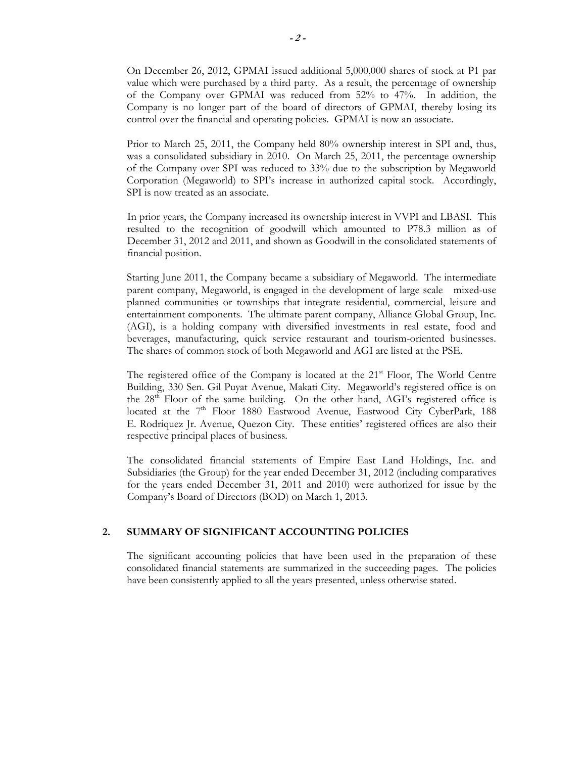On December 26, 2012, GPMAI issued additional 5,000,000 shares of stock at P1 par value which were purchased by a third party. As a result, the percentage of ownership of the Company over GPMAI was reduced from 52% to 47%. In addition, the Company is no longer part of the board of directors of GPMAI, thereby losing its control over the financial and operating policies. GPMAI is now an associate.

Prior to March 25, 2011, the Company held 80% ownership interest in SPI and, thus, was a consolidated subsidiary in 2010. On March 25, 2011, the percentage ownership of the Company over SPI was reduced to 33% due to the subscription by Megaworld Corporation (Megaworld) to SPI's increase in authorized capital stock. Accordingly, SPI is now treated as an associate.

In prior years, the Company increased its ownership interest in VVPI and LBASI. This resulted to the recognition of goodwill which amounted to P78.3 million as of December 31, 2012 and 2011, and shown as Goodwill in the consolidated statements of financial position.

Starting June 2011, the Company became a subsidiary of Megaworld. The intermediate parent company, Megaworld, is engaged in the development of large scale mixed-use planned communities or townships that integrate residential, commercial, leisure and entertainment components. The ultimate parent company, Alliance Global Group, Inc. (AGI), is a holding company with diversified investments in real estate, food and beverages, manufacturing, quick service restaurant and tourism-oriented businesses. The shares of common stock of both Megaworld and AGI are listed at the PSE.

The registered office of the Company is located at the 21<sup>st</sup> Floor, The World Centre Building, 330 Sen. Gil Puyat Avenue, Makati City. Megaworld's registered office is on the  $28<sup>th</sup>$  Floor of the same building. On the other hand, AGI's registered office is located at the 7<sup>th</sup> Floor 1880 Eastwood Avenue, Eastwood City CyberPark, 188 E. Rodriquez Jr. Avenue, Quezon City. These entities' registered offices are also their respective principal places of business.

 The consolidated financial statements of Empire East Land Holdings, Inc. and Subsidiaries (the Group) for the year ended December 31, 2012 (including comparatives for the years ended December 31, 2011 and 2010) were authorized for issue by the Company's Board of Directors (BOD) on March 1, 2013.

## **2. SUMMARY OF SIGNIFICANT ACCOUNTING POLICIES**

The significant accounting policies that have been used in the preparation of these consolidated financial statements are summarized in the succeeding pages. The policies have been consistently applied to all the years presented, unless otherwise stated.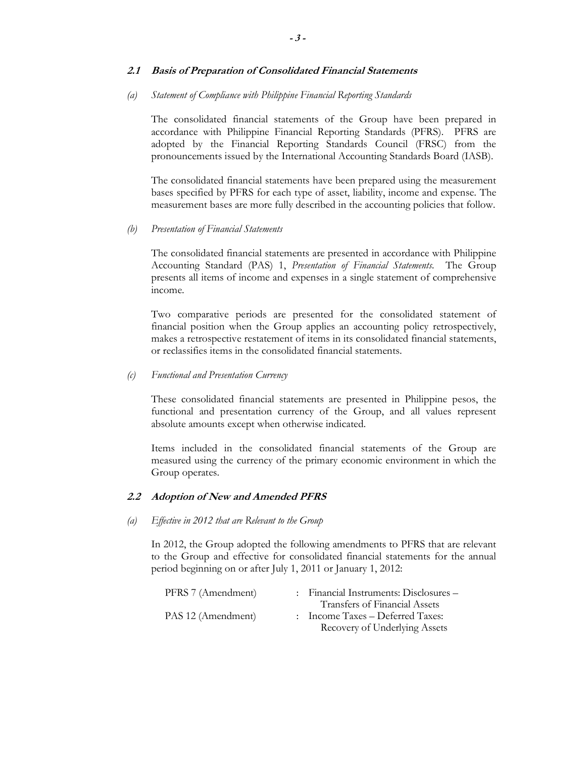#### **2.1 Basis of Preparation of Consolidated Financial Statements**

#### *(a) Statement of Compliance with Philippine Financial Reporting Standards*

The consolidated financial statements of the Group have been prepared in accordance with Philippine Financial Reporting Standards (PFRS). PFRS are adopted by the Financial Reporting Standards Council (FRSC) from the pronouncements issued by the International Accounting Standards Board (IASB).

The consolidated financial statements have been prepared using the measurement bases specified by PFRS for each type of asset, liability, income and expense. The measurement bases are more fully described in the accounting policies that follow.

*(b) Presentation of Financial Statements*

The consolidated financial statements are presented in accordance with Philippine Accounting Standard (PAS) 1, *Presentation of Financial Statements*. The Group presents all items of income and expenses in a single statement of comprehensive income.

Two comparative periods are presented for the consolidated statement of financial position when the Group applies an accounting policy retrospectively, makes a retrospective restatement of items in its consolidated financial statements, or reclassifies items in the consolidated financial statements.

## *(c) Functional and Presentation Currency*

These consolidated financial statements are presented in Philippine pesos, the functional and presentation currency of the Group, and all values represent absolute amounts except when otherwise indicated.

Items included in the consolidated financial statements of the Group are measured using the currency of the primary economic environment in which the Group operates.

## **2.2 Adoption of New and Amended PFRS**

#### *(a) Effective in 2012 that are Relevant to the Group*

In 2012, the Group adopted the following amendments to PFRS that are relevant to the Group and effective for consolidated financial statements for the annual period beginning on or after July 1, 2011 or January 1, 2012:

| PFRS 7 (Amendment) | : Financial Instruments: Disclosures – |
|--------------------|----------------------------------------|
|                    | Transfers of Financial Assets          |
| PAS 12 (Amendment) | $:$ Income Taxes – Deferred Taxes:     |
|                    | Recovery of Underlying Assets          |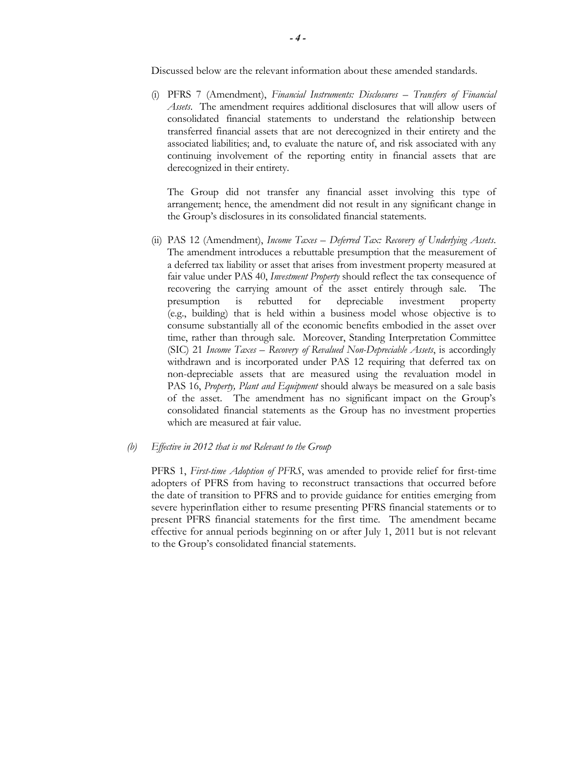Discussed below are the relevant information about these amended standards.

(i) PFRS 7 (Amendment), *Financial Instruments: Disclosures – Transfers of Financial Assets*. The amendment requires additional disclosures that will allow users of consolidated financial statements to understand the relationship between transferred financial assets that are not derecognized in their entirety and the associated liabilities; and, to evaluate the nature of, and risk associated with any continuing involvement of the reporting entity in financial assets that are derecognized in their entirety.

The Group did not transfer any financial asset involving this type of arrangement; hence, the amendment did not result in any significant change in the Group's disclosures in its consolidated financial statements.

(ii) PAS 12 (Amendment), *Income Taxes – Deferred Tax: Recovery of Underlying Assets*. The amendment introduces a rebuttable presumption that the measurement of a deferred tax liability or asset that arises from investment property measured at fair value under PAS 40, *Investment Property* should reflect the tax consequence of recovering the carrying amount of the asset entirely through sale. The presumption is rebutted for depreciable investment property (e.g., building) that is held within a business model whose objective is to consume substantially all of the economic benefits embodied in the asset over time, rather than through sale. Moreover, Standing Interpretation Committee (SIC) 21 *Income Taxes – Recovery of Revalued Non-Depreciable Assets*, is accordingly withdrawn and is incorporated under PAS 12 requiring that deferred tax on non-depreciable assets that are measured using the revaluation model in PAS 16, *Property, Plant and Equipment* should always be measured on a sale basis of the asset. The amendment has no significant impact on the Group's consolidated financial statements as the Group has no investment properties which are measured at fair value.

#### *(b) Effective in 2012 that is not Relevant to the Group*

PFRS 1, *First-time Adoption of PFRS*, was amended to provide relief for first-time adopters of PFRS from having to reconstruct transactions that occurred before the date of transition to PFRS and to provide guidance for entities emerging from severe hyperinflation either to resume presenting PFRS financial statements or to present PFRS financial statements for the first time. The amendment became effective for annual periods beginning on or after July 1, 2011 but is not relevant to the Group's consolidated financial statements.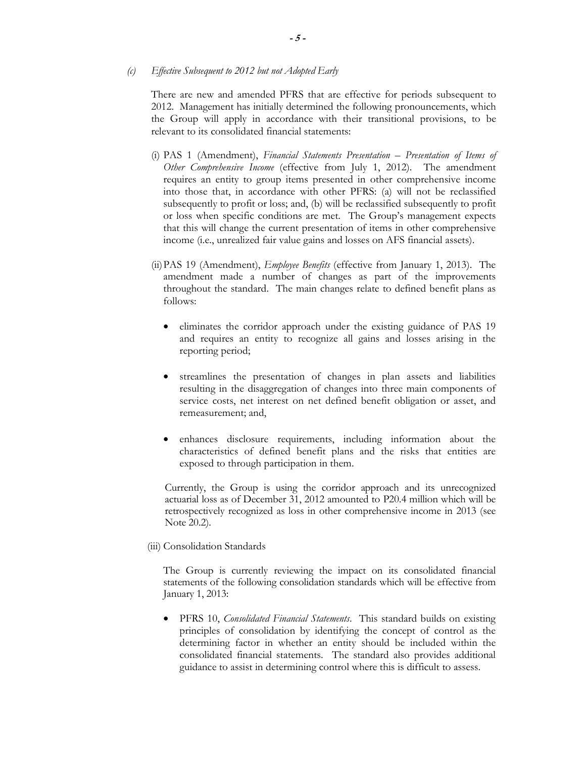#### *(c) Effective Subsequent to 2012 but not Adopted Early*

There are new and amended PFRS that are effective for periods subsequent to 2012. Management has initially determined the following pronouncements, which the Group will apply in accordance with their transitional provisions, to be relevant to its consolidated financial statements:

- (i) PAS 1 (Amendment), *Financial Statements Presentation Presentation of Items of Other Comprehensive Income* (effective from July 1, 2012). The amendment requires an entity to group items presented in other comprehensive income into those that, in accordance with other PFRS: (a) will not be reclassified subsequently to profit or loss; and, (b) will be reclassified subsequently to profit or loss when specific conditions are met. The Group's management expects that this will change the current presentation of items in other comprehensive income (i.e., unrealized fair value gains and losses on AFS financial assets).
- (ii)PAS 19 (Amendment), *Employee Benefits* (effective from January 1, 2013). The amendment made a number of changes as part of the improvements throughout the standard. The main changes relate to defined benefit plans as follows:
	- eliminates the corridor approach under the existing guidance of PAS 19 and requires an entity to recognize all gains and losses arising in the reporting period;
	- streamlines the presentation of changes in plan assets and liabilities resulting in the disaggregation of changes into three main components of service costs, net interest on net defined benefit obligation or asset, and remeasurement; and,
	- enhances disclosure requirements, including information about the characteristics of defined benefit plans and the risks that entities are exposed to through participation in them.

Currently, the Group is using the corridor approach and its unrecognized actuarial loss as of December 31, 2012 amounted to P20.4 million which will be retrospectively recognized as loss in other comprehensive income in 2013 (see Note 20.2).

#### (iii) Consolidation Standards

The Group is currently reviewing the impact on its consolidated financial statements of the following consolidation standards which will be effective from January 1, 2013:

• PFRS 10, *Consolidated Financial Statements*. This standard builds on existing principles of consolidation by identifying the concept of control as the determining factor in whether an entity should be included within the consolidated financial statements. The standard also provides additional guidance to assist in determining control where this is difficult to assess.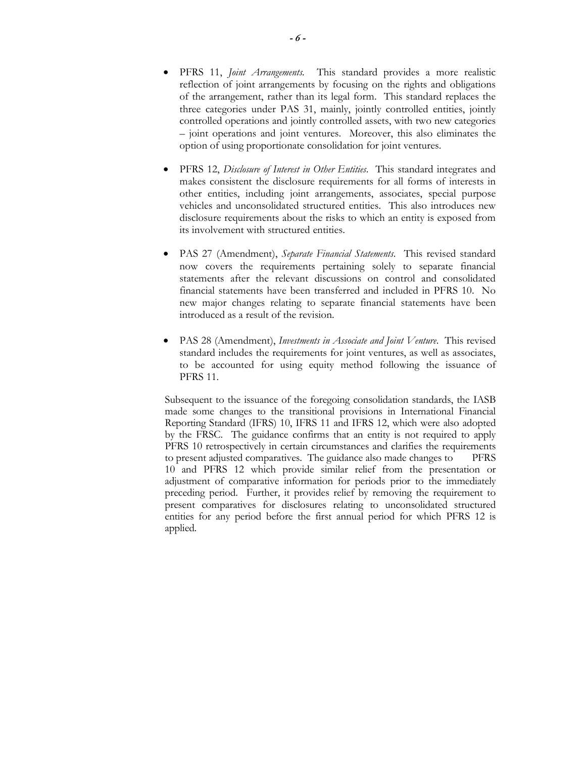- PFRS 11, *Joint Arrangements.* This standard provides a more realistic reflection of joint arrangements by focusing on the rights and obligations of the arrangement, rather than its legal form. This standard replaces the three categories under PAS 31, mainly, jointly controlled entities, jointly controlled operations and jointly controlled assets, with two new categories – joint operations and joint ventures. Moreover, this also eliminates the option of using proportionate consolidation for joint ventures.
- PFRS 12, *Disclosure of Interest in Other Entities*. This standard integrates and makes consistent the disclosure requirements for all forms of interests in other entities, including joint arrangements, associates, special purpose vehicles and unconsolidated structured entities. This also introduces new disclosure requirements about the risks to which an entity is exposed from its involvement with structured entities.
- PAS 27 (Amendment), *Separate Financial Statements*. This revised standard now covers the requirements pertaining solely to separate financial statements after the relevant discussions on control and consolidated financial statements have been transferred and included in PFRS 10. No new major changes relating to separate financial statements have been introduced as a result of the revision.
- PAS 28 (Amendment), *Investments in Associate and Joint Venture*. This revised standard includes the requirements for joint ventures, as well as associates, to be accounted for using equity method following the issuance of PFRS 11.

Subsequent to the issuance of the foregoing consolidation standards, the IASB made some changes to the transitional provisions in International Financial Reporting Standard (IFRS) 10, IFRS 11 and IFRS 12, which were also adopted by the FRSC. The guidance confirms that an entity is not required to apply PFRS 10 retrospectively in certain circumstances and clarifies the requirements to present adjusted comparatives. The guidance also made changes to PFRS 10 and PFRS 12 which provide similar relief from the presentation or adjustment of comparative information for periods prior to the immediately preceding period. Further, it provides relief by removing the requirement to present comparatives for disclosures relating to unconsolidated structured entities for any period before the first annual period for which PFRS 12 is applied.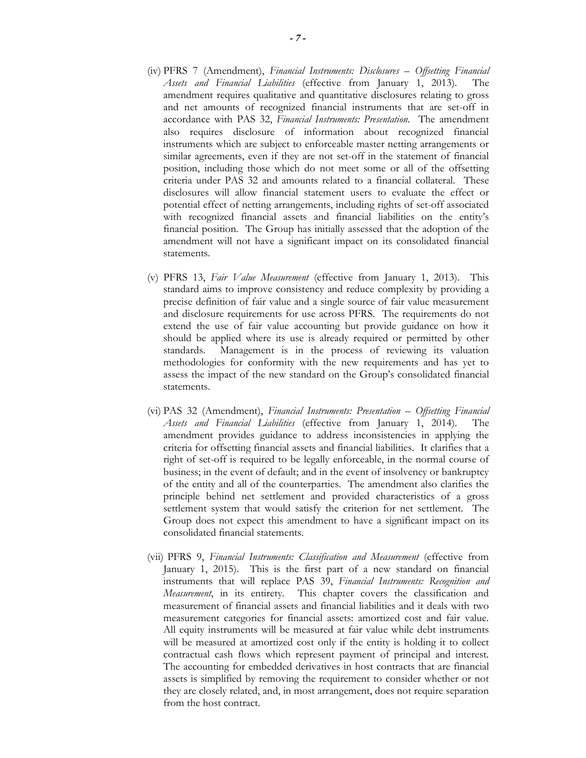- (iv) PFRS 7 (Amendment), *Financial Instruments: Disclosures Offsetting Financial Assets and Financial Liabilities* (effective from January 1, 2013). The amendment requires qualitative and quantitative disclosures relating to gross and net amounts of recognized financial instruments that are set-off in accordance with PAS 32, *Financial Instruments: Presentation*. The amendment also requires disclosure of information about recognized financial instruments which are subject to enforceable master netting arrangements or similar agreements, even if they are not set-off in the statement of financial position, including those which do not meet some or all of the offsetting criteria under PAS 32 and amounts related to a financial collateral. These disclosures will allow financial statement users to evaluate the effect or potential effect of netting arrangements, including rights of set-off associated with recognized financial assets and financial liabilities on the entity's financial position. The Group has initially assessed that the adoption of the amendment will not have a significant impact on its consolidated financial statements.
- (v) PFRS 13, *Fair Value Measurement* (effective from January 1, 2013). This standard aims to improve consistency and reduce complexity by providing a precise definition of fair value and a single source of fair value measurement and disclosure requirements for use across PFRS. The requirements do not extend the use of fair value accounting but provide guidance on how it should be applied where its use is already required or permitted by other standards. Management is in the process of reviewing its valuation methodologies for conformity with the new requirements and has yet to assess the impact of the new standard on the Group's consolidated financial statements.
- (vi) PAS 32 (Amendment), *Financial Instruments: Presentation Offsetting Financial Assets and Financial Liabilities* (effective from January 1, 2014). The amendment provides guidance to address inconsistencies in applying the criteria for offsetting financial assets and financial liabilities. It clarifies that a right of set-off is required to be legally enforceable, in the normal course of business; in the event of default; and in the event of insolvency or bankruptcy of the entity and all of the counterparties. The amendment also clarifies the principle behind net settlement and provided characteristics of a gross settlement system that would satisfy the criterion for net settlement. The Group does not expect this amendment to have a significant impact on its consolidated financial statements.
- (vii) PFRS 9, *Financial Instruments: Classification and Measurement* (effective from January 1, 2015). This is the first part of a new standard on financial instruments that will replace PAS 39, *Financial Instruments: Recognition and Measurement*, in its entirety. This chapter covers the classification and measurement of financial assets and financial liabilities and it deals with two measurement categories for financial assets: amortized cost and fair value. All equity instruments will be measured at fair value while debt instruments will be measured at amortized cost only if the entity is holding it to collect contractual cash flows which represent payment of principal and interest. The accounting for embedded derivatives in host contracts that are financial assets is simplified by removing the requirement to consider whether or not they are closely related, and, in most arrangement, does not require separation from the host contract.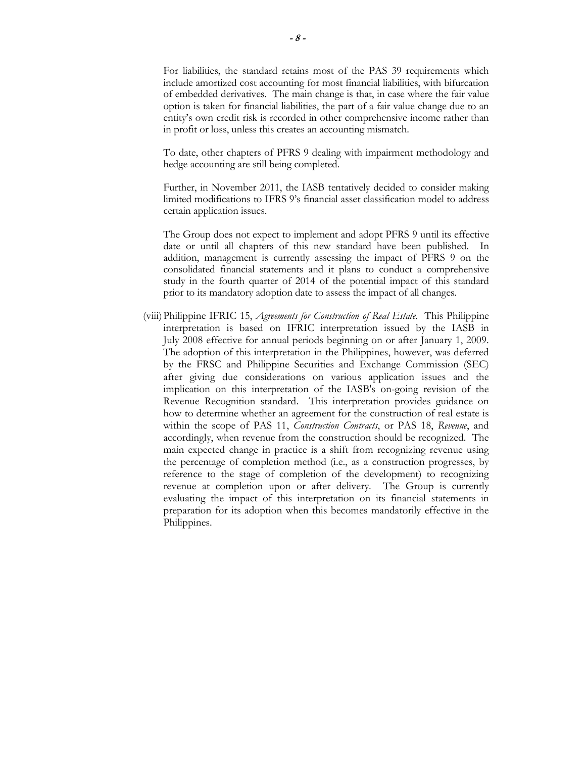For liabilities, the standard retains most of the PAS 39 requirements which include amortized cost accounting for most financial liabilities, with bifurcation of embedded derivatives. The main change is that, in case where the fair value option is taken for financial liabilities, the part of a fair value change due to an entity's own credit risk is recorded in other comprehensive income rather than in profit or loss, unless this creates an accounting mismatch.

To date, other chapters of PFRS 9 dealing with impairment methodology and hedge accounting are still being completed.

Further, in November 2011, the IASB tentatively decided to consider making limited modifications to IFRS 9's financial asset classification model to address certain application issues.

The Group does not expect to implement and adopt PFRS 9 until its effective date or until all chapters of this new standard have been published. In addition, management is currently assessing the impact of PFRS 9 on the consolidated financial statements and it plans to conduct a comprehensive study in the fourth quarter of 2014 of the potential impact of this standard prior to its mandatory adoption date to assess the impact of all changes.

(viii)Philippine IFRIC 15, *Agreements for Construction of Real Estate*. This Philippine interpretation is based on IFRIC interpretation issued by the IASB in July 2008 effective for annual periods beginning on or after January 1, 2009. The adoption of this interpretation in the Philippines, however, was deferred by the FRSC and Philippine Securities and Exchange Commission (SEC) after giving due considerations on various application issues and the implication on this interpretation of the IASB's on-going revision of the Revenue Recognition standard. This interpretation provides guidance on how to determine whether an agreement for the construction of real estate is within the scope of PAS 11, *Construction Contracts*, or PAS 18, *Revenue*, and accordingly, when revenue from the construction should be recognized. The main expected change in practice is a shift from recognizing revenue using the percentage of completion method (i.e., as a construction progresses, by reference to the stage of completion of the development) to recognizing revenue at completion upon or after delivery. The Group is currently evaluating the impact of this interpretation on its financial statements in preparation for its adoption when this becomes mandatorily effective in the Philippines.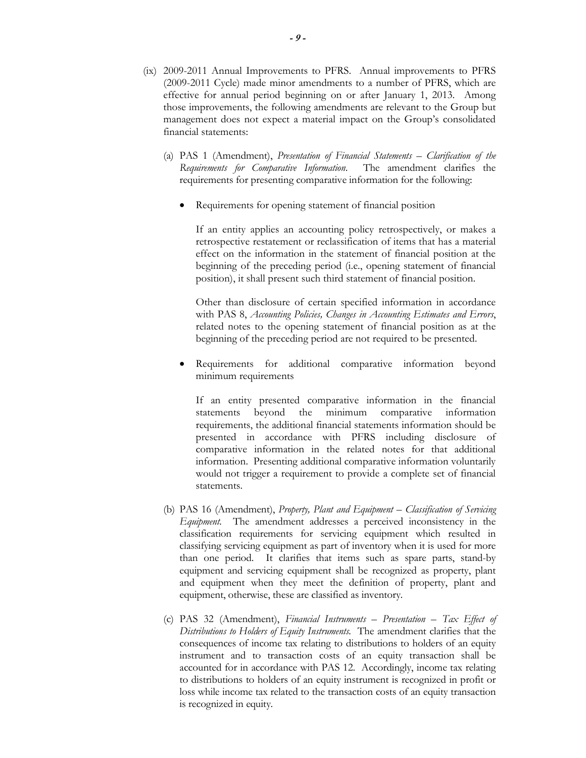- (ix) 2009-2011 Annual Improvements to PFRS. Annual improvements to PFRS (2009-2011 Cycle) made minor amendments to a number of PFRS, which are effective for annual period beginning on or after January 1, 2013. Among those improvements, the following amendments are relevant to the Group but management does not expect a material impact on the Group's consolidated financial statements:
	- (a) PAS 1 (Amendment), *Presentation of Financial Statements Clarification of the Requirements for Comparative Information*. The amendment clarifies the requirements for presenting comparative information for the following:
		- Requirements for opening statement of financial position

If an entity applies an accounting policy retrospectively, or makes a retrospective restatement or reclassification of items that has a material effect on the information in the statement of financial position at the beginning of the preceding period (i.e., opening statement of financial position), it shall present such third statement of financial position.

Other than disclosure of certain specified information in accordance with PAS 8, *Accounting Policies, Changes in Accounting Estimates and Errors*, related notes to the opening statement of financial position as at the beginning of the preceding period are not required to be presented.

Requirements for additional comparative information beyond minimum requirements

If an entity presented comparative information in the financial statements beyond the minimum comparative information requirements, the additional financial statements information should be presented in accordance with PFRS including disclosure of comparative information in the related notes for that additional information. Presenting additional comparative information voluntarily would not trigger a requirement to provide a complete set of financial statements.

- (b) PAS 16 (Amendment), *Property, Plant and Equipment Classification of Servicing Equipment.* The amendment addresses a perceived inconsistency in the classification requirements for servicing equipment which resulted in classifying servicing equipment as part of inventory when it is used for more than one period. It clarifies that items such as spare parts, stand-by equipment and servicing equipment shall be recognized as property, plant and equipment when they meet the definition of property, plant and equipment, otherwise, these are classified as inventory.
- (c) PAS 32 (Amendment), *Financial Instruments Presentation Tax Effect of Distributions to Holders of Equity Instruments.* The amendment clarifies that the consequences of income tax relating to distributions to holders of an equity instrument and to transaction costs of an equity transaction shall be accounted for in accordance with PAS 12. Accordingly, income tax relating to distributions to holders of an equity instrument is recognized in profit or loss while income tax related to the transaction costs of an equity transaction is recognized in equity.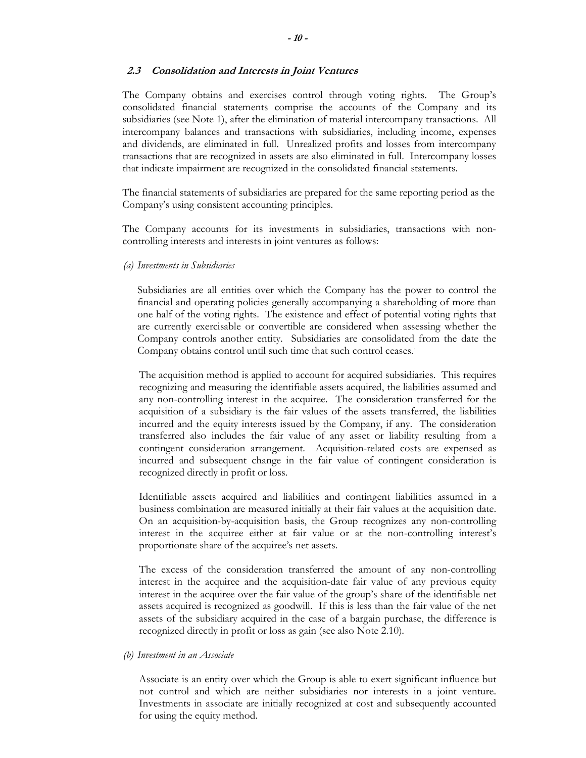#### **2.3 Consolidation and Interests in Joint Ventures**

The Company obtains and exercises control through voting rights. The Group's consolidated financial statements comprise the accounts of the Company and its subsidiaries (see Note 1), after the elimination of material intercompany transactions. All intercompany balances and transactions with subsidiaries, including income, expenses and dividends, are eliminated in full. Unrealized profits and losses from intercompany transactions that are recognized in assets are also eliminated in full. Intercompany losses that indicate impairment are recognized in the consolidated financial statements.

The financial statements of subsidiaries are prepared for the same reporting period as the Company's using consistent accounting principles.

The Company accounts for its investments in subsidiaries, transactions with noncontrolling interests and interests in joint ventures as follows:

*(a) Investments in Subsidiaries* 

Subsidiaries are all entities over which the Company has the power to control the financial and operating policies generally accompanying a shareholding of more than one half of the voting rights. The existence and effect of potential voting rights that are currently exercisable or convertible are considered when assessing whether the Company controls another entity. Subsidiaries are consolidated from the date the Company obtains control until such time that such control ceases..

The acquisition method is applied to account for acquired subsidiaries. This requires recognizing and measuring the identifiable assets acquired, the liabilities assumed and any non-controlling interest in the acquiree. The consideration transferred for the acquisition of a subsidiary is the fair values of the assets transferred, the liabilities incurred and the equity interests issued by the Company, if any. The consideration transferred also includes the fair value of any asset or liability resulting from a contingent consideration arrangement. Acquisition-related costs are expensed as incurred and subsequent change in the fair value of contingent consideration is recognized directly in profit or loss.

Identifiable assets acquired and liabilities and contingent liabilities assumed in a business combination are measured initially at their fair values at the acquisition date. On an acquisition-by-acquisition basis, the Group recognizes any non-controlling interest in the acquiree either at fair value or at the non-controlling interest's proportionate share of the acquiree's net assets.

The excess of the consideration transferred the amount of any non-controlling interest in the acquiree and the acquisition-date fair value of any previous equity interest in the acquiree over the fair value of the group's share of the identifiable net assets acquired is recognized as goodwill. If this is less than the fair value of the net assets of the subsidiary acquired in the case of a bargain purchase, the difference is recognized directly in profit or loss as gain (see also Note 2.10).

*(b) Investment in an Associate* 

Associate is an entity over which the Group is able to exert significant influence but not control and which are neither subsidiaries nor interests in a joint venture. Investments in associate are initially recognized at cost and subsequently accounted for using the equity method.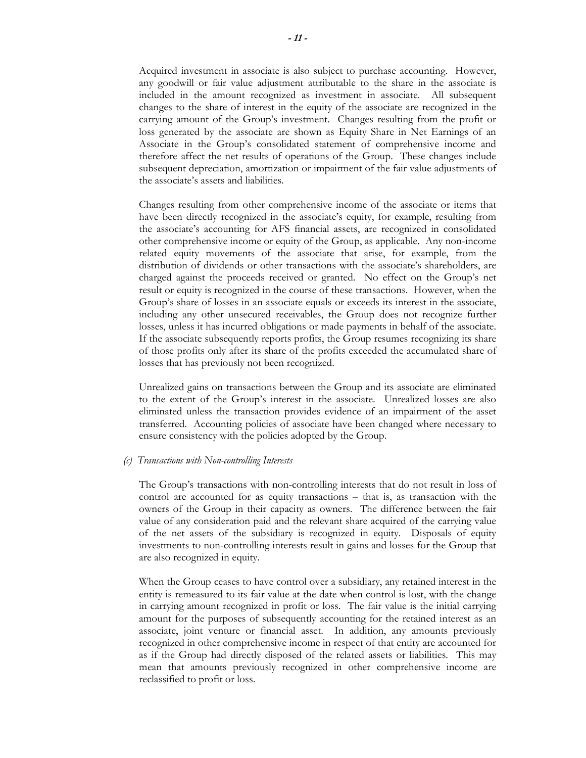Acquired investment in associate is also subject to purchase accounting. However, any goodwill or fair value adjustment attributable to the share in the associate is included in the amount recognized as investment in associate. All subsequent changes to the share of interest in the equity of the associate are recognized in the carrying amount of the Group's investment. Changes resulting from the profit or loss generated by the associate are shown as Equity Share in Net Earnings of an Associate in the Group's consolidated statement of comprehensive income and therefore affect the net results of operations of the Group. These changes include subsequent depreciation, amortization or impairment of the fair value adjustments of the associate's assets and liabilities.

Changes resulting from other comprehensive income of the associate or items that have been directly recognized in the associate's equity, for example, resulting from the associate's accounting for AFS financial assets, are recognized in consolidated other comprehensive income or equity of the Group, as applicable. Any non-income related equity movements of the associate that arise, for example, from the distribution of dividends or other transactions with the associate's shareholders, are charged against the proceeds received or granted. No effect on the Group's net result or equity is recognized in the course of these transactions. However, when the Group's share of losses in an associate equals or exceeds its interest in the associate, including any other unsecured receivables, the Group does not recognize further losses, unless it has incurred obligations or made payments in behalf of the associate. If the associate subsequently reports profits, the Group resumes recognizing its share of those profits only after its share of the profits exceeded the accumulated share of losses that has previously not been recognized.

Unrealized gains on transactions between the Group and its associate are eliminated to the extent of the Group's interest in the associate. Unrealized losses are also eliminated unless the transaction provides evidence of an impairment of the asset transferred. Accounting policies of associate have been changed where necessary to ensure consistency with the policies adopted by the Group.

#### *(c) Transactions with Non-controlling Interests*

The Group's transactions with non-controlling interests that do not result in loss of control are accounted for as equity transactions – that is, as transaction with the owners of the Group in their capacity as owners. The difference between the fair value of any consideration paid and the relevant share acquired of the carrying value of the net assets of the subsidiary is recognized in equity. Disposals of equity investments to non-controlling interests result in gains and losses for the Group that are also recognized in equity.

When the Group ceases to have control over a subsidiary, any retained interest in the entity is remeasured to its fair value at the date when control is lost, with the change in carrying amount recognized in profit or loss. The fair value is the initial carrying amount for the purposes of subsequently accounting for the retained interest as an associate, joint venture or financial asset. In addition, any amounts previously recognized in other comprehensive income in respect of that entity are accounted for as if the Group had directly disposed of the related assets or liabilities. This may mean that amounts previously recognized in other comprehensive income are reclassified to profit or loss.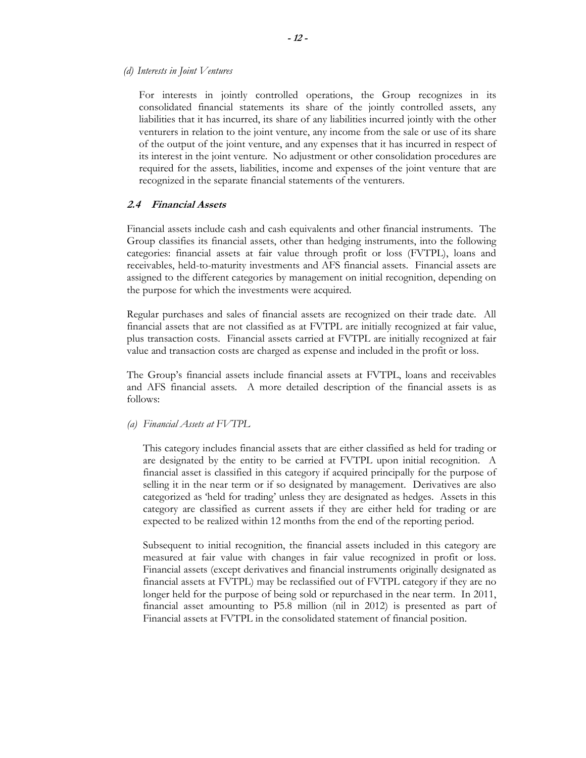#### *(d) Interests in Joint Ventures*

For interests in jointly controlled operations, the Group recognizes in its consolidated financial statements its share of the jointly controlled assets, any liabilities that it has incurred, its share of any liabilities incurred jointly with the other venturers in relation to the joint venture, any income from the sale or use of its share of the output of the joint venture, and any expenses that it has incurred in respect of its interest in the joint venture. No adjustment or other consolidation procedures are required for the assets, liabilities, income and expenses of the joint venture that are recognized in the separate financial statements of the venturers.

#### **2.4 Financial Assets**

Financial assets include cash and cash equivalents and other financial instruments. The Group classifies its financial assets, other than hedging instruments, into the following categories: financial assets at fair value through profit or loss (FVTPL), loans and receivables, held-to-maturity investments and AFS financial assets. Financial assets are assigned to the different categories by management on initial recognition, depending on the purpose for which the investments were acquired.

Regular purchases and sales of financial assets are recognized on their trade date. All financial assets that are not classified as at FVTPL are initially recognized at fair value, plus transaction costs. Financial assets carried at FVTPL are initially recognized at fair value and transaction costs are charged as expense and included in the profit or loss.

The Group's financial assets include financial assets at FVTPL, loans and receivables and AFS financial assets. A more detailed description of the financial assets is as follows:

*(a) Financial Assets at FVTPL*

 This category includes financial assets that are either classified as held for trading or are designated by the entity to be carried at FVTPL upon initial recognition. A financial asset is classified in this category if acquired principally for the purpose of selling it in the near term or if so designated by management. Derivatives are also categorized as 'held for trading' unless they are designated as hedges. Assets in this category are classified as current assets if they are either held for trading or are expected to be realized within 12 months from the end of the reporting period.

Subsequent to initial recognition, the financial assets included in this category are measured at fair value with changes in fair value recognized in profit or loss. Financial assets (except derivatives and financial instruments originally designated as financial assets at FVTPL) may be reclassified out of FVTPL category if they are no longer held for the purpose of being sold or repurchased in the near term. In 2011, financial asset amounting to P5.8 million (nil in 2012) is presented as part of Financial assets at FVTPL in the consolidated statement of financial position.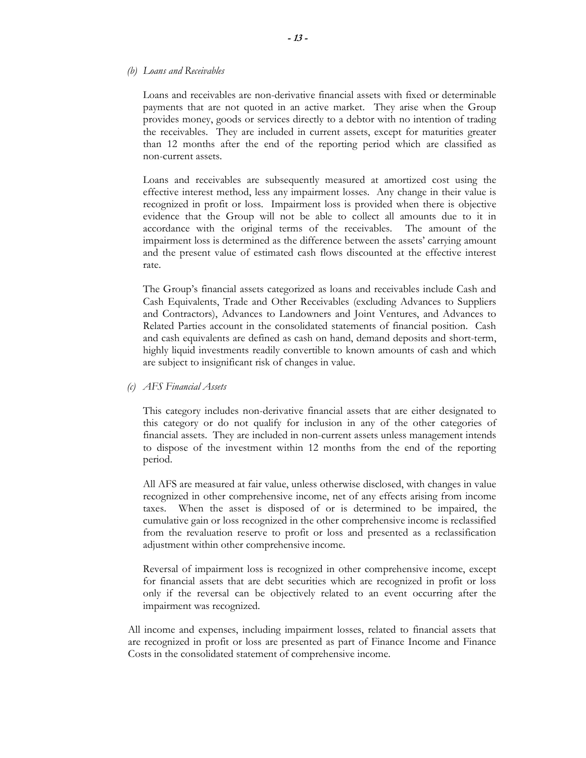#### *(b) Loans and Receivables*

Loans and receivables are non-derivative financial assets with fixed or determinable payments that are not quoted in an active market. They arise when the Group provides money, goods or services directly to a debtor with no intention of trading the receivables. They are included in current assets, except for maturities greater than 12 months after the end of the reporting period which are classified as non-current assets.

 Loans and receivables are subsequently measured at amortized cost using the effective interest method, less any impairment losses. Any change in their value is recognized in profit or loss. Impairment loss is provided when there is objective evidence that the Group will not be able to collect all amounts due to it in accordance with the original terms of the receivables. The amount of the impairment loss is determined as the difference between the assets' carrying amount and the present value of estimated cash flows discounted at the effective interest rate.

The Group's financial assets categorized as loans and receivables include Cash and Cash Equivalents, Trade and Other Receivables (excluding Advances to Suppliers and Contractors), Advances to Landowners and Joint Ventures, and Advances to Related Parties account in the consolidated statements of financial position. Cash and cash equivalents are defined as cash on hand, demand deposits and short-term, highly liquid investments readily convertible to known amounts of cash and which are subject to insignificant risk of changes in value.

#### *(c) AFS Financial Assets*

This category includes non-derivative financial assets that are either designated to this category or do not qualify for inclusion in any of the other categories of financial assets. They are included in non-current assets unless management intends to dispose of the investment within 12 months from the end of the reporting period.

All AFS are measured at fair value, unless otherwise disclosed, with changes in value recognized in other comprehensive income, net of any effects arising from income taxes. When the asset is disposed of or is determined to be impaired, the cumulative gain or loss recognized in the other comprehensive income is reclassified from the revaluation reserve to profit or loss and presented as a reclassification adjustment within other comprehensive income.

Reversal of impairment loss is recognized in other comprehensive income, except for financial assets that are debt securities which are recognized in profit or loss only if the reversal can be objectively related to an event occurring after the impairment was recognized.

All income and expenses, including impairment losses, related to financial assets that are recognized in profit or loss are presented as part of Finance Income and Finance Costs in the consolidated statement of comprehensive income.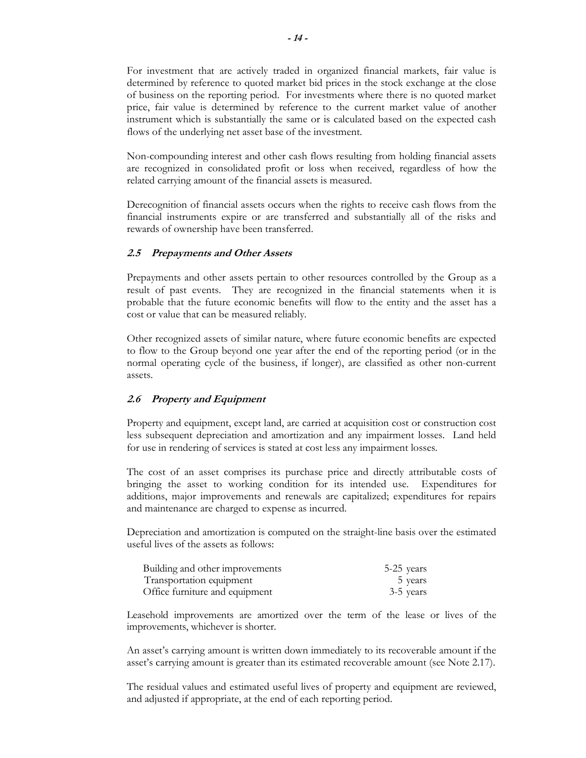For investment that are actively traded in organized financial markets, fair value is determined by reference to quoted market bid prices in the stock exchange at the close of business on the reporting period. For investments where there is no quoted market price, fair value is determined by reference to the current market value of another instrument which is substantially the same or is calculated based on the expected cash flows of the underlying net asset base of the investment.

Non-compounding interest and other cash flows resulting from holding financial assets are recognized in consolidated profit or loss when received, regardless of how the related carrying amount of the financial assets is measured.

Derecognition of financial assets occurs when the rights to receive cash flows from the financial instruments expire or are transferred and substantially all of the risks and rewards of ownership have been transferred.

## **2.5 Prepayments and Other Assets**

Prepayments and other assets pertain to other resources controlled by the Group as a result of past events. They are recognized in the financial statements when it is probable that the future economic benefits will flow to the entity and the asset has a cost or value that can be measured reliably.

Other recognized assets of similar nature, where future economic benefits are expected to flow to the Group beyond one year after the end of the reporting period (or in the normal operating cycle of the business, if longer), are classified as other non-current assets.

## **2.6 Property and Equipment**

Property and equipment, except land, are carried at acquisition cost or construction cost less subsequent depreciation and amortization and any impairment losses. Land held for use in rendering of services is stated at cost less any impairment losses.

The cost of an asset comprises its purchase price and directly attributable costs of bringing the asset to working condition for its intended use. Expenditures for additions, major improvements and renewals are capitalized; expenditures for repairs and maintenance are charged to expense as incurred.

Depreciation and amortization is computed on the straight-line basis over the estimated useful lives of the assets as follows:

| Building and other improvements | 5-25 years |
|---------------------------------|------------|
| Transportation equipment        | 5 years    |
| Office furniture and equipment  | 3-5 years  |

Leasehold improvements are amortized over the term of the lease or lives of the improvements, whichever is shorter.

An asset's carrying amount is written down immediately to its recoverable amount if the asset's carrying amount is greater than its estimated recoverable amount (see Note 2.17).

The residual values and estimated useful lives of property and equipment are reviewed, and adjusted if appropriate, at the end of each reporting period.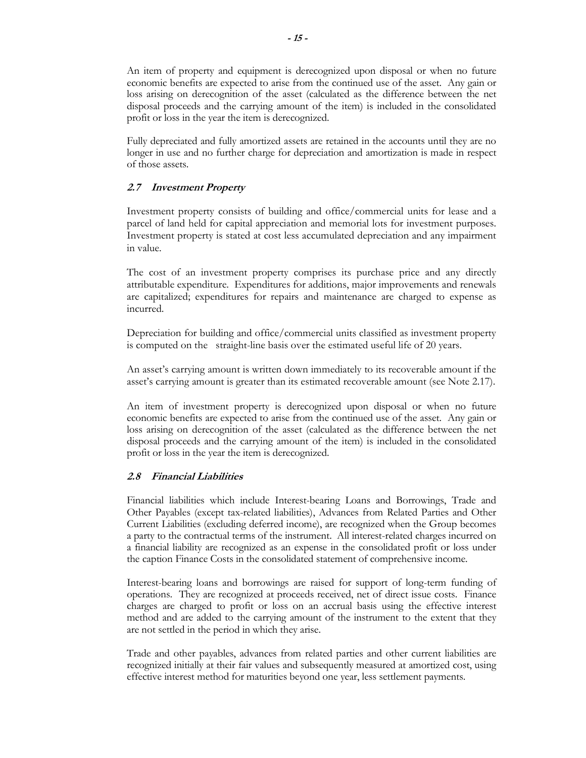An item of property and equipment is derecognized upon disposal or when no future economic benefits are expected to arise from the continued use of the asset. Any gain or loss arising on derecognition of the asset (calculated as the difference between the net disposal proceeds and the carrying amount of the item) is included in the consolidated profit or loss in the year the item is derecognized.

Fully depreciated and fully amortized assets are retained in the accounts until they are no longer in use and no further charge for depreciation and amortization is made in respect of those assets.

## **2.7 Investment Property**

Investment property consists of building and office/commercial units for lease and a parcel of land held for capital appreciation and memorial lots for investment purposes. Investment property is stated at cost less accumulated depreciation and any impairment in value.

The cost of an investment property comprises its purchase price and any directly attributable expenditure. Expenditures for additions, major improvements and renewals are capitalized; expenditures for repairs and maintenance are charged to expense as incurred.

Depreciation for building and office/commercial units classified as investment property is computed on the straight-line basis over the estimated useful life of 20 years.

An asset's carrying amount is written down immediately to its recoverable amount if the asset's carrying amount is greater than its estimated recoverable amount (see Note 2.17).

An item of investment property is derecognized upon disposal or when no future economic benefits are expected to arise from the continued use of the asset. Any gain or loss arising on derecognition of the asset (calculated as the difference between the net disposal proceeds and the carrying amount of the item) is included in the consolidated profit or loss in the year the item is derecognized.

## **2.8 Financial Liabilities**

Financial liabilities which include Interest-bearing Loans and Borrowings, Trade and Other Payables (except tax-related liabilities), Advances from Related Parties and Other Current Liabilities (excluding deferred income), are recognized when the Group becomes a party to the contractual terms of the instrument. All interest-related charges incurred on a financial liability are recognized as an expense in the consolidated profit or loss under the caption Finance Costs in the consolidated statement of comprehensive income.

Interest-bearing loans and borrowings are raised for support of long-term funding of operations. They are recognized at proceeds received, net of direct issue costs. Finance charges are charged to profit or loss on an accrual basis using the effective interest method and are added to the carrying amount of the instrument to the extent that they are not settled in the period in which they arise.

Trade and other payables, advances from related parties and other current liabilities are recognized initially at their fair values and subsequently measured at amortized cost, using effective interest method for maturities beyond one year, less settlement payments.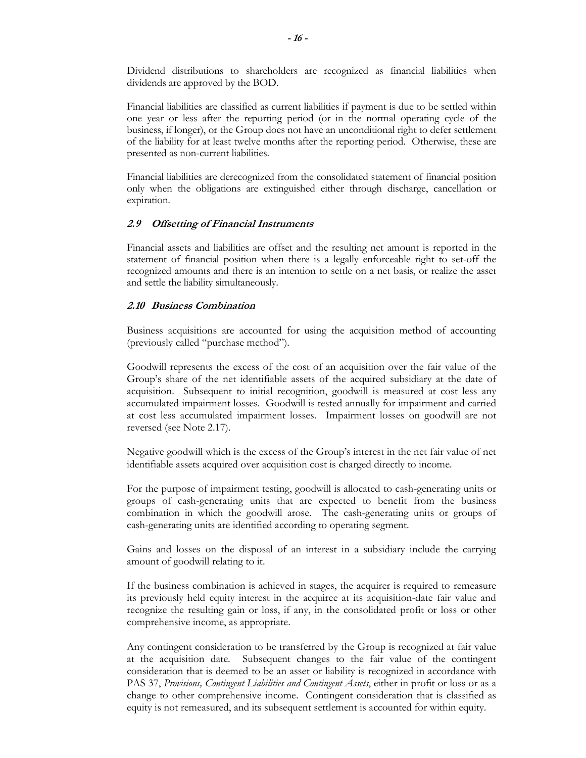Dividend distributions to shareholders are recognized as financial liabilities when dividends are approved by the BOD.

Financial liabilities are classified as current liabilities if payment is due to be settled within one year or less after the reporting period (or in the normal operating cycle of the business, if longer), or the Group does not have an unconditional right to defer settlement of the liability for at least twelve months after the reporting period. Otherwise, these are presented as non-current liabilities.

Financial liabilities are derecognized from the consolidated statement of financial position only when the obligations are extinguished either through discharge, cancellation or expiration.

#### **2.9 Offsetting of Financial Instruments**

Financial assets and liabilities are offset and the resulting net amount is reported in the statement of financial position when there is a legally enforceable right to set-off the recognized amounts and there is an intention to settle on a net basis, or realize the asset and settle the liability simultaneously.

#### **2.10 Business Combination**

Business acquisitions are accounted for using the acquisition method of accounting (previously called "purchase method").

Goodwill represents the excess of the cost of an acquisition over the fair value of the Group's share of the net identifiable assets of the acquired subsidiary at the date of acquisition. Subsequent to initial recognition, goodwill is measured at cost less any accumulated impairment losses. Goodwill is tested annually for impairment and carried at cost less accumulated impairment losses. Impairment losses on goodwill are not reversed (see Note 2.17).

Negative goodwill which is the excess of the Group's interest in the net fair value of net identifiable assets acquired over acquisition cost is charged directly to income.

For the purpose of impairment testing, goodwill is allocated to cash-generating units or groups of cash-generating units that are expected to benefit from the business combination in which the goodwill arose. The cash-generating units or groups of cash-generating units are identified according to operating segment.

Gains and losses on the disposal of an interest in a subsidiary include the carrying amount of goodwill relating to it.

If the business combination is achieved in stages, the acquirer is required to remeasure its previously held equity interest in the acquiree at its acquisition-date fair value and recognize the resulting gain or loss, if any, in the consolidated profit or loss or other comprehensive income, as appropriate.

Any contingent consideration to be transferred by the Group is recognized at fair value at the acquisition date. Subsequent changes to the fair value of the contingent consideration that is deemed to be an asset or liability is recognized in accordance with PAS 37, *Provisions, Contingent Liabilities and Contingent Assets*, either in profit or loss or as a change to other comprehensive income. Contingent consideration that is classified as equity is not remeasured, and its subsequent settlement is accounted for within equity.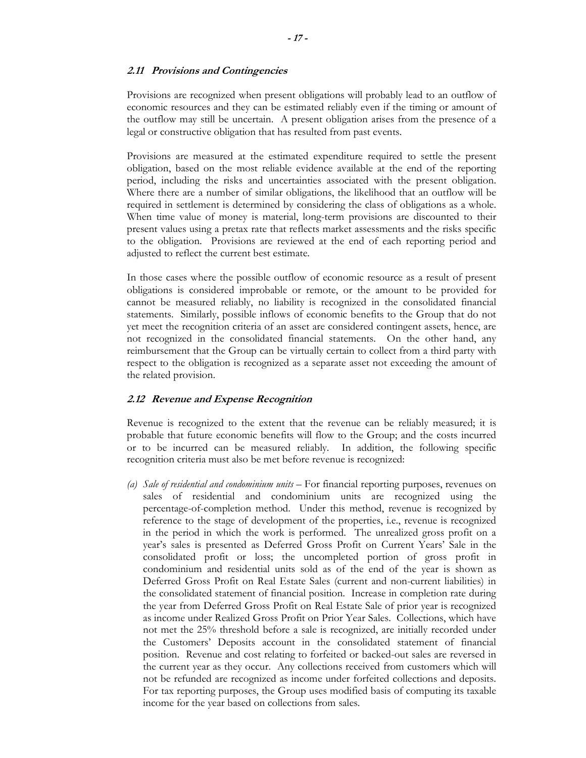#### **2.11 Provisions and Contingencies**

Provisions are recognized when present obligations will probably lead to an outflow of economic resources and they can be estimated reliably even if the timing or amount of the outflow may still be uncertain. A present obligation arises from the presence of a legal or constructive obligation that has resulted from past events.

Provisions are measured at the estimated expenditure required to settle the present obligation, based on the most reliable evidence available at the end of the reporting period, including the risks and uncertainties associated with the present obligation. Where there are a number of similar obligations, the likelihood that an outflow will be required in settlement is determined by considering the class of obligations as a whole. When time value of money is material, long-term provisions are discounted to their present values using a pretax rate that reflects market assessments and the risks specific to the obligation. Provisions are reviewed at the end of each reporting period and adjusted to reflect the current best estimate.

In those cases where the possible outflow of economic resource as a result of present obligations is considered improbable or remote, or the amount to be provided for cannot be measured reliably, no liability is recognized in the consolidated financial statements. Similarly, possible inflows of economic benefits to the Group that do not yet meet the recognition criteria of an asset are considered contingent assets, hence, are not recognized in the consolidated financial statements. On the other hand, any reimbursement that the Group can be virtually certain to collect from a third party with respect to the obligation is recognized as a separate asset not exceeding the amount of the related provision.

## **2.12 Revenue and Expense Recognition**

Revenue is recognized to the extent that the revenue can be reliably measured; it is probable that future economic benefits will flow to the Group; and the costs incurred or to be incurred can be measured reliably. In addition, the following specific recognition criteria must also be met before revenue is recognized:

*(a) Sale of residential and condominium units* – For financial reporting purposes, revenues on sales of residential and condominium units are recognized using the percentage-of-completion method. Under this method, revenue is recognized by reference to the stage of development of the properties, i.e., revenue is recognized in the period in which the work is performed. The unrealized gross profit on a year's sales is presented as Deferred Gross Profit on Current Years' Sale in the consolidated profit or loss; the uncompleted portion of gross profit in condominium and residential units sold as of the end of the year is shown as Deferred Gross Profit on Real Estate Sales (current and non-current liabilities) in the consolidated statement of financial position. Increase in completion rate during the year from Deferred Gross Profit on Real Estate Sale of prior year is recognized as income under Realized Gross Profit on Prior Year Sales. Collections, which have not met the 25% threshold before a sale is recognized, are initially recorded under the Customers' Deposits account in the consolidated statement of financial position. Revenue and cost relating to forfeited or backed-out sales are reversed in the current year as they occur. Any collections received from customers which will not be refunded are recognized as income under forfeited collections and deposits. For tax reporting purposes, the Group uses modified basis of computing its taxable income for the year based on collections from sales.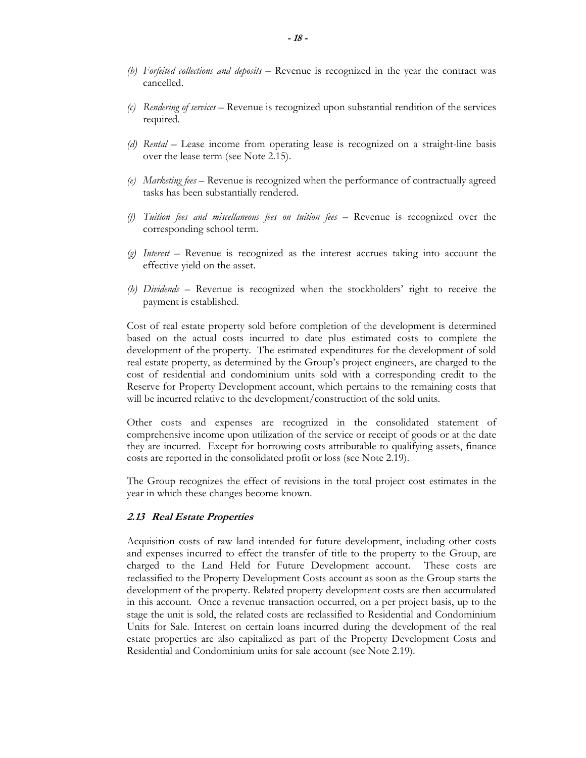- *(b) Forfeited collections and deposits*  Revenue is recognized in the year the contract was cancelled.
- *(c) Rendering of services* Revenue is recognized upon substantial rendition of the services required.
- *(d) Rental* Lease income from operating lease is recognized on a straight-line basis over the lease term (see Note 2.15).
- *(e) Marketing fees* Revenue is recognized when the performance of contractually agreed tasks has been substantially rendered.
- *(f) Tuition fees and miscellaneous fees on tuition fees* Revenue is recognized over the corresponding school term.
- *(g) Interest* Revenue is recognized as the interest accrues taking into account the effective yield on the asset.
- *(h) Dividends* Revenue is recognized when the stockholders' right to receive the payment is established.

Cost of real estate property sold before completion of the development is determined based on the actual costs incurred to date plus estimated costs to complete the development of the property. The estimated expenditures for the development of sold real estate property, as determined by the Group's project engineers, are charged to the cost of residential and condominium units sold with a corresponding credit to the Reserve for Property Development account, which pertains to the remaining costs that will be incurred relative to the development/construction of the sold units.

Other costs and expenses are recognized in the consolidated statement of comprehensive income upon utilization of the service or receipt of goods or at the date they are incurred. Except for borrowing costs attributable to qualifying assets, finance costs are reported in the consolidated profit or loss (see Note 2.19).

The Group recognizes the effect of revisions in the total project cost estimates in the year in which these changes become known.

#### **2.13 Real Estate Properties**

Acquisition costs of raw land intended for future development, including other costs and expenses incurred to effect the transfer of title to the property to the Group, are charged to the Land Held for Future Development account. These costs are reclassified to the Property Development Costs account as soon as the Group starts the development of the property. Related property development costs are then accumulated in this account. Once a revenue transaction occurred, on a per project basis, up to the stage the unit is sold, the related costs are reclassified to Residential and Condominium Units for Sale. Interest on certain loans incurred during the development of the real estate properties are also capitalized as part of the Property Development Costs and Residential and Condominium units for sale account (see Note 2.19).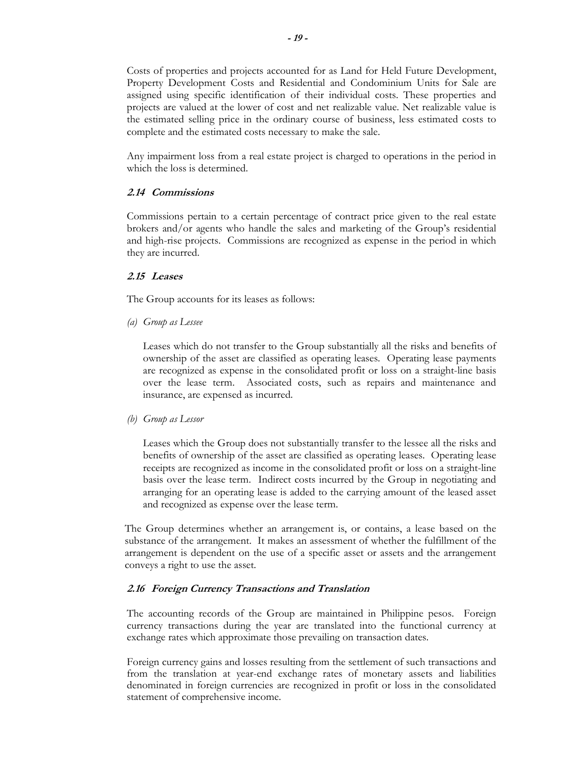Costs of properties and projects accounted for as Land for Held Future Development, Property Development Costs and Residential and Condominium Units for Sale are assigned using specific identification of their individual costs. These properties and projects are valued at the lower of cost and net realizable value. Net realizable value is the estimated selling price in the ordinary course of business, less estimated costs to complete and the estimated costs necessary to make the sale.

Any impairment loss from a real estate project is charged to operations in the period in which the loss is determined.

## **2.14 Commissions**

Commissions pertain to a certain percentage of contract price given to the real estate brokers and/or agents who handle the sales and marketing of the Group's residential and high-rise projects. Commissions are recognized as expense in the period in which they are incurred.

## **2.15 Leases**

The Group accounts for its leases as follows:

*(a) Group as Lessee*

Leases which do not transfer to the Group substantially all the risks and benefits of ownership of the asset are classified as operating leases. Operating lease payments are recognized as expense in the consolidated profit or loss on a straight-line basis over the lease term. Associated costs, such as repairs and maintenance and insurance, are expensed as incurred.

## *(b) Group as Lessor*

Leases which the Group does not substantially transfer to the lessee all the risks and benefits of ownership of the asset are classified as operating leases. Operating lease receipts are recognized as income in the consolidated profit or loss on a straight-line basis over the lease term. Indirect costs incurred by the Group in negotiating and arranging for an operating lease is added to the carrying amount of the leased asset and recognized as expense over the lease term.

The Group determines whether an arrangement is, or contains, a lease based on the substance of the arrangement. It makes an assessment of whether the fulfillment of the arrangement is dependent on the use of a specific asset or assets and the arrangement conveys a right to use the asset.

## **2.16 Foreign Currency Transactions and Translation**

The accounting records of the Group are maintained in Philippine pesos. Foreign currency transactions during the year are translated into the functional currency at exchange rates which approximate those prevailing on transaction dates.

Foreign currency gains and losses resulting from the settlement of such transactions and from the translation at year-end exchange rates of monetary assets and liabilities denominated in foreign currencies are recognized in profit or loss in the consolidated statement of comprehensive income.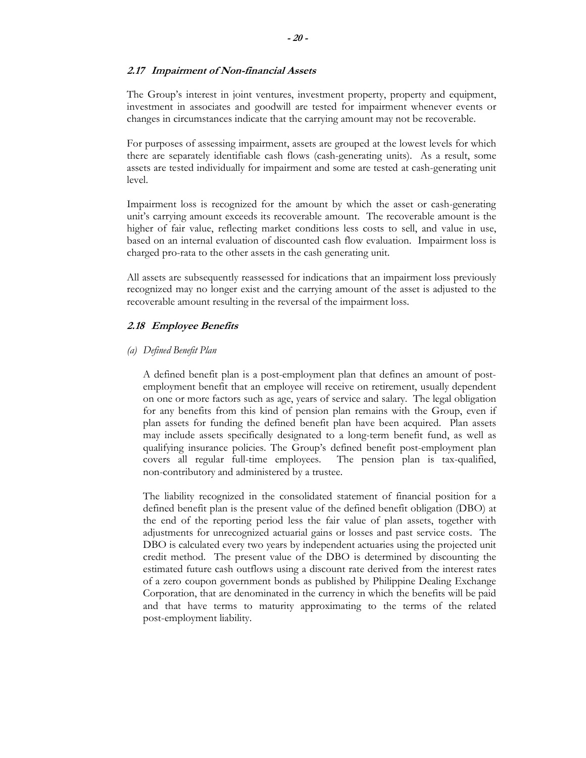## **2.17 Impairment of Non-financial Assets**

The Group's interest in joint ventures, investment property, property and equipment, investment in associates and goodwill are tested for impairment whenever events or changes in circumstances indicate that the carrying amount may not be recoverable.

For purposes of assessing impairment, assets are grouped at the lowest levels for which there are separately identifiable cash flows (cash-generating units). As a result, some assets are tested individually for impairment and some are tested at cash-generating unit level.

Impairment loss is recognized for the amount by which the asset or cash-generating unit's carrying amount exceeds its recoverable amount. The recoverable amount is the higher of fair value, reflecting market conditions less costs to sell, and value in use, based on an internal evaluation of discounted cash flow evaluation. Impairment loss is charged pro-rata to the other assets in the cash generating unit.

All assets are subsequently reassessed for indications that an impairment loss previously recognized may no longer exist and the carrying amount of the asset is adjusted to the recoverable amount resulting in the reversal of the impairment loss.

## **2.18 Employee Benefits**

## *(a) Defined Benefit Plan*

A defined benefit plan is a post-employment plan that defines an amount of postemployment benefit that an employee will receive on retirement, usually dependent on one or more factors such as age, years of service and salary. The legal obligation for any benefits from this kind of pension plan remains with the Group, even if plan assets for funding the defined benefit plan have been acquired. Plan assets may include assets specifically designated to a long-term benefit fund, as well as qualifying insurance policies. The Group's defined benefit post-employment plan covers all regular full-time employees. The pension plan is tax-qualified, non-contributory and administered by a trustee.

The liability recognized in the consolidated statement of financial position for a defined benefit plan is the present value of the defined benefit obligation (DBO) at the end of the reporting period less the fair value of plan assets, together with adjustments for unrecognized actuarial gains or losses and past service costs. The DBO is calculated every two years by independent actuaries using the projected unit credit method. The present value of the DBO is determined by discounting the estimated future cash outflows using a discount rate derived from the interest rates of a zero coupon government bonds as published by Philippine Dealing Exchange Corporation, that are denominated in the currency in which the benefits will be paid and that have terms to maturity approximating to the terms of the related post-employment liability.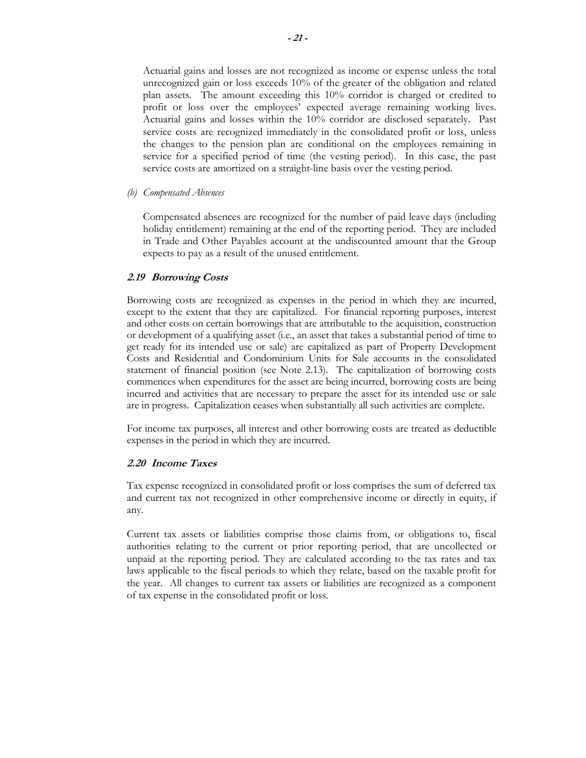Actuarial gains and losses are not recognized as income or expense unless the total unrecognized gain or loss exceeds 10% of the greater of the obligation and related plan assets. The amount exceeding this 10% corridor is charged or credited to profit or loss over the employees' expected average remaining working lives. Actuarial gains and losses within the 10% corridor are disclosed separately. Past service costs are recognized immediately in the consolidated profit or loss, unless the changes to the pension plan are conditional on the employees remaining in service for a specified period of time (the vesting period). In this case, the past service costs are amortized on a straight-line basis over the vesting period.

#### *(b) Compensated Absences*

Compensated absences are recognized for the number of paid leave days (including holiday entitlement) remaining at the end of the reporting period. They are included in Trade and Other Payables account at the undiscounted amount that the Group expects to pay as a result of the unused entitlement.

#### **2.19 Borrowing Costs**

Borrowing costs are recognized as expenses in the period in which they are incurred, except to the extent that they are capitalized. For financial reporting purposes, interest and other costs on certain borrowings that are attributable to the acquisition, construction or development of a qualifying asset (i.e., an asset that takes a substantial period of time to get ready for its intended use or sale) are capitalized as part of Property Development Costs and Residential and Condominium Units for Sale accounts in the consolidated statement of financial position (see Note 2.13). The capitalization of borrowing costs commences when expenditures for the asset are being incurred, borrowing costs are being incurred and activities that are necessary to prepare the asset for its intended use or sale are in progress. Capitalization ceases when substantially all such activities are complete.

For income tax purposes, all interest and other borrowing costs are treated as deductible expenses in the period in which they are incurred.

#### **2.20 Income Taxes**

Tax expense recognized in consolidated profit or loss comprises the sum of deferred tax and current tax not recognized in other comprehensive income or directly in equity, if any.

Current tax assets or liabilities comprise those claims from, or obligations to, fiscal authorities relating to the current or prior reporting period, that are uncollected or unpaid at the reporting period. They are calculated according to the tax rates and tax laws applicable to the fiscal periods to which they relate, based on the taxable profit for the year. All changes to current tax assets or liabilities are recognized as a component of tax expense in the consolidated profit or loss.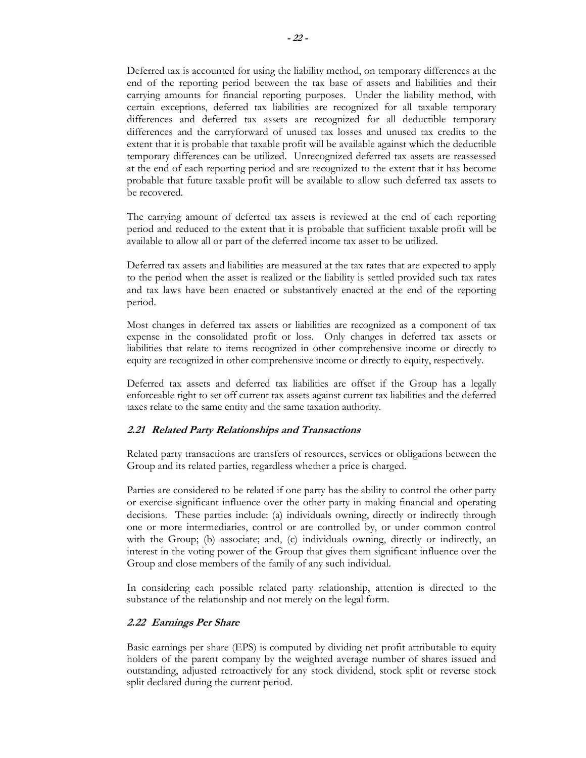Deferred tax is accounted for using the liability method, on temporary differences at the end of the reporting period between the tax base of assets and liabilities and their carrying amounts for financial reporting purposes. Under the liability method, with certain exceptions, deferred tax liabilities are recognized for all taxable temporary differences and deferred tax assets are recognized for all deductible temporary differences and the carryforward of unused tax losses and unused tax credits to the extent that it is probable that taxable profit will be available against which the deductible temporary differences can be utilized. Unrecognized deferred tax assets are reassessed at the end of each reporting period and are recognized to the extent that it has become probable that future taxable profit will be available to allow such deferred tax assets to be recovered.

The carrying amount of deferred tax assets is reviewed at the end of each reporting period and reduced to the extent that it is probable that sufficient taxable profit will be available to allow all or part of the deferred income tax asset to be utilized.

Deferred tax assets and liabilities are measured at the tax rates that are expected to apply to the period when the asset is realized or the liability is settled provided such tax rates and tax laws have been enacted or substantively enacted at the end of the reporting period.

Most changes in deferred tax assets or liabilities are recognized as a component of tax expense in the consolidated profit or loss. Only changes in deferred tax assets or liabilities that relate to items recognized in other comprehensive income or directly to equity are recognized in other comprehensive income or directly to equity, respectively.

Deferred tax assets and deferred tax liabilities are offset if the Group has a legally enforceable right to set off current tax assets against current tax liabilities and the deferred taxes relate to the same entity and the same taxation authority.

## **2.21 Related Party Relationships and Transactions**

Related party transactions are transfers of resources, services or obligations between the Group and its related parties, regardless whether a price is charged.

Parties are considered to be related if one party has the ability to control the other party or exercise significant influence over the other party in making financial and operating decisions. These parties include: (a) individuals owning, directly or indirectly through one or more intermediaries, control or are controlled by, or under common control with the Group; (b) associate; and, (c) individuals owning, directly or indirectly, an interest in the voting power of the Group that gives them significant influence over the Group and close members of the family of any such individual.

In considering each possible related party relationship, attention is directed to the substance of the relationship and not merely on the legal form.

## **2.22 Earnings Per Share**

Basic earnings per share (EPS) is computed by dividing net profit attributable to equity holders of the parent company by the weighted average number of shares issued and outstanding, adjusted retroactively for any stock dividend, stock split or reverse stock split declared during the current period.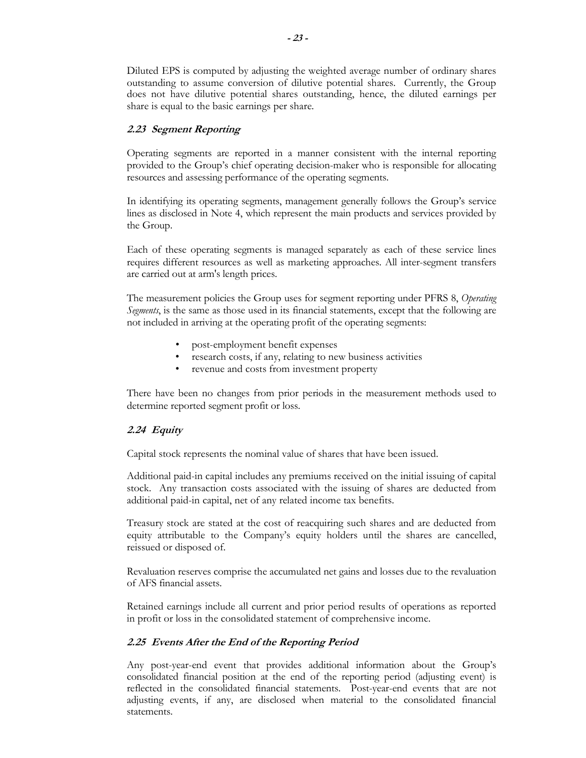Diluted EPS is computed by adjusting the weighted average number of ordinary shares outstanding to assume conversion of dilutive potential shares. Currently, the Group does not have dilutive potential shares outstanding, hence, the diluted earnings per share is equal to the basic earnings per share.

## **2.23 Segment Reporting**

Operating segments are reported in a manner consistent with the internal reporting provided to the Group's chief operating decision-maker who is responsible for allocating resources and assessing performance of the operating segments.

In identifying its operating segments, management generally follows the Group's service lines as disclosed in Note 4, which represent the main products and services provided by the Group.

Each of these operating segments is managed separately as each of these service lines requires different resources as well as marketing approaches. All inter-segment transfers are carried out at arm's length prices.

The measurement policies the Group uses for segment reporting under PFRS 8, *Operating Segments*, is the same as those used in its financial statements, except that the following are not included in arriving at the operating profit of the operating segments:

- post-employment benefit expenses
- research costs, if any, relating to new business activities
- revenue and costs from investment property

There have been no changes from prior periods in the measurement methods used to determine reported segment profit or loss.

## **2.24 Equity**

Capital stock represents the nominal value of shares that have been issued.

Additional paid-in capital includes any premiums received on the initial issuing of capital stock. Any transaction costs associated with the issuing of shares are deducted from additional paid-in capital, net of any related income tax benefits.

Treasury stock are stated at the cost of reacquiring such shares and are deducted from equity attributable to the Company's equity holders until the shares are cancelled, reissued or disposed of.

Revaluation reserves comprise the accumulated net gains and losses due to the revaluation of AFS financial assets.

Retained earnings include all current and prior period results of operations as reported in profit or loss in the consolidated statement of comprehensive income.

## **2.25 Events After the End of the Reporting Period**

Any post-year-end event that provides additional information about the Group's consolidated financial position at the end of the reporting period (adjusting event) is reflected in the consolidated financial statements. Post-year-end events that are not adjusting events, if any, are disclosed when material to the consolidated financial statements.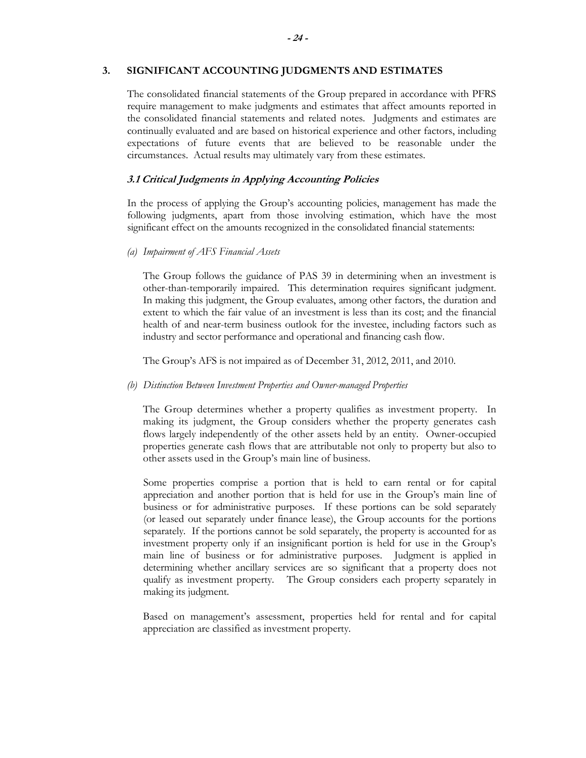## **3. SIGNIFICANT ACCOUNTING JUDGMENTS AND ESTIMATES**

The consolidated financial statements of the Group prepared in accordance with PFRS require management to make judgments and estimates that affect amounts reported in the consolidated financial statements and related notes. Judgments and estimates are continually evaluated and are based on historical experience and other factors, including expectations of future events that are believed to be reasonable under the circumstances. Actual results may ultimately vary from these estimates.

## **3.1 Critical Judgments in Applying Accounting Policies**

In the process of applying the Group's accounting policies, management has made the following judgments, apart from those involving estimation, which have the most significant effect on the amounts recognized in the consolidated financial statements:

## *(a) Impairment of AFS Financial Assets*

The Group follows the guidance of PAS 39 in determining when an investment is other-than-temporarily impaired. This determination requires significant judgment. In making this judgment, the Group evaluates, among other factors, the duration and extent to which the fair value of an investment is less than its cost; and the financial health of and near-term business outlook for the investee, including factors such as industry and sector performance and operational and financing cash flow.

The Group's AFS is not impaired as of December 31, 2012, 2011, and 2010.

#### *(b) Distinction Between Investment Properties and Owner-managed Properties*

The Group determines whether a property qualifies as investment property. In making its judgment, the Group considers whether the property generates cash flows largely independently of the other assets held by an entity. Owner-occupied properties generate cash flows that are attributable not only to property but also to other assets used in the Group's main line of business.

Some properties comprise a portion that is held to earn rental or for capital appreciation and another portion that is held for use in the Group's main line of business or for administrative purposes. If these portions can be sold separately (or leased out separately under finance lease), the Group accounts for the portions separately. If the portions cannot be sold separately, the property is accounted for as investment property only if an insignificant portion is held for use in the Group's main line of business or for administrative purposes. Judgment is applied in determining whether ancillary services are so significant that a property does not qualify as investment property. The Group considers each property separately in making its judgment.

Based on management's assessment, properties held for rental and for capital appreciation are classified as investment property.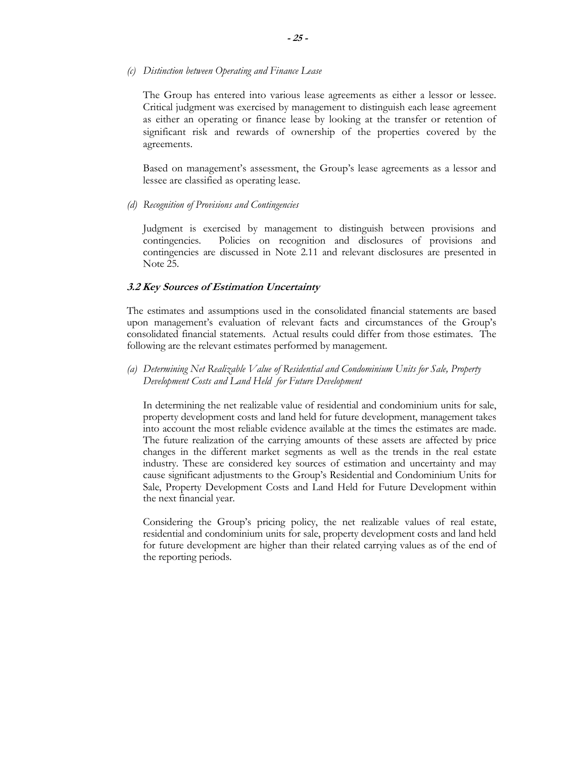#### *(c) Distinction between Operating and Finance Lease*

The Group has entered into various lease agreements as either a lessor or lessee. Critical judgment was exercised by management to distinguish each lease agreement as either an operating or finance lease by looking at the transfer or retention of significant risk and rewards of ownership of the properties covered by the agreements.

Based on management's assessment, the Group's lease agreements as a lessor and lessee are classified as operating lease.

*(d) Recognition of Provisions and Contingencies* 

Judgment is exercised by management to distinguish between provisions and contingencies. Policies on recognition and disclosures of provisions and contingencies are discussed in Note 2.11 and relevant disclosures are presented in Note 25.

#### **3.2 Key Sources of Estimation Uncertainty**

The estimates and assumptions used in the consolidated financial statements are based upon management's evaluation of relevant facts and circumstances of the Group's consolidated financial statements. Actual results could differ from those estimates. The following are the relevant estimates performed by management.

*(a) Determining Net Realizable Value of Residential and Condominium Units for Sale, Property Development Costs and Land Held for Future Development* 

In determining the net realizable value of residential and condominium units for sale, property development costs and land held for future development, management takes into account the most reliable evidence available at the times the estimates are made. The future realization of the carrying amounts of these assets are affected by price changes in the different market segments as well as the trends in the real estate industry. These are considered key sources of estimation and uncertainty and may cause significant adjustments to the Group's Residential and Condominium Units for Sale, Property Development Costs and Land Held for Future Development within the next financial year.

Considering the Group's pricing policy, the net realizable values of real estate, residential and condominium units for sale, property development costs and land held for future development are higher than their related carrying values as of the end of the reporting periods.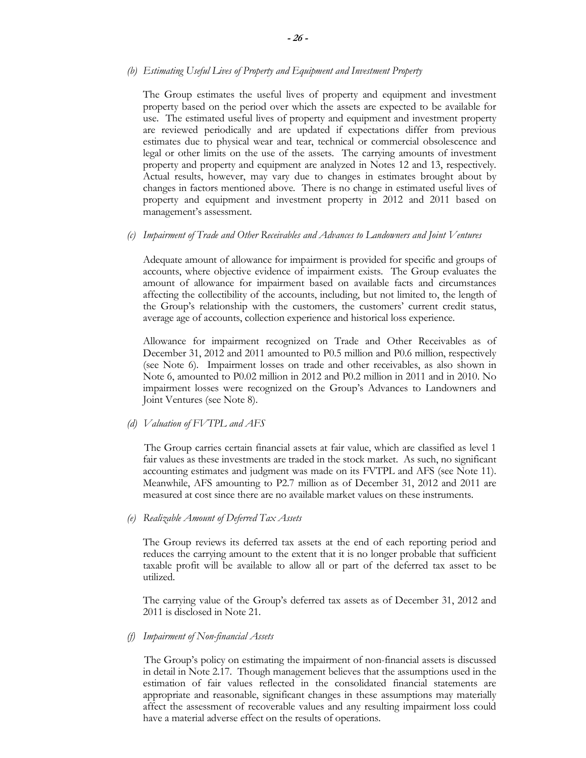#### *(b) Estimating Useful Lives of Property and Equipment and Investment Property*

The Group estimates the useful lives of property and equipment and investment property based on the period over which the assets are expected to be available for use. The estimated useful lives of property and equipment and investment property are reviewed periodically and are updated if expectations differ from previous estimates due to physical wear and tear, technical or commercial obsolescence and legal or other limits on the use of the assets. The carrying amounts of investment property and property and equipment are analyzed in Notes 12 and 13, respectively. Actual results, however, may vary due to changes in estimates brought about by changes in factors mentioned above. There is no change in estimated useful lives of property and equipment and investment property in 2012 and 2011 based on management's assessment.

#### *(c) Impairment of Trade and Other Receivables and Advances to Landowners and Joint Ventures*

Adequate amount of allowance for impairment is provided for specific and groups of accounts, where objective evidence of impairment exists. The Group evaluates the amount of allowance for impairment based on available facts and circumstances affecting the collectibility of the accounts, including, but not limited to, the length of the Group's relationship with the customers, the customers' current credit status, average age of accounts, collection experience and historical loss experience.

Allowance for impairment recognized on Trade and Other Receivables as of December 31, 2012 and 2011 amounted to P0.5 million and P0.6 million, respectively (see Note 6). Impairment losses on trade and other receivables, as also shown in Note 6, amounted to P0.02 million in 2012 and P0.2 million in 2011 and in 2010. No impairment losses were recognized on the Group's Advances to Landowners and Joint Ventures (see Note 8).

#### *(d) Valuation of FVTPL and AFS*

 The Group carries certain financial assets at fair value, which are classified as level 1 fair values as these investments are traded in the stock market. As such, no significant accounting estimates and judgment was made on its FVTPL and AFS (see Note 11). Meanwhile, AFS amounting to P2.7 million as of December 31, 2012 and 2011 are measured at cost since there are no available market values on these instruments.

#### *(e) Realizable Amount of Deferred Tax Assets*

The Group reviews its deferred tax assets at the end of each reporting period and reduces the carrying amount to the extent that it is no longer probable that sufficient taxable profit will be available to allow all or part of the deferred tax asset to be utilized.

The carrying value of the Group's deferred tax assets as of December 31, 2012 and 2011 is disclosed in Note 21.

#### *(f) Impairment of Non-financial Assets*

 The Group's policy on estimating the impairment of non-financial assets is discussed in detail in Note 2.17. Though management believes that the assumptions used in the estimation of fair values reflected in the consolidated financial statements are appropriate and reasonable, significant changes in these assumptions may materially affect the assessment of recoverable values and any resulting impairment loss could have a material adverse effect on the results of operations.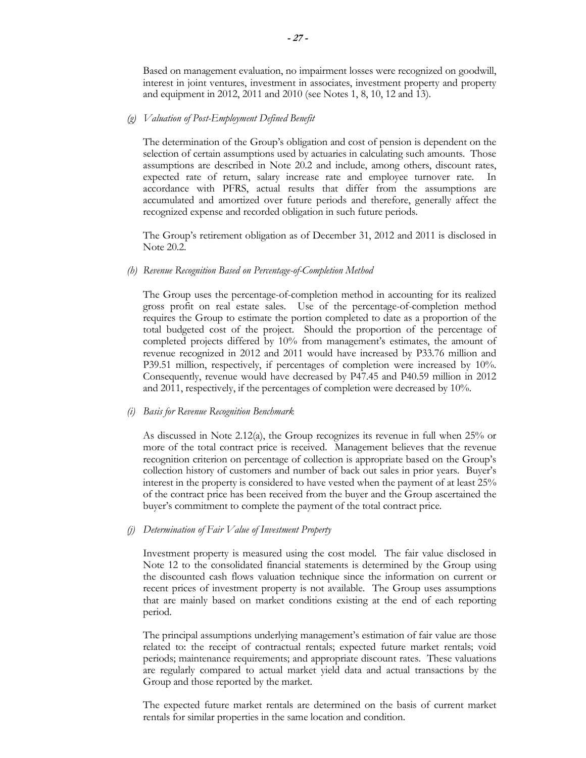Based on management evaluation, no impairment losses were recognized on goodwill, interest in joint ventures, investment in associates, investment property and property and equipment in 2012, 2011 and 2010 (see Notes 1, 8, 10, 12 and 13).

#### *(g) Valuation of Post-Employment Defined Benefit*

The determination of the Group's obligation and cost of pension is dependent on the selection of certain assumptions used by actuaries in calculating such amounts. Those assumptions are described in Note 20.2 and include, among others, discount rates, expected rate of return, salary increase rate and employee turnover rate. In accordance with PFRS, actual results that differ from the assumptions are accumulated and amortized over future periods and therefore, generally affect the recognized expense and recorded obligation in such future periods.

The Group's retirement obligation as of December 31, 2012 and 2011 is disclosed in Note 20.2.

#### *(h) Revenue Recognition Based on Percentage-of-Completion Method*

The Group uses the percentage-of-completion method in accounting for its realized gross profit on real estate sales. Use of the percentage-of-completion method requires the Group to estimate the portion completed to date as a proportion of the total budgeted cost of the project. Should the proportion of the percentage of completed projects differed by 10% from management's estimates, the amount of revenue recognized in 2012 and 2011 would have increased by P33.76 million and P39.51 million, respectively, if percentages of completion were increased by 10%. Consequently, revenue would have decreased by P47.45 and P40.59 million in 2012 and 2011, respectively, if the percentages of completion were decreased by 10%.

#### *(i) Basis for Revenue Recognition Benchmark*

As discussed in Note 2.12(a), the Group recognizes its revenue in full when 25% or more of the total contract price is received. Management believes that the revenue recognition criterion on percentage of collection is appropriate based on the Group's collection history of customers and number of back out sales in prior years. Buyer's interest in the property is considered to have vested when the payment of at least 25% of the contract price has been received from the buyer and the Group ascertained the buyer's commitment to complete the payment of the total contract price.

#### *(j) Determination of Fair Value of Investment Property*

Investment property is measured using the cost model. The fair value disclosed in Note 12 to the consolidated financial statements is determined by the Group using the discounted cash flows valuation technique since the information on current or recent prices of investment property is not available. The Group uses assumptions that are mainly based on market conditions existing at the end of each reporting period.

The principal assumptions underlying management's estimation of fair value are those related to: the receipt of contractual rentals; expected future market rentals; void periods; maintenance requirements; and appropriate discount rates. These valuations are regularly compared to actual market yield data and actual transactions by the Group and those reported by the market.

The expected future market rentals are determined on the basis of current market rentals for similar properties in the same location and condition.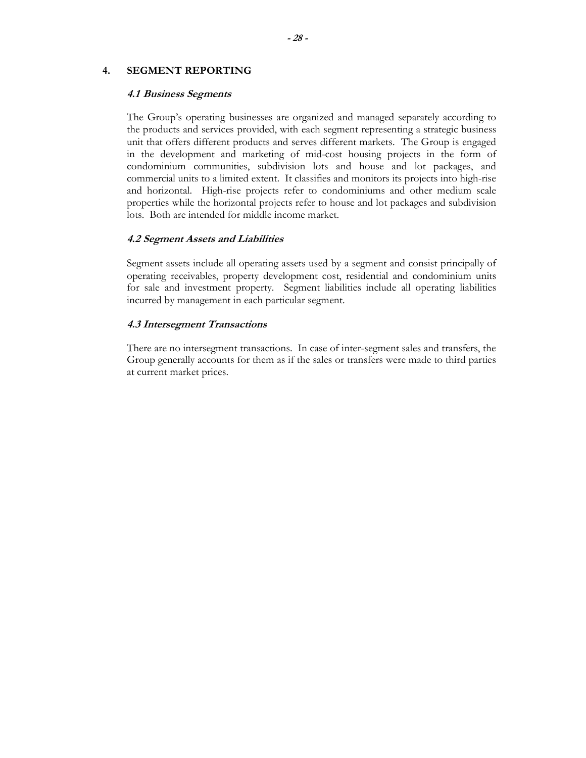#### **4. SEGMENT REPORTING**

#### **4.1 Business Segments**

The Group's operating businesses are organized and managed separately according to the products and services provided, with each segment representing a strategic business unit that offers different products and serves different markets. The Group is engaged in the development and marketing of mid-cost housing projects in the form of condominium communities, subdivision lots and house and lot packages, and commercial units to a limited extent. It classifies and monitors its projects into high-rise and horizontal. High-rise projects refer to condominiums and other medium scale properties while the horizontal projects refer to house and lot packages and subdivision lots. Both are intended for middle income market.

#### **4.2 Segment Assets and Liabilities**

 Segment assets include all operating assets used by a segment and consist principally of operating receivables, property development cost, residential and condominium units for sale and investment property. Segment liabilities include all operating liabilities incurred by management in each particular segment.

#### **4.3 Intersegment Transactions**

 There are no intersegment transactions. In case of inter-segment sales and transfers, the Group generally accounts for them as if the sales or transfers were made to third parties at current market prices.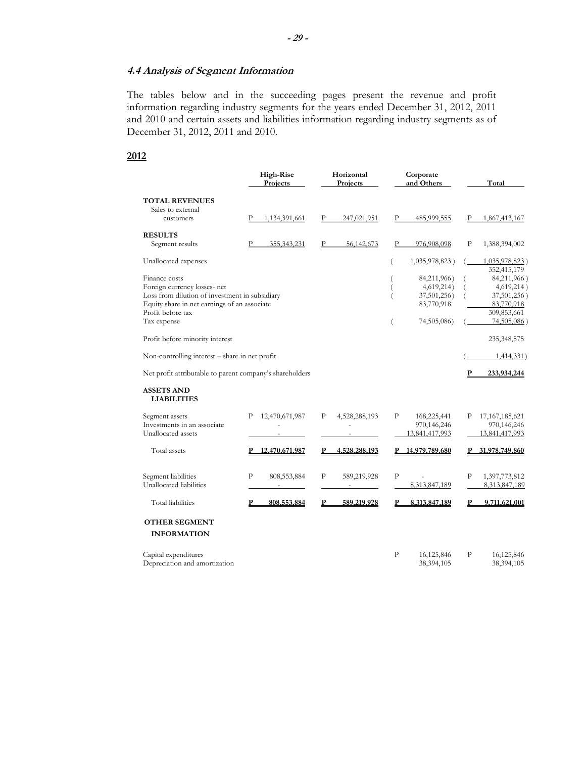## **4.4 Analysis of Segment Information**

 The tables below and in the succeeding pages present the revenue and profit information regarding industry segments for the years ended December 31, 2012, 2011 and 2010 and certain assets and liabilities information regarding industry segments as of December 31, 2012, 2011 and 2010.

## **2012**

| High-Rise<br>Horizontal<br>Projects<br>Projects          |                     |                    | Corporate<br>and Others    | Total                         |
|----------------------------------------------------------|---------------------|--------------------|----------------------------|-------------------------------|
| <b>TOTAL REVENUES</b>                                    |                     |                    |                            |                               |
| Sales to external                                        |                     |                    |                            |                               |
| customers                                                | 1,134,391,661       | P<br>247,021,951   | P<br>485,999,555           | 1,867,413,167<br>P            |
| <b>RESULTS</b>                                           |                     |                    |                            |                               |
| Segment results                                          | P<br>355, 343, 231  | P<br>56,142,673    | 976,908,098<br>P           | P<br>1,388,394,002            |
| Unallocated expenses                                     |                     |                    | 1,035,978,823)<br>(        | 1,035,978,823)<br>352,415,179 |
| Finance costs                                            |                     |                    | 84,211,966)                | 84,211,966)                   |
| Foreign currency losses- net                             |                     |                    | 4,619,214)<br>(            | 4,619,214)                    |
| Loss from dilution of investment in subsidiary           |                     |                    | 37,501,256)<br>(           | 37,501,256)                   |
| Equity share in net earnings of an associate             |                     |                    | 83,770,918                 | 83,770,918                    |
| Profit before tax                                        |                     |                    |                            | 309,853,661                   |
| Tax expense                                              |                     |                    | 74,505,086)<br>(           | 74,505,086)                   |
| Profit before minority interest                          |                     |                    |                            | 235,348,575                   |
| Non-controlling interest – share in net profit           |                     |                    |                            | 1,414,331)                    |
| Net profit attributable to parent company's shareholders |                     |                    |                            | P<br>233,934,244              |
| <b>ASSETS AND</b><br><b>LIABILITIES</b>                  |                     |                    |                            |                               |
| Segment assets                                           | 12,470,671,987<br>P | 4,528,288,193<br>P | P<br>168,225,441           | 17, 167, 185, 621<br>Ρ        |
| Investments in an associate                              |                     |                    | 970,146,246                | 970,146,246                   |
| Unallocated assets                                       |                     |                    | 13,841,417,993             | 13,841,417,993                |
| Total assets                                             | P 12,470,671,987    | 4,528,288,193<br>P | 14,979,789,680<br>Р        | 31,978,749,860<br>Р.          |
| Segment liabilities                                      | P<br>808, 553, 884  | P<br>589,219,928   | $\mathbf{P}$               | P<br>1,397,773,812            |
| Unallocated liabilities                                  |                     |                    | 8,313,847,189              | 8,313,847,189                 |
| Total liabilities                                        | 808,553,884<br>P    | P<br>589,219,928   | 8,313,847,189<br>P         | 9,711,621,001<br>P            |
| <b>OTHER SEGMENT</b>                                     |                     |                    |                            |                               |
| <b>INFORMATION</b>                                       |                     |                    |                            |                               |
| Capital expenditures                                     |                     |                    | $\mathbf{P}$<br>16,125,846 | P<br>16,125,846               |
| Depreciation and amortization                            |                     |                    | 38,394,105                 | 38,394,105                    |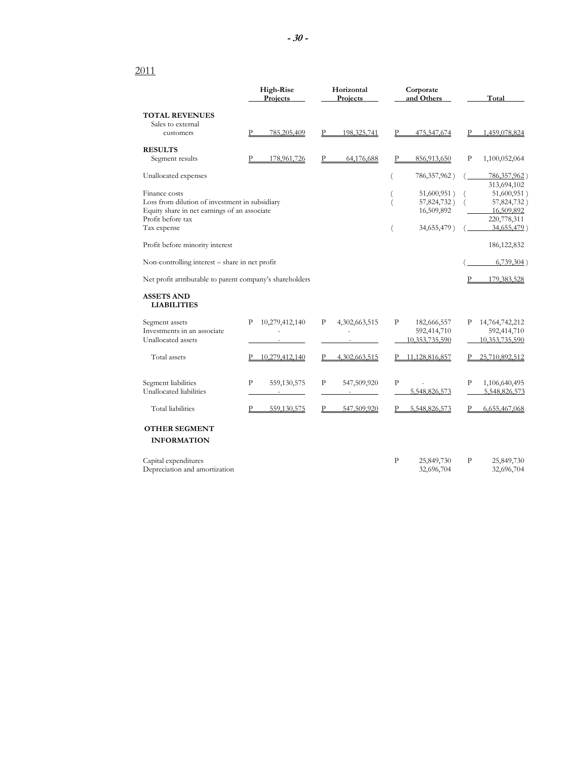## 2011

|                                                          | <b>High-Rise</b><br>Projects | Horizontal<br>Projects | Corporate<br>and Others | Total                      |
|----------------------------------------------------------|------------------------------|------------------------|-------------------------|----------------------------|
| <b>TOTAL REVENUES</b>                                    |                              |                        |                         |                            |
| Sales to external                                        |                              |                        |                         |                            |
| customers                                                | Р<br>785,205,409             | 198, 325, 741          | P<br>475,547,674        | 1,459,078,824              |
| <b>RESULTS</b>                                           |                              |                        |                         |                            |
| Segment results                                          | 178,961,726                  | 64,176,688             | 856,913,650<br>P        | P<br>1,100,052,064         |
| Unallocated expenses                                     |                              |                        | 786, 357, 962)          | 786, 357, 962)             |
| Finance costs                                            |                              |                        | 51,600,951)             | 313,694,102<br>51,600,951) |
| Loss from dilution of investment in subsidiary           |                              |                        | 57,824,732)<br>(        | 57,824,732)                |
| Equity share in net earnings of an associate             |                              |                        | 16,509,892              | 16,509,892                 |
| Profit before tax                                        |                              |                        |                         | 220,778,311                |
| Tax expense                                              |                              |                        | 34,655,479)<br>$\left($ | 34,655,479)                |
|                                                          |                              |                        |                         |                            |
| Profit before minority interest                          |                              |                        |                         | 186, 122, 832              |
| Non-controlling interest – share in net profit           |                              |                        |                         | $6,739,304$ )              |
| Net profit attributable to parent company's shareholders |                              |                        |                         | 179,383,528                |
| <b>ASSETS AND</b><br><b>LIABILITIES</b>                  |                              |                        |                         |                            |
| Segment assets                                           | 10,279,412,140<br>P          | P<br>4,302,663,515     | P<br>182,666,557        | Р<br>14,764,742,212        |
| Investments in an associate                              |                              |                        | 592,414,710             | 592,414,710                |
| Unallocated assets                                       |                              |                        | 10,353,735,590          | 10,353,735,590             |
| Total assets                                             | 10,279,412,140               | 4,302,663,515          | P 11,128,816,857        | 25,710,892,512             |
| Segment liabilities                                      | P<br>559,130,575             | P<br>547,509,920       | P                       | P<br>1,106,640,495         |
| Unallocated liabilities                                  |                              |                        | 5,548,826,573           | 5,548,826,573              |
| Total liabilities                                        | P<br>559,130,575             | 547,509,920            | 5,548,826,573           | 6,655,467,068              |
| <b>OTHER SEGMENT</b>                                     |                              |                        |                         |                            |
| <b>INFORMATION</b>                                       |                              |                        |                         |                            |
| Capital expenditures                                     |                              |                        | P<br>25,849,730         | Ρ<br>25,849,730            |
| Depreciation and amortization                            |                              |                        | 32,696,704              | 32,696,704                 |
|                                                          |                              |                        |                         |                            |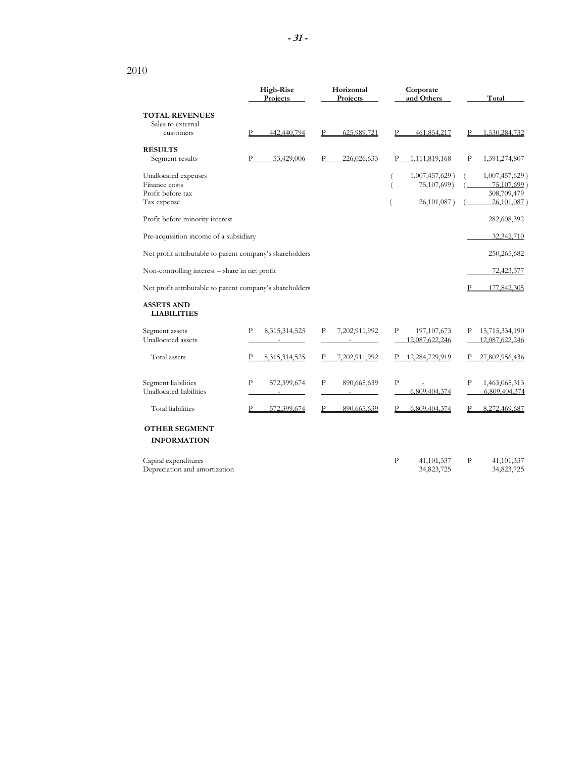# 2010

|                                                          | High-Rise<br>Projects       | Horizontal<br>Projects        | Corporate<br>and Others | Total               |
|----------------------------------------------------------|-----------------------------|-------------------------------|-------------------------|---------------------|
| <b>TOTAL REVENUES</b>                                    |                             |                               |                         |                     |
| Sales to external                                        |                             |                               |                         |                     |
| customers                                                | P<br>442,440,794            | P<br>625,989,721              | Р<br>461,854,217        | 1,530,284,732       |
| <b>RESULTS</b>                                           |                             |                               |                         |                     |
| Segment results                                          | 53,429,006<br>P             | 226,026,633                   | 1,111,819,168           | P<br>1,391,274,807  |
| Unallocated expenses                                     |                             |                               | 1,007,457,629)          | 1,007,457,629)      |
| Finance costs                                            |                             |                               | 75,107,699)<br>$\left($ | 75,107,699)         |
| Profit before tax                                        |                             |                               |                         | 308,709,479         |
| Tax expense                                              |                             |                               | 26,101,087)             | 26,101,087)         |
| Profit before minority interest                          |                             |                               |                         | 282,608,392         |
| Pre-acquisition income of a subsidiary                   |                             |                               |                         | 32,342,710          |
| Net profit attributable to parent company's shareholders |                             |                               |                         | 250, 265, 682       |
| Non-controlling interest - share in net profit           |                             |                               |                         | 72,423,377          |
|                                                          |                             |                               |                         |                     |
| Net profit attributable to parent company's shareholders |                             |                               |                         | P<br>177,842,305    |
| <b>ASSETS AND</b><br><b>LIABILITIES</b>                  |                             |                               |                         |                     |
| Segment assets                                           | P<br>8,315,314,525          | $\mathbf{P}$<br>7,202,911,992 | P<br>197, 107, 673      | 15,715,334,190<br>Ρ |
| Unallocated assets                                       |                             |                               | 12,087,622,246          | 12,087,622,246      |
| Total assets                                             | 8,315,314,525               | 7,202,911,992                 | 12,284,729,919          | 27,802,956,436      |
| Segment liabilities                                      | $\mathbf{P}$<br>572,399,674 | $\mathbf{P}$<br>890,665,639   | $\mathbf{P}$            | P<br>1,463,065,313  |
| Unallocated liabilities                                  | $\sim$                      | $\sim$                        | 6,809,404,374           | 6,809,404,374       |
| Total liabilities                                        | P<br>572,399,674            | P<br>890,665,639              | 6,809,404,374<br>P      | 8,272,469,687<br>P  |
| <b>OTHER SEGMENT</b>                                     |                             |                               |                         |                     |
| <b>INFORMATION</b>                                       |                             |                               |                         |                     |
| Capital expenditures                                     |                             |                               | P<br>41, 101, 337       | P<br>41, 101, 337   |
| Depreciation and amortization                            |                             |                               | 34,823,725              | 34,823,725          |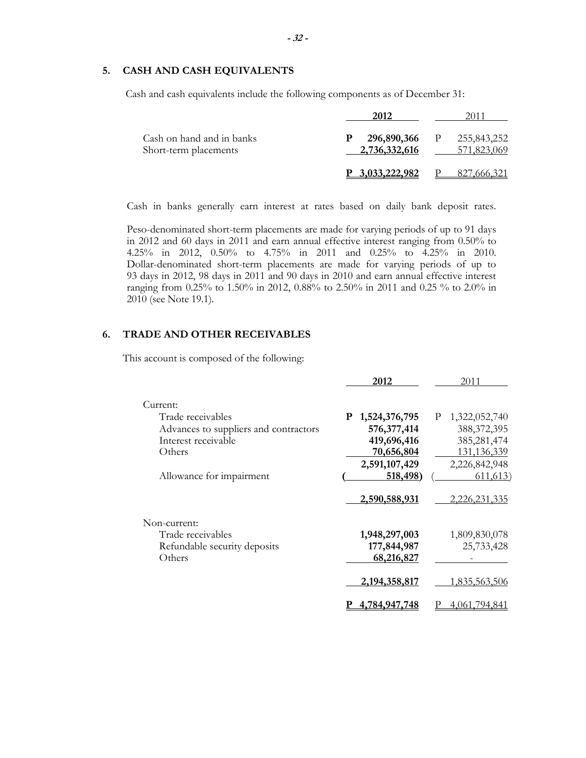# **5. CASH AND CASH EQUIVALENTS**

Cash and cash equivalents include the following components as of December 31:

| Cash on hand and in banks<br>Short-term placements | 296,890,366<br>Р<br>2,736,332,616 | 255,843,252<br>$\mathbf{P}$<br>571,823,069 |
|----------------------------------------------------|-----------------------------------|--------------------------------------------|
|                                                    | P 3.033.222.982                   | 827,666,321                                |

Cash in banks generally earn interest at rates based on daily bank deposit rates.

Peso-denominated short-term placements are made for varying periods of up to 91 days in 2012 and 60 days in 2011 and earn annual effective interest ranging from 0.50% to 4.25% in 2012, 0.50% to 4.75% in 2011 and 0.25% to 4.25% in 2010. Dollar-denominated short-term placements are made for varying periods of up to 93 days in 2012, 98 days in 2011 and 90 days in 2010 and earn annual effective interest ranging from 0.25% to 1.50% in 2012, 0.88% to 2.50% in 2011 and 0.25 % to 2.0% in 2010 (see Note 19.1).

# **6. TRADE AND OTHER RECEIVABLES**

This account is composed of the following:

|                                       | 2012             | 2011            |
|---------------------------------------|------------------|-----------------|
| Current:                              |                  |                 |
| Trade receivables                     | P 1,524,376,795  | P 1,322,052,740 |
| Advances to suppliers and contractors | 576, 377, 414    | 388, 372, 395   |
| Interest receivable                   | 419,696,416      | 385,281,474     |
| Others                                | 70,656,804       | 131, 136, 339   |
|                                       | 2,591,107,429    | 2,226,842,948   |
| Allowance for impairment              | 518,498          | 611,613         |
|                                       | 2,590,588,931    | 2,226,231,335   |
| Non-current:                          |                  |                 |
| Trade receivables                     | 1,948,297,003    | 1,809,830,078   |
| Refundable security deposits          | 177,844,987      | 25,733,428      |
| Others                                | 68,216,827       |                 |
|                                       | 2, 194, 358, 817 | 1,835,563,506   |
|                                       | 4,784,947,748    | 4,061,794,841   |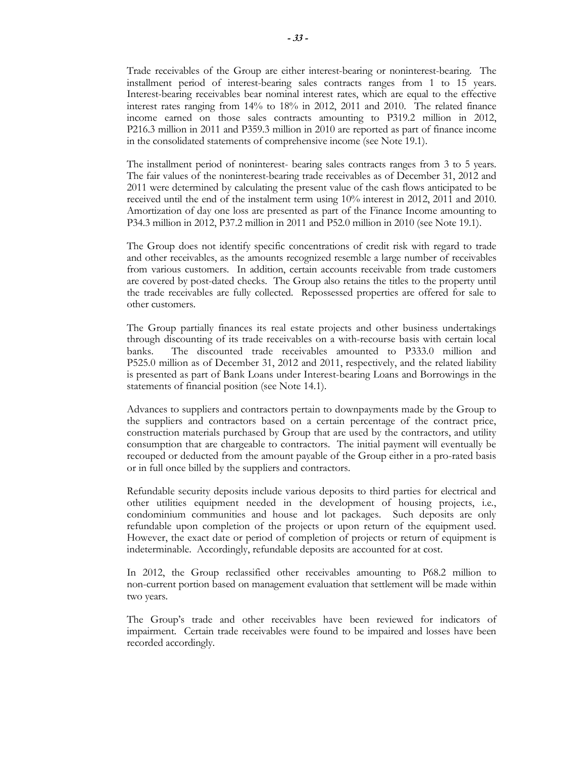Trade receivables of the Group are either interest-bearing or noninterest-bearing. The installment period of interest-bearing sales contracts ranges from 1 to 15 years. Interest-bearing receivables bear nominal interest rates, which are equal to the effective interest rates ranging from 14% to 18% in 2012, 2011 and 2010. The related finance income earned on those sales contracts amounting to P319.2 million in 2012, P216.3 million in 2011 and P359.3 million in 2010 are reported as part of finance income in the consolidated statements of comprehensive income (see Note 19.1).

The installment period of noninterest- bearing sales contracts ranges from 3 to 5 years. The fair values of the noninterest-bearing trade receivables as of December 31, 2012 and 2011 were determined by calculating the present value of the cash flows anticipated to be received until the end of the instalment term using 10% interest in 2012, 2011 and 2010. Amortization of day one loss are presented as part of the Finance Income amounting to P34.3 million in 2012, P37.2 million in 2011 and P52.0 million in 2010 (see Note 19.1).

The Group does not identify specific concentrations of credit risk with regard to trade and other receivables, as the amounts recognized resemble a large number of receivables from various customers. In addition, certain accounts receivable from trade customers are covered by post-dated checks. The Group also retains the titles to the property until the trade receivables are fully collected. Repossessed properties are offered for sale to other customers.

The Group partially finances its real estate projects and other business undertakings through discounting of its trade receivables on a with-recourse basis with certain local banks. The discounted trade receivables amounted to P333.0 million and P525.0 million as of December 31, 2012 and 2011, respectively, and the related liability is presented as part of Bank Loans under Interest-bearing Loans and Borrowings in the statements of financial position (see Note 14.1).

Advances to suppliers and contractors pertain to downpayments made by the Group to the suppliers and contractors based on a certain percentage of the contract price, construction materials purchased by Group that are used by the contractors, and utility consumption that are chargeable to contractors. The initial payment will eventually be recouped or deducted from the amount payable of the Group either in a pro-rated basis or in full once billed by the suppliers and contractors.

Refundable security deposits include various deposits to third parties for electrical and other utilities equipment needed in the development of housing projects, i.e., condominium communities and house and lot packages. Such deposits are only refundable upon completion of the projects or upon return of the equipment used. However, the exact date or period of completion of projects or return of equipment is indeterminable. Accordingly, refundable deposits are accounted for at cost.

In 2012, the Group reclassified other receivables amounting to P68.2 million to non-current portion based on management evaluation that settlement will be made within two years.

The Group's trade and other receivables have been reviewed for indicators of impairment. Certain trade receivables were found to be impaired and losses have been recorded accordingly.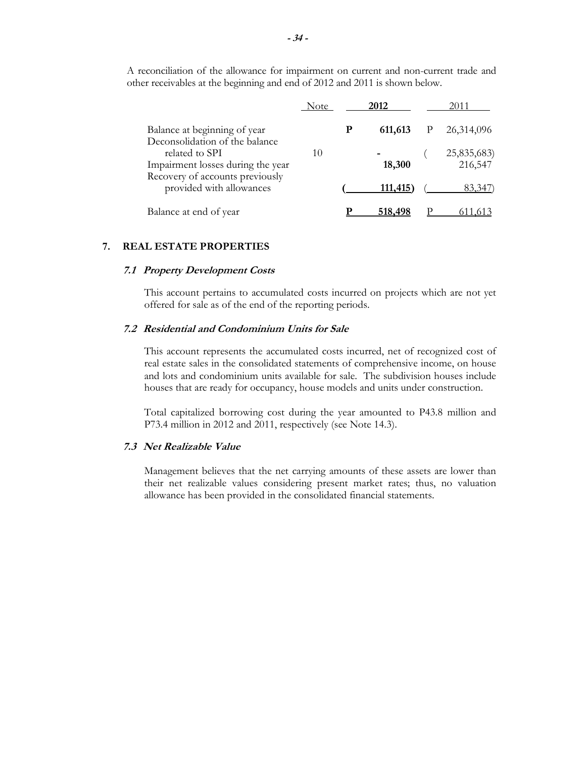|                                                                | <b>Note</b> |   | 2012    | 2011                   |  |
|----------------------------------------------------------------|-------------|---|---------|------------------------|--|
| Balance at beginning of year<br>Deconsolidation of the balance |             | P | 611,613 | 26,314,096             |  |
| related to SPI<br>Impairment losses during the year            | 10          |   | 18,300  | 25,835,683)<br>216,547 |  |
| Recovery of accounts previously<br>provided with allowances    |             |   | 111,415 | 83,347                 |  |
| Balance at end of year                                         |             |   | 518,498 |                        |  |

A reconciliation of the allowance for impairment on current and non-current trade and other receivables at the beginning and end of 2012 and 2011 is shown below.

#### **7. REAL ESTATE PROPERTIES**

#### **7.1 Property Development Costs**

This account pertains to accumulated costs incurred on projects which are not yet offered for sale as of the end of the reporting periods.

#### **7.2 Residential and Condominium Units for Sale**

This account represents the accumulated costs incurred, net of recognized cost of real estate sales in the consolidated statements of comprehensive income, on house and lots and condominium units available for sale. The subdivision houses include houses that are ready for occupancy, house models and units under construction.

Total capitalized borrowing cost during the year amounted to P43.8 million and P73.4 million in 2012 and 2011, respectively (see Note 14.3).

#### **7.3 Net Realizable Value**

Management believes that the net carrying amounts of these assets are lower than their net realizable values considering present market rates; thus, no valuation allowance has been provided in the consolidated financial statements.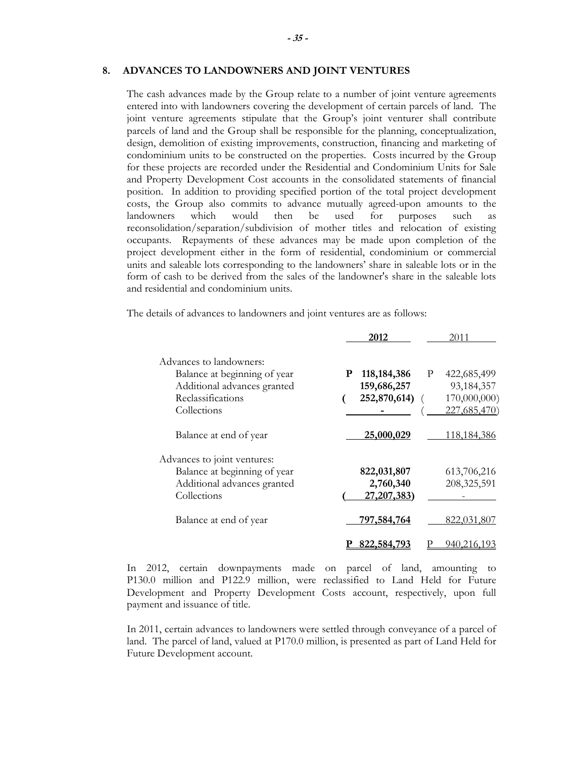#### **8. ADVANCES TO LANDOWNERS AND JOINT VENTURES**

The cash advances made by the Group relate to a number of joint venture agreements entered into with landowners covering the development of certain parcels of land. The joint venture agreements stipulate that the Group's joint venturer shall contribute parcels of land and the Group shall be responsible for the planning, conceptualization, design, demolition of existing improvements, construction, financing and marketing of condominium units to be constructed on the properties. Costs incurred by the Group for these projects are recorded under the Residential and Condominium Units for Sale and Property Development Cost accounts in the consolidated statements of financial position. In addition to providing specified portion of the total project development costs, the Group also commits to advance mutually agreed-upon amounts to the landowners which would then be used for purposes such as reconsolidation/separation/subdivision of mother titles and relocation of existing occupants. Repayments of these advances may be made upon completion of the project development either in the form of residential, condominium or commercial units and saleable lots corresponding to the landowners' share in saleable lots or in the form of cash to be derived from the sales of the landowner's share in the saleable lots and residential and condominium units.

The details of advances to landowners and joint ventures are as follows:

|                              | 2012                    | 2011          |
|------------------------------|-------------------------|---------------|
| Advances to landowners:      |                         |               |
| Balance at beginning of year | 118, 184, 386<br>P<br>P | 422,685,499   |
| Additional advances granted  | 159,686,257             | 93, 184, 357  |
| Reclassifications            | 252,870,614)            | 170,000,000)  |
| Collections                  |                         | 227,685,470)  |
| Balance at end of year       | 25,000,029              | 118,184,386   |
| Advances to joint ventures:  |                         |               |
| Balance at beginning of year | 822,031,807             | 613,706,216   |
| Additional advances granted  | 2,760,340               | 208, 325, 591 |
| Collections                  | 27, 207, 383)           |               |
| Balance at end of year       | 797,584,764             | 822,031,807   |
|                              | 822,584,793             | 940.216.193   |

In 2012, certain downpayments made on parcel of land, amounting to P130.0 million and P122.9 million, were reclassified to Land Held for Future Development and Property Development Costs account, respectively, upon full payment and issuance of title.

In 2011, certain advances to landowners were settled through conveyance of a parcel of land. The parcel of land, valued at P170.0 million, is presented as part of Land Held for Future Development account.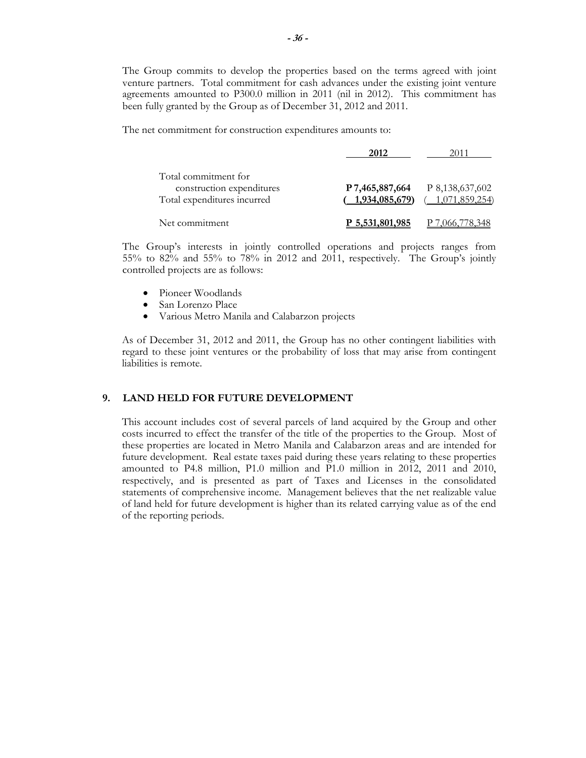The Group commits to develop the properties based on the terms agreed with joint venture partners. Total commitment for cash advances under the existing joint venture agreements amounted to P300.0 million in 2011 (nil in 2012). This commitment has been fully granted by the Group as of December 31, 2012 and 2011.

The net commitment for construction expenditures amounts to:

|                                                                                  | 2012                                  |                                   |
|----------------------------------------------------------------------------------|---------------------------------------|-----------------------------------|
| Total commitment for<br>construction expenditures<br>Total expenditures incurred | $($ 1,934,085,679) $($ 1,071,859,254) | $P7,465,887,664$ $P8,138,637,602$ |
| Net commitment                                                                   | P 5,531,801,985                       | 000.778.348                       |

The Group's interests in jointly controlled operations and projects ranges from 55% to 82% and 55% to 78% in 2012 and 2011, respectively. The Group's jointly controlled projects are as follows:

- Pioneer Woodlands
- San Lorenzo Place
- Various Metro Manila and Calabarzon projects

As of December 31, 2012 and 2011, the Group has no other contingent liabilities with regard to these joint ventures or the probability of loss that may arise from contingent liabilities is remote.

# **9. LAND HELD FOR FUTURE DEVELOPMENT**

This account includes cost of several parcels of land acquired by the Group and other costs incurred to effect the transfer of the title of the properties to the Group. Most of these properties are located in Metro Manila and Calabarzon areas and are intended for future development. Real estate taxes paid during these years relating to these properties amounted to P4.8 million, P1.0 million and P1.0 million in 2012, 2011 and 2010, respectively, and is presented as part of Taxes and Licenses in the consolidated statements of comprehensive income. Management believes that the net realizable value of land held for future development is higher than its related carrying value as of the end of the reporting periods.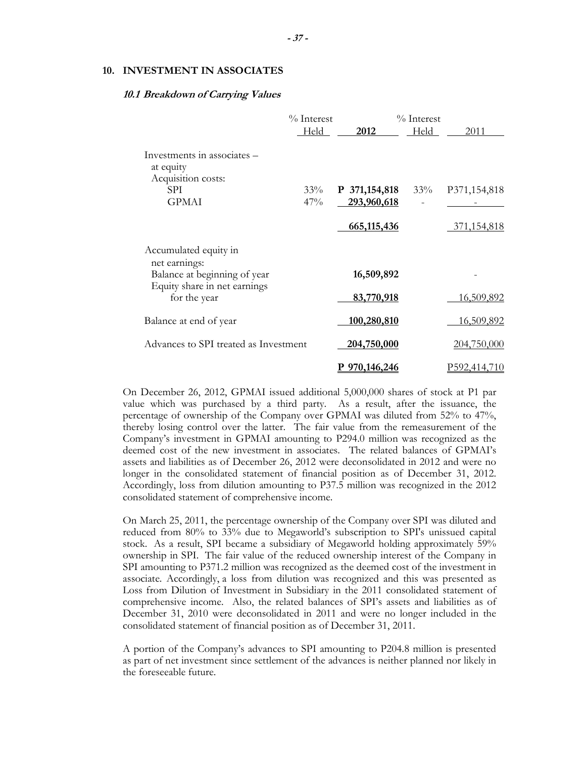#### **10. INVESTMENT IN ASSOCIATES**

#### **10.1 Breakdown of Carrying Values**

|                                                                | % Interest |               | % Interest |                     |
|----------------------------------------------------------------|------------|---------------|------------|---------------------|
|                                                                | Held       | 2012          | Held       | 2011                |
| Investments in associates –<br>at equity<br>Acquisition costs: |            |               |            |                     |
| SPI.                                                           | 33%        | P 371,154,818 | 33%        | P371,154,818        |
| <b>GPMAI</b>                                                   | 47%        | 293,960,618   |            |                     |
|                                                                |            | 665,115,436   |            | 371,154,818         |
| Accumulated equity in<br>net earnings:                         |            |               |            |                     |
| Balance at beginning of year                                   |            | 16,509,892    |            |                     |
| Equity share in net earnings<br>for the year                   |            | 83,770,918    |            | <u>16,509,892</u>   |
| Balance at end of year                                         |            | 100,280,810   |            | <u>16,509,892</u>   |
| Advances to SPI treated as Investment                          |            | 204,750,000   |            | 204,750,000         |
|                                                                |            | 970,146,246   |            | <u>P592,414,710</u> |

On December 26, 2012, GPMAI issued additional 5,000,000 shares of stock at P1 par value which was purchased by a third party. As a result, after the issuance, the percentage of ownership of the Company over GPMAI was diluted from 52% to 47%, thereby losing control over the latter. The fair value from the remeasurement of the Company's investment in GPMAI amounting to P294.0 million was recognized as the deemed cost of the new investment in associates. The related balances of GPMAI's assets and liabilities as of December 26, 2012 were deconsolidated in 2012 and were no longer in the consolidated statement of financial position as of December 31, 2012. Accordingly, loss from dilution amounting to P37.5 million was recognized in the 2012 consolidated statement of comprehensive income.

On March 25, 2011, the percentage ownership of the Company over SPI was diluted and reduced from 80% to 33% due to Megaworld's subscription to SPI's unissued capital stock. As a result, SPI became a subsidiary of Megaworld holding approximately 59% ownership in SPI. The fair value of the reduced ownership interest of the Company in SPI amounting to P371.2 million was recognized as the deemed cost of the investment in associate. Accordingly, a loss from dilution was recognized and this was presented as Loss from Dilution of Investment in Subsidiary in the 2011 consolidated statement of comprehensive income. Also, the related balances of SPI's assets and liabilities as of December 31, 2010 were deconsolidated in 2011 and were no longer included in the consolidated statement of financial position as of December 31, 2011.

A portion of the Company's advances to SPI amounting to P204.8 million is presented as part of net investment since settlement of the advances is neither planned nor likely in the foreseeable future.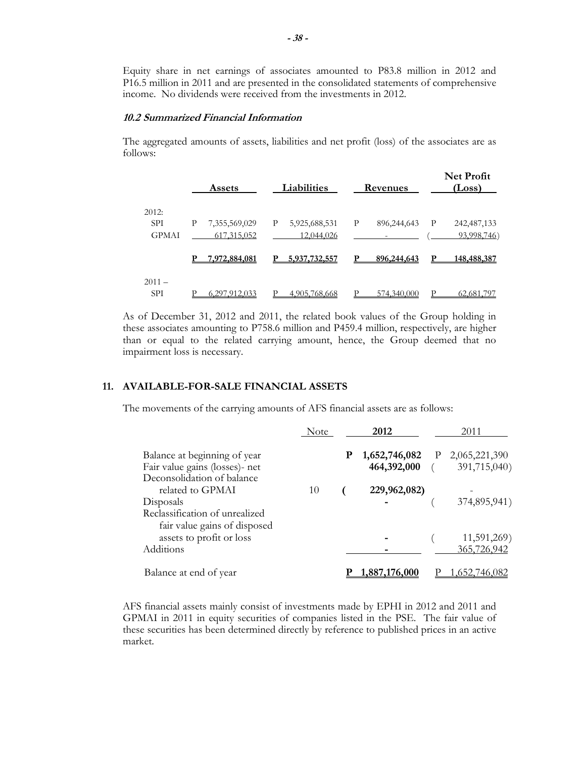Equity share in net earnings of associates amounted to P83.8 million in 2012 and P16.5 million in 2011 and are presented in the consolidated statements of comprehensive income. No dividends were received from the investments in 2012.

# **10.2 Summarized Financial Information**

The aggregated amounts of assets, liabilities and net profit (loss) of the associates are as follows:

|              | <b>Assets</b>      | Liabilities        | Revenues         | <b>Net Profit</b><br>(Loss)  |
|--------------|--------------------|--------------------|------------------|------------------------------|
| 2012:        |                    |                    |                  |                              |
| <b>SPI</b>   | Р<br>7,355,569,029 | 5,925,688,531<br>P | P<br>896,244,643 | 242, 487, 133<br>$\mathbf P$ |
| <b>GPMAI</b> | 617, 315, 052      | 12,044,026         |                  | 93,998,746)                  |
|              | 7,972,884,081<br>р | 5,937,732,557<br>р | р<br>896,244,643 | 148,488,387<br>р             |
| $2011 -$     |                    |                    |                  |                              |
| <b>SPI</b>   | 6.297.912.033      | D<br>4,905,768,668 | 574,340,000      | 62,681,797                   |

As of December 31, 2012 and 2011, the related book values of the Group holding in these associates amounting to P758.6 million and P459.4 million, respectively, are higher than or equal to the related carrying amount, hence, the Group deemed that no impairment loss is necessary.

# **11. AVAILABLE-FOR-SALE FINANCIAL ASSETS**

The movements of the carrying amounts of AFS financial assets are as follows:

|                                                                                                         | Note | 2012 |                              |              | 2011                          |  |
|---------------------------------------------------------------------------------------------------------|------|------|------------------------------|--------------|-------------------------------|--|
| Balance at beginning of year<br>Fair value gains (losses)- net                                          |      | P    | 1,652,746,082<br>464,392,000 | $\mathbf{P}$ | 2,065,221,390<br>391,715,040) |  |
| Deconsolidation of balance<br>related to GPMAI<br>Disposals                                             | 10   |      | 229,962,082)                 |              | 374,895,941)                  |  |
| Reclassification of unrealized<br>fair value gains of disposed<br>assets to profit or loss<br>Additions |      |      |                              |              | 11,591,269)<br>365,726,942    |  |
| Balance at end of year                                                                                  |      |      | .887.176.000                 |              |                               |  |

AFS financial assets mainly consist of investments made by EPHI in 2012 and 2011 and GPMAI in 2011 in equity securities of companies listed in the PSE. The fair value of these securities has been determined directly by reference to published prices in an active market.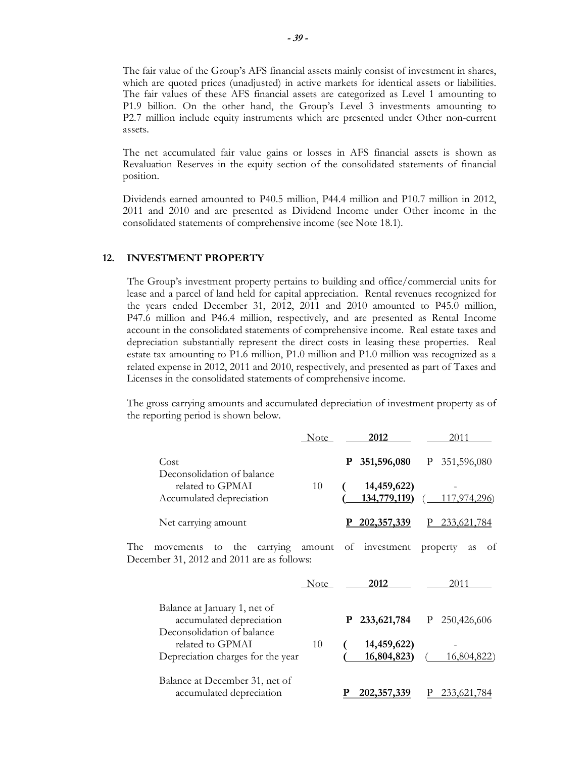The fair value of the Group's AFS financial assets mainly consist of investment in shares, which are quoted prices (unadjusted) in active markets for identical assets or liabilities. The fair values of these AFS financial assets are categorized as Level 1 amounting to P1.9 billion. On the other hand, the Group's Level 3 investments amounting to P2.7 million include equity instruments which are presented under Other non-current assets.

The net accumulated fair value gains or losses in AFS financial assets is shown as Revaluation Reserves in the equity section of the consolidated statements of financial position.

Dividends earned amounted to P40.5 million, P44.4 million and P10.7 million in 2012, 2011 and 2010 and are presented as Dividend Income under Other income in the consolidated statements of comprehensive income (see Note 18.1).

#### **12. INVESTMENT PROPERTY**

The Group's investment property pertains to building and office/commercial units for lease and a parcel of land held for capital appreciation. Rental revenues recognized for the years ended December 31, 2012, 2011 and 2010 amounted to P45.0 million, P47.6 million and P46.4 million, respectively, and are presented as Rental Income account in the consolidated statements of comprehensive income. Real estate taxes and depreciation substantially represent the direct costs in leasing these properties. Real estate tax amounting to P1.6 million, P1.0 million and P1.0 million was recognized as a related expense in 2012, 2011 and 2010, respectively, and presented as part of Taxes and Licenses in the consolidated statements of comprehensive income.

The gross carrying amounts and accumulated depreciation of investment property as of the reporting period is shown below.

|                                                                                                | Note | 2012                        | 2011                 |
|------------------------------------------------------------------------------------------------|------|-----------------------------|----------------------|
| Cost<br>Deconsolidation of balance                                                             |      | 351,596,080<br>P            | 351,596,080<br>P     |
| related to GPMAI<br>Accumulated depreciation                                                   | 10   | 14,459,622)<br>134,779,119) | 117,974,296)         |
| Net carrying amount                                                                            |      | P 202,357,339               | 233,621,784          |
| The<br>carrying amount<br>the<br>movements<br>to<br>December 31, 2012 and 2011 are as follows: |      | of investment               | property<br>οf<br>as |
|                                                                                                | Note | 2012                        | 2011                 |
| Balance at January 1, net of<br>accumulated depreciation<br>Deconsolidation of balance         |      | 233,621,784<br>P            | 250,426,606<br>P     |
| related to GPMAI<br>Depreciation charges for the year                                          | 10   | 14,459,622)<br>16,804,823)  | 16,804,822)          |
| Balance at December 31, net of<br>accumulated depreciation                                     |      | 202, 357, 339               | 233,621,784          |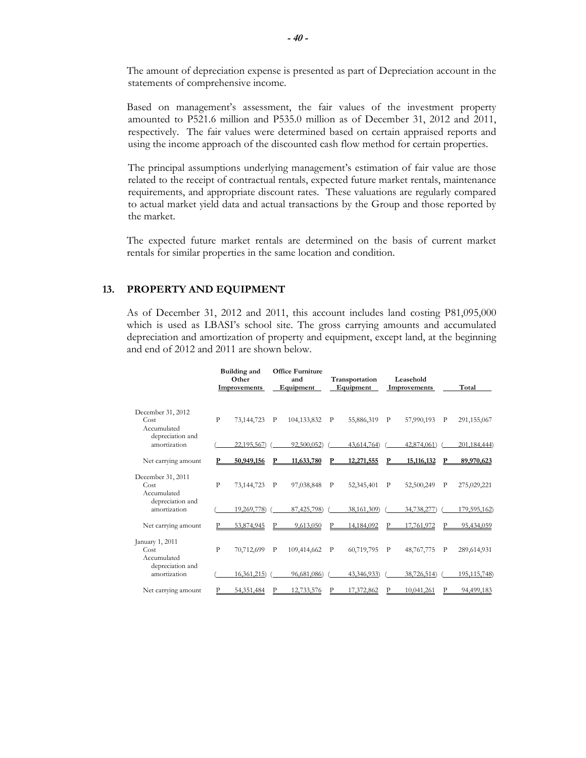The amount of depreciation expense is presented as part of Depreciation account in the statements of comprehensive income.

Based on management's assessment, the fair values of the investment property amounted to P521.6 million and P535.0 million as of December 31, 2012 and 2011, respectively. The fair values were determined based on certain appraised reports and using the income approach of the discounted cash flow method for certain properties.

The principal assumptions underlying management's estimation of fair value are those related to the receipt of contractual rentals, expected future market rentals, maintenance requirements, and appropriate discount rates. These valuations are regularly compared to actual market yield data and actual transactions by the Group and those reported by the market.

The expected future market rentals are determined on the basis of current market rentals for similar properties in the same location and condition.

# **13. PROPERTY AND EQUIPMENT**

As of December 31, 2012 and 2011, this account includes land costing P81,095,000 which is used as LBASI's school site. The gross carrying amounts and accumulated depreciation and amortization of property and equipment, except land, at the beginning and end of 2012 and 2011 are shown below.

|                                          |              | <b>Building and</b><br>Other<br><b>Improvements</b> |   | <b>Office Furniture</b><br>and<br>Equipment |              | Transportation<br>Equipment |   | Leasehold<br>Improvements | Total          |
|------------------------------------------|--------------|-----------------------------------------------------|---|---------------------------------------------|--------------|-----------------------------|---|---------------------------|----------------|
| December 31, 2012<br>Cost<br>Accumulated | $\mathbf{p}$ | 73,144,723                                          | P | 104, 133, 832                               | P            | 55,886,319                  | P | 57,990,193<br>P           | 291,155,067    |
| depreciation and<br>amortization         |              | 22,195,567)                                         |   | 92,500,052                                  |              | 43,614,764)                 |   | 42,874,061)               | 201,184,444)   |
| Net carrying amount                      |              | 50,949,156                                          | Р | 11,633,780                                  | Р            | 12,271,555                  | Р | 15,116,132                | 89,970,623     |
| December 31, 2011<br>Cost<br>Accumulated | $\mathbf{P}$ | 73,144,723                                          | P | 97,038,848                                  | $\mathbf{P}$ | 52,345,401                  | P | 52,500,249<br>P           | 275,029,221    |
| depreciation and<br>amortization         |              | 19,269,778)                                         |   | 87,425,798)                                 |              | 38,161,309)                 |   | 34,738,277)               | 179,595,162)   |
| Net carrying amount                      |              | 53.874.945                                          |   | 9,613,050                                   | P            | 14,184,092                  | P | 17.761.972                | 95,434,059     |
| January 1, 2011<br>Cost<br>Accumulated   | $\mathbf{P}$ | 70,712,699                                          | P | 109,414,662                                 | P            | 60,719,795                  | P | 48,767,775<br>P           | 289,614,931    |
| depreciation and<br>amortization         |              | 16,361,215                                          |   | 96,681,086)                                 |              | 43,346,933)                 |   | 38,726,514)               | 195, 115, 748) |
| Net carrying amount                      |              | 54,351,484                                          |   | 12.733.576                                  |              | 17,372,862                  |   | 10.041.261                | 94.499.183     |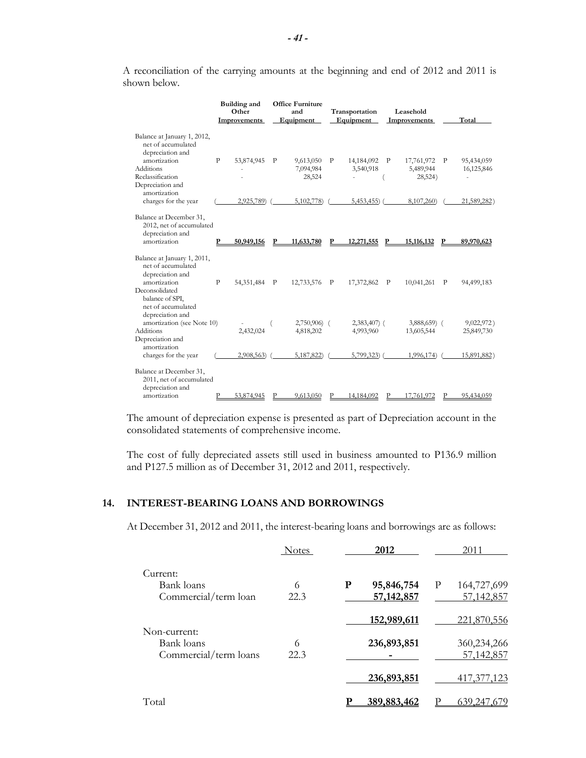|                                                                                         |              | <b>Building and</b><br>Other<br><b>Improvements</b> |              | <b>Office Furniture</b><br>and<br>Equipment |   | Transportation<br>Equipment |              | Leasehold<br>Improvements |   | Total       |
|-----------------------------------------------------------------------------------------|--------------|-----------------------------------------------------|--------------|---------------------------------------------|---|-----------------------------|--------------|---------------------------|---|-------------|
| Balance at January 1, 2012,<br>net of accumulated<br>depreciation and                   |              |                                                     |              |                                             |   |                             |              |                           |   |             |
| amortization                                                                            | $\mathbf{P}$ | 53,874,945                                          | $\mathbf{P}$ | 9,613,050                                   | P | 14,184,092 P                |              | 17,761,972 P              |   | 95,434,059  |
| <b>Additions</b>                                                                        |              |                                                     |              | 7,094,984                                   |   | 3,540,918                   |              | 5,489,944                 |   | 16,125,846  |
| Reclassification                                                                        |              |                                                     |              | 28,524                                      |   |                             |              | 28,524)                   |   | ٠           |
| Depreciation and<br>amortization                                                        |              |                                                     |              |                                             |   |                             |              |                           |   |             |
| charges for the year                                                                    |              | 2,925,789)                                          |              | 5,102,778                                   |   | $5,453,455$ ) (             |              | 8,107,260)                |   | 21,589,282) |
| Balance at December 31,<br>2012, net of accumulated<br>depreciation and<br>amortization |              | 50.949.156                                          |              | 11,633,780                                  | P | 12,271,555                  | P            | 15,116,132                |   | 89,970,623  |
| Balance at January 1, 2011,<br>net of accumulated<br>depreciation and                   |              |                                                     |              |                                             |   |                             |              |                           |   |             |
| amortization                                                                            | $\mathbf{P}$ | 54,351,484                                          | $\mathbf{P}$ | 12,733,576                                  | P | 17,372,862                  | $\mathbf{P}$ | 10,041,261                | P | 94,499,183  |
| Deconsolidated<br>balance of SPI,<br>net of accumulated<br>depreciation and             |              |                                                     |              |                                             |   |                             |              |                           |   |             |
| amortization (see Note 10)                                                              |              |                                                     |              | $2,750,906$ (                               |   | 2,383,407) (                |              | $3,888,659$ (             |   | 9,022,972)  |
| <b>Additions</b>                                                                        |              | 2,432,024                                           |              | 4,818,202                                   |   | 4,993,960                   |              | 13,605,544                |   | 25,849,730  |
| Depreciation and                                                                        |              |                                                     |              |                                             |   |                             |              |                           |   |             |
| amortization<br>charges for the year                                                    |              | 2,908,563)                                          |              | 5,187,822)                                  |   | 5,799,323)                  |              | 1,996,174)                |   | 15,891,882) |
| Balance at December 31,<br>2011, net of accumulated<br>depreciation and                 |              |                                                     |              |                                             |   |                             |              |                           |   |             |
| amortization                                                                            |              | 53,874,945                                          |              | 9,613,050                                   |   | 14,184,092                  |              | 17.761.972                |   | 95,434,059  |
|                                                                                         |              |                                                     |              |                                             |   |                             |              |                           |   |             |

A reconciliation of the carrying amounts at the beginning and end of 2012 and 2011 is shown below.

The amount of depreciation expense is presented as part of Depreciation account in the consolidated statements of comprehensive income.

The cost of fully depreciated assets still used in business amounted to P136.9 million and P127.5 million as of December 31, 2012 and 2011, respectively.

# **14. INTEREST-BEARING LOANS AND BORROWINGS**

At December 31, 2012 and 2011, the interest-bearing loans and borrowings are as follows:

|                                                | <b>Notes</b> |   | 2012                       |   | 2011                      |
|------------------------------------------------|--------------|---|----------------------------|---|---------------------------|
| Current:<br>Bank loans<br>Commercial/term loan | 6<br>22.3    | P | 95,846,754<br>57, 142, 857 | P | 164,727,699<br>57,142,857 |
| Non-current:                                   |              |   | 152,989,611                |   | 221,870,556               |
| Bank loans<br>Commercial/term loans            | 6<br>22.3    |   | 236,893,851                |   | 360,234,266<br>57,142,857 |
|                                                |              |   | 236,893,851                |   | 417, 377, 123             |
| Total                                          |              |   | 389,883,462                |   | 639,247,679               |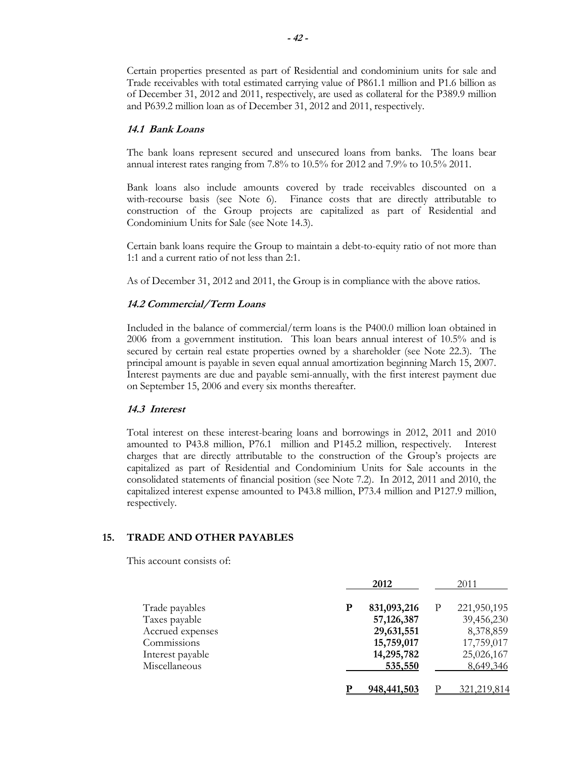Certain properties presented as part of Residential and condominium units for sale and Trade receivables with total estimated carrying value of P861.1 million and P1.6 billion as of December 31, 2012 and 2011, respectively, are used as collateral for the P389.9 million and P639.2 million loan as of December 31, 2012 and 2011, respectively.

#### **14.1 Bank Loans**

The bank loans represent secured and unsecured loans from banks. The loans bear annual interest rates ranging from 7.8% to 10.5% for 2012 and 7.9% to 10.5% 2011.

 Bank loans also include amounts covered by trade receivables discounted on a with-recourse basis (see Note 6). Finance costs that are directly attributable to construction of the Group projects are capitalized as part of Residential and Condominium Units for Sale (see Note 14.3).

Certain bank loans require the Group to maintain a debt-to-equity ratio of not more than 1:1 and a current ratio of not less than 2:1.

As of December 31, 2012 and 2011, the Group is in compliance with the above ratios.

#### **14.2 Commercial/Term Loans**

Included in the balance of commercial/term loans is the P400.0 million loan obtained in 2006 from a government institution. This loan bears annual interest of 10.5% and is secured by certain real estate properties owned by a shareholder (see Note 22.3). The principal amount is payable in seven equal annual amortization beginning March 15, 2007. Interest payments are due and payable semi-annually, with the first interest payment due on September 15, 2006 and every six months thereafter.

# **14.3 Interest**

Total interest on these interest-bearing loans and borrowings in 2012, 2011 and 2010 amounted to P43.8 million, P76.1 million and P145.2 million, respectively. Interest charges that are directly attributable to the construction of the Group's projects are capitalized as part of Residential and Condominium Units for Sale accounts in the consolidated statements of financial position (see Note 7.2). In 2012, 2011 and 2010, the capitalized interest expense amounted to P43.8 million, P73.4 million and P127.9 million, respectively.

# **15. TRADE AND OTHER PAYABLES**

This account consists of:

|                  |   | 2012        |   | 2011        |
|------------------|---|-------------|---|-------------|
| Trade payables   | P | 831,093,216 | P | 221,950,195 |
| Taxes payable    |   | 57,126,387  |   | 39,456,230  |
| Accrued expenses |   | 29,631,551  |   | 8,378,859   |
| Commissions      |   | 15,759,017  |   | 17,759,017  |
| Interest payable |   | 14,295,782  |   | 25,026,167  |
| Miscellaneous    |   | 535,550     |   | 8,649,346   |
|                  |   | 948,441,503 |   | 321,219     |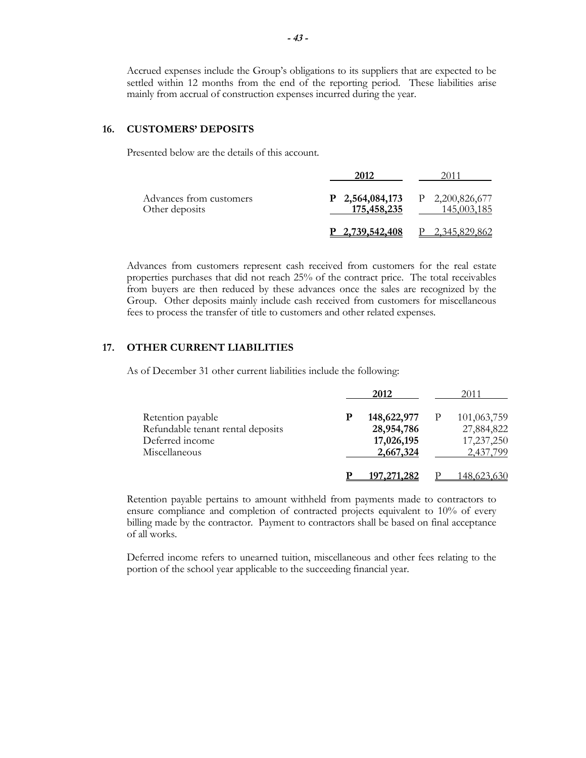Accrued expenses include the Group's obligations to its suppliers that are expected to be settled within 12 months from the end of the reporting period. These liabilities arise mainly from accrual of construction expenses incurred during the year.

# **16. CUSTOMERS' DEPOSITS**

Presented below are the details of this account.

| Advances from customers<br>Other deposits | P 2,564,084,173<br>175,458,235 | $P$ 2,200,826,677<br>145,003,185 |
|-------------------------------------------|--------------------------------|----------------------------------|
|                                           | P 2,739,542,408                | P 2,345,829,862                  |

Advances from customers represent cash received from customers for the real estate properties purchases that did not reach 25% of the contract price. The total receivables from buyers are then reduced by these advances once the sales are recognized by the Group. Other deposits mainly include cash received from customers for miscellaneous fees to process the transfer of title to customers and other related expenses.

# **17. OTHER CURRENT LIABILITIES**

As of December 31 other current liabilities include the following:

|                                   | 2012          | 2011        |
|-----------------------------------|---------------|-------------|
| Retention payable                 | 148,622,977   | 101,063,759 |
| Refundable tenant rental deposits | 28,954,786    | 27,884,822  |
| Deferred income                   | 17,026,195    | 17,237,250  |
| Miscellaneous                     | 2,667,324     | 2,437,799   |
|                                   | 197, 271, 282 | 148.623.630 |

Retention payable pertains to amount withheld from payments made to contractors to ensure compliance and completion of contracted projects equivalent to 10% of every billing made by the contractor. Payment to contractors shall be based on final acceptance of all works.

Deferred income refers to unearned tuition, miscellaneous and other fees relating to the portion of the school year applicable to the succeeding financial year.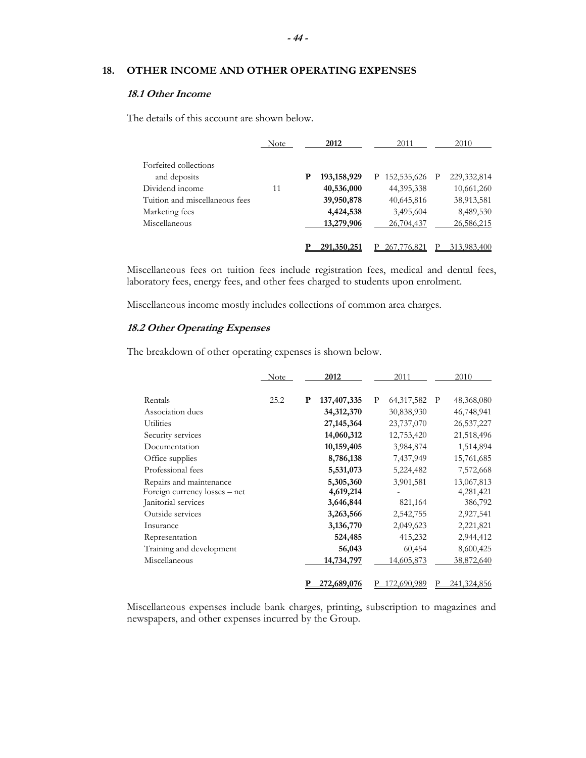# **18. OTHER INCOME AND OTHER OPERATING EXPENSES**

# **18.1 Other Income**

The details of this account are shown below.

|                                | Note |   | 2012          | 2011          |   | 2010          |
|--------------------------------|------|---|---------------|---------------|---|---------------|
| Forfeited collections          |      |   |               |               |   |               |
| and deposits                   |      | Р | 193, 158, 929 | P 152,535,626 | P | 229, 332, 814 |
| Dividend income                | 11   |   | 40,536,000    | 44, 395, 338  |   | 10,661,260    |
| Tuition and miscellaneous fees |      |   | 39,950,878    | 40,645,816    |   | 38,913,581    |
| Marketing fees                 |      |   | 4,424,538     | 3,495,604     |   | 8,489,530     |
| Miscellaneous                  |      |   | 13,279,906    | 26,704,437    |   | 26,586,215    |
|                                |      |   | 291,350,251   | 776.82        |   | 313,983,400   |

Miscellaneous fees on tuition fees include registration fees, medical and dental fees, laboratory fees, energy fees, and other fees charged to students upon enrolment.

Miscellaneous income mostly includes collections of common area charges.

# **18.2 Other Operating Expenses**

The breakdown of other operating expenses is shown below.

|                               | <b>Note</b> |   | 2012          |   | 2011               |              | 2010         |
|-------------------------------|-------------|---|---------------|---|--------------------|--------------|--------------|
| Rentals                       | 25.2        | P | 137, 407, 335 | P | 64, 317, 582       | $\mathbf{P}$ | 48,368,080   |
| Association dues              |             |   | 34,312,370    |   | 30,838,930         |              | 46,748,941   |
| <b>Utilities</b>              |             |   | 27, 145, 364  |   | 23,737,070         |              | 26, 537, 227 |
| Security services             |             |   | 14,060,312    |   | 12,753,420         |              | 21,518,496   |
| Documentation                 |             |   | 10,159,405    |   | 3,984,874          |              | 1,514,894    |
| Office supplies               |             |   | 8,786,138     |   | 7,437,949          |              | 15,761,685   |
| Professional fees             |             |   | 5,531,073     |   | 5,224,482          |              | 7,572,668    |
| Repairs and maintenance       |             |   | 5,305,360     |   | 3,901,581          |              | 13,067,813   |
| Foreign currency losses – net |             |   | 4,619,214     |   |                    |              | 4,281,421    |
| Janitorial services           |             |   | 3,646,844     |   | 821,164            |              | 386,792      |
| Outside services              |             |   | 3,263,566     |   | 2,542,755          |              | 2,927,541    |
| Insurance                     |             |   | 3,136,770     |   | 2,049,623          |              | 2,221,821    |
| Representation                |             |   | 524,485       |   | 415,232            |              | 2,944,412    |
| Training and development      |             |   | 56,043        |   | 60,454             |              | 8,600,425    |
| Miscellaneous                 |             |   | 14,734,797    |   | <u>14,605,873</u>  |              | 38,872,640   |
|                               |             |   | 272,689,076   |   | <u>172.690.989</u> |              | 241.324.856  |

Miscellaneous expenses include bank charges, printing, subscription to magazines and newspapers, and other expenses incurred by the Group.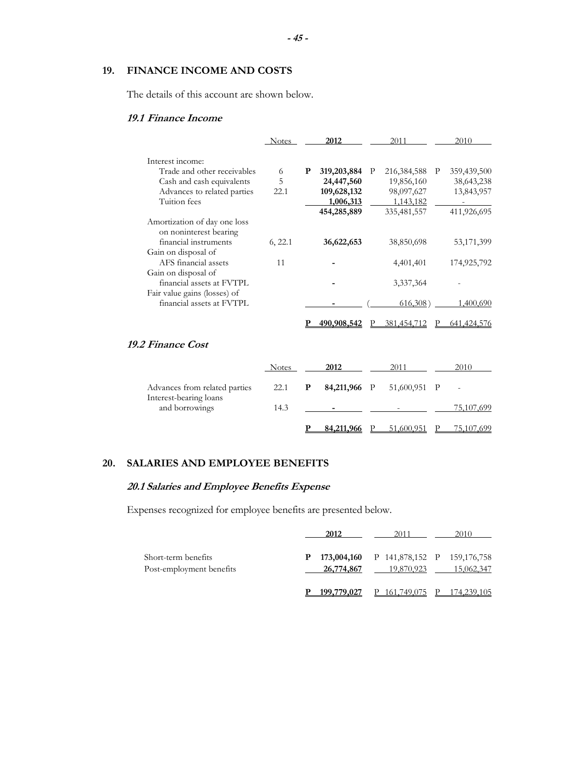# **19. FINANCE INCOME AND COSTS**

The details of this account are shown below.

# **19.1 Finance Income**

|                                                           | <b>Notes</b> |   | 2012        |   | 2011          |   | 2010          |
|-----------------------------------------------------------|--------------|---|-------------|---|---------------|---|---------------|
| Interest income:                                          |              |   |             |   |               |   |               |
| Trade and other receivables                               | 6            | P | 319,203,884 | P | 216, 384, 588 | P | 359,439,500   |
| Cash and cash equivalents                                 | 5            |   | 24,447,560  |   | 19,856,160    |   | 38,643,238    |
| Advances to related parties                               | 22.1         |   | 109,628,132 |   | 98,097,627    |   | 13,843,957    |
| Tuition fees                                              |              |   | 1,006,313   |   | 1,143,182     |   |               |
|                                                           |              |   | 454,285,889 |   | 335,481,557   |   | 411,926,695   |
| Amortization of day one loss<br>on noninterest bearing    |              |   |             |   |               |   |               |
| financial instruments                                     | 6, 22.1      |   | 36,622,653  |   | 38,850,698    |   | 53,171,399    |
| Gain on disposal of                                       |              |   |             |   |               |   |               |
| AFS financial assets                                      | 11           |   |             |   | 4,401,401     |   | 174,925,792   |
| Gain on disposal of                                       |              |   |             |   |               |   |               |
| financial assets at FVTPL                                 |              |   |             |   | 3,337,364     |   |               |
| Fair value gains (losses) of<br>financial assets at FVTPL |              |   |             |   | 616,308)      |   | 1,400,690     |
|                                                           |              |   | 490,908,542 |   | 381,454,712   |   | 641, 424, 576 |
| <b>19.2 Finance Cost</b>                                  |              |   |             |   |               |   |               |
|                                                           | <b>Notes</b> |   | 2012        |   | 2011          |   | 2010          |
| Advances from related parties                             | 22.1         | P | 84,211,966  | P | 51,600,951    | P |               |
| Interest-bearing loans<br>and borrowings                  | 14.3         |   |             |   |               |   | 75,107,699    |
|                                                           |              |   | 84,211,966  |   | 51,600,951    |   | 75,107,699    |

# **20. SALARIES AND EMPLOYEE BENEFITS**

# **20.1 Salaries and Employee Benefits Expense**

Expenses recognized for employee benefits are presented below.

|                                                 | 2012            | 2011                                                  | 2010       |
|-------------------------------------------------|-----------------|-------------------------------------------------------|------------|
| Short-term benefits<br>Post-employment benefits | Р<br>26,774,867 | 173,004,160 P 141,878,152 P 159,176,758<br>19,870,923 | 15,062,347 |
|                                                 |                 | 161.749.075                                           | 174.239.   |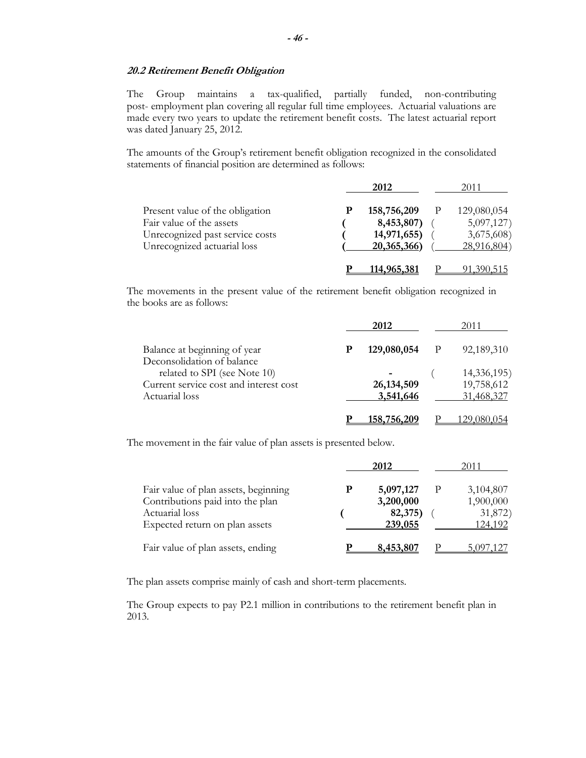#### **20.2 Retirement Benefit Obligation**

The Group maintains a tax-qualified, partially funded, non-contributing post- employment plan covering all regular full time employees. Actuarial valuations are made every two years to update the retirement benefit costs. The latest actuarial report was dated January 25, 2012.

The amounts of the Group's retirement benefit obligation recognized in the consolidated statements of financial position are determined as follows:

|                                 | 2012        | 2011        |
|---------------------------------|-------------|-------------|
| Present value of the obligation | 158,756,209 | 129,080,054 |
| Fair value of the assets        | 8,453,807)  | 5,097,127   |
| Unrecognized past service costs | 14,971,655) | 3,675,608)  |
| Unrecognized actuarial loss     | 20,365,366) | 28,916,804) |
|                                 | 114,965,381 |             |

The movements in the present value of the retirement benefit obligation recognized in the books are as follows:

|                                                            |   | 2012         |  | 2011        |
|------------------------------------------------------------|---|--------------|--|-------------|
| Balance at beginning of year                               | P | 129,080,054  |  | 92,189,310  |
| Deconsolidation of balance<br>related to SPI (see Note 10) |   |              |  | 14,336,195) |
| Current service cost and interest cost                     |   | 26, 134, 509 |  | 19,758,612  |
| Actuarial loss                                             |   | 3,541,646    |  | 31,468,327  |
|                                                            |   | 158,756,209  |  |             |

The movement in the fair value of plan assets is presented below.

|                                      |   | 2012      | 2011      |
|--------------------------------------|---|-----------|-----------|
| Fair value of plan assets, beginning | P | 5,097,127 | 3,104,807 |
| Contributions paid into the plan     |   | 3,200,000 | 1,900,000 |
| Actuarial loss                       |   | 82,375)   | 31,872)   |
| Expected return on plan assets       |   | 239,055   | 124,192   |
| Fair value of plan assets, ending    |   | 8,453,807 |           |

The plan assets comprise mainly of cash and short-term placements.

The Group expects to pay P2.1 million in contributions to the retirement benefit plan in 2013.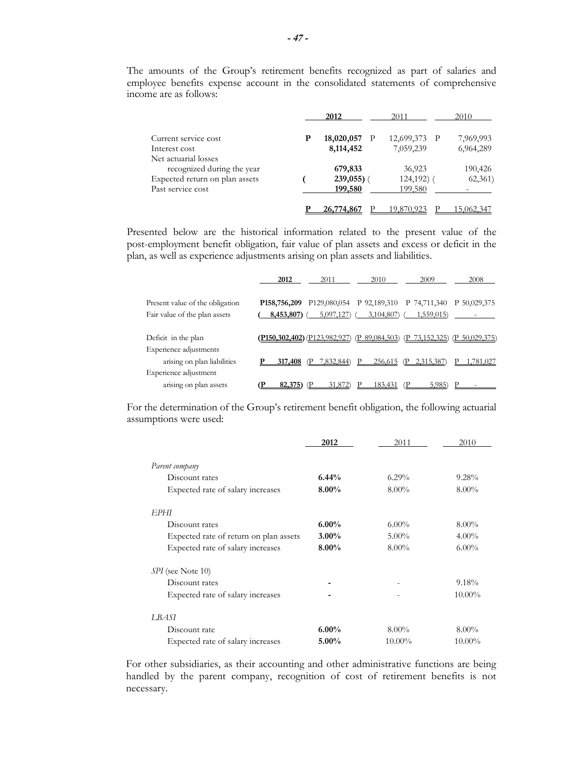The amounts of the Group's retirement benefits recognized as part of salaries and employee benefits expense account in the consolidated statements of comprehensive income are as follows:

|                                                    | 2012          | 2011         | 2010      |
|----------------------------------------------------|---------------|--------------|-----------|
| Current service cost                               | 18,020,057    | 12,699,373 P | 7,969,993 |
| Interest cost                                      | 8,114,452     | 7,059,239    | 6,964,289 |
| Net actuarial losses<br>recognized during the year | 679,833       | 36,923       | 190,426   |
| Expected return on plan assets                     | $239,055$ ) ( | $124,192)$ ( | 62,361)   |
| Past service cost                                  | 199,580       | 199,580      |           |
|                                                    | 26.774.86     |              |           |

Presented below are the historical information related to the present value of the post-employment benefit obligation, fair value of plan assets and excess or deficit in the plan, as well as experience adjustments arising on plan assets and liabilities.

|                                 | 2012                        | 2011                         | 2010                                   | 2009        | 2008          |
|---------------------------------|-----------------------------|------------------------------|----------------------------------------|-------------|---------------|
| Present value of the obligation | P <sub>158</sub> , 756, 209 |                              | P129,080,054 P 92,189,310 P 74,711,340 |             | P 50,029,375  |
|                                 |                             |                              |                                        |             |               |
| Fair value of the plan assets   | $8,453,807$ ) (             | 5,097,127)                   | 3,104,807)                             | 1,559,015)  |               |
|                                 |                             |                              |                                        |             |               |
| Deficit in the plan             |                             | P150,302,402) (P123,982,927) | (P 89,084,503)                         | 73,152,325` | P 50,029,375) |
| Experience adjustments          |                             |                              |                                        |             |               |
| arising on plan liabilities     | 317,408                     | 7.832.844)                   | 256,615                                | 2.315.387   | .781.027      |
| Experience adjustment           |                             |                              |                                        |             |               |
| arising on plan assets          |                             | 31,872                       | 183.43                                 | 5.985       |               |

For the determination of the Group's retirement benefit obligation, the following actuarial assumptions were used:

|                                        | 2012     | 2011     | 2010      |
|----------------------------------------|----------|----------|-----------|
| Parent company                         |          |          |           |
| Discount rates                         | 6.44%    | $6.29\%$ | 9.28%     |
| Expected rate of salary increases      | $8.00\%$ | $8.00\%$ | $8.00\%$  |
| EPHI                                   |          |          |           |
| Discount rates                         | $6.00\%$ | $6.00\%$ | $8.00\%$  |
| Expected rate of return on plan assets | $3.00\%$ | $5.00\%$ | $4.00\%$  |
| Expected rate of salary increases      | $8.00\%$ | $8.00\%$ | $6.00\%$  |
| <i>SPI</i> (see Note 10)               |          |          |           |
| Discount rates                         |          |          | 9.18%     |
| Expected rate of salary increases      |          |          | $10.00\%$ |
| LBASI                                  |          |          |           |
| Discount rate                          | $6.00\%$ | $8.00\%$ | $8.00\%$  |
| Expected rate of salary increases      | $5.00\%$ | 10.00%   | $10.00\%$ |

For other subsidiaries, as their accounting and other administrative functions are being handled by the parent company, recognition of cost of retirement benefits is not necessary.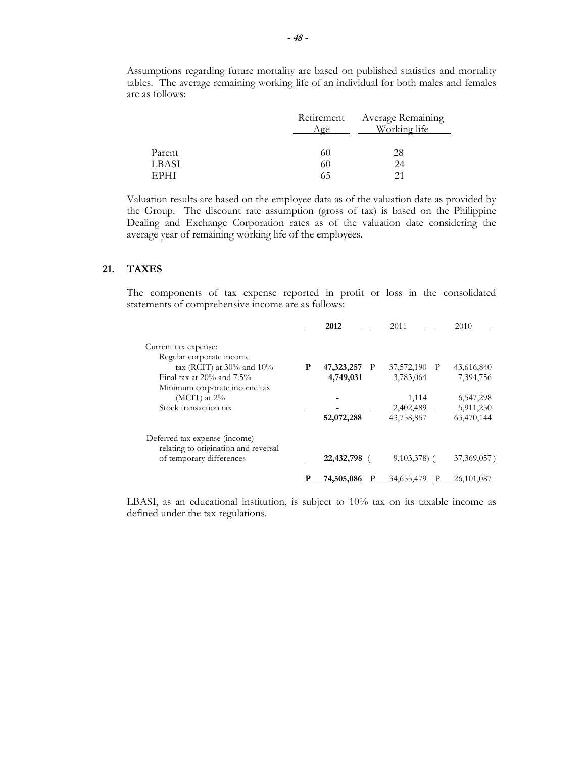|        |      | Retirement Average Remaining |
|--------|------|------------------------------|
|        | Age  | Working life                 |
|        |      |                              |
| Parent | 60   | 28                           |
| LBASI  | 60   | 24                           |
| EPHI   | (ი.ე |                              |

Assumptions regarding future mortality are based on published statistics and mortality tables. The average remaining working life of an individual for both males and females are as follows:

Valuation results are based on the employee data as of the valuation date as provided by the Group. The discount rate assumption (gross of tax) is based on the Philippine Dealing and Exchange Corporation rates as of the valuation date considering the average year of remaining working life of the employees.

# **21. TAXES**

The components of tax expense reported in profit or loss in the consolidated statements of comprehensive income are as follows:

|                                                                       |   | 2012              |              | 2011         | 2010         |
|-----------------------------------------------------------------------|---|-------------------|--------------|--------------|--------------|
| Current tax expense:                                                  |   |                   |              |              |              |
| Regular corporate income                                              |   |                   |              |              |              |
| tax (RCIT) at $30\%$ and $10\%$                                       | P | 47,323,257        | $\mathbf{P}$ | 37,572,190 P | 43,616,840   |
| Final tax at $20\%$ and $7.5\%$                                       |   | 4,749,031         |              | 3,783,064    | 7,394,756    |
| Minimum corporate income tax                                          |   |                   |              |              |              |
| (MCIT) at $2\%$                                                       |   |                   |              | 1,114        | 6,547,298    |
| Stock transaction tax                                                 |   |                   |              | 2,402,489    | 5,911,250    |
|                                                                       |   | 52,072,288        |              | 43,758,857   | 63,470,144   |
| Deferred tax expense (income)<br>relating to origination and reversal |   |                   |              |              |              |
| of temporary differences                                              |   | 22,432,798        |              | 9,103,378)   | 37,369,057   |
|                                                                       |   | <u>74,505,086</u> |              | 34,655,479   | 26, 101, 087 |

LBASI, as an educational institution, is subject to  $10\%$  tax on its taxable income as defined under the tax regulations.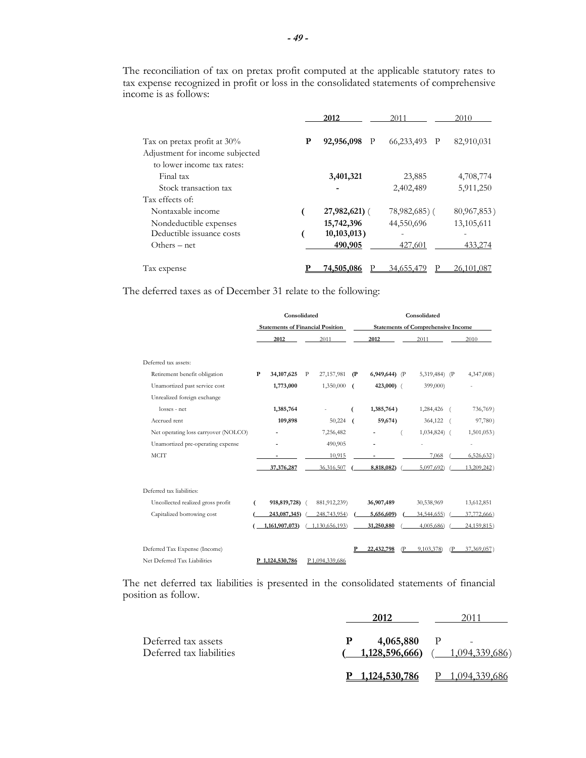|                                 |   | 2012            | 2011            | 2010         |
|---------------------------------|---|-----------------|-----------------|--------------|
| Tax on pretax profit at 30%     | P | 92,956,098<br>P | 66,233,493<br>P | 82,910,031   |
| Adjustment for income subjected |   |                 |                 |              |
| to lower income tax rates:      |   |                 |                 |              |
| Final tax                       |   | 3,401,321       | 23,885          | 4,708,774    |
| Stock transaction tax           |   |                 | 2,402,489       | 5,911,250    |
| Tax effects of:                 |   |                 |                 |              |
| Nontaxable income               |   | $27,982,621$ (  | $78,982,685$ (  | 80,967,853)  |
| Nondeductible expenses          |   | 15,742,396      | 44,550,696      | 13,105,611   |
| Deductible issuance costs       |   | $10,103,013$ )  |                 |              |
| $Others - net$                  |   | 490,905         | 427,601         | 433,274      |
| Tax expense                     |   | 74,505,086      | 34,655,479      | 26, 101, 087 |

The reconciliation of tax on pretax profit computed at the applicable statutory rates to tax expense recognized in profit or loss in the consolidated statements of comprehensive income is as follows:

The deferred taxes as of December 31 relate to the following:

|                                      | Consolidated |                                         |   |                | Consolidated |                                           |  |               |  |                     |
|--------------------------------------|--------------|-----------------------------------------|---|----------------|--------------|-------------------------------------------|--|---------------|--|---------------------|
|                                      |              | <b>Statements of Financial Position</b> |   |                |              | <b>Statements of Comprehensive Income</b> |  |               |  |                     |
|                                      |              | 2012                                    |   | 2011           |              | 2012                                      |  | 2011          |  | 2010                |
| Deferred tax assets:                 |              |                                         |   |                |              |                                           |  |               |  |                     |
| Retirement benefit obligation        | $\mathbf P$  | 34, 107, 625                            | P | 27,157,981     | (P           | 6,949,644) (P                             |  | 5,319,484) (P |  | 4,347,008)          |
| Unamortized past service cost        |              | 1,773,000                               |   | 1,350,000      |              | $423,000$ (                               |  | 399,000)      |  |                     |
| Unrealized foreign exchange          |              |                                         |   |                |              |                                           |  |               |  |                     |
| losses - net                         |              | 1,385,764                               |   |                |              | 1,385,764)                                |  | 1,284,426     |  | 736,769)            |
| Accrued rent                         |              | 109,898                                 |   | 50,224         | $\epsilon$   | 59,674)                                   |  | 364,122       |  | 97,780)             |
| Net operating loss carryover (NOLCO) |              |                                         |   | 7,256,482      |              |                                           |  | $1,034,824$ ( |  | 1,501,053)          |
| Unamortized pre-operating expense    |              |                                         |   | 490,905        |              |                                           |  |               |  | $\bar{\phantom{a}}$ |
| <b>MCIT</b>                          |              |                                         |   | 10,915         |              |                                           |  | 7,068         |  | 6,526,632)          |
|                                      |              | 37,376,287                              |   | 36,316,507     |              | 8,818,082)                                |  | 5,097,692)    |  | 13,209,242)         |
| Deferred tax liabilities:            |              |                                         |   |                |              |                                           |  |               |  |                     |
| Uncollected realized gross profit    | 6            | 918,819,728)                            |   | 881, 912, 239) |              | 36,907,489                                |  | 30,538,969    |  | 13,612,851          |
| Capitalized borrowing cost           |              | 243,087,345)                            |   | 248,743,954)   |              | 5,656,609)                                |  | 34, 544, 655) |  | 37,772,666)         |
|                                      |              | 1,161,907,073)                          |   | 1,130,656,193) |              | 31,250,880                                |  | 4,005,686)    |  | 24,159,815)         |
| Deferred Tax Expense (Income)        |              |                                         |   |                |              | 22,432,798                                |  | 9.103.378)    |  | 37,369,057)         |
| Net Deferred Tax Liabilities         |              | P 1.124.530.786                         |   | P1.094.339.686 |              |                                           |  |               |  |                     |

The net deferred tax liabilities is presented in the consolidated statements of financial position as follow.

| Deferred tax assets<br>Deferred tax liabilities | P<br>$4,065,880$ P<br>$\overline{\phantom{a}}$<br><b>1,128,596,666</b> ( $1,094,339,686$ ) |
|-------------------------------------------------|--------------------------------------------------------------------------------------------|
|                                                 | 1,124,530,786<br>P<br>1,094,339,686                                                        |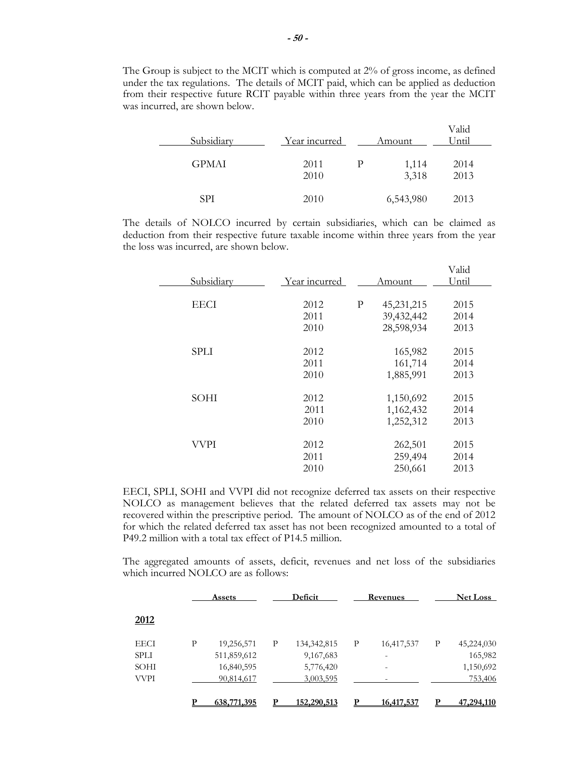The Group is subject to the MCIT which is computed at 2% of gross income, as defined under the tax regulations. The details of MCIT paid, which can be applied as deduction from their respective future RCIT payable within three years from the year the MCIT was incurred, are shown below.

| Subsidiary   | Year incurred | Amount         | Valid<br>Until |  |
|--------------|---------------|----------------|----------------|--|
| <b>GPMAI</b> | 2011<br>2010  | 1,114<br>3,318 | 2014<br>2013   |  |
| SPI          | 2010          | 6,543,980      | 2013           |  |

The details of NOLCO incurred by certain subsidiaries, which can be claimed as deduction from their respective future taxable income within three years from the year the loss was incurred, are shown below.

|             |               |   |              | Valid |  |
|-------------|---------------|---|--------------|-------|--|
| Subsidiary  | Year incurred |   | Amount       | Until |  |
|             |               |   |              |       |  |
| <b>EECI</b> | 2012          | P | 45, 231, 215 | 2015  |  |
|             | 2011          |   | 39,432,442   | 2014  |  |
|             | 2010          |   | 28,598,934   | 2013  |  |
|             |               |   |              |       |  |
| <b>SPLI</b> | 2012          |   | 165,982      | 2015  |  |
|             | 2011          |   | 161,714      | 2014  |  |
|             | 2010          |   | 1,885,991    | 2013  |  |
|             |               |   |              |       |  |
| SOHI        | 2012          |   | 1,150,692    | 2015  |  |
|             | 2011          |   | 1,162,432    | 2014  |  |
|             | 2010          |   | 1,252,312    | 2013  |  |
|             |               |   |              |       |  |
| VVPI        | 2012          |   | 262,501      | 2015  |  |
|             | 2011          |   | 259,494      | 2014  |  |
|             | 2010          |   | 250,661      | 2013  |  |
|             |               |   |              |       |  |

EECI, SPLI, SOHI and VVPI did not recognize deferred tax assets on their respective NOLCO as management believes that the related deferred tax assets may not be recovered within the prescriptive period. The amount of NOLCO as of the end of 2012 for which the related deferred tax asset has not been recognized amounted to a total of P49.2 million with a total tax effect of P14.5 million.

The aggregated amounts of assets, deficit, revenues and net loss of the subsidiaries which incurred NOLCO are as follows:

|             |   | Assets      |   | Deficit       |   | Revenues   |   | <b>Net Loss</b> |
|-------------|---|-------------|---|---------------|---|------------|---|-----------------|
| 2012        |   |             |   |               |   |            |   |                 |
| <b>EECI</b> | Р | 19,256,571  | P | 134, 342, 815 | P | 16,417,537 | P | 45,224,030      |
| <b>SPLI</b> |   | 511,859,612 |   | 9,167,683     |   |            |   | 165,982         |
| SOHI        |   | 16,840,595  |   | 5,776,420     |   |            |   | 1,150,692       |
| <b>VVPI</b> |   | 90,814,617  |   | 3,003,595     |   |            |   | 753,406         |
|             |   | 638,771,395 |   | 152,290,513   |   | 16,417,537 | p | 47,294,110      |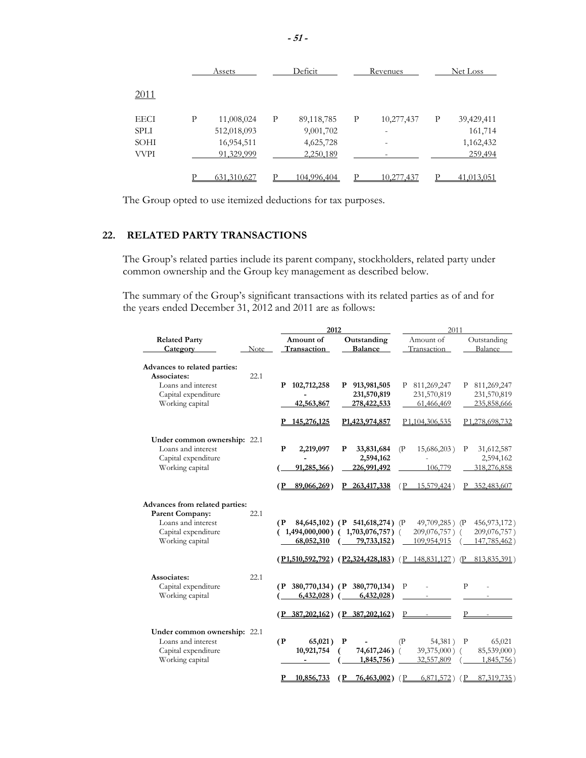|      |   | Assets      |   | Deficit     | Revenues |            |   | Net Loss   |  |
|------|---|-------------|---|-------------|----------|------------|---|------------|--|
| 2011 |   |             |   |             |          |            |   |            |  |
| EECI | P | 11,008,024  | P | 89,118,785  | P        | 10,277,437 | P | 39,429,411 |  |
| SPLI |   | 512,018,093 |   | 9,001,702   |          |            |   | 161,714    |  |
| SOHI |   | 16,954,511  |   | 4,625,728   |          |            |   | 1,162,432  |  |
| VVPI |   | 91,329,999  |   | 2,250,189   |          |            |   | 259,494    |  |
|      |   | 631,310,627 |   | 104.996.404 |          | 10.277.437 |   | 41,013,051 |  |

The Group opted to use itemized deductions for tax purposes.

# **22. RELATED PARTY TRANSACTIONS**

The Group's related parties include its parent company, stockholders, related party under common ownership and the Group key management as described below.

The summary of the Group's significant transactions with its related parties as of and for the years ended December 31, 2012 and 2011 are as follows:

|                                |      | 2012                      |                                         | 2011                                                                                    |                             |  |  |
|--------------------------------|------|---------------------------|-----------------------------------------|-----------------------------------------------------------------------------------------|-----------------------------|--|--|
| <b>Related Party</b>           |      | Amount of                 | Outstanding                             | Amount of                                                                               | Outstanding                 |  |  |
| Category                       | Note | Transaction               | <b>Balance</b>                          | Transaction                                                                             | Balance                     |  |  |
| Advances to related parties:   |      |                           |                                         |                                                                                         |                             |  |  |
| Associates:                    | 22.1 |                           |                                         |                                                                                         |                             |  |  |
| Loans and interest             |      | 102,712,258<br>Р          | 913,981,505<br>P                        | 811,269,247<br>Р                                                                        | 811,269,247<br>Ρ            |  |  |
| Capital expenditure            |      |                           | 231,570,819                             | 231,570,819                                                                             | 231,570,819                 |  |  |
| Working capital                |      | 42,563,867                | 278,422,533                             | 61,466,469                                                                              | 235,858,666                 |  |  |
|                                |      | 145,276,125               | P1,423,974,857                          | P <sub>1</sub> ,104,306,535                                                             | P <sub>1</sub> ,278,698,732 |  |  |
| Under common ownership: 22.1   |      |                           |                                         |                                                                                         |                             |  |  |
| Loans and interest             |      | $\mathbf{P}$<br>2,219,097 | P<br>33,831,684                         | (P)<br>15,686,203)                                                                      | 31,612,587<br>P             |  |  |
| Capital expenditure            |      |                           | 2,594,162                               |                                                                                         | 2,594,162                   |  |  |
| Working capital                |      | 91,285,366)               | 226,991,492                             | 106,779                                                                                 | 318,276,858                 |  |  |
|                                |      | (P<br>89,066,269)         | P 263,417,338                           | 15,579,424)<br>(P                                                                       | 352,483,607<br>P.           |  |  |
| Advances from related parties: |      |                           |                                         |                                                                                         |                             |  |  |
| <b>Parent Company:</b>         | 22.1 |                           |                                         |                                                                                         |                             |  |  |
| Loans and interest             |      | (P                        | 84,645,102) (P 541,618,274) (P          | 49,709,285) (P                                                                          | 456, 973, 172)              |  |  |
| Capital expenditure            |      |                           | $1,494,000,000$ ( $1,703,076,757$ ) (   | 209,076,757) (                                                                          | 209,076,757)                |  |  |
| Working capital                |      | 68,052,310                | 79,733,152)                             | 109,954,915                                                                             | 147,785,462)                |  |  |
|                                |      |                           |                                         | $(\overline{P1,510,592,792})$ $(\overline{P2,324,428,183})$ $(\overline{P148,831,127})$ | $(P$ 813,835,391)           |  |  |
| Associates:                    | 22.1 |                           |                                         |                                                                                         |                             |  |  |
| Capital expenditure            |      |                           | (P 380,770,134) (P 380,770,134)         | P                                                                                       | P                           |  |  |
| Working capital                |      | $6,432,028$ ) (           | $6,432,028$ )                           |                                                                                         |                             |  |  |
|                                |      |                           | $(P_{.}387,202,162) (P_{.}387,202,162)$ | P                                                                                       | P                           |  |  |
| Under common ownership: 22.1   |      |                           |                                         |                                                                                         |                             |  |  |
| Loans and interest             |      | (P)<br>65,021)            | P                                       | (P)<br>54,381)                                                                          | $\mathbf{P}$<br>65,021      |  |  |
| Capital expenditure            |      | 10,921,754                | 74,617,246)                             | 39,375,000) (                                                                           | 85,539,000)                 |  |  |
| Working capital                |      |                           | 1,845,756)                              | 32,557,809                                                                              | 1,845,756)                  |  |  |
|                                |      | P<br>10,856,733           | $76,463,002$ )<br>(P                    | 6,871,572)<br>(P                                                                        | (P)<br>87,319,735)          |  |  |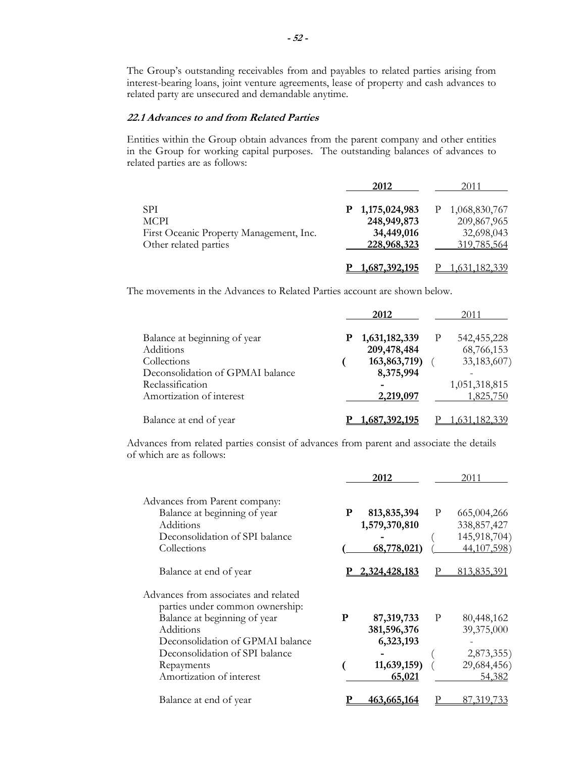The Group's outstanding receivables from and payables to related parties arising from interest-bearing loans, joint venture agreements, lease of property and cash advances to related party are unsecured and demandable anytime.

# **22.1 Advances to and from Related Parties**

Entities within the Group obtain advances from the parent company and other entities in the Group for working capital purposes. The outstanding balances of advances to related parties are as follows:

|                                         | 2012            | 2011          |
|-----------------------------------------|-----------------|---------------|
| <b>SPI</b>                              | P 1,175,024,983 | 1,068,830,767 |
| <b>MCPI</b>                             | 248,949,873     | 209,867,965   |
| First Oceanic Property Management, Inc. | 34,449,016      | 32,698,043    |
| Other related parties                   | 228,968,323     | 319,785,564   |
|                                         |                 |               |
|                                         | 1,687,392,195   |               |

The movements in the Advances to Related Parties account are shown below.

|                                  | 2012                | 2011               |
|----------------------------------|---------------------|--------------------|
| Balance at beginning of year     | 1,631,182,339<br>Р  | 542, 455, 228<br>P |
| Additions                        | 209,478,484         | 68,766,153         |
| Collections                      | 163,863,719)        | 33,183,607)        |
| Deconsolidation of GPMAI balance | 8,375,994           |                    |
| Reclassification                 |                     | 1,051,318,815      |
| Amortization of interest         | 2,219,097           | 1,825,750          |
| Balance at end of year           | <u>,687,392,195</u> |                    |

Advances from related parties consist of advances from parent and associate the details of which are as follows:

|                                                                               |   | 2012                                   |   | 2011                                |
|-------------------------------------------------------------------------------|---|----------------------------------------|---|-------------------------------------|
| Advances from Parent company:<br>Balance at beginning of year<br>Additions    | P | 813, 835, 394<br>1,579,370,810         | P | 665,004,266<br>338,857,427          |
| Deconsolidation of SPI balance<br>Collections                                 |   | 68,778,021                             |   | 145,918,704)<br>44,107,598)         |
| Balance at end of year                                                        |   | 2,324,428,183                          |   | 813,835,391                         |
| Advances from associates and related<br>parties under common ownership:       |   |                                        |   |                                     |
| Balance at beginning of year<br>Additions<br>Deconsolidation of GPMAI balance | P | 87,319,733<br>381,596,376<br>6,323,193 | P | 80,448,162<br>39,375,000            |
| Deconsolidation of SPI balance<br>Repayments<br>Amortization of interest      |   | 11,639,159<br>65,021                   |   | 2,873,355)<br>29,684,456)<br>54,382 |
| Balance at end of year                                                        |   | 463,665,164                            |   | 87.319.7                            |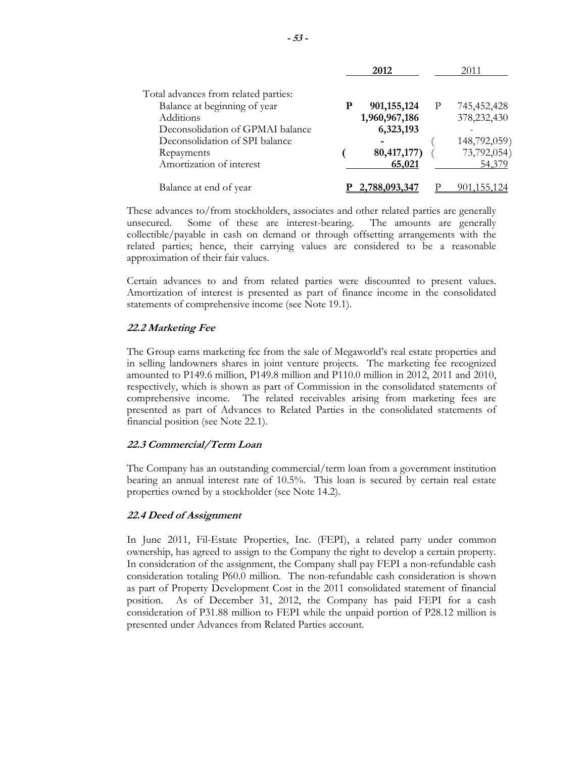|                                      |   | 2012          |              | 2011         |
|--------------------------------------|---|---------------|--------------|--------------|
| Total advances from related parties: |   |               |              |              |
| Balance at beginning of year         | P | 901, 155, 124 | $\mathbf{P}$ | 745,452,428  |
| Additions                            |   | 1,960,967,186 |              | 378,232,430  |
| Deconsolidation of GPMAI balance     |   | 6,323,193     |              |              |
| Deconsolidation of SPI balance       |   |               |              | 148,792,059) |
| Repayments                           |   | 80, 417, 177) |              | 73,792,054)  |
| Amortization of interest             |   | 65,021        |              | 54,379       |
| Balance at end of year               |   | 2,788,093,347 |              |              |

These advances to/from stockholders, associates and other related parties are generally unsecured. Some of these are interest-bearing. The amounts are generally collectible/payable in cash on demand or through offsetting arrangements with the related parties; hence, their carrying values are considered to be a reasonable approximation of their fair values.

Certain advances to and from related parties were discounted to present values. Amortization of interest is presented as part of finance income in the consolidated statements of comprehensive income (see Note 19.1).

#### **22.2 Marketing Fee**

The Group earns marketing fee from the sale of Megaworld's real estate properties and in selling landowners shares in joint venture projects. The marketing fee recognized amounted to P149.6 million, P149.8 million and P110.0 million in 2012, 2011 and 2010, respectively, which is shown as part of Commission in the consolidated statements of comprehensive income. The related receivables arising from marketing fees are presented as part of Advances to Related Parties in the consolidated statements of financial position (see Note 22.1).

#### **22.3 Commercial/Term Loan**

The Company has an outstanding commercial/term loan from a government institution bearing an annual interest rate of 10.5%. This loan is secured by certain real estate properties owned by a stockholder (see Note 14.2).

#### **22.4 Deed of Assignment**

In June 2011, Fil-Estate Properties, Inc. (FEPI), a related party under common ownership, has agreed to assign to the Company the right to develop a certain property. In consideration of the assignment, the Company shall pay FEPI a non-refundable cash consideration totaling P60.0 million. The non-refundable cash consideration is shown as part of Property Development Cost in the 2011 consolidated statement of financial position. As of December 31, 2012, the Company has paid FEPI for a cash consideration of P31.88 million to FEPI while the unpaid portion of P28.12 million is presented under Advances from Related Parties account.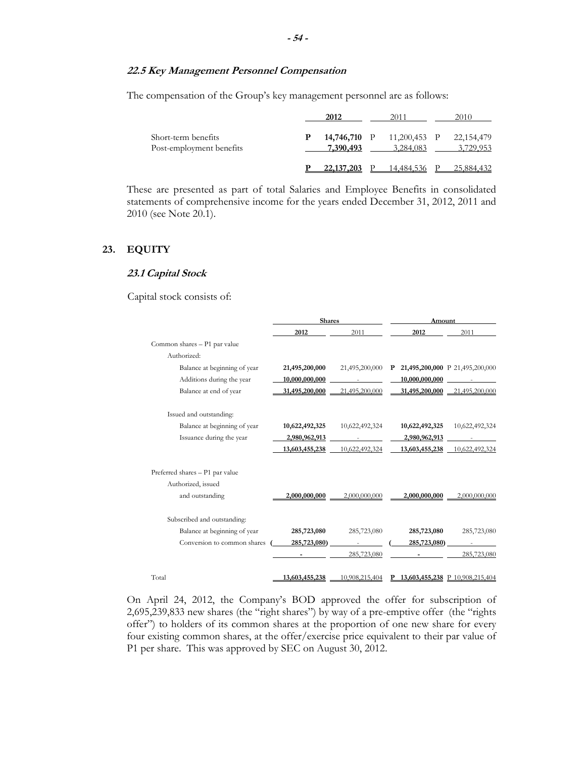# **22.5 Key Management Personnel Compensation**

The compensation of the Group's key management personnel are as follows:

|                                                 | 2012         |                                        | 2010                    |
|-------------------------------------------------|--------------|----------------------------------------|-------------------------|
| Short-term benefits<br>Post-employment benefits | 7,390,493    | 14,746,710 P 11,200,453 P<br>3.284,083 | 22,154,479<br>3,729,953 |
|                                                 | 22, 137, 203 | P 14.484.536                           | 25,884,432              |

These are presented as part of total Salaries and Employee Benefits in consolidated statements of comprehensive income for the years ended December 31, 2012, 2011 and 2010 (see Note 20.1).

#### **23. EQUITY**

#### **23.1 Capital Stock**

Capital stock consists of:

|                                 | <b>Shares</b>  |                | Amount                            |                                 |  |  |
|---------------------------------|----------------|----------------|-----------------------------------|---------------------------------|--|--|
|                                 | 2012           | 2011           | 2012                              | 2011                            |  |  |
| Common shares - P1 par value    |                |                |                                   |                                 |  |  |
| Authorized:                     |                |                |                                   |                                 |  |  |
| Balance at beginning of year    | 21,495,200,000 | 21,495,200,000 | P 21,495,200,000 P 21,495,200,000 |                                 |  |  |
| Additions during the year       | 10,000,000,000 |                | 10,000,000,000                    |                                 |  |  |
| Balance at end of year          | 31,495,200,000 | 21,495,200,000 | 31,495,200,000                    | 21,495,200,000                  |  |  |
| Issued and outstanding:         |                |                |                                   |                                 |  |  |
| Balance at beginning of year    | 10,622,492,325 | 10,622,492,324 | 10,622,492,325                    | 10,622,492,324                  |  |  |
| Issuance during the year        | 2,980,962,913  |                | 2,980,962,913                     |                                 |  |  |
|                                 | 13,603,455,238 | 10,622,492,324 | 13,603,455,238                    | 10,622,492,324                  |  |  |
| Preferred shares - P1 par value |                |                |                                   |                                 |  |  |
| Authorized, issued              |                |                |                                   |                                 |  |  |
| and outstanding                 | 2,000,000,000  | 2,000,000,000  | 2,000,000,000                     | 2,000,000,000                   |  |  |
| Subscribed and outstanding:     |                |                |                                   |                                 |  |  |
| Balance at beginning of year    | 285,723,080    | 285,723,080    | 285,723,080                       | 285,723,080                     |  |  |
| Conversion to common shares     | 285,723,080)   |                | 285,723,080)                      |                                 |  |  |
|                                 |                | 285,723,080    |                                   | 285,723,080                     |  |  |
| Total                           | 13,603,455,238 | 10,908,215,404 | P                                 | 13,603,455,238 P 10,908,215,404 |  |  |

On April 24, 2012, the Company's BOD approved the offer for subscription of 2,695,239,833 new shares (the "right shares") by way of a pre-emptive offer (the "rights offer") to holders of its common shares at the proportion of one new share for every four existing common shares, at the offer/exercise price equivalent to their par value of P1 per share. This was approved by SEC on August 30, 2012.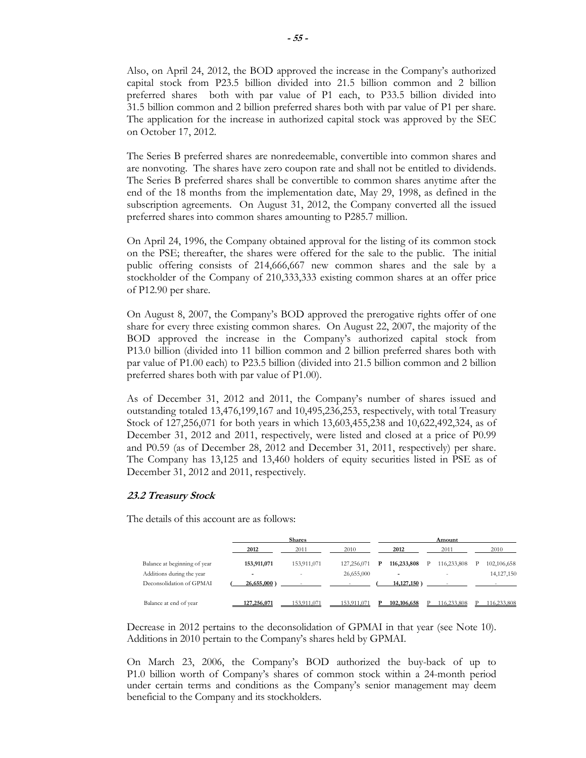Also, on April 24, 2012, the BOD approved the increase in the Company's authorized capital stock from P23.5 billion divided into 21.5 billion common and 2 billion preferred shares both with par value of P1 each, to P33.5 billion divided into 31.5 billion common and 2 billion preferred shares both with par value of P1 per share. The application for the increase in authorized capital stock was approved by the SEC on October 17, 2012.

The Series B preferred shares are nonredeemable, convertible into common shares and are nonvoting. The shares have zero coupon rate and shall not be entitled to dividends. The Series B preferred shares shall be convertible to common shares anytime after the end of the 18 months from the implementation date, May 29, 1998, as defined in the subscription agreements. On August 31, 2012, the Company converted all the issued preferred shares into common shares amounting to P285.7 million.

On April 24, 1996, the Company obtained approval for the listing of its common stock on the PSE; thereafter, the shares were offered for the sale to the public. The initial public offering consists of 214,666,667 new common shares and the sale by a stockholder of the Company of 210,333,333 existing common shares at an offer price of P12.90 per share.

On August 8, 2007, the Company's BOD approved the prerogative rights offer of one share for every three existing common shares. On August 22, 2007, the majority of the BOD approved the increase in the Company's authorized capital stock from P13.0 billion (divided into 11 billion common and 2 billion preferred shares both with par value of P1.00 each) to P23.5 billion (divided into 21.5 billion common and 2 billion preferred shares both with par value of P1.00).

As of December 31, 2012 and 2011, the Company's number of shares issued and outstanding totaled 13,476,199,167 and 10,495,236,253, respectively, with total Treasury Stock of 127,256,071 for both years in which 13,603,455,238 and 10,622,492,324, as of December 31, 2012 and 2011, respectively, were listed and closed at a price of P0.99 and P0.59 (as of December 28, 2012 and December 31, 2011, respectively) per share. The Company has 13,125 and 13,460 holders of equity securities listed in PSE as of December 31, 2012 and 2011, respectively.

# **23.2 Treasury Stock**

The details of this account are as follows:

|                        |                              | <b>Shares</b>  |             |              | Amount |                |   |             |   |              |
|------------------------|------------------------------|----------------|-------------|--------------|--------|----------------|---|-------------|---|--------------|
|                        |                              | 2012           | 2011        | 2010         |        | 2012           |   | 2011        |   | 2010         |
|                        | Balance at beginning of year | 153,911,071    | 153,911,071 | 127.256.071  | - P    | 116,233,808    | P | 116,233,808 | P | 102,106,658  |
|                        | Additions during the year    |                |             | 26,655,000   |        |                |   |             |   | 14, 127, 150 |
|                        | Deconsolidation of GPMAI     | $26,655,000$ ) |             |              |        | $14,127,150$ ) |   |             |   |              |
| Balance at end of year |                              | 127,256,071    | 53.911.071  | $+53.911.07$ |        | 102,106,658    |   | 16.233.808  |   | 16.233.808   |

Decrease in 2012 pertains to the deconsolidation of GPMAI in that year (see Note 10). Additions in 2010 pertain to the Company's shares held by GPMAI.

On March 23, 2006, the Company's BOD authorized the buy-back of up to P1.0 billion worth of Company's shares of common stock within a 24-month period under certain terms and conditions as the Company's senior management may deem beneficial to the Company and its stockholders.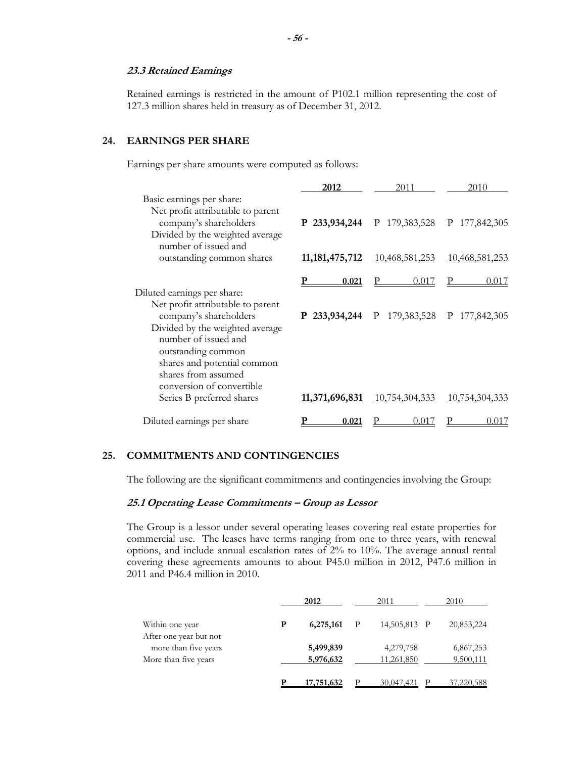#### **23.3 Retained Earnings**

Retained earnings is restricted in the amount of P102.1 million representing the cost of 127.3 million shares held in treasury as of December 31, 2012.

# **24. EARNINGS PER SHARE**

Earnings per share amounts were computed as follows:

|                                                                                                                                                                                                                                                                | 2012           | 2011                                      | 2010           |
|----------------------------------------------------------------------------------------------------------------------------------------------------------------------------------------------------------------------------------------------------------------|----------------|-------------------------------------------|----------------|
| Basic earnings per share:<br>Net profit attributable to parent<br>company's shareholders<br>Divided by the weighted average                                                                                                                                    |                | P 233,934,244 P 179,383,528 P 177,842,305 |                |
| number of issued and<br>outstanding common shares                                                                                                                                                                                                              | 11,181,475,712 | 10,468,581,253                            | 10,468,581,253 |
|                                                                                                                                                                                                                                                                | 0.021          | 0.017                                     | 0.017          |
| Diluted earnings per share:<br>Net profit attributable to parent<br>company's shareholders<br>Divided by the weighted average<br>number of issued and<br>outstanding common<br>shares and potential common<br>shares from assumed<br>conversion of convertible |                | P 233,934,244 P 179,383,528 P 177,842,305 |                |
| Series B preferred shares                                                                                                                                                                                                                                      | 11,371,696,831 | 10,754,304,333                            | 10,754,304,333 |
| Diluted earnings per share                                                                                                                                                                                                                                     | 0.021          | 0.017                                     | 0.017          |

# **25. COMMITMENTS AND CONTINGENCIES**

The following are the significant commitments and contingencies involving the Group:

# **25.1 Operating Lease Commitments – Group as Lessor**

The Group is a lessor under several operating leases covering real estate properties for commercial use. The leases have terms ranging from one to three years, with renewal options, and include annual escalation rates of 2% to 10%. The average annual rental covering these agreements amounts to about P45.0 million in 2012, P47.6 million in 2011 and P46.4 million in 2010.

|                                                                        |   | 2012                   | 2011                    | 2010                   |
|------------------------------------------------------------------------|---|------------------------|-------------------------|------------------------|
| Within one year                                                        | P | 6,275,161              | 14,505,813 P            | 20,853,224             |
| After one year but not<br>more than five years<br>More than five years |   | 5,499,839<br>5,976,632 | 4,279,758<br>11,261,850 | 6,867,253<br>9,500,111 |
|                                                                        |   | 17,751,632             | 30,047,421              | 37,220,588             |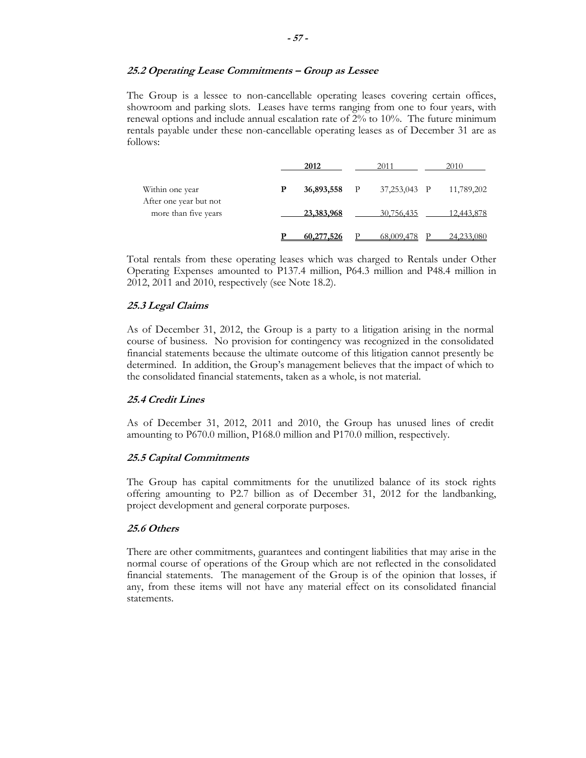#### **25.2 Operating Lease Commitments – Group as Lessee**

The Group is a lessee to non-cancellable operating leases covering certain offices, showroom and parking slots. Leases have terms ranging from one to four years, with renewal options and include annual escalation rate of 2% to 10%. The future minimum rentals payable under these non-cancellable operating leases as of December 31 are as follows:

|                                                | 2012       |              | 2011         | 2010       |
|------------------------------------------------|------------|--------------|--------------|------------|
| Within one year                                | 36,893,558 | $\mathbb{P}$ | 37,253,043 P | 11,789,202 |
| After one year but not<br>more than five years | 23,383,968 |              | 30,756,435   | 12,443,878 |
|                                                | 60,277,526 |              | 68,009,478   | 24,233,080 |

Total rentals from these operating leases which was charged to Rentals under Other Operating Expenses amounted to P137.4 million, P64.3 million and P48.4 million in 2012, 2011 and 2010, respectively (see Note 18.2).

#### **25.3 Legal Claims**

As of December 31, 2012, the Group is a party to a litigation arising in the normal course of business. No provision for contingency was recognized in the consolidated financial statements because the ultimate outcome of this litigation cannot presently be determined. In addition, the Group's management believes that the impact of which to the consolidated financial statements, taken as a whole, is not material.

#### **25.4 Credit Lines**

As of December 31, 2012, 2011 and 2010, the Group has unused lines of credit amounting to P670.0 million, P168.0 million and P170.0 million, respectively.

#### **25.5 Capital Commitments**

The Group has capital commitments for the unutilized balance of its stock rights offering amounting to P2.7 billion as of December 31, 2012 for the landbanking, project development and general corporate purposes.

# **25.6 Others**

There are other commitments, guarantees and contingent liabilities that may arise in the normal course of operations of the Group which are not reflected in the consolidated financial statements. The management of the Group is of the opinion that losses, if any, from these items will not have any material effect on its consolidated financial statements.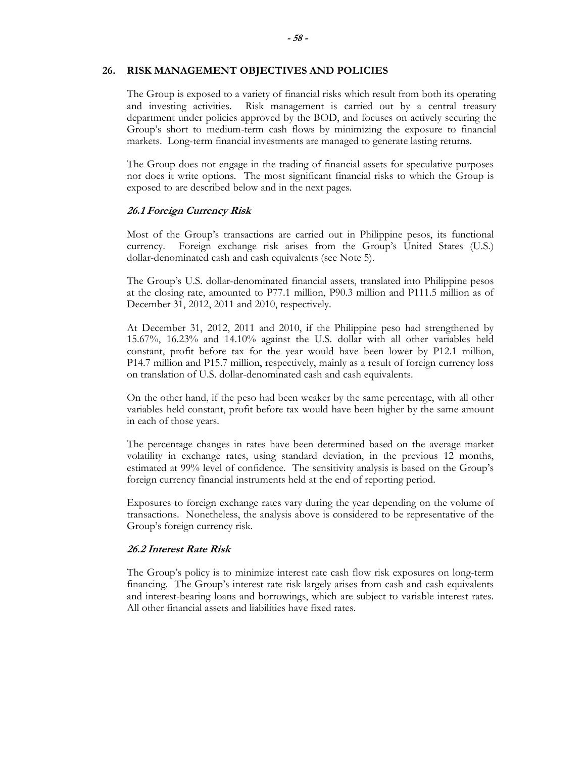#### **26. RISK MANAGEMENT OBJECTIVES AND POLICIES**

The Group is exposed to a variety of financial risks which result from both its operating and investing activities. Risk management is carried out by a central treasury department under policies approved by the BOD, and focuses on actively securing the Group's short to medium-term cash flows by minimizing the exposure to financial markets. Long-term financial investments are managed to generate lasting returns.

The Group does not engage in the trading of financial assets for speculative purposes nor does it write options. The most significant financial risks to which the Group is exposed to are described below and in the next pages.

# **26.1 Foreign Currency Risk**

Most of the Group's transactions are carried out in Philippine pesos, its functional currency. Foreign exchange risk arises from the Group's United States (U.S.) dollar-denominated cash and cash equivalents (see Note 5).

The Group's U.S. dollar-denominated financial assets, translated into Philippine pesos at the closing rate, amounted to P77.1 million, P90.3 million and P111.5 million as of December 31, 2012, 2011 and 2010, respectively.

At December 31, 2012, 2011 and 2010, if the Philippine peso had strengthened by 15.67%, 16.23% and 14.10% against the U.S. dollar with all other variables held constant, profit before tax for the year would have been lower by P12.1 million, P14.7 million and P15.7 million, respectively, mainly as a result of foreign currency loss on translation of U.S. dollar-denominated cash and cash equivalents.

On the other hand, if the peso had been weaker by the same percentage, with all other variables held constant, profit before tax would have been higher by the same amount in each of those years.

The percentage changes in rates have been determined based on the average market volatility in exchange rates, using standard deviation, in the previous 12 months, estimated at 99% level of confidence. The sensitivity analysis is based on the Group's foreign currency financial instruments held at the end of reporting period.

Exposures to foreign exchange rates vary during the year depending on the volume of transactions. Nonetheless, the analysis above is considered to be representative of the Group's foreign currency risk.

# **26.2 Interest Rate Risk**

The Group's policy is to minimize interest rate cash flow risk exposures on long-term financing. The Group's interest rate risk largely arises from cash and cash equivalents and interest-bearing loans and borrowings, which are subject to variable interest rates. All other financial assets and liabilities have fixed rates.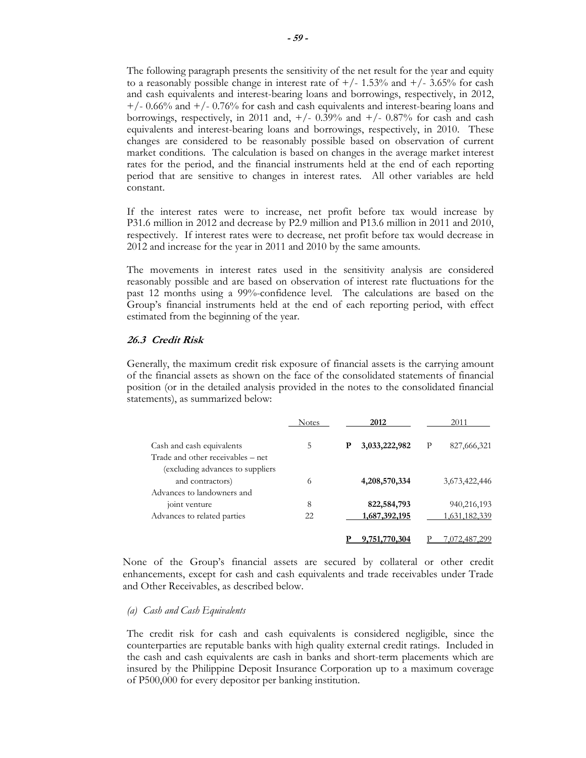The following paragraph presents the sensitivity of the net result for the year and equity to a reasonably possible change in interest rate of  $+/- 1.53\%$  and  $+/- 3.65\%$  for cash and cash equivalents and interest-bearing loans and borrowings, respectively, in 2012,  $+/- 0.66\%$  and  $+/- 0.76\%$  for cash and cash equivalents and interest-bearing loans and borrowings, respectively, in 2011 and,  $+/- 0.39\%$  and  $+/- 0.87\%$  for cash and cash equivalents and interest-bearing loans and borrowings, respectively, in 2010. These changes are considered to be reasonably possible based on observation of current market conditions. The calculation is based on changes in the average market interest rates for the period, and the financial instruments held at the end of each reporting period that are sensitive to changes in interest rates. All other variables are held constant.

If the interest rates were to increase, net profit before tax would increase by P31.6 million in 2012 and decrease by P2.9 million and P13.6 million in 2011 and 2010, respectively. If interest rates were to decrease, net profit before tax would decrease in 2012 and increase for the year in 2011 and 2010 by the same amounts.

The movements in interest rates used in the sensitivity analysis are considered reasonably possible and are based on observation of interest rate fluctuations for the past 12 months using a 99%-confidence level. The calculations are based on the Group's financial instruments held at the end of each reporting period, with effect estimated from the beginning of the year.

# **26.3 Credit Risk**

Generally, the maximum credit risk exposure of financial assets is the carrying amount of the financial assets as shown on the face of the consolidated statements of financial position (or in the detailed analysis provided in the notes to the consolidated financial statements), as summarized below:

|                                                                                     | <b>Notes</b> |   | 2012          |   | 2011          |
|-------------------------------------------------------------------------------------|--------------|---|---------------|---|---------------|
| Cash and cash equivalents<br>Trade and other receivables – net                      | 5            | P | 3,033,222,982 | P | 827,666,321   |
| (excluding advances to suppliers)<br>and contractors)<br>Advances to landowners and | 6            |   | 4,208,570,334 |   | 3,673,422,446 |
| joint venture                                                                       | 8            |   | 822,584,793   |   | 940,216,193   |
| Advances to related parties                                                         | 22           |   | 1,687,392,195 |   | 1,631,182,339 |
|                                                                                     |              |   | 9,751,770,304 |   | ,072,487,299  |

None of the Group's financial assets are secured by collateral or other credit enhancements, except for cash and cash equivalents and trade receivables under Trade and Other Receivables, as described below.

#### *(a) Cash and Cash Equivalents*

The credit risk for cash and cash equivalents is considered negligible, since the counterparties are reputable banks with high quality external credit ratings. Included in the cash and cash equivalents are cash in banks and short-term placements which are insured by the Philippine Deposit Insurance Corporation up to a maximum coverage of P500,000 for every depositor per banking institution.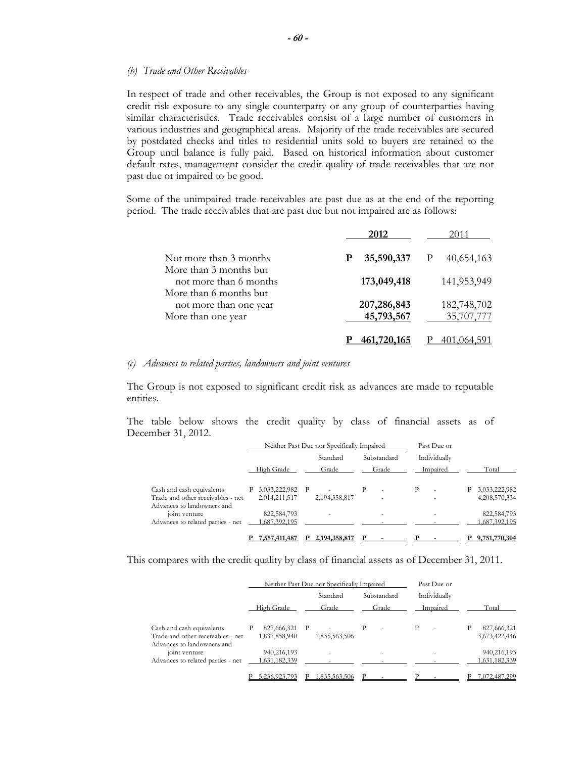#### *(b) Trade and Other Receivables*

In respect of trade and other receivables, the Group is not exposed to any significant credit risk exposure to any single counterparty or any group of counterparties having similar characteristics. Trade receivables consist of a large number of customers in various industries and geographical areas. Majority of the trade receivables are secured by postdated checks and titles to residential units sold to buyers are retained to the Group until balance is fully paid. Based on historical information about customer default rates, management consider the credit quality of trade receivables that are not past due or impaired to be good.

Some of the unimpaired trade receivables are past due as at the end of the reporting period. The trade receivables that are past due but not impaired are as follows:

|                                                                        | 2012                      | 2011                      |
|------------------------------------------------------------------------|---------------------------|---------------------------|
| Not more than 3 months                                                 | 35,590,337                | 40,654,163                |
| More than 3 months but<br>not more than 6 months                       | 173,049,418               | 141,953,949               |
| More than 6 months but<br>not more than one year<br>More than one year | 207,286,843<br>45,793,567 | 182,748,702<br>35,707,777 |
|                                                                        |                           |                           |

#### *(c) Advances to related parties, landowners and joint ventures*

The Group is not exposed to significant credit risk as advances are made to reputable entities.

The table below shows the credit quality by class of financial assets as of December 31, 2012.

|                                                                 |                                 | Neither Past Due nor Specifically Impaired | Past Due or |              |               |  |
|-----------------------------------------------------------------|---------------------------------|--------------------------------------------|-------------|--------------|---------------|--|
|                                                                 |                                 | Standard                                   | Substandard | Individually |               |  |
|                                                                 | High Grade                      | Grade                                      | Grade       | Impaired     | Total         |  |
| Cash and cash equivalents                                       | 3,033,222,982                   | P                                          | P           | Р<br>٠       | 3,033,222,982 |  |
| Trade and other receivables - net<br>Advances to landowners and | 2,014,211,517                   | 2,194,358,817                              |             | ٠            | 4,208,570,334 |  |
| joint venture                                                   | 822, 584, 793                   |                                            |             | ۰            | 822,584,793   |  |
| Advances to related parties - net                               | 1,687,392,195                   |                                            |             |              | 1,687,392,195 |  |
|                                                                 | 7 <b>.</b> 557 <b>.</b> 411.487 | 2,194,358,817                              |             |              | 9.751,770,304 |  |

This compares with the credit quality by class of financial assets as of December 31, 2011.

|                                                                                              |                              | Neither Past Due nor Specifically Impaired | Past Due or |              |                              |
|----------------------------------------------------------------------------------------------|------------------------------|--------------------------------------------|-------------|--------------|------------------------------|
|                                                                                              |                              | Standard                                   | Substandard | Individually |                              |
|                                                                                              | High Grade                   | Grade                                      | Grade       | Impaired     | Total                        |
| Cash and cash equivalents<br>Trade and other receivables - net<br>Advances to landowners and | 827,666,321<br>1,837,858,940 | P<br>1,835,563,506                         | P           | P<br>٠       | 827,666,321<br>3,673,422,446 |
| joint venture<br>Advances to related parties - net                                           | 940,216,193<br>1,631,182,339 |                                            |             |              | 940,216,193<br>1,631,182,339 |
|                                                                                              |                              | .835.563.506                               |             |              | .072.487.299                 |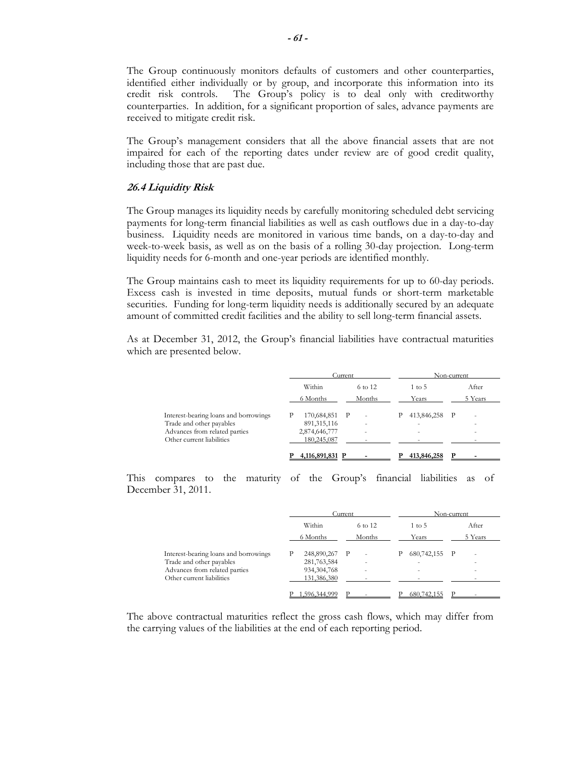The Group continuously monitors defaults of customers and other counterparties, identified either individually or by group, and incorporate this information into its credit risk controls. The Group's policy is to deal only with creditworthy counterparties. In addition, for a significant proportion of sales, advance payments are received to mitigate credit risk.

The Group's management considers that all the above financial assets that are not impaired for each of the reporting dates under review are of good credit quality, including those that are past due.

#### **26.4 Liquidity Risk**

The Group manages its liquidity needs by carefully monitoring scheduled debt servicing payments for long-term financial liabilities as well as cash outflows due in a day-to-day business. Liquidity needs are monitored in various time bands, on a day-to-day and week-to-week basis, as well as on the basis of a rolling 30-day projection. Long-term liquidity needs for 6-month and one-year periods are identified monthly.

The Group maintains cash to meet its liquidity requirements for up to 60-day periods. Excess cash is invested in time deposits, mutual funds or short-term marketable securities. Funding for long-term liquidity needs is additionally secured by an adequate amount of committed credit facilities and the ability to sell long-term financial assets.

As at December 31, 2012, the Group's financial liabilities have contractual maturities which are presented below.

|                                       |                 | Current                  |                          | Non-current |  |
|---------------------------------------|-----------------|--------------------------|--------------------------|-------------|--|
|                                       | Within          | 6 to 12                  | 1 to 5                   | After       |  |
|                                       | 6 Months        | Months                   | Years                    | 5 Years     |  |
| Interest-bearing loans and borrowings | 170,684,851 P   | $\overline{\phantom{a}}$ | 413,846,258<br>P         | - P<br>۰    |  |
| Trade and other payables              | 891, 315, 116   | ٠                        | $\sim$                   | ٠           |  |
| Advances from related parties         | 2,874,646,777   | ٠                        | $\overline{\phantom{a}}$ | ۰           |  |
| Other current liabilities             | 180,245,087     |                          |                          |             |  |
|                                       | 4,116,891,831 P |                          | 413,846,258              |             |  |

This compares to the maturity of the Group's financial liabilities as of December 31, 2011.

|                                       |               | Current                  | Non-current        |          |  |
|---------------------------------------|---------------|--------------------------|--------------------|----------|--|
|                                       | Within        | 6 to 12                  | $1 \text{ to } 5$  | After    |  |
|                                       | 6 Months      | Months                   | Years              | 5 Years  |  |
| Interest-bearing loans and borrowings | 248,890,267 P | $\overline{\phantom{a}}$ | 680, 742, 155<br>Р | – P<br>۰ |  |
| Trade and other payables              | 281,763,584   | ٠                        | $\sim$             | ٠        |  |
| Advances from related parties         | 934, 304, 768 | $\overline{\phantom{a}}$ | $\sim$             | ۰        |  |
| Other current liabilities             | 131,386,380   |                          |                    |          |  |
|                                       | .596.344.999  |                          | 680,742,155        | D        |  |

The above contractual maturities reflect the gross cash flows, which may differ from the carrying values of the liabilities at the end of each reporting period.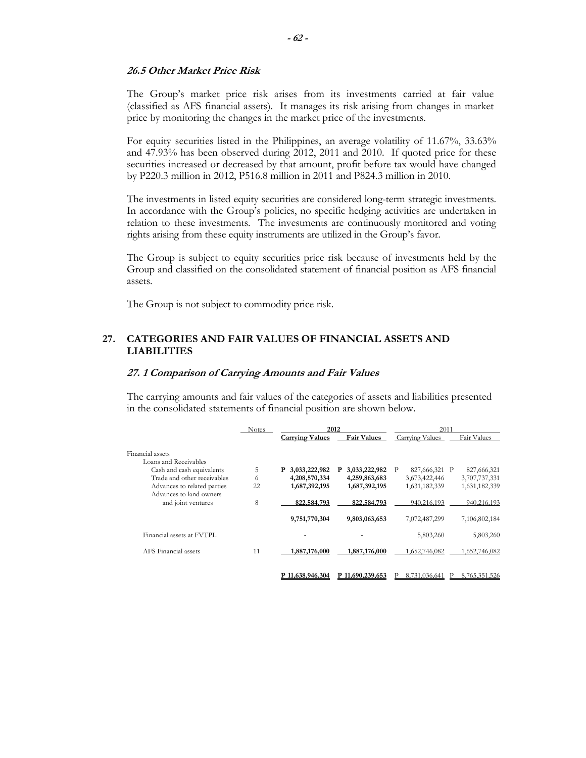#### **26.5 Other Market Price Risk**

The Group's market price risk arises from its investments carried at fair value (classified as AFS financial assets). It manages its risk arising from changes in market price by monitoring the changes in the market price of the investments.

For equity securities listed in the Philippines, an average volatility of 11.67%, 33.63% and 47.93% has been observed during 2012, 2011 and 2010. If quoted price for these securities increased or decreased by that amount, profit before tax would have changed by P220.3 million in 2012, P516.8 million in 2011 and P824.3 million in 2010.

The investments in listed equity securities are considered long-term strategic investments. In accordance with the Group's policies, no specific hedging activities are undertaken in relation to these investments. The investments are continuously monitored and voting rights arising from these equity instruments are utilized in the Group's favor.

The Group is subject to equity securities price risk because of investments held by the Group and classified on the consolidated statement of financial position as AFS financial assets.

The Group is not subject to commodity price risk.

# **27. CATEGORIES AND FAIR VALUES OF FINANCIAL ASSETS AND LIABILITIES**

#### **27. 1 Comparison of Carrying Amounts and Fair Values**

The carrying amounts and fair values of the categories of assets and liabilities presented in the consolidated statements of financial position are shown below.

|                             | <b>Notes</b> | 2012                   |                    | 2011               |               |  |
|-----------------------------|--------------|------------------------|--------------------|--------------------|---------------|--|
|                             |              | <b>Carrying Values</b> | <b>Fair Values</b> | Carrying Values    | Fair Values   |  |
| Financial assets            |              |                        |                    |                    |               |  |
| Loans and Receivables       |              |                        |                    |                    |               |  |
| Cash and cash equivalents   | 5            | 3,033,222,982<br>P     | 3,033,222,982<br>P | 827,666,321 P<br>P | 827,666,321   |  |
| Trade and other receivables | 6            | 4,208,570,334          | 4,259,863,683      | 3,673,422,446      | 3,707,737,331 |  |
| Advances to related parties | 22           | 1,687,392,195          | 1,687,392,195      | 1,631,182,339      | 1,631,182,339 |  |
| Advances to land owners     |              |                        |                    |                    |               |  |
| and joint ventures          | 8            | 822,584,793            | 822,584,793        | 940,216,193        | 940,216,193   |  |
|                             |              |                        |                    |                    |               |  |
|                             |              | 9,751,770,304          | 9,803,063,653      | 7,072,487,299      | 7,106,802,184 |  |
|                             |              |                        |                    |                    |               |  |
| Financial assets at FVTPL   |              |                        |                    | 5,803,260          | 5,803,260     |  |
| AFS Financial assets        | 11           | 1,887,176,000          | 1,887,176,000      | 1,652,746,082      | 1,652,746,082 |  |
|                             |              |                        |                    |                    |               |  |
|                             |              |                        |                    |                    |               |  |
|                             |              | P 11,638,946,304       | P 11,690,239,653   | 8.731.036.641      | 8,765,351,526 |  |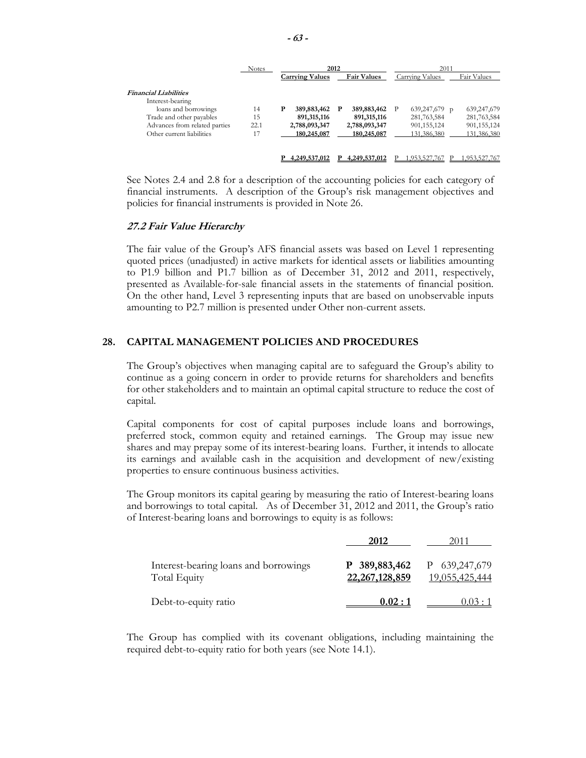|                               | <b>Notes</b> |                        | 2012               | 2011            |               |  |
|-------------------------------|--------------|------------------------|--------------------|-----------------|---------------|--|
|                               |              | <b>Carrying Values</b> | <b>Fair Values</b> | Carrying Values | Fair Values   |  |
| <b>Financial Liabilities</b>  |              |                        |                    |                 |               |  |
| Interest-bearing              |              |                        |                    |                 |               |  |
| loans and borrowings          | 14           | Р<br>389,883,462       | 389,883,462 P<br>P | 639,247,679 p   | 639,247,679   |  |
| Trade and other payables      | 15           | 891, 315, 116          | 891,315,116        | 281,763,584     | 281,763,584   |  |
| Advances from related parties | 22.1         | 2,788,093,347          | 2,788,093,347      | 901, 155, 124   | 901, 155, 124 |  |
| Other current liabilities     | I.           | 180,245,087            | 180,245,087        | 131,386,380     | 131,386,380   |  |
|                               |              | 4,249,537,012          | 4,249,537,012      | .953.527.767    | .953.527.767  |  |

See Notes 2.4 and 2.8 for a description of the accounting policies for each category of financial instruments. A description of the Group's risk management objectives and policies for financial instruments is provided in Note 26.

#### **27.2 Fair Value Hierarchy**

The fair value of the Group's AFS financial assets was based on Level 1 representing quoted prices (unadjusted) in active markets for identical assets or liabilities amounting to P1.9 billion and P1.7 billion as of December 31, 2012 and 2011, respectively, presented as Available-for-sale financial assets in the statements of financial position. On the other hand, Level 3 representing inputs that are based on unobservable inputs amounting to P2.7 million is presented under Other non-current assets.

# **28. CAPITAL MANAGEMENT POLICIES AND PROCEDURES**

The Group's objectives when managing capital are to safeguard the Group's ability to continue as a going concern in order to provide returns for shareholders and benefits for other stakeholders and to maintain an optimal capital structure to reduce the cost of capital.

Capital components for cost of capital purposes include loans and borrowings, preferred stock, common equity and retained earnings. The Group may issue new shares and may prepay some of its interest-bearing loans. Further, it intends to allocate its earnings and available cash in the acquisition and development of new/existing properties to ensure continuous business activities.

The Group monitors its capital gearing by measuring the ratio of Interest-bearing loans and borrowings to total capital. As of December 31, 2012 and 2011, the Group's ratio of Interest-bearing loans and borrowings to equity is as follows:

|                                                       | 2012                               | 2011                            |
|-------------------------------------------------------|------------------------------------|---------------------------------|
| Interest-bearing loans and borrowings<br>Total Equity | P 389,883,462<br>22, 267, 128, 859 | P 639,247,679<br>19,055,425,444 |
| Debt-to-equity ratio                                  | 0.02:1                             | 0.03:1                          |

The Group has complied with its covenant obligations, including maintaining the required debt-to-equity ratio for both years (see Note 14.1).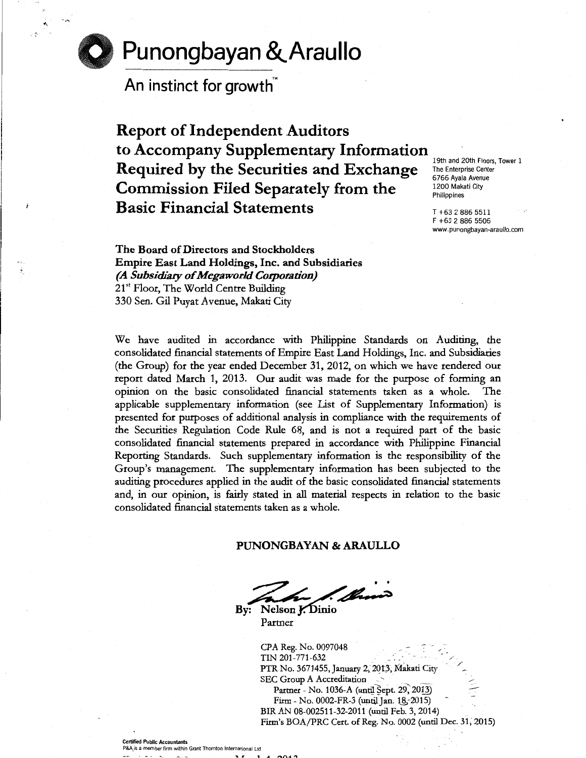# **Punongbayan &.Araullo**

**An instinct for growth'"** 

-.~

**Report of Independent Auditors**  to Accompany Supplementary Information **19th and 20th Floors, Tower 1** Required by the Securities and Exchange **The Enterprise Center Commission Filed Separately from the Basic Financial Statements** T +63 2 886 5511

6766 Ayala Avenue

F +63 2 886 5506 www.punongbayan-araullo.com

The Board of Directors and Stockholders Empire East Land Holdings, Inc. and Subsidiaries *(A Subsidiary of Megaworld Corporation)*  21<sup>st</sup> Floor, The World Centre Building 330 Sen. Gil Puyat A venue, Makati City

We have audited in accordance with Philippine Standards on Auditing, the consolidated financial statements of Empire East Land Holdings, Inc. and Subsidiaries (the Group) for the year ended December 31, 2012, on which we have rendered our report dated March 1, 2013. Our audit was made for the purpose of forming an opinion on the basic consolidated financial statements taken as a whole. The applicable supplementary information (see List of Supplementary Information) is presented for purposes of additional analysis in compliance with the requirements of the Securities Regulation Code Rule 68, and is not a required part of the basic consolidated financial statements prepared in accordance with Philippine Financial Reporting Standards. Such supplementary information is the responsibility of the Group's management. The supplementary information has been subjected to the auditing procedures applied in the audit of the basic consolidated financial statements and, in our opinion, is fairly stated in all material respects in relation to the basic consolidated financial statements taken as a whole.

PUNONGBAYAN & ARAULLO

1 Mario

By: Nelson J. Dinio Partner

> CPA Reg. No. 0097048  $TIN 201 - 771 - 632$ PTR No. 3671455, January 2, 2013, Makati City SEC Group A Accreditation Partner - No. 1036-A (until Sept. 29, 2013) Firm - No. 0002-FR-3 (until Jan. 18, -2015) BIR AN 08-002511-32-2011 (until Feb. 3, 2014) ./ / Firm's BOA/PRC Cert. of Reg. No. 0002 (until Dec. 31; 2015)

Certified Public Accountants P&A is a member firm within Grant Thornton International Ltd

 $1.1.0012$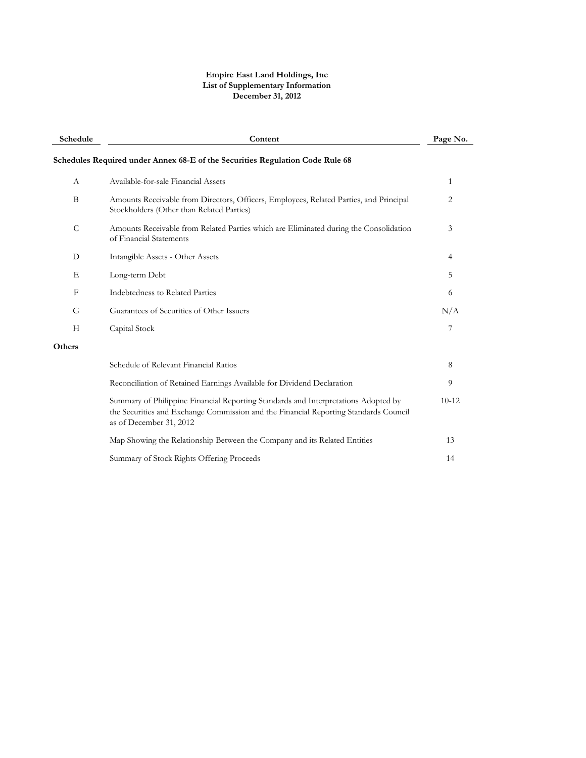#### **Empire East Land Holdings, Inc List of Supplementary Information December 31, 2012**

| Schedule      | Content                                                                                                                                                                                               |           |  |  |  |  |
|---------------|-------------------------------------------------------------------------------------------------------------------------------------------------------------------------------------------------------|-----------|--|--|--|--|
|               | Schedules Required under Annex 68-E of the Securities Regulation Code Rule 68                                                                                                                         |           |  |  |  |  |
| A             | Available-for-sale Financial Assets                                                                                                                                                                   | 1         |  |  |  |  |
| B             | Amounts Receivable from Directors, Officers, Employees, Related Parties, and Principal<br>Stockholders (Other than Related Parties)                                                                   | 2         |  |  |  |  |
| $\mathcal{C}$ | Amounts Receivable from Related Parties which are Eliminated during the Consolidation<br>of Financial Statements                                                                                      | 3         |  |  |  |  |
| D             | Intangible Assets - Other Assets                                                                                                                                                                      | 4         |  |  |  |  |
| Е             | Long-term Debt                                                                                                                                                                                        | 5         |  |  |  |  |
| F             | Indebtedness to Related Parties                                                                                                                                                                       | 6         |  |  |  |  |
| G             | Guarantees of Securities of Other Issuers                                                                                                                                                             | N/A       |  |  |  |  |
| Н             | Capital Stock                                                                                                                                                                                         | 7         |  |  |  |  |
| Others        |                                                                                                                                                                                                       |           |  |  |  |  |
|               | Schedule of Relevant Financial Ratios                                                                                                                                                                 | 8         |  |  |  |  |
|               | Reconciliation of Retained Earnings Available for Dividend Declaration                                                                                                                                | 9         |  |  |  |  |
|               | Summary of Philippine Financial Reporting Standards and Interpretations Adopted by<br>the Securities and Exchange Commission and the Financial Reporting Standards Council<br>as of December 31, 2012 | $10 - 12$ |  |  |  |  |
|               | Map Showing the Relationship Between the Company and its Related Entities                                                                                                                             | 13        |  |  |  |  |
|               | Summary of Stock Rights Offering Proceeds                                                                                                                                                             | 14        |  |  |  |  |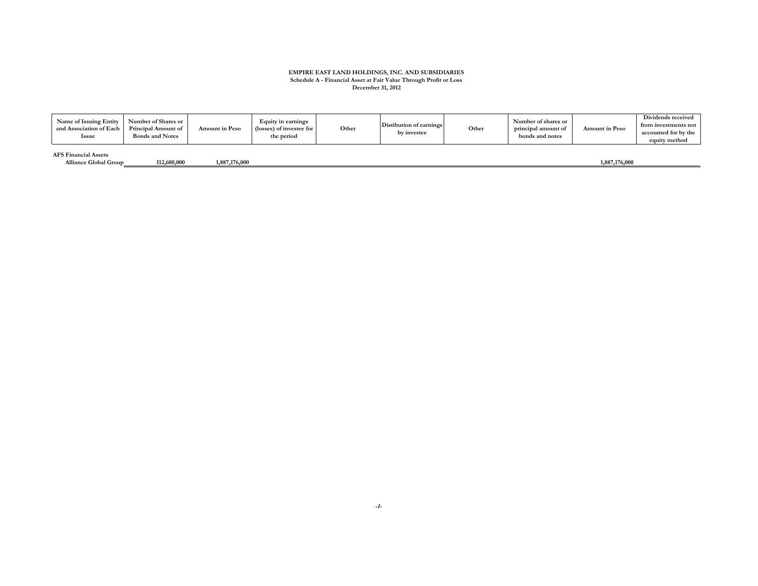# **EMPIRE EAST LAND HOLDINGS, INC. AND SUBSIDIARIES Schedule A - Financial Asset at Fair Value Through Profit or Loss December 31, 2012**

| Name of Issuing Entity<br>and Association of Each<br><b>Issue</b> | Number of Shares or<br><b>Principal Amount of</b><br><b>Bonds and Notes</b> | <b>Amount in Peso</b> | Equity in earnings<br>(losses) of investee for<br>the period | Other | Distibution of earnings<br>by investee | Other | Number of shares or<br>principal amount of<br>bonds and notes | <b>Amount in Peso</b> | Dividends received<br>from investments not<br>accounted for by the<br>equity method |
|-------------------------------------------------------------------|-----------------------------------------------------------------------------|-----------------------|--------------------------------------------------------------|-------|----------------------------------------|-------|---------------------------------------------------------------|-----------------------|-------------------------------------------------------------------------------------|
| <b>AFS Financial Assets</b><br><b>Alliance Global Group</b>       | 112,600,000                                                                 | 1,887,176,000         |                                                              |       |                                        |       |                                                               | 1,887,176,000         |                                                                                     |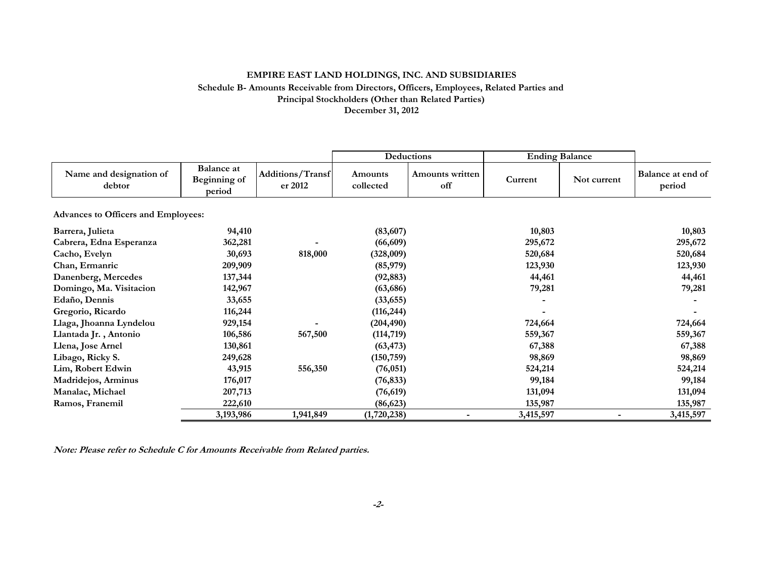#### **EMPIRE EAST LAND HOLDINGS, INC. AND SUBSIDIARIES Schedule B- Amounts Receivable from Directors, Officers, Employees, Related Parties and Principal Stockholders (Other than Related Parties) December 31, 2012**

|                                            |                                             |                             |                      | Deductions             | <b>Ending Balance</b> |             |                             |
|--------------------------------------------|---------------------------------------------|-----------------------------|----------------------|------------------------|-----------------------|-------------|-----------------------------|
| Name and designation of<br>debtor          | <b>Balance at</b><br>Beginning of<br>period | Additions/Transf<br>er 2012 | Amounts<br>collected | Amounts written<br>off | Current               | Not current | Balance at end of<br>period |
| <b>Advances to Officers and Employees:</b> |                                             |                             |                      |                        |                       |             |                             |
| Barrera, Julieta                           | 94,410                                      |                             | (83,607)             |                        | 10,803                |             | 10,803                      |
| Cabrera, Edna Esperanza                    | 362,281                                     |                             | (66, 609)            |                        | 295,672               |             | 295,672                     |
| Cacho, Evelyn                              | 30,693                                      | 818,000                     | (328,009)            |                        | 520,684               |             | 520,684                     |
| Chan, Ermanric                             | 209,909                                     |                             | (85,979)             |                        | 123,930               |             | 123,930                     |
| Danenberg, Mercedes                        | 137,344                                     |                             | (92, 883)            |                        | 44,461                |             | 44,461                      |
| Domingo, Ma. Visitacion                    | 142,967                                     |                             | (63, 686)            |                        | 79,281                |             | 79,281                      |
| Edaño, Dennis                              | 33,655                                      |                             | (33, 655)            |                        |                       |             |                             |
| Gregorio, Ricardo                          | 116,244                                     |                             | (116, 244)           |                        |                       |             |                             |
| Llaga, Jhoanna Lyndelou                    | 929,154                                     |                             | (204, 490)           |                        | 724,664               |             | 724,664                     |
| Llantada Jr., Antonio                      | 106,586                                     | 567,500                     | (114, 719)           |                        | 559,367               |             | 559,367                     |
| Llena, Jose Arnel                          | 130,861                                     |                             | (63, 473)            |                        | 67,388                |             | 67,388                      |
| Libago, Ricky S.                           | 249,628                                     |                             | (150, 759)           |                        | 98,869                |             | 98,869                      |
| Lim, Robert Edwin                          | 43,915                                      | 556,350                     | (76, 051)            |                        | 524,214               |             | 524,214                     |
| Madridejos, Arminus                        | 176,017                                     |                             | (76, 833)            |                        | 99,184                |             | 99,184                      |
| Manalac, Michael                           | 207,713                                     |                             | (76, 619)            |                        | 131,094               |             | 131,094                     |
| Ramos, Franemil                            | 222,610                                     |                             | (86, 623)            |                        | 135,987               |             | 135,987                     |
|                                            | 3,193,986                                   | 1,941,849                   | (1,720,238)          |                        | 3,415,597             |             | 3,415,597                   |

**Note: Please refer to Schedule C for Amounts Receivable from Related parties.**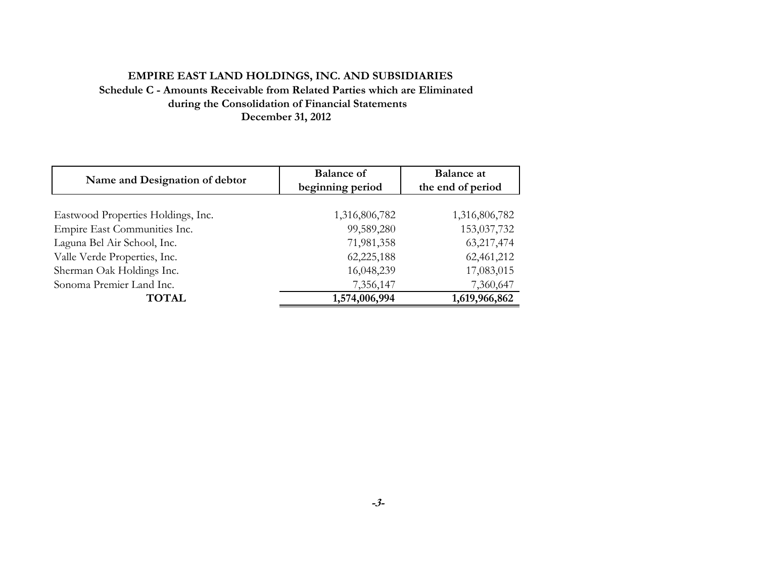## **EMPIRE EAST LAND HOLDINGS, INC. AND SUBSIDIARIES Schedule C - Amounts Receivable from Related Parties which are Eliminated during the Consolidation of Financial Statements December 31, 2012**

| Name and Designation of debtor     | <b>Balance of</b> | <b>Balance</b> at |
|------------------------------------|-------------------|-------------------|
|                                    | beginning period  | the end of period |
|                                    |                   |                   |
| Eastwood Properties Holdings, Inc. | 1,316,806,782     | 1,316,806,782     |
| Empire East Communities Inc.       | 99,589,280        | 153,037,732       |
| Laguna Bel Air School, Inc.        | 71,981,358        | 63,217,474        |
| Valle Verde Properties, Inc.       | 62,225,188        | 62,461,212        |
| Sherman Oak Holdings Inc.          | 16,048,239        | 17,083,015        |
| Sonoma Premier Land Inc.           | 7,356,147         | 7,360,647         |
| <b>TOTAL</b>                       | 1,574,006,994     | 1,619,966,862     |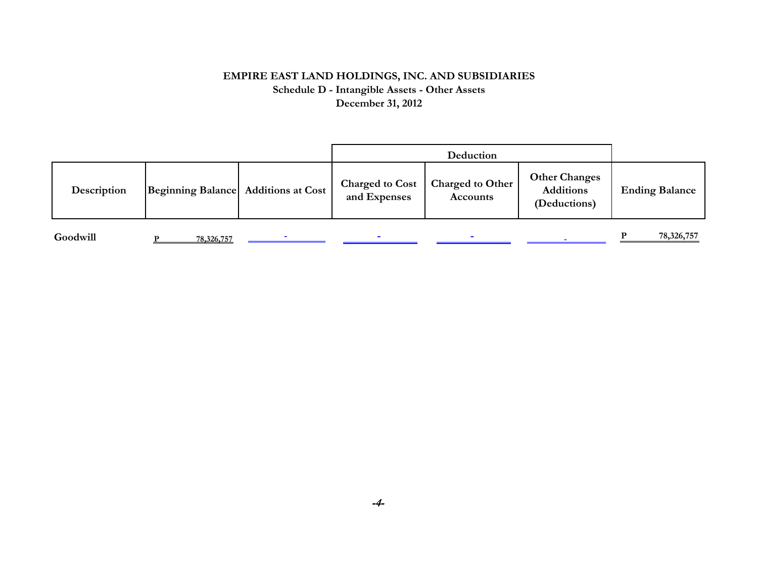### **EMPIRE EAST LAND HOLDINGS, INC. AND SUBSIDIARIES Schedule D - Intangible Assets - Other Assets December 31, 2012**

| Description | Beginning Balance Additions at Cost | <b>Charged to Cost</b><br>and Expenses | Charged to Other<br><b>Accounts</b> | <b>Other Changes</b><br><b>Additions</b><br>(Deductions) | <b>Ending Balance</b> |
|-------------|-------------------------------------|----------------------------------------|-------------------------------------|----------------------------------------------------------|-----------------------|

**Goodwill P 78,326,757 - - - - P 78,326,757**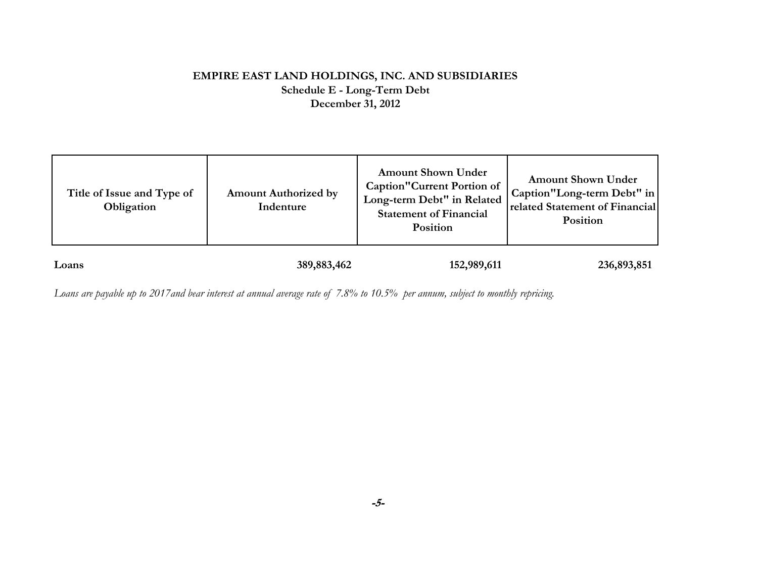## **EMPIRE EAST LAND HOLDINGS, INC. AND SUBSIDIARIES Schedule E - Long-Term Debt December 31, 2012**

| Title of Issue and Type of<br>Obligation | <b>Amount Authorized by</b><br>Indenture | <b>Amount Shown Under</b><br><b>Caption</b> "Current Portion of<br>Long-term Debt" in Related<br><b>Statement of Financial</b><br>Position | <b>Amount Shown Under</b><br>Caption"Long-term Debt" in<br>related Statement of Financial<br>Position |
|------------------------------------------|------------------------------------------|--------------------------------------------------------------------------------------------------------------------------------------------|-------------------------------------------------------------------------------------------------------|
| Loans                                    | 389, 883, 462                            | 152,989,611                                                                                                                                | 236,893,851                                                                                           |

*Loans are payable up to 2017and bear interest at annual average rate of 7.8% to 10.5% per annum, subject to monthly repricing.*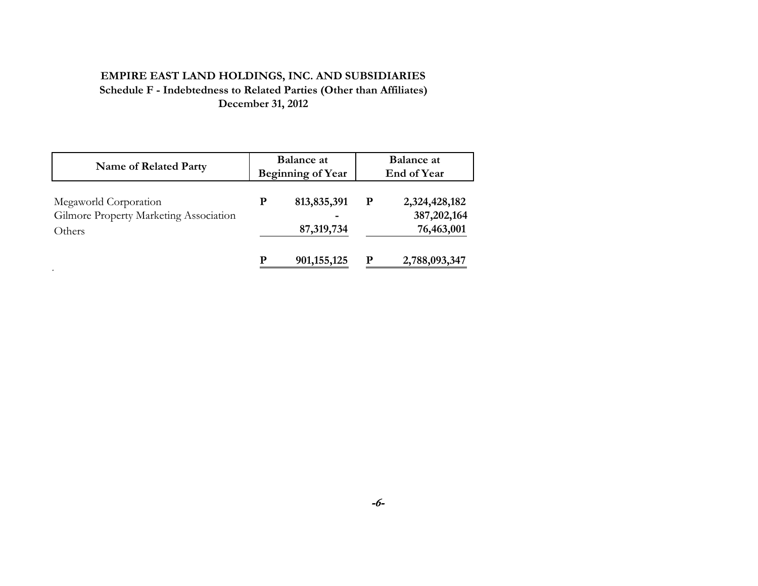# **EMPIRE EAST LAND HOLDINGS, INC. AND SUBSIDIARIES Schedule F - Indebtedness to Related Parties (Other than Affiliates) December 31, 2012**

| <b>Name of Related Party</b>                                              |   | <b>Balance</b> at<br><b>Beginning of Year</b> | <b>Balance</b> at<br><b>End of Year</b> |                                              |  |
|---------------------------------------------------------------------------|---|-----------------------------------------------|-----------------------------------------|----------------------------------------------|--|
| Megaworld Corporation<br>Gilmore Property Marketing Association<br>Others | P | 813, 835, 391<br>-<br>87,319,734              | ${\bf P}$                               | 2,324,428,182<br>387, 202, 164<br>76,463,001 |  |
|                                                                           | р | 901, 155, 125                                 | P                                       | 2,788,093,347                                |  |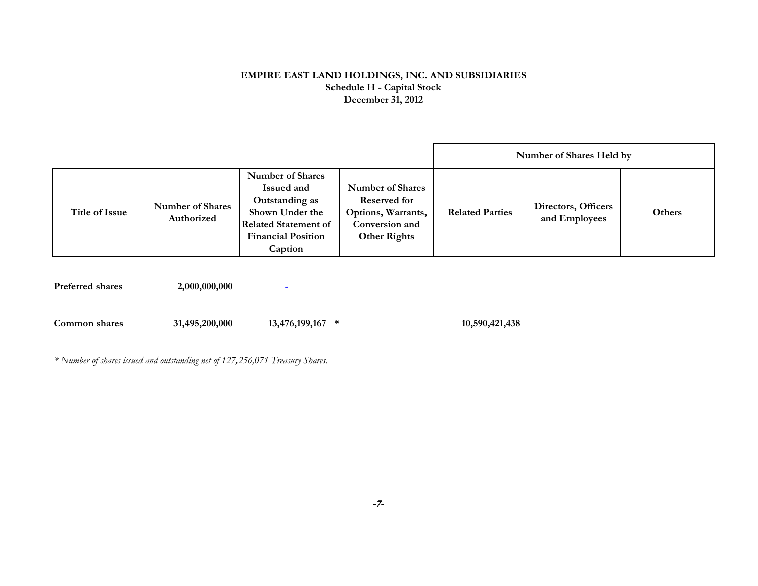#### **EMPIRE EAST LAND HOLDINGS, INC. AND SUBSIDIARIES Schedule H - Capital Stock December 31, 2012**

|                |                                       |                                                                                                                                                   |                                                                                                        |                        | Number of Shares Held by             |        |
|----------------|---------------------------------------|---------------------------------------------------------------------------------------------------------------------------------------------------|--------------------------------------------------------------------------------------------------------|------------------------|--------------------------------------|--------|
| Title of Issue | <b>Number of Shares</b><br>Authorized | <b>Number of Shares</b><br>Issued and<br>Outstanding as<br>Shown Under the<br><b>Related Statement of</b><br><b>Financial Position</b><br>Caption | <b>Number of Shares</b><br>Reserved for<br>Options, Warrants,<br>Conversion and<br><b>Other Rights</b> | <b>Related Parties</b> | Directors, Officers<br>and Employees | Others |

**Preferred shares** 2,000,000,000 -

**Common shares 13,476,199,167 31,495,200,000 \* 10,590,421,438** 

*\* Number of shares issued and outstanding net of 127,256,071 Treasury Shares.*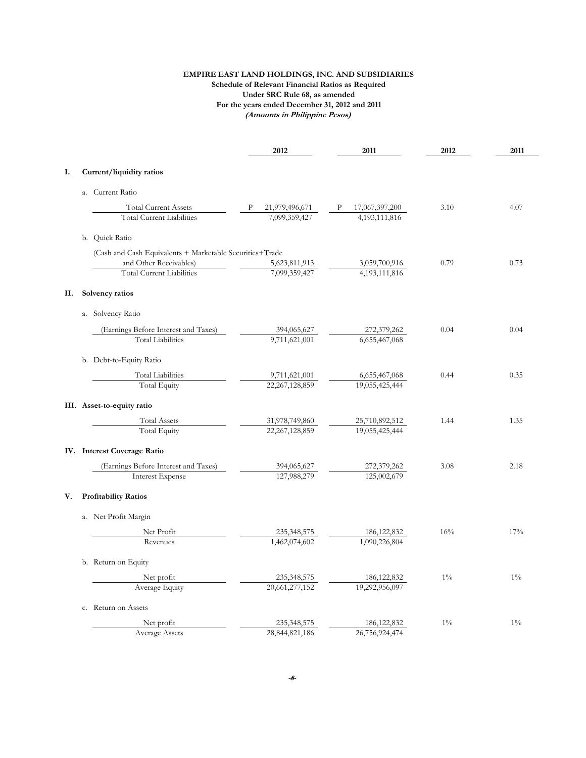#### **(Amounts in Philippine Pesos) EMPIRE EAST LAND HOLDINGS, INC. AND SUBSIDIARIES Schedule of Relevant Financial Ratios as Required Under SRC Rule 68, as amended For the years ended December 31, 2012 and 2011**

|    |                             |                                                                 |   | 2012                            |   | 2011                            | 2012  | 2011  |
|----|-----------------------------|-----------------------------------------------------------------|---|---------------------------------|---|---------------------------------|-------|-------|
| Ι. | Current/liquidity ratios    |                                                                 |   |                                 |   |                                 |       |       |
|    | a. Current Ratio            |                                                                 |   |                                 |   |                                 |       |       |
|    |                             |                                                                 | P |                                 | Ρ |                                 | 3.10  | 4.07  |
|    |                             | <b>Total Current Assets</b><br><b>Total Current Liabilities</b> |   | 21,979,496,671<br>7,099,359,427 |   | 17,067,397,200<br>4,193,111,816 |       |       |
|    | b. Quick Ratio              |                                                                 |   |                                 |   |                                 |       |       |
|    |                             | (Cash and Cash Equivalents + Marketable Securities+Trade        |   |                                 |   |                                 |       |       |
|    |                             | and Other Receivables)                                          |   | 5,623,811,913                   |   | 3,059,700,916                   | 0.79  | 0.73  |
|    |                             | <b>Total Current Liabilities</b>                                |   | 7.099.359.427                   |   | 4,193,111,816                   |       |       |
| П. | Solvency ratios             |                                                                 |   |                                 |   |                                 |       |       |
|    | a. Solvency Ratio           |                                                                 |   |                                 |   |                                 |       |       |
|    |                             | (Earnings Before Interest and Taxes)                            |   |                                 |   | 272,379,262                     | 0.04  | 0.04  |
|    |                             | <b>Total Liabilities</b>                                        |   | 394,065,627<br>9,711,621,001    |   | 6,655,467,068                   |       |       |
|    | b. Debt-to-Equity Ratio     |                                                                 |   |                                 |   |                                 |       |       |
|    |                             | <b>Total Liabilities</b>                                        |   | 9,711,621,001                   |   | 6,655,467,068                   | 0.44  | 0.35  |
|    |                             | <b>Total Equity</b>                                             |   | 22, 267, 128, 859               |   | 19,055,425,444                  |       |       |
|    | III. Asset-to-equity ratio  |                                                                 |   |                                 |   |                                 |       |       |
|    |                             | Total Assets                                                    |   | 31,978,749,860                  |   | 25,710,892,512                  | 1.44  | 1.35  |
|    |                             | <b>Total Equity</b>                                             |   | 22, 267, 128, 859               |   | 19,055,425,444                  |       |       |
|    | IV. Interest Coverage Ratio |                                                                 |   |                                 |   |                                 |       |       |
|    |                             | (Earnings Before Interest and Taxes)                            |   | 394,065,627                     |   | 272,379,262                     | 3.08  | 2.18  |
|    |                             | <b>Interest Expense</b>                                         |   | 127,988,279                     |   | 125,002,679                     |       |       |
| V. | <b>Profitability Ratios</b> |                                                                 |   |                                 |   |                                 |       |       |
|    | a. Net Profit Margin        |                                                                 |   |                                 |   |                                 |       |       |
|    |                             | Net Profit                                                      |   | 235, 348, 575                   |   | 186, 122, 832                   | 16%   | 17%   |
|    |                             | Revenues                                                        |   | 1,462,074,602                   |   | 1,090,226,804                   |       |       |
|    | b. Return on Equity         |                                                                 |   |                                 |   |                                 |       |       |
|    |                             | Net profit                                                      |   | 235,348,575                     |   | 186, 122, 832                   | $1\%$ | $1\%$ |
|    |                             | Average Equity                                                  |   | 20,661,277,152                  |   | 19,292,956,097                  |       |       |
|    | c. Return on Assets         |                                                                 |   |                                 |   |                                 |       |       |
|    |                             | Net profit                                                      |   | 235,348,575                     |   | 186, 122, 832                   | $1\%$ | $1\%$ |
|    |                             | <b>Average Assets</b>                                           |   | 28,844,821<br>.186              |   | 26,756,924,474                  |       |       |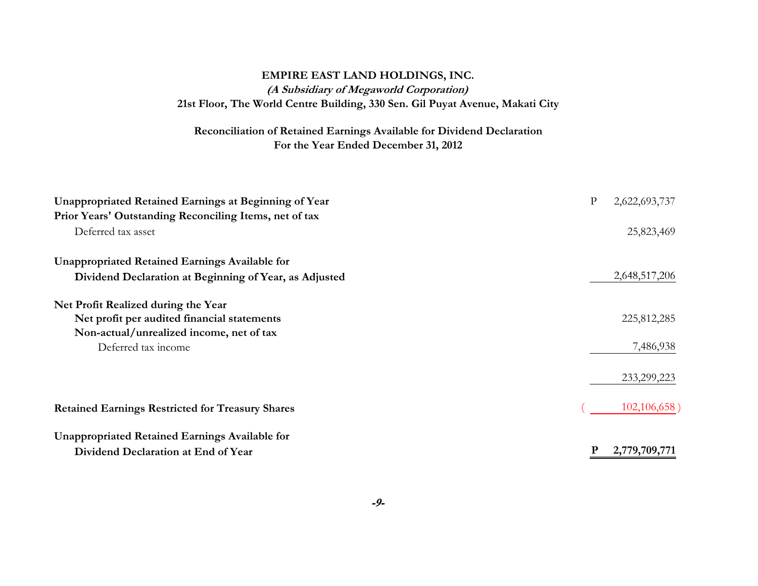# **EMPIRE EAST LAND HOLDINGS, INC. (A Subsidiary of Megaworld Corporation) 21st Floor, The World Centre Building, 330 Sen. Gil Puyat Avenue, Makati City**

### **For the Year Ended December 31, 2012 Reconciliation of Retained Earnings Available for Dividend Declaration**

| Unappropriated Retained Earnings at Beginning of Year   | ${\bf p}$ | 2,622,693,737  |
|---------------------------------------------------------|-----------|----------------|
| Prior Years' Outstanding Reconciling Items, net of tax  |           |                |
| Deferred tax asset                                      |           | 25,823,469     |
| <b>Unappropriated Retained Earnings Available for</b>   |           |                |
| Dividend Declaration at Beginning of Year, as Adjusted  |           | 2,648,517,206  |
| Net Profit Realized during the Year                     |           |                |
| Net profit per audited financial statements             |           | 225,812,285    |
| Non-actual/unrealized income, net of tax                |           |                |
| Deferred tax income                                     |           | 7,486,938      |
|                                                         |           | 233,299,223    |
| <b>Retained Earnings Restricted for Treasury Shares</b> |           | 102, 106, 658) |
| <b>Unappropriated Retained Earnings Available for</b>   |           |                |
| Dividend Declaration at End of Year                     | P         | 2,779,709,771  |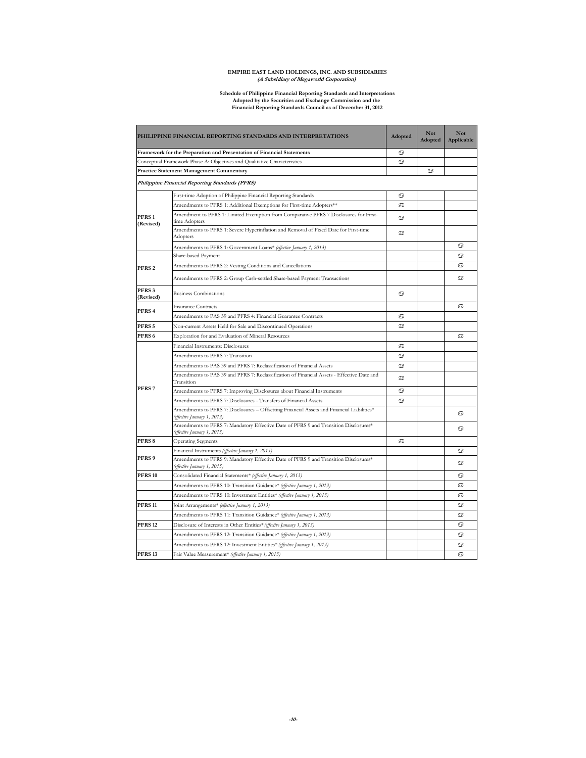# **EMPIRE EAST LAND HOLDINGS, INC. AND SUBSIDIARIES (A Subsidiary of Megaworld Corporation)**

#### **Financial Reporting Standards Council as of December 31, 2012 Schedule of Philippine Financial Reporting Standards and Interpretations Adopted by the Securities and Exchange Commission and the**

|                                | PHILIPPINE FINANCIAL REPORTING STANDARDS AND INTERPRETATIONS                                                              | Adopted | Not<br>Adopted | <b>Not</b><br>Applicable |
|--------------------------------|---------------------------------------------------------------------------------------------------------------------------|---------|----------------|--------------------------|
|                                | Framework for the Preparation and Presentation of Financial Statements                                                    | ್       |                |                          |
|                                | Conceptual Framework Phase A: Objectives and Qualitative Characteristics                                                  | ♋       |                |                          |
|                                | <b>Practice Statement Management Commentary</b>                                                                           |         | ை              |                          |
|                                | Philippine Financial Reporting Standards (PFRS)                                                                           |         |                |                          |
|                                | First-time Adoption of Philippine Financial Reporting Standards                                                           | ை       |                |                          |
|                                | Amendments to PFRS 1: Additional Exemptions for First-time Adopters**                                                     | $\circ$ |                |                          |
| PFRS <sub>1</sub><br>(Revised) | Amendment to PFRS 1: Limited Exemption from Comparative PFRS 7 Disclosures for First-<br>time Adopters                    | ♋       |                |                          |
|                                | Amendments to PFRS 1: Severe Hyperinflation and Removal of Fixed Date for First-time<br>Adopters                          | ♋       |                |                          |
|                                | Amendments to PFRS 1: Government Loans* (effective January 1, 2013)                                                       |         |                | ை                        |
|                                | Share-based Payment                                                                                                       |         |                | ♋                        |
| PFRS <sub>2</sub>              | Amendments to PFRS 2: Vesting Conditions and Cancellations                                                                |         |                | ♋                        |
|                                | Amendments to PFRS 2: Group Cash-settled Share-based Payment Transactions                                                 |         |                | ♋                        |
| PFRS <sub>3</sub><br>(Revised) | <b>Business Combinations</b>                                                                                              | ை       |                |                          |
| PFRS 4                         | <b>Insurance Contracts</b>                                                                                                |         |                | ♋                        |
|                                | Amendments to PAS 39 and PFRS 4: Financial Guarantee Contracts                                                            | ை       |                |                          |
| PFRS <sub>5</sub>              | Non-current Assets Held for Sale and Discontinued Operations                                                              | $\circ$ |                |                          |
| PFRS <sub>6</sub>              | Exploration for and Evaluation of Mineral Resources                                                                       |         |                | ♋                        |
|                                | Financial Instruments: Disclosures                                                                                        | ♋       |                |                          |
|                                | Amendments to PFRS 7: Transition                                                                                          | ♋       |                |                          |
|                                | Amendments to PAS 39 and PFRS 7: Reclassification of Financial Assets                                                     | ್       |                |                          |
|                                | Amendments to PAS 39 and PFRS 7: Reclassification of Financial Assets - Effective Date and<br>Transition                  | ♋       |                |                          |
| PFRS <sub>7</sub>              | Amendments to PFRS 7: Improving Disclosures about Financial Instruments                                                   | ♋       |                |                          |
|                                | Amendments to PFRS 7: Disclosures - Transfers of Financial Assets                                                         | ♋       |                |                          |
|                                | Amendments to PFRS 7: Disclosures - Offsetting Financial Assets and Financial Liabilities*<br>(effective January 1, 2013) |         |                | ♋                        |
|                                | Amendments to PFRS 7: Mandatory Effective Date of PFRS 9 and Transition Disclosures*<br>(effective January 1, 2015)       |         |                | ♋                        |
| PFRS 8                         | <b>Operating Segments</b>                                                                                                 | $\circ$ |                |                          |
|                                | Financial Instruments (effective January 1, 2015)                                                                         |         |                | ♋                        |
| PFRS <sub>9</sub>              | Amendments to PFRS 9: Mandatory Effective Date of PFRS 9 and Transition Disclosures*<br>(effective January 1, 2015)       |         |                | ♋                        |
| <b>PFRS 10</b>                 | Consolidated Financial Statements* (effective January 1, 2013)                                                            |         |                | ♋                        |
|                                | Amendments to PFRS 10: Transition Guidance* (effective January 1, 2013)                                                   |         |                | ♋                        |
|                                | Amendments to PFRS 10: Investment Entities* (effective January 1, 2013)                                                   |         |                | ♋                        |
| <b>PFRS 11</b>                 | Joint Arrangements* (effective January 1, 2013)                                                                           |         |                | ♋                        |
|                                | Amendments to PFRS 11: Transition Guidance* (effective January 1, 2013)                                                   |         |                | ♋                        |
| <b>PFRS 12</b>                 | Disclosure of Interests in Other Entities* (effective January 1, 2013)                                                    |         |                | ♋                        |
|                                | Amendments to PFRS 12: Transition Guidance* (effective January 1, 2013)                                                   |         |                | ♋                        |
|                                | Amendments to PFRS 12: Investment Entities* (effective January 1, 2013)                                                   |         |                | ♋                        |
| <b>PFRS 13</b>                 | Fair Value Measurement* (effective January 1, 2013)                                                                       |         |                | ♋                        |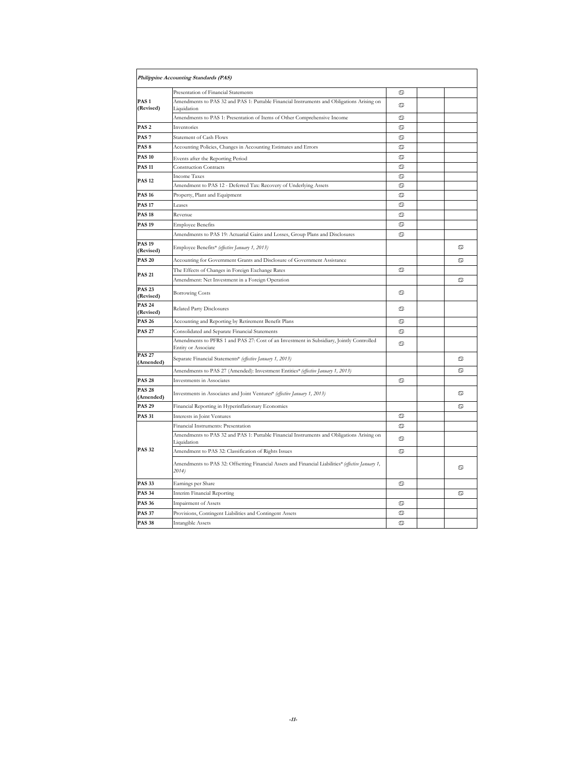|                               | Philippine Accounting Standards (PAS)                                                                           |   |   |
|-------------------------------|-----------------------------------------------------------------------------------------------------------------|---|---|
|                               | Presentation of Financial Statements                                                                            | ♋ |   |
| PAS <sub>1</sub><br>(Revised) | Amendments to PAS 32 and PAS 1: Puttable Financial Instruments and Obligations Arising on<br>Liquidation        | ♋ |   |
|                               | Amendments to PAS 1: Presentation of Items of Other Comprehensive Income                                        | ♋ |   |
| PAS <sub>2</sub>              | Inventories                                                                                                     | ♋ |   |
| PAS <sub>7</sub>              | <b>Statement of Cash Flows</b>                                                                                  | ♋ |   |
| PAS <sub>8</sub>              | Accounting Policies, Changes in Accounting Estimates and Errors                                                 | ♋ |   |
| <b>PAS 10</b>                 | Events after the Reporting Period                                                                               | ை |   |
| <b>PAS 11</b>                 | <b>Construction Contracts</b>                                                                                   | ♋ |   |
|                               | <b>Income Taxes</b>                                                                                             | ♋ |   |
| <b>PAS 12</b>                 | Amendment to PAS 12 - Deferred Tax: Recovery of Underlying Assets                                               | ை |   |
| <b>PAS 16</b>                 | Property, Plant and Equipment                                                                                   | ♋ |   |
| <b>PAS 17</b>                 | Leases                                                                                                          | ♋ |   |
| <b>PAS 18</b>                 | Revenue                                                                                                         | ♋ |   |
| <b>PAS 19</b>                 | <b>Employee Benefits</b>                                                                                        | ♋ |   |
|                               | Amendments to PAS 19: Actuarial Gains and Losses, Group Plans and Disclosures                                   | ♋ |   |
| <b>PAS 19</b><br>(Revised)    | Employee Benefits* (effective January 1, 2013)                                                                  |   | ♋ |
| <b>PAS 20</b>                 | Accounting for Government Grants and Disclosure of Government Assistance                                        |   | ♋ |
|                               | The Effects of Changes in Foreign Exchange Rates                                                                | ෬ |   |
| <b>PAS 21</b>                 | Amendment: Net Investment in a Foreign Operation                                                                |   | ♋ |
| <b>PAS 23</b><br>(Revised)    | <b>Borrowing Costs</b>                                                                                          | ை |   |
| <b>PAS 24</b><br>(Revised)    | <b>Related Party Disclosures</b>                                                                                | ♋ |   |
| <b>PAS 26</b>                 | Accounting and Reporting by Retirement Benefit Plans                                                            | ♋ |   |
| <b>PAS 27</b>                 | Consolidated and Separate Financial Statements                                                                  | ♋ |   |
|                               | Amendments to PFRS 1 and PAS 27: Cost of an Investment in Subsidiary, Jointly Controlled<br>Entity or Associate | ♋ |   |
| <b>PAS 27</b><br>(Amended)    | Separate Financial Statements* (effective January 1, 2013)                                                      |   | ♋ |
|                               | Amendments to PAS 27 (Amended): Investment Entities* (effective January 1, 2013)                                |   | ♋ |
| <b>PAS 28</b>                 | Investments in Associates                                                                                       | ♋ |   |
| <b>PAS 28</b><br>(Amended)    | Investments in Associates and Joint Ventures* (effective January 1, 2013)                                       |   | ♋ |
| <b>PAS 29</b>                 | Financial Reporting in Hyperinflationary Economies                                                              |   | ♋ |
| <b>PAS 31</b>                 | Interests in Joint Ventures                                                                                     | ♋ |   |
|                               | Financial Instruments: Presentation                                                                             | ♋ |   |
|                               | Amendments to PAS 32 and PAS 1: Puttable Financial Instruments and Obligations Arising on<br>Liquidation        | ♋ |   |
| <b>PAS 32</b>                 | Amendment to PAS 32: Classification of Rights Issues                                                            | ♋ |   |
|                               | Amendments to PAS 32: Offsetting Financial Assets and Financial Liabilities* (effective January 1,<br>2014)     |   | ♋ |
| <b>PAS 33</b>                 | Earnings per Share                                                                                              | ♋ |   |
| <b>PAS 34</b>                 | Interim Financial Reporting                                                                                     |   | ♋ |
| <b>PAS 36</b>                 | Impairment of Assets                                                                                            | ♋ |   |
| <b>PAS 37</b>                 | Provisions, Contingent Liabilities and Contingent Assets                                                        | ♋ |   |
| <b>PAS 38</b>                 | Intangible Assets                                                                                               | ♋ |   |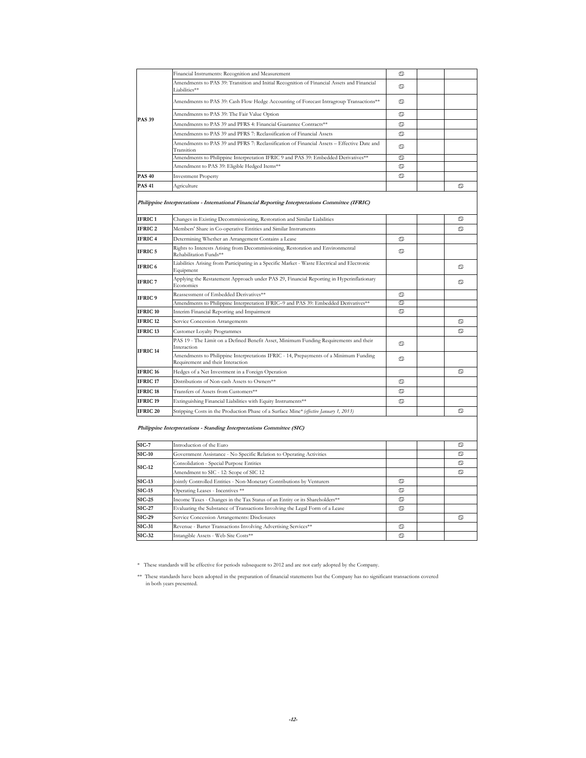|                     | Financial Instruments: Recognition and Measurement                                                                         | ை |                |
|---------------------|----------------------------------------------------------------------------------------------------------------------------|---|----------------|
|                     | Amendments to PAS 39: Transition and Initial Recognition of Financial Assets and Financial<br>Liabilities**                | ை |                |
|                     | Amendments to PAS 39: Cash Flow Hedge Accounting of Forecast Intragroup Transactions**                                     | ♋ |                |
|                     | Amendments to PAS 39: The Fair Value Option                                                                                | ♋ |                |
| <b>PAS 39</b>       | Amendments to PAS 39 and PFRS 4: Financial Guarantee Contracts**                                                           | ♋ |                |
|                     | Amendments to PAS 39 and PFRS 7: Reclassification of Financial Assets                                                      | ♋ |                |
|                     | Amendments to PAS 39 and PFRS 7: Reclassification of Financial Assets - Effective Date and<br>Transition                   | ♋ |                |
|                     | Amendments to Philippine Interpretation IFRIC 9 and PAS 39: Embedded Derivatives**                                         | ♋ |                |
|                     | Amendment to PAS 39: Eligible Hedged Items**                                                                               | ♋ |                |
| <b>PAS 40</b>       | <b>Investment Property</b>                                                                                                 | ♋ |                |
| <b>PAS 41</b>       | Agriculture                                                                                                                |   | ♋              |
|                     | Philippine Interpretations - International Financial Reporting Interpretations Committee (IFRIC)                           |   |                |
| IFRIC <sub>1</sub>  | Changes in Existing Decommissioning, Restoration and Similar Liabilities                                                   |   | ♋              |
| <b>IFRIC2</b>       | Members' Share in Co-operative Entities and Similar Instruments                                                            |   | O <sub>O</sub> |
| <b>IFRIC4</b>       | Determining Whether an Arrangement Contains a Lease                                                                        | ್ |                |
| <b>IFRIC 5</b>      | Rights to Interests Arising from Decommissioning, Restoration and Environmental<br>Rehabilitation Funds**                  | ♋ |                |
| <b>IFRIC 6</b>      | Liabilities Arising from Participating in a Specific Market - Waste Electrical and Electronic<br>Equipment                 |   | ♋              |
| <b>IFRIC 7</b>      | Applying the Restatement Approach under PAS 29, Financial Reporting in Hyperinflationary<br>Economies                      |   | ♋              |
| <b>IFRIC 9</b>      | Reassessment of Embedded Derivatives**                                                                                     | ♋ |                |
|                     | Amendments to Philippine Interpretation IFRIC-9 and PAS 39: Embedded Derivatives**                                         | ♋ |                |
| <b>IFRIC 10</b>     | Interim Financial Reporting and Impairment                                                                                 | ♋ |                |
| <b>IFRIC 12</b>     | Service Concession Arrangements                                                                                            |   | ♋              |
| <b>IFRIC 13</b>     | Customer Loyalty Programmes                                                                                                |   | ♋              |
| IFRIC <sub>14</sub> | PAS 19 - The Limit on a Defined Benefit Asset, Minimum Funding Requirements and their<br>Interaction                       | ♋ |                |
|                     | Amendments to Philippine Interpretations IFRIC - 14, Prepayments of a Minimum Funding<br>Requirement and their Interaction | ♋ |                |
| IFRIC <sub>16</sub> | Hedges of a Net Investment in a Foreign Operation                                                                          |   | O <sub>O</sub> |
| <b>IFRIC 17</b>     | Distributions of Non-cash Assets to Owners**                                                                               | ♋ |                |
| <b>IFRIC 18</b>     | Transfers of Assets from Customers**                                                                                       | ♋ |                |
| <b>IFRIC 19</b>     | Extinguishing Financial Liabilities with Equity Instruments**                                                              | ♋ |                |
| IFRIC <sub>20</sub> | Stripping Costs in the Production Phase of a Surface Mine* (effective January 1, 2013)                                     |   | ♋              |
|                     | Philippine Interpretations - Standing Interpretations Committee (SIC)                                                      |   |                |
| $SIC-7$             | Introduction of the Euro                                                                                                   |   | ♋              |
| <b>SIC-10</b>       | Government Assistance - No Specific Relation to Operating Activities                                                       |   | ෬              |
| <b>SIC-12</b>       | Consolidation - Special Purpose Entities                                                                                   |   | ♋              |
|                     | Amendment to SIC - 12: Scope of SIC 12                                                                                     |   | ெ              |
| <b>SIC-13</b>       | Jointly Controlled Entities - Non-Monetary Contributions by Venturers                                                      | ♋ |                |
| $SIC-15$            | Operating Leases - Incentives **                                                                                           | ை |                |
| $SIC-25$            | Income Taxes - Changes in the Tax Status of an Entity or its Shareholders**                                                | ♋ |                |
| <b>SIC-27</b>       | Evaluating the Substance of Transactions Involving the Legal Form of a Lease                                               | ♋ |                |
| <b>SIC-29</b>       | Service Concession Arrangements: Disclosures                                                                               |   | $\circ$        |
| <b>SIC-31</b>       | Revenue - Barter Transactions Involving Advertising Services**                                                             | ை |                |
| <b>SIC-32</b>       | Intangible Assets - Web Site Costs**                                                                                       | ♋ |                |

\* These standards will be effective for periods subsequent to 2012 and are not early adopted by the Company.

<sup>\*\*</sup> These standards have been adopted in the preparation of financial statements but the Company has no significant transactions covered in both years presented.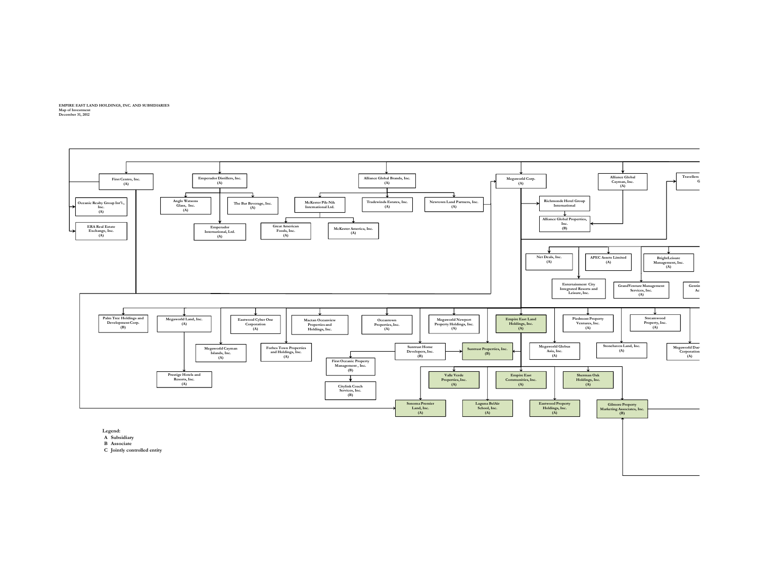**EMPIRE EAST LAND HOLDINGS, INC. AND SUBSIDIARIES Map of Investment December 31, 2012**

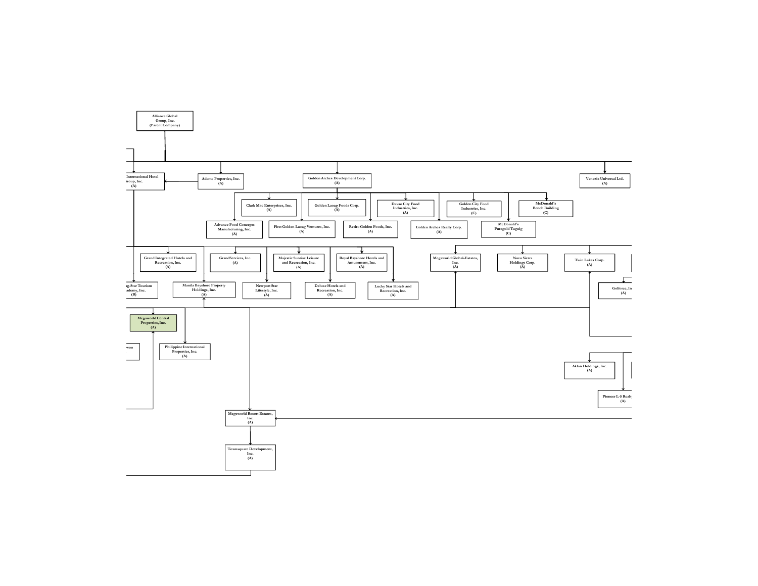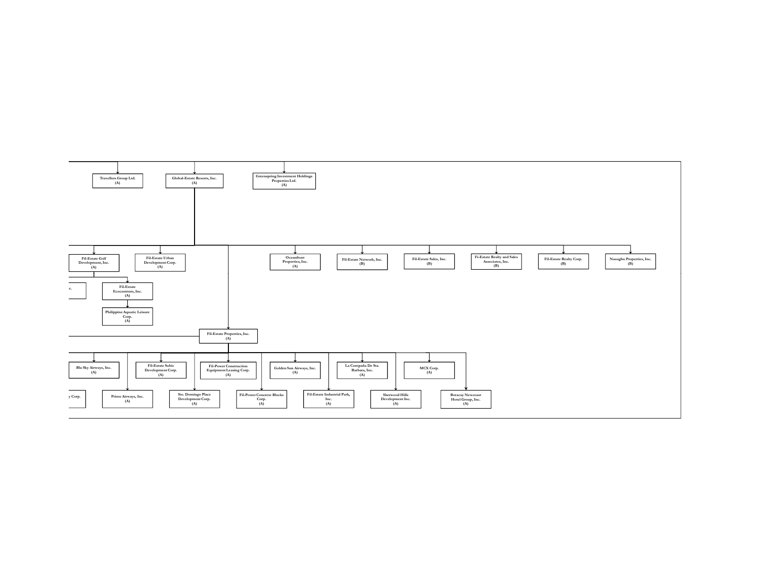